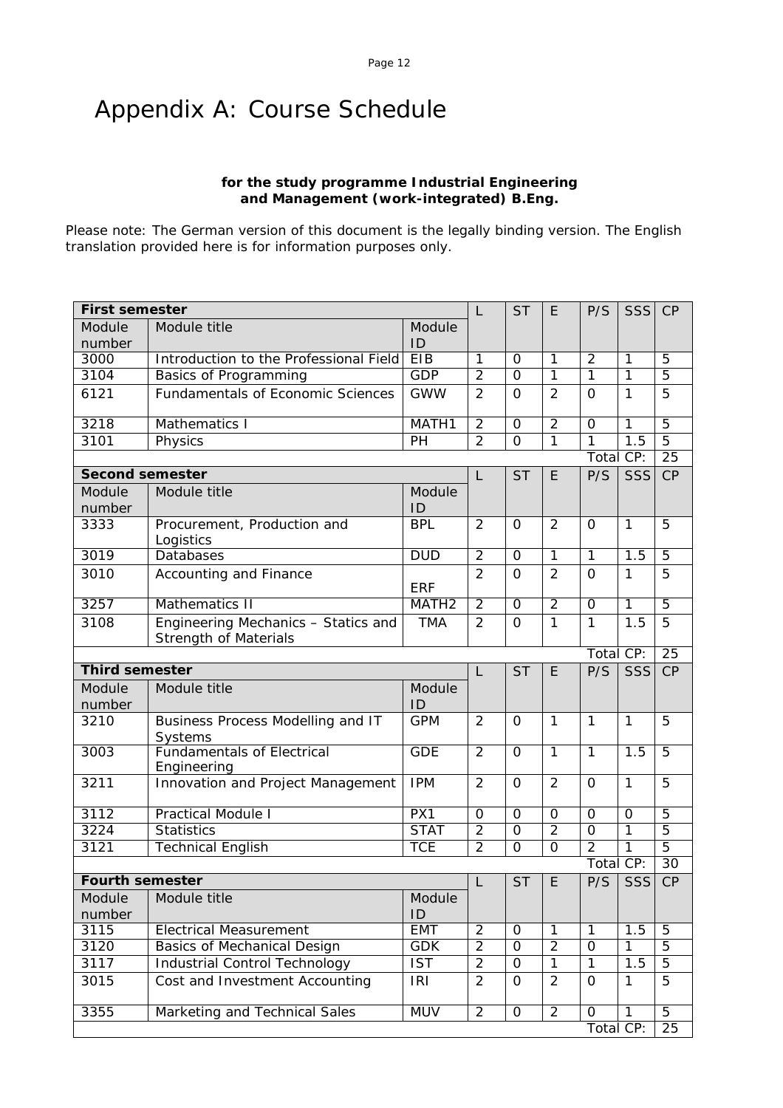# Appendix A: Course Schedule

## **for the study programme Industrial Engineering and Management (work-integrated) B.Eng.**

Please note: The German version of this document is the legally binding version. The English translation provided here is for information purposes only.

| <b>First semester</b>  |                                                                     |                                                                                                                                                                                                                                                                                                                                                         | L              | <b>ST</b>      | E              | P/S                 | SSS            | CP              |
|------------------------|---------------------------------------------------------------------|---------------------------------------------------------------------------------------------------------------------------------------------------------------------------------------------------------------------------------------------------------------------------------------------------------------------------------------------------------|----------------|----------------|----------------|---------------------|----------------|-----------------|
| Module<br>number       | Module title                                                        | Module<br>ID                                                                                                                                                                                                                                                                                                                                            |                |                |                |                     |                |                 |
| 3000                   | Introduction to the Professional Field                              | EIB                                                                                                                                                                                                                                                                                                                                                     | $\overline{1}$ | $\Omega$       | $\overline{1}$ | $\overline{2}$      | 1              | $\overline{5}$  |
| 3104                   | Basics of Programming                                               |                                                                                                                                                                                                                                                                                                                                                         |                | 0              | $\mathbf{1}$   | $\mathbf{1}$        |                |                 |
| 6121                   | <b>Fundamentals of Economic Sciences</b>                            | <b>GWW</b>                                                                                                                                                                                                                                                                                                                                              | $\overline{2}$ | $\Omega$       | $\overline{2}$ | $\Omega$            | $\mathbf{1}$   |                 |
| 3218                   | Mathematics I                                                       | MATH1                                                                                                                                                                                                                                                                                                                                                   | $\overline{2}$ | $\mathbf 0$    | $\overline{2}$ | 0                   | $\mathbf{1}$   | $\overline{5}$  |
| 3101                   | Physics                                                             | PH                                                                                                                                                                                                                                                                                                                                                      | $\overline{2}$ | $\overline{0}$ | $\overline{1}$ | $\overline{1}$      | 1.5            | $\overline{5}$  |
|                        |                                                                     |                                                                                                                                                                                                                                                                                                                                                         |                |                |                |                     |                |                 |
| <b>Second semester</b> |                                                                     |                                                                                                                                                                                                                                                                                                                                                         | L              | <b>ST</b>      | E              | P/S                 | SSS            | CP              |
| Module<br>number       | Module title                                                        | Module<br>ID                                                                                                                                                                                                                                                                                                                                            |                |                |                |                     |                |                 |
| 3333                   | Procurement, Production and<br>Logistics                            | <b>BPL</b>                                                                                                                                                                                                                                                                                                                                              | $\overline{2}$ | $\Omega$       | $\overline{2}$ | $\Omega$            | $\mathbf{1}$   | 5               |
| 3019                   | Databases                                                           | <b>DUD</b>                                                                                                                                                                                                                                                                                                                                              | $\overline{2}$ | $\mathbf 0$    | $\mathbf{1}$   | $\mathbf{1}$        | 1.5            | 5               |
| 3010                   | Accounting and Finance                                              | <b>ERF</b>                                                                                                                                                                                                                                                                                                                                              | $\overline{2}$ | $\Omega$       | $\overline{2}$ | $\Omega$            | $\mathbf{1}$   | 5               |
| 3257                   | <b>Mathematics II</b>                                               |                                                                                                                                                                                                                                                                                                                                                         | $\overline{2}$ | 0              | $\overline{2}$ | 0                   | $\mathbf{1}$   |                 |
| 3108                   | Engineering Mechanics - Statics and<br><b>Strength of Materials</b> | <b>TMA</b>                                                                                                                                                                                                                                                                                                                                              | $\overline{2}$ | $\overline{0}$ | $\mathbf{1}$   | $\mathbf{1}$        | 1.5            | 5               |
|                        |                                                                     |                                                                                                                                                                                                                                                                                                                                                         |                |                |                |                     |                | $\overline{25}$ |
| <b>Third semester</b>  |                                                                     |                                                                                                                                                                                                                                                                                                                                                         | L              | <b>ST</b>      | E              | P/S                 | <b>SSS</b>     | CP              |
| Module<br>number       | Module title                                                        | Module<br>ID                                                                                                                                                                                                                                                                                                                                            |                |                |                |                     |                |                 |
| 3210                   | Business Process Modelling and IT<br>Systems                        | <b>GPM</b>                                                                                                                                                                                                                                                                                                                                              | $\overline{2}$ | $\overline{O}$ | $\mathbf{1}$   | $\mathbf{1}$        | $\mathbf{1}$   | 5               |
| 3003                   | <b>Fundamentals of Electrical</b><br>Engineering                    | <b>GDE</b>                                                                                                                                                                                                                                                                                                                                              | $\overline{2}$ | $\Omega$       | $\overline{1}$ | $\overline{1}$      | 1.5            | $\overline{5}$  |
| 3211                   | Innovation and Project Management                                   | <b>IPM</b>                                                                                                                                                                                                                                                                                                                                              | $\overline{2}$ | $\Omega$       | $\overline{2}$ | $\Omega$            | $\mathbf{1}$   | 5               |
| 3112                   | <b>Practical Module I</b>                                           | PX1                                                                                                                                                                                                                                                                                                                                                     | $\mathbf 0$    | $\overline{0}$ | $\overline{0}$ | $\overline{0}$      | $\Omega$       | $\overline{5}$  |
| 3224                   | <b>Statistics</b>                                                   | <b>STAT</b>                                                                                                                                                                                                                                                                                                                                             | $\overline{2}$ | $\overline{0}$ | $\overline{2}$ | $\overline{0}$      | $\overline{1}$ |                 |
| 3121                   | <b>Technical English</b>                                            | $\overline{2}$<br><b>GDP</b><br>$\mathbf{1}$<br>5<br>5<br>25<br>Total CP:<br>MATH <sub>2</sub><br>$\overline{5}$<br>Total CP:<br>$\overline{5}$<br>$\overline{2}$<br>$\overline{1}$<br>$\overline{5}$<br>$\overline{0}$<br>$\overline{2}$<br><b>TCE</b><br>$\overline{0}$<br>Total CP:<br>30<br><b>ST</b><br>P/S<br>SSS<br>CP<br>E<br>L<br>Module<br>ID |                |                |                |                     |                |                 |
|                        |                                                                     |                                                                                                                                                                                                                                                                                                                                                         |                |                |                |                     |                |                 |
| <b>Fourth semester</b> |                                                                     |                                                                                                                                                                                                                                                                                                                                                         |                |                |                |                     |                |                 |
| Module<br>number       | Module title                                                        |                                                                                                                                                                                                                                                                                                                                                         |                |                |                |                     |                |                 |
| 3115                   | <b>Electrical Measurement</b>                                       | <b>EMT</b>                                                                                                                                                                                                                                                                                                                                              | $\overline{2}$ | $\Omega$       | $\overline{1}$ | $\mathbf{1}$        | 1.5            | $\overline{5}$  |
| 3120                   | <b>Basics of Mechanical Design</b>                                  | <b>GDK</b>                                                                                                                                                                                                                                                                                                                                              | $\overline{2}$ | $\overline{0}$ | $\overline{2}$ | $\Omega$            | $\mathbf{1}$   | 5               |
| 3117                   | <b>Industrial Control Technology</b>                                | $\overline{\text{IST}}$                                                                                                                                                                                                                                                                                                                                 | $\overline{2}$ | $\mathbf 0$    | $\overline{1}$ | $\mathbf{1}$        | 1.5            | $\overline{5}$  |
| 3015                   | Cost and Investment Accounting                                      | <b>IRI</b>                                                                                                                                                                                                                                                                                                                                              | $\overline{2}$ | $\Omega$       | $\overline{2}$ | $\Omega$            | $\mathbf{1}$   | 5               |
| 3355                   | Marketing and Technical Sales                                       | <b>MUV</b>                                                                                                                                                                                                                                                                                                                                              | $\overline{2}$ | $\mathbf{O}$   | $\overline{2}$ | $\mathsf{O}\xspace$ | 1              | $\overline{5}$  |
|                        |                                                                     |                                                                                                                                                                                                                                                                                                                                                         |                |                |                | Total CP:           |                | 25              |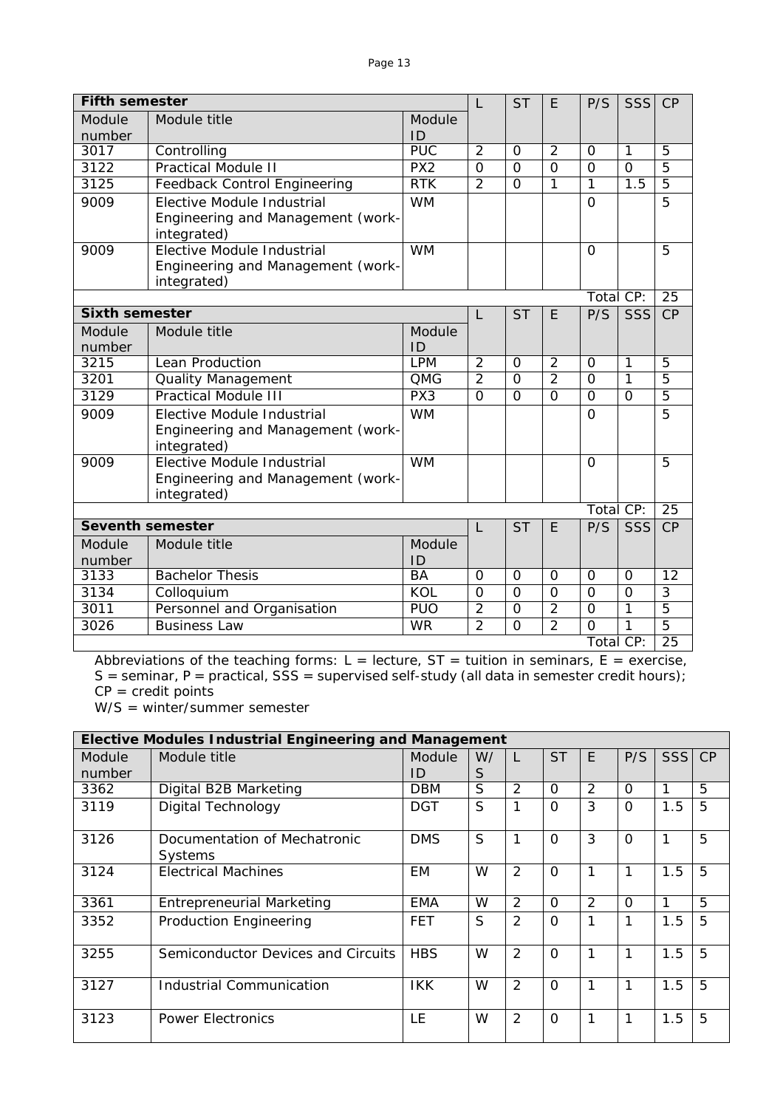| <b>Fifth semester</b>   |                                                  |                  | L              | <b>ST</b>      | E.             | P/S            | SSS            | CP              |
|-------------------------|--------------------------------------------------|------------------|----------------|----------------|----------------|----------------|----------------|-----------------|
| Module                  | Module title                                     | Module           |                |                |                |                |                |                 |
| number                  |                                                  | ID               |                |                |                |                |                |                 |
| 3017                    | Controlling                                      | $\overline{PUC}$ | $\overline{2}$ | $\Omega$       | $\overline{2}$ | $\Omega$       | 1              | $\overline{5}$  |
| 3122                    | <b>Practical Module II</b>                       | PX2              | $\overline{0}$ | $\overline{0}$ | $\overline{0}$ | $\overline{0}$ | $\overline{0}$ | $\overline{5}$  |
| 3125                    | Feedback Control Engineering                     | RTK              | $\overline{2}$ | $\Omega$       | 1              | 1              | 1.5            | $\overline{5}$  |
| 9009                    | Elective Module Industrial                       | <b>WM</b>        |                |                |                | $\overline{O}$ |                | 5               |
|                         | Engineering and Management (work-                |                  |                |                |                |                |                |                 |
|                         | integrated)<br>Elective Module Industrial        |                  |                |                |                |                |                |                 |
| 9009                    |                                                  | <b>WM</b>        |                |                |                | $\Omega$       |                | 5               |
|                         | Engineering and Management (work-<br>integrated) |                  |                |                |                |                |                |                 |
|                         |                                                  |                  |                |                |                | Total CP:      |                | $\overline{25}$ |
| <b>Sixth semester</b>   |                                                  |                  | L              | <b>ST</b>      | E              | P/S            | SSS            | CP              |
| Module                  | Module title                                     | Module           |                |                |                |                |                |                 |
| number                  |                                                  | ID               |                |                |                |                |                |                 |
| 3215                    | Lean Production                                  | <b>LPM</b>       | $\overline{2}$ | $\Omega$       | 2              | $\Omega$       | 1              | 5               |
| 3201                    | <b>Quality Management</b>                        | <b>QMG</b>       | $\overline{2}$ | $\Omega$       | $\overline{2}$ | $\Omega$       | $\mathbf{1}$   | 5               |
| 3129                    | <b>Practical Module III</b>                      | $\overline{PX3}$ | $\overline{0}$ | $\Omega$       | $\Omega$       | $\Omega$       | $\overline{O}$ | $\overline{5}$  |
| 9009                    | Elective Module Industrial                       | <b>WM</b>        |                |                |                | $\Omega$       |                | 5               |
|                         | Engineering and Management (work-                |                  |                |                |                |                |                |                 |
|                         | integrated)                                      |                  |                |                |                |                |                |                 |
| 9009                    | Elective Module Industrial                       | <b>WM</b>        |                |                |                | $\Omega$       |                | 5               |
|                         | Engineering and Management (work-                |                  |                |                |                |                |                |                 |
|                         | integrated)                                      |                  |                |                |                |                |                |                 |
|                         |                                                  |                  |                |                |                | Total CP:      |                | $\overline{25}$ |
| <b>Seventh semester</b> |                                                  |                  | L              | <b>ST</b>      | E              | P/S            | SSS            | <b>CP</b>       |
| Module                  | Module title                                     | Module           |                |                |                |                |                |                 |
| number                  |                                                  | ID               |                |                |                |                |                |                 |
| 3133                    | <b>Bachelor Thesis</b>                           | <b>BA</b>        | $\Omega$       | $\Omega$       | $\Omega$       | $\Omega$       | $\Omega$       | $\overline{12}$ |
| 3134                    | Colloquium                                       | KOL              | $\overline{0}$ | $\overline{O}$ | $\mathbf 0$    | $\overline{0}$ | $\overline{O}$ | 3               |
| 3011                    | Personnel and Organisation                       | <b>PUO</b>       | $\overline{2}$ | $\Omega$       | $\overline{2}$ | $\overline{O}$ | 1              | $\overline{5}$  |
| 3026                    | Business Law                                     | <b>WR</b>        | $\overline{2}$ | $\Omega$       | $\overline{2}$ | $\Omega$       | 1              | 5               |
|                         |                                                  |                  |                |                |                | Total CP:      |                | $\overline{25}$ |

Abbreviations of the teaching forms:  $L =$  lecture,  $ST =$  tuition in seminars,  $E =$  exercise, S = seminar, P = practical, SSS = supervised self-study (all data in semester credit hours);  $CP = \text{credit points}$ 

W/S = winter/summer semester

|                  | <b>Elective Modules Industrial Engineering and Management</b> |              |         |                |                |               |          |            |                |
|------------------|---------------------------------------------------------------|--------------|---------|----------------|----------------|---------------|----------|------------|----------------|
| Module<br>number | Module title                                                  | Module<br>ID | W/<br>S | L              | <b>ST</b>      | F             | P/S      | <b>SSS</b> | CP             |
| 3362             | Digital B2B Marketing                                         | <b>DBM</b>   | S       | 2              | $\Omega$       | $\mathcal{P}$ | $\Omega$ | 1          | $\overline{5}$ |
| 3119             | Digital Technology                                            | <b>DGT</b>   | S       | 1              | $\Omega$       | 3             | $\Omega$ | 1.5        | 5              |
| 3126             | Documentation of Mechatronic<br>Systems                       | <b>DMS</b>   | S       | 1              | $\Omega$       | 3             | $\Omega$ | 1          | 5              |
| 3124             | <b>Electrical Machines</b>                                    | <b>EM</b>    | W       | $\overline{2}$ | $\overline{0}$ |               | 1        | 1.5        | 5              |
| 3361             | <b>Entrepreneurial Marketing</b>                              | <b>EMA</b>   | W       | 2              | $\Omega$       | 2             | $\Omega$ | 1          | 5              |
| 3352             | <b>Production Engineering</b>                                 | <b>FET</b>   | S       | $\overline{2}$ | $\Omega$       |               |          | 1.5        | 5              |
| 3255             | Semiconductor Devices and Circuits                            | <b>HBS</b>   | W       | 2              | $\Omega$       | 1             | 1        | 1.5        | 5              |
| 3127             | Industrial Communication                                      | IKK.         | W       | 2              | $\Omega$       | 1             | 1        | 1.5        | 5              |
| 3123             | <b>Power Electronics</b>                                      | LE           | W       | 2              | $\Omega$       |               | 1        | 1.5        | 5              |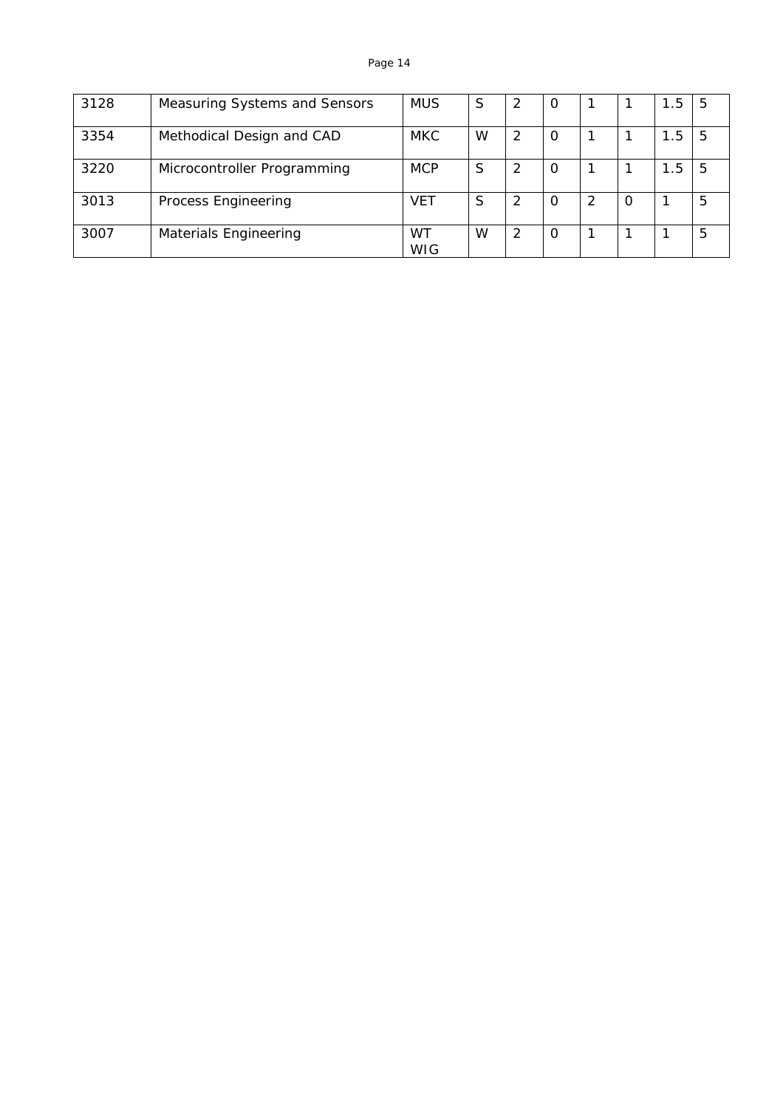| 3128 | Measuring Systems and Sensors | <b>MUS</b>       | S | $\overline{2}$ | $\Omega$ |          | 1.5 | 5 |
|------|-------------------------------|------------------|---|----------------|----------|----------|-----|---|
| 3354 | Methodical Design and CAD     | <b>MKC</b>       | W | 2              | 0        |          | . 5 | 5 |
| 3220 | Microcontroller Programming   | <b>MCP</b>       | S | $\overline{2}$ | 0        |          | 1.5 | 5 |
| 3013 | Process Engineering           | VET              | S | 2              | 0        | $\Omega$ |     | 5 |
| 3007 | Materials Engineering         | WT<br><b>WIG</b> | W | 2              | $\Omega$ |          |     | 5 |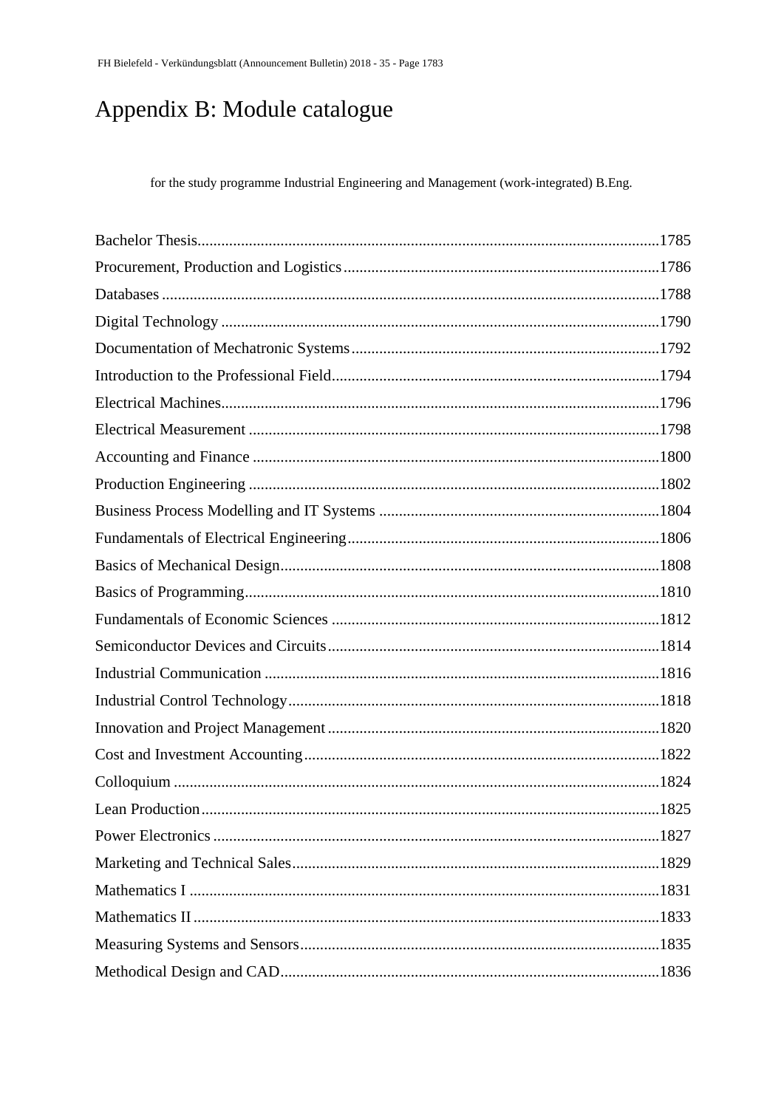# Appendix B: Module catalogue

for the study programme Industrial Engineering and Management (work-integrated) B.Eng.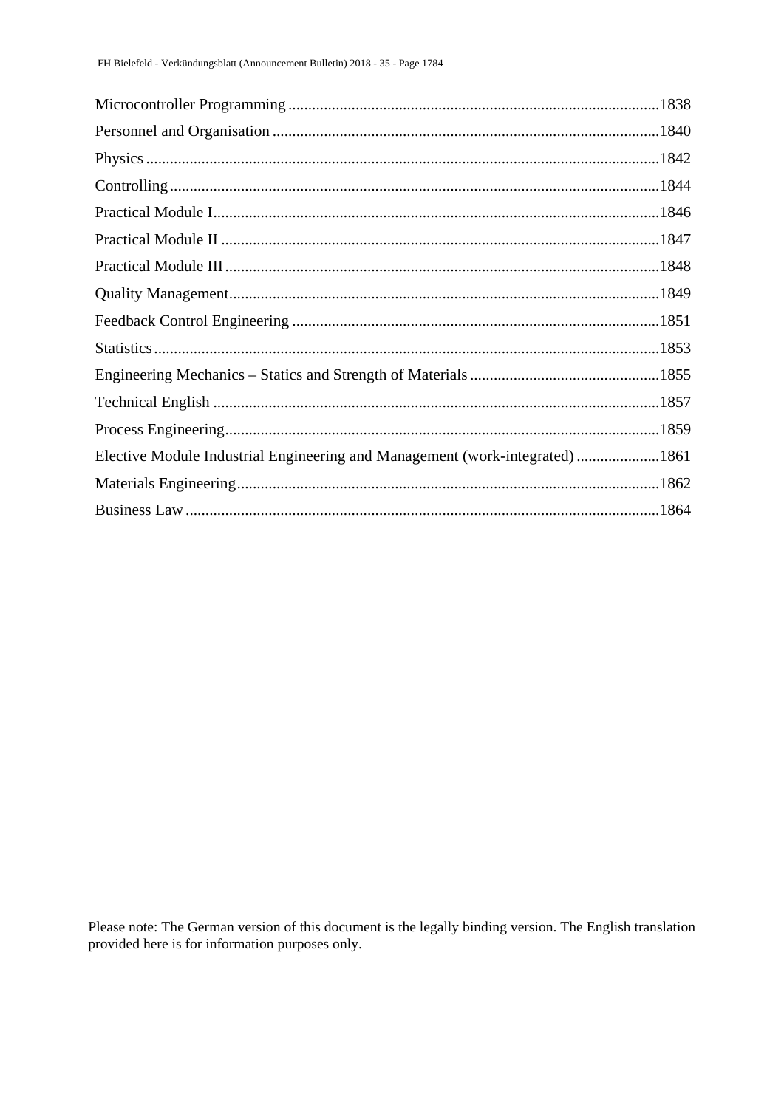| Elective Module Industrial Engineering and Management (work-integrated)1861 |  |
|-----------------------------------------------------------------------------|--|
|                                                                             |  |
|                                                                             |  |

Please note: The German version of this document is the legally binding version. The English translation provided here is for information purposes only.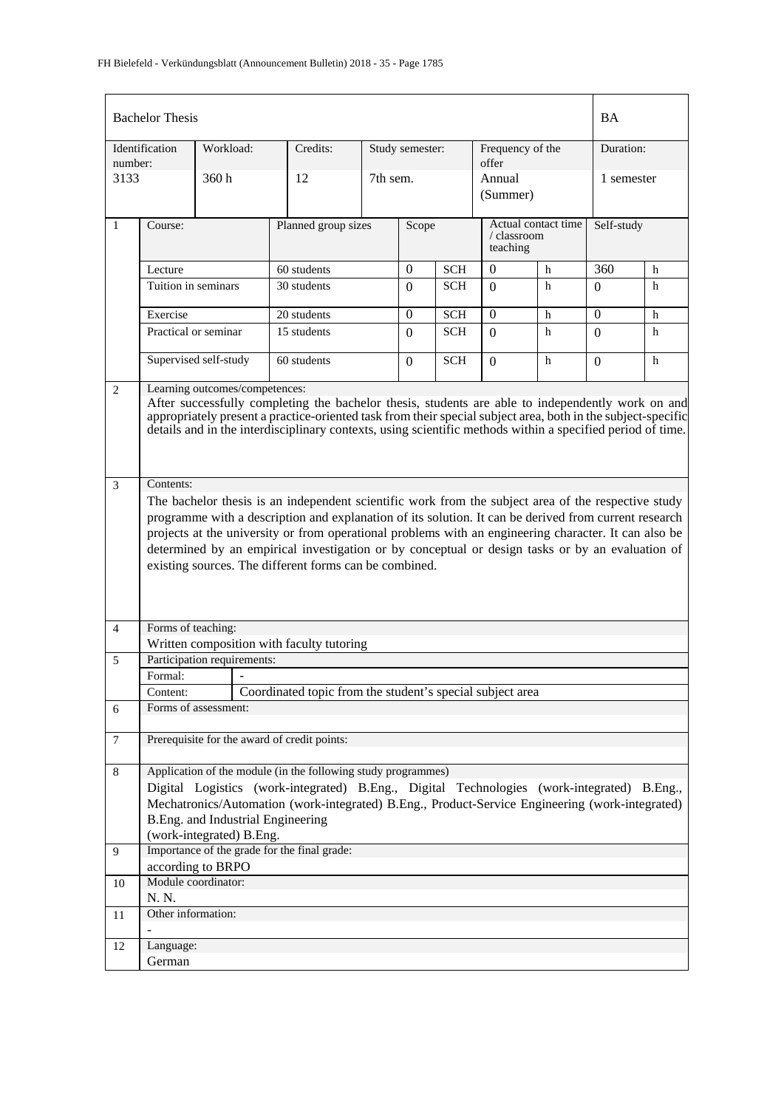|                | <b>Bachelor Thesis</b> |                                                               |                                                                                                                                                                                                                                                                                                                                                                                                                                                                                     |          |                 |            |                           |                     | <b>BA</b>  |   |
|----------------|------------------------|---------------------------------------------------------------|-------------------------------------------------------------------------------------------------------------------------------------------------------------------------------------------------------------------------------------------------------------------------------------------------------------------------------------------------------------------------------------------------------------------------------------------------------------------------------------|----------|-----------------|------------|---------------------------|---------------------|------------|---|
| number:        | Identification         | Workload:                                                     | Credits:                                                                                                                                                                                                                                                                                                                                                                                                                                                                            |          | Study semester: |            | Frequency of the<br>offer |                     | Duration:  |   |
| 3133           |                        | 360h                                                          | 12                                                                                                                                                                                                                                                                                                                                                                                                                                                                                  | 7th sem. |                 |            | Annual<br>(Summer)        |                     | 1 semester |   |
| $\mathbf{1}$   | Course:                |                                                               | Planned group sizes                                                                                                                                                                                                                                                                                                                                                                                                                                                                 |          | Scope           |            | / classroom<br>teaching   | Actual contact time | Self-study |   |
|                | Lecture                |                                                               | 60 students                                                                                                                                                                                                                                                                                                                                                                                                                                                                         |          | $\overline{0}$  | <b>SCH</b> | $\overline{0}$            | h                   | 360        | h |
|                | Tuition in seminars    |                                                               | 30 students                                                                                                                                                                                                                                                                                                                                                                                                                                                                         |          | $\Omega$        | <b>SCH</b> | $\Omega$                  | h                   | $\Omega$   | h |
|                | Exercise               |                                                               | 20 students                                                                                                                                                                                                                                                                                                                                                                                                                                                                         |          | $\Omega$        | <b>SCH</b> | $\Omega$                  | h                   | $\Omega$   | h |
|                |                        | Practical or seminar<br>15 students<br>60 students            |                                                                                                                                                                                                                                                                                                                                                                                                                                                                                     |          |                 | <b>SCH</b> | $\Omega$                  | h                   | $\Omega$   | h |
|                | Supervised self-study  |                                                               | $\Omega$                                                                                                                                                                                                                                                                                                                                                                                                                                                                            | SCH      | $\Omega$        | h          | $\Omega$                  | h                   |            |   |
| 2              |                        | Learning outcomes/competences:                                | After successfully completing the bachelor thesis, students are able to independently work on and<br>appropriately present a practice-oriented task from their special subject area, both in the subject-specific<br>details and in the interdisciplinary contexts, using scientific methods within a specified period of time.                                                                                                                                                     |          |                 |            |                           |                     |            |   |
| 3              | Contents:              |                                                               |                                                                                                                                                                                                                                                                                                                                                                                                                                                                                     |          |                 |            |                           |                     |            |   |
|                |                        |                                                               | The bachelor thesis is an independent scientific work from the subject area of the respective study<br>programme with a description and explanation of its solution. It can be derived from current research<br>projects at the university or from operational problems with an engineering character. It can also be<br>determined by an empirical investigation or by conceptual or design tasks or by an evaluation of<br>existing sources. The different forms can be combined. |          |                 |            |                           |                     |            |   |
| $\overline{4}$ | Forms of teaching:     |                                                               | Written composition with faculty tutoring                                                                                                                                                                                                                                                                                                                                                                                                                                           |          |                 |            |                           |                     |            |   |
| 5              |                        | Participation requirements:                                   |                                                                                                                                                                                                                                                                                                                                                                                                                                                                                     |          |                 |            |                           |                     |            |   |
|                | Formal:                | $\sim$                                                        |                                                                                                                                                                                                                                                                                                                                                                                                                                                                                     |          |                 |            |                           |                     |            |   |
|                | Content:               |                                                               | Coordinated topic from the student's special subject area                                                                                                                                                                                                                                                                                                                                                                                                                           |          |                 |            |                           |                     |            |   |
| 6              |                        | Forms of assessment:                                          |                                                                                                                                                                                                                                                                                                                                                                                                                                                                                     |          |                 |            |                           |                     |            |   |
| $\overline{7}$ |                        |                                                               | Prerequisite for the award of credit points:                                                                                                                                                                                                                                                                                                                                                                                                                                        |          |                 |            |                           |                     |            |   |
| $\,8\,$        |                        | B.Eng. and Industrial Engineering<br>(work-integrated) B.Eng. | Application of the module (in the following study programmes)<br>Digital Logistics (work-integrated) B.Eng., Digital Technologies (work-integrated) B.Eng.,<br>Mechatronics/Automation (work-integrated) B.Eng., Product-Service Engineering (work-integrated)                                                                                                                                                                                                                      |          |                 |            |                           |                     |            |   |
| 9              |                        |                                                               | Importance of the grade for the final grade:                                                                                                                                                                                                                                                                                                                                                                                                                                        |          |                 |            |                           |                     |            |   |
|                |                        | according to BRPO                                             |                                                                                                                                                                                                                                                                                                                                                                                                                                                                                     |          |                 |            |                           |                     |            |   |
| 10             |                        | Module coordinator:                                           |                                                                                                                                                                                                                                                                                                                                                                                                                                                                                     |          |                 |            |                           |                     |            |   |
|                | N. N.                  |                                                               |                                                                                                                                                                                                                                                                                                                                                                                                                                                                                     |          |                 |            |                           |                     |            |   |
| 11             | Other information:     |                                                               |                                                                                                                                                                                                                                                                                                                                                                                                                                                                                     |          |                 |            |                           |                     |            |   |
| 12             | Language:<br>German    |                                                               |                                                                                                                                                                                                                                                                                                                                                                                                                                                                                     |          |                 |            |                           |                     |            |   |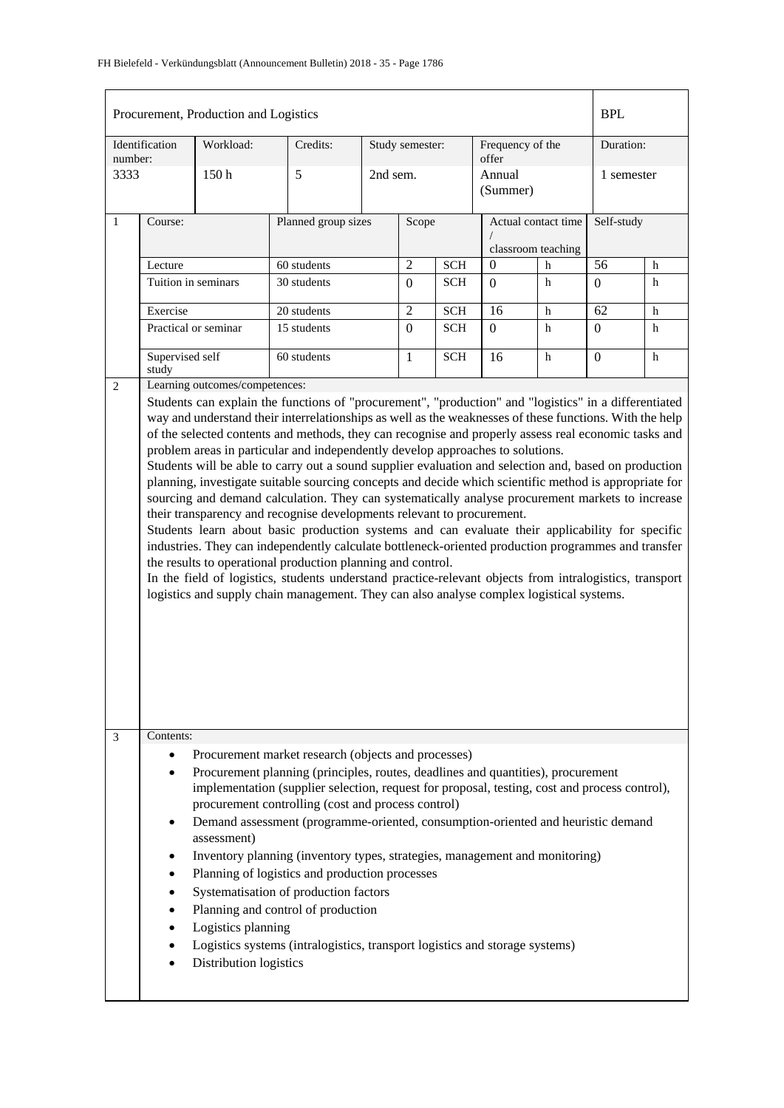|              |                                                                       | Procurement, Production and Logistics                       |                                                                                                                                                                                                                                                                                                                                                                                                                                                                                                                                                                                                                                                                                                                                                                                                                                                                                                                                                                                                                                                                                                                                                                                                                                                                                             |            |                 |            |                                           |   | <b>BPL</b>      |   |
|--------------|-----------------------------------------------------------------------|-------------------------------------------------------------|---------------------------------------------------------------------------------------------------------------------------------------------------------------------------------------------------------------------------------------------------------------------------------------------------------------------------------------------------------------------------------------------------------------------------------------------------------------------------------------------------------------------------------------------------------------------------------------------------------------------------------------------------------------------------------------------------------------------------------------------------------------------------------------------------------------------------------------------------------------------------------------------------------------------------------------------------------------------------------------------------------------------------------------------------------------------------------------------------------------------------------------------------------------------------------------------------------------------------------------------------------------------------------------------|------------|-----------------|------------|-------------------------------------------|---|-----------------|---|
| number:      | Identification                                                        | Workload:                                                   | Credits:                                                                                                                                                                                                                                                                                                                                                                                                                                                                                                                                                                                                                                                                                                                                                                                                                                                                                                                                                                                                                                                                                                                                                                                                                                                                                    |            | Study semester: |            | Frequency of the<br>offer                 |   | Duration:       |   |
| 3333         |                                                                       | 150 <sub>h</sub>                                            | 5                                                                                                                                                                                                                                                                                                                                                                                                                                                                                                                                                                                                                                                                                                                                                                                                                                                                                                                                                                                                                                                                                                                                                                                                                                                                                           | 2nd sem.   |                 |            | Annual<br>(Summer)                        |   | 1 semester      |   |
| $\mathbf{1}$ | Course:                                                               |                                                             | Planned group sizes                                                                                                                                                                                                                                                                                                                                                                                                                                                                                                                                                                                                                                                                                                                                                                                                                                                                                                                                                                                                                                                                                                                                                                                                                                                                         |            | Scope           |            | Actual contact time<br>classroom teaching |   | Self-study      |   |
|              | Lecture                                                               |                                                             | 60 students                                                                                                                                                                                                                                                                                                                                                                                                                                                                                                                                                                                                                                                                                                                                                                                                                                                                                                                                                                                                                                                                                                                                                                                                                                                                                 |            | $\overline{2}$  | <b>SCH</b> | $\theta$                                  | h | 56              | h |
|              | Tuition in seminars                                                   |                                                             | 30 students                                                                                                                                                                                                                                                                                                                                                                                                                                                                                                                                                                                                                                                                                                                                                                                                                                                                                                                                                                                                                                                                                                                                                                                                                                                                                 |            | $\Omega$        | <b>SCH</b> | $\Omega$                                  | h | $\Omega$        | h |
|              | Exercise                                                              |                                                             | 20 students                                                                                                                                                                                                                                                                                                                                                                                                                                                                                                                                                                                                                                                                                                                                                                                                                                                                                                                                                                                                                                                                                                                                                                                                                                                                                 |            | $\overline{2}$  | <b>SCH</b> | 16                                        | h | $\overline{62}$ | h |
|              | 15 students<br>Practical or seminar<br>Supervised self<br>60 students |                                                             | $\Omega$                                                                                                                                                                                                                                                                                                                                                                                                                                                                                                                                                                                                                                                                                                                                                                                                                                                                                                                                                                                                                                                                                                                                                                                                                                                                                    | <b>SCH</b> | $\Omega$        | h          | $\overline{0}$                            | h |                 |   |
|              | study                                                                 |                                                             |                                                                                                                                                                                                                                                                                                                                                                                                                                                                                                                                                                                                                                                                                                                                                                                                                                                                                                                                                                                                                                                                                                                                                                                                                                                                                             |            | $\mathbf{1}$    | <b>SCH</b> | 16                                        | h | $\overline{0}$  | h |
| 2            |                                                                       | Learning outcomes/competences:                              | Students can explain the functions of "procurement", "production" and "logistics" in a differentiated<br>way and understand their interrelationships as well as the weaknesses of these functions. With the help<br>of the selected contents and methods, they can recognise and properly assess real economic tasks and<br>problem areas in particular and independently develop approaches to solutions.<br>Students will be able to carry out a sound supplier evaluation and selection and, based on production<br>planning, investigate suitable sourcing concepts and decide which scientific method is appropriate for<br>sourcing and demand calculation. They can systematically analyse procurement markets to increase<br>their transparency and recognise developments relevant to procurement.<br>Students learn about basic production systems and can evaluate their applicability for specific<br>industries. They can independently calculate bottleneck-oriented production programmes and transfer<br>the results to operational production planning and control.<br>In the field of logistics, students understand practice-relevant objects from intralogistics, transport<br>logistics and supply chain management. They can also analyse complex logistical systems. |            |                 |            |                                           |   |                 |   |
| 3            | Contents:<br>٠<br>٠<br>$\bullet$<br>٠                                 | assessment)<br>Logistics planning<br>Distribution logistics | Procurement market research (objects and processes)<br>Procurement planning (principles, routes, deadlines and quantities), procurement<br>implementation (supplier selection, request for proposal, testing, cost and process control),<br>procurement controlling (cost and process control)<br>Demand assessment (programme-oriented, consumption-oriented and heuristic demand<br>Inventory planning (inventory types, strategies, management and monitoring)<br>Planning of logistics and production processes<br>Systematisation of production factors<br>Planning and control of production<br>Logistics systems (intralogistics, transport logistics and storage systems)                                                                                                                                                                                                                                                                                                                                                                                                                                                                                                                                                                                                           |            |                 |            |                                           |   |                 |   |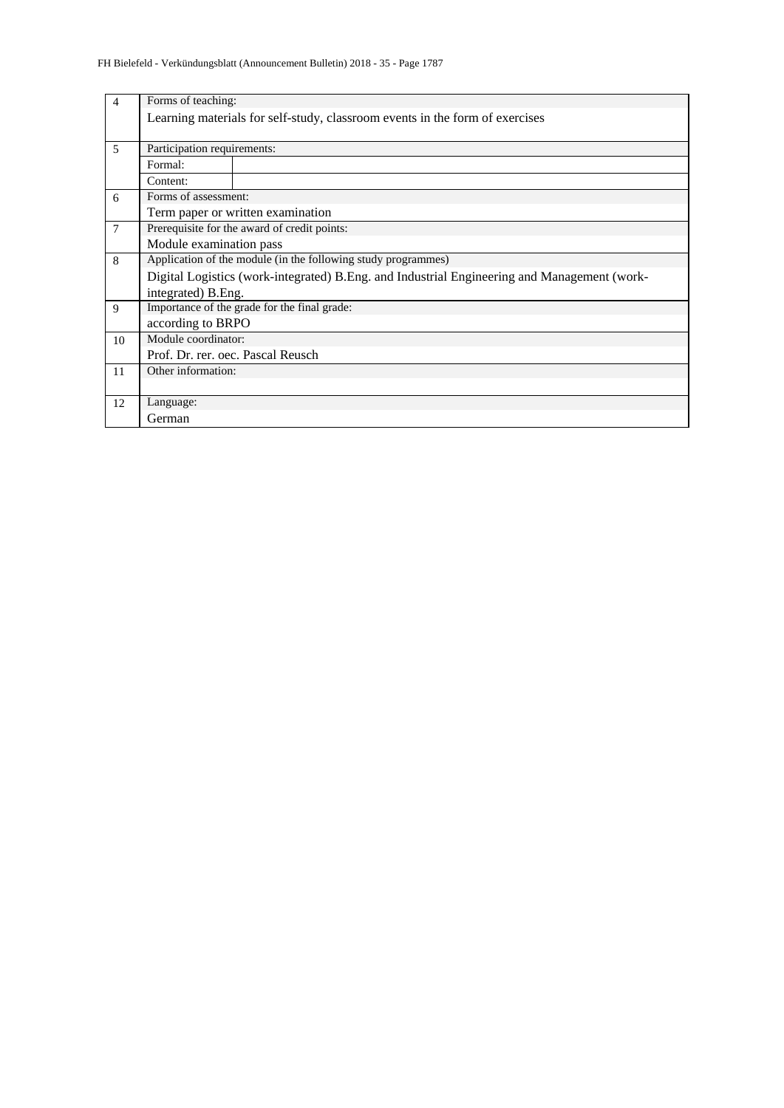| $\overline{4}$ | Forms of teaching:          |                                                                                             |
|----------------|-----------------------------|---------------------------------------------------------------------------------------------|
|                |                             | Learning materials for self-study, classroom events in the form of exercises                |
|                |                             |                                                                                             |
| 5              | Participation requirements: |                                                                                             |
|                | Formal:                     |                                                                                             |
|                | Content:                    |                                                                                             |
| 6              | Forms of assessment:        |                                                                                             |
|                |                             | Term paper or written examination                                                           |
| $\overline{7}$ |                             | Prerequisite for the award of credit points:                                                |
|                | Module examination pass     |                                                                                             |
| 8              |                             | Application of the module (in the following study programmes)                               |
|                |                             | Digital Logistics (work-integrated) B.Eng. and Industrial Engineering and Management (work- |
|                | integrated) B.Eng.          |                                                                                             |
| 9              |                             | Importance of the grade for the final grade:                                                |
|                | according to BRPO           |                                                                                             |
| 10             | Module coordinator:         |                                                                                             |
|                |                             | Prof. Dr. rer. oec. Pascal Reusch                                                           |
| 11             | Other information:          |                                                                                             |
|                |                             |                                                                                             |
| 12             | Language:                   |                                                                                             |
|                | German                      |                                                                                             |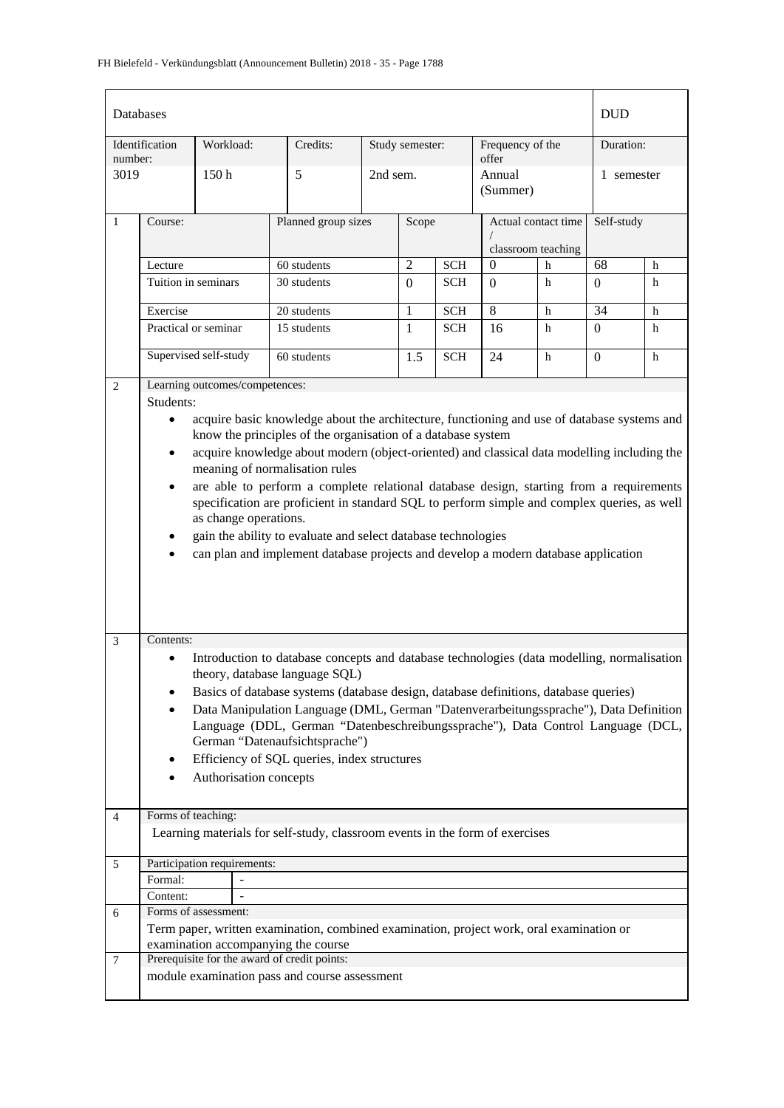| Databases      |                                                                    |                                |                                                                                                                                                                                                                                                                                                                                                                                                                                                                                                                                                                                                                                               |          |                 |            |                           |                     | <b>DUD</b>     |   |
|----------------|--------------------------------------------------------------------|--------------------------------|-----------------------------------------------------------------------------------------------------------------------------------------------------------------------------------------------------------------------------------------------------------------------------------------------------------------------------------------------------------------------------------------------------------------------------------------------------------------------------------------------------------------------------------------------------------------------------------------------------------------------------------------------|----------|-----------------|------------|---------------------------|---------------------|----------------|---|
| number:        | Identification                                                     | Workload:                      | Credits:                                                                                                                                                                                                                                                                                                                                                                                                                                                                                                                                                                                                                                      |          | Study semester: |            | Frequency of the<br>offer |                     | Duration:      |   |
| 3019           |                                                                    | 150h                           | 5                                                                                                                                                                                                                                                                                                                                                                                                                                                                                                                                                                                                                                             | 2nd sem. |                 |            | Annual<br>(Summer)        |                     | 1 semester     |   |
| $\mathbf{1}$   | Course:                                                            |                                | Planned group sizes                                                                                                                                                                                                                                                                                                                                                                                                                                                                                                                                                                                                                           |          | Scope           |            |                           | Actual contact time | Self-study     |   |
|                |                                                                    |                                |                                                                                                                                                                                                                                                                                                                                                                                                                                                                                                                                                                                                                                               |          |                 |            |                           | classroom teaching  |                |   |
|                | Lecture                                                            |                                | 60 students                                                                                                                                                                                                                                                                                                                                                                                                                                                                                                                                                                                                                                   |          | $\overline{2}$  | <b>SCH</b> | $\theta$                  | h                   | 68             | h |
|                | Tuition in seminars                                                |                                | 30 students                                                                                                                                                                                                                                                                                                                                                                                                                                                                                                                                                                                                                                   |          | $\Omega$        | <b>SCH</b> | $\Omega$                  | h                   | $\overline{0}$ | h |
|                | Exercise                                                           |                                | 20 students                                                                                                                                                                                                                                                                                                                                                                                                                                                                                                                                                                                                                                   |          | $\mathbf{1}$    | <b>SCH</b> | 8                         | $\mathbf h$         | 34             | h |
|                |                                                                    | Practical or seminar           | 15 students                                                                                                                                                                                                                                                                                                                                                                                                                                                                                                                                                                                                                                   |          | $\mathbf{1}$    | <b>SCH</b> | 16                        | h                   | $\overline{0}$ | h |
|                |                                                                    | Supervised self-study          | 60 students                                                                                                                                                                                                                                                                                                                                                                                                                                                                                                                                                                                                                                   |          | 1.5             | <b>SCH</b> | 24                        | h                   | $\mathbf{0}$   | h |
| $\overline{2}$ |                                                                    | Learning outcomes/competences: |                                                                                                                                                                                                                                                                                                                                                                                                                                                                                                                                                                                                                                               |          |                 |            |                           |                     |                |   |
| $\mathfrak{Z}$ | Students:<br>$\bullet$<br>$\bullet$<br>$\bullet$<br>٠<br>Contents: | as change operations.          | acquire basic knowledge about the architecture, functioning and use of database systems and<br>know the principles of the organisation of a database system<br>acquire knowledge about modern (object-oriented) and classical data modelling including the<br>meaning of normalisation rules<br>are able to perform a complete relational database design, starting from a requirements<br>specification are proficient in standard SQL to perform simple and complex queries, as well<br>gain the ability to evaluate and select database technologies<br>can plan and implement database projects and develop a modern database application |          |                 |            |                           |                     |                |   |
|                | $\bullet$<br>٠<br>$\bullet$                                        | Authorisation concepts         | Introduction to database concepts and database technologies (data modelling, normalisation<br>theory, database language SQL)<br>Basics of database systems (database design, database definitions, database queries)<br>Data Manipulation Language (DML, German "Datenverarbeitungssprache"), Data Definition<br>Language (DDL, German "Datenbeschreibungssprache"), Data Control Language (DCL,<br>German "Datenaufsichtsprache")<br>Efficiency of SQL queries, index structures                                                                                                                                                             |          |                 |            |                           |                     |                |   |
| $\overline{4}$ | Forms of teaching:                                                 |                                | Learning materials for self-study, classroom events in the form of exercises                                                                                                                                                                                                                                                                                                                                                                                                                                                                                                                                                                  |          |                 |            |                           |                     |                |   |
| 5              |                                                                    | Participation requirements:    |                                                                                                                                                                                                                                                                                                                                                                                                                                                                                                                                                                                                                                               |          |                 |            |                           |                     |                |   |
|                | Formal:                                                            |                                |                                                                                                                                                                                                                                                                                                                                                                                                                                                                                                                                                                                                                                               |          |                 |            |                           |                     |                |   |
|                | Content:                                                           |                                |                                                                                                                                                                                                                                                                                                                                                                                                                                                                                                                                                                                                                                               |          |                 |            |                           |                     |                |   |
| 6              |                                                                    | Forms of assessment:           |                                                                                                                                                                                                                                                                                                                                                                                                                                                                                                                                                                                                                                               |          |                 |            |                           |                     |                |   |
|                |                                                                    |                                | Term paper, written examination, combined examination, project work, oral examination or                                                                                                                                                                                                                                                                                                                                                                                                                                                                                                                                                      |          |                 |            |                           |                     |                |   |
|                |                                                                    |                                | examination accompanying the course<br>Prerequisite for the award of credit points:                                                                                                                                                                                                                                                                                                                                                                                                                                                                                                                                                           |          |                 |            |                           |                     |                |   |
| 7              |                                                                    |                                | module examination pass and course assessment                                                                                                                                                                                                                                                                                                                                                                                                                                                                                                                                                                                                 |          |                 |            |                           |                     |                |   |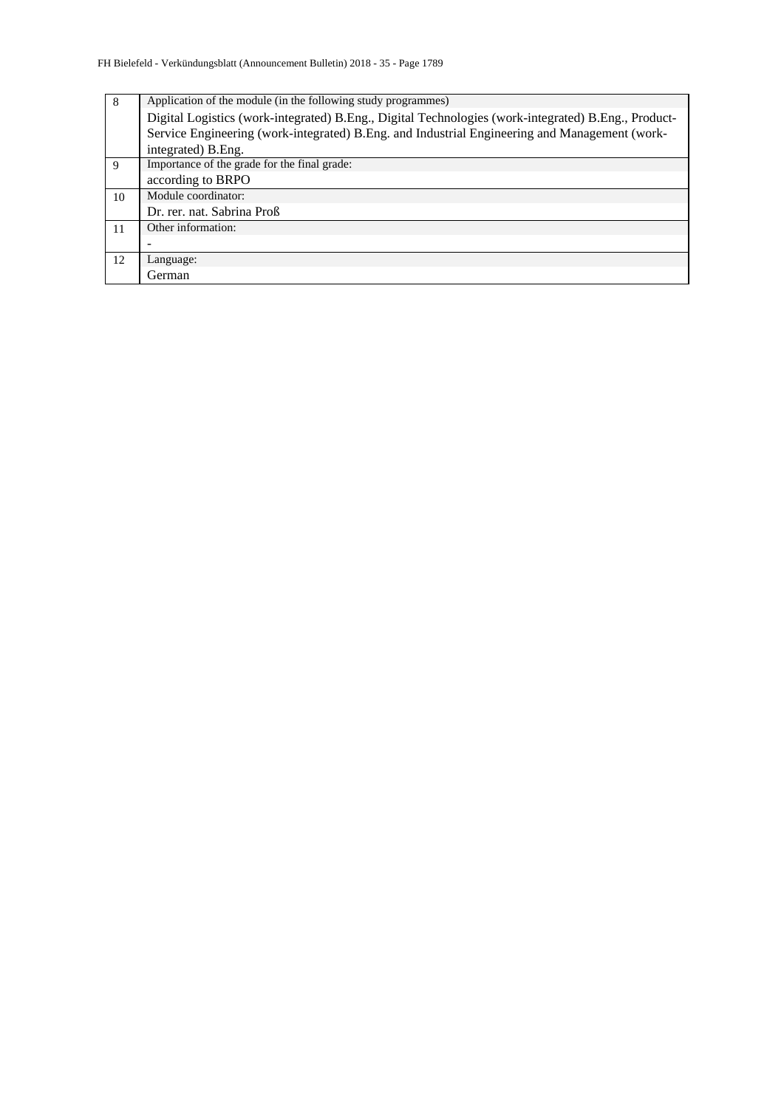| 8  | Application of the module (in the following study programmes)                                       |
|----|-----------------------------------------------------------------------------------------------------|
|    | Digital Logistics (work-integrated) B.Eng., Digital Technologies (work-integrated) B.Eng., Product- |
|    | Service Engineering (work-integrated) B.Eng. and Industrial Engineering and Management (work-       |
|    | integrated) B. Eng.                                                                                 |
| 9  | Importance of the grade for the final grade:                                                        |
|    | according to BRPO                                                                                   |
| 10 | Module coordinator:                                                                                 |
|    | Dr. rer. nat. Sabrina Proß                                                                          |
| 11 | Other information:                                                                                  |
|    |                                                                                                     |
| 12 | Language:                                                                                           |
|    | German                                                                                              |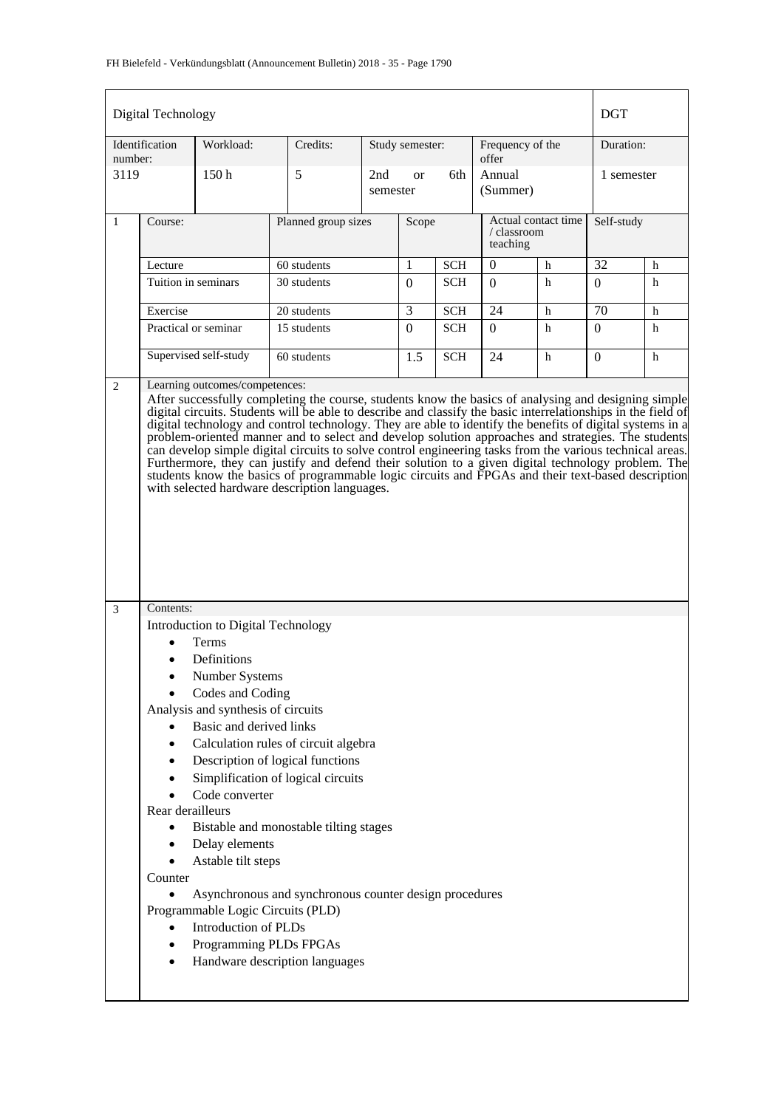### FH Bielefeld - Verkündungsblatt (Announcement Bulletin) 2018 - 35 - Page 1790

|              | Digital Technology |                       |                                                                                                                                                                                                                                                           |                 |                  |            |                                                |   | <b>DGT</b>      |   |
|--------------|--------------------|-----------------------|-----------------------------------------------------------------------------------------------------------------------------------------------------------------------------------------------------------------------------------------------------------|-----------------|------------------|------------|------------------------------------------------|---|-----------------|---|
| number:      | Identification     | Workload:             | Credits:                                                                                                                                                                                                                                                  |                 | Study semester:  |            | Frequency of the<br>offer                      |   | Duration:       |   |
| 3119         |                    | 150 <sub>h</sub>      | 5                                                                                                                                                                                                                                                         | 2nd<br>semester | <sub>or</sub>    | 6th        | Annual<br>(Summer)                             |   | 1 semester      |   |
| $\mathbf{1}$ | Course:            |                       | Planned group sizes                                                                                                                                                                                                                                       |                 | Scope            |            | Actual contact time<br>/ classroom<br>teaching |   | Self-study      |   |
|              | Lecture            |                       | 60 students                                                                                                                                                                                                                                               |                 | 1                | <b>SCH</b> | 0                                              | h | 32              | h |
|              |                    | Tuition in seminars   | 30 students                                                                                                                                                                                                                                               |                 | $\boldsymbol{0}$ | <b>SCH</b> | $\Omega$                                       | h |                 | h |
|              | Exercise           |                       | 20 students                                                                                                                                                                                                                                               |                 | $\overline{3}$   | <b>SCH</b> | 24                                             | h | $\overline{70}$ | h |
|              |                    | Practical or seminar  | 15 students                                                                                                                                                                                                                                               |                 | $\boldsymbol{0}$ | <b>SCH</b> | $\Omega$                                       | h | $\overline{0}$  | h |
|              |                    | Supervised self-study | 60 students                                                                                                                                                                                                                                               |                 | 1.5              | <b>SCH</b> | 24                                             | h | $\Omega$        | h |
|              |                    |                       | Furthermore, they can justify and defend their solution to a given digital technology problem. The<br>students know the basics of programmable logic circuits and FPGAs and their text-based description<br>with selected hardware description languages. |                 |                  |            |                                                |   |                 |   |
|              |                    |                       |                                                                                                                                                                                                                                                           |                 |                  |            |                                                |   |                 |   |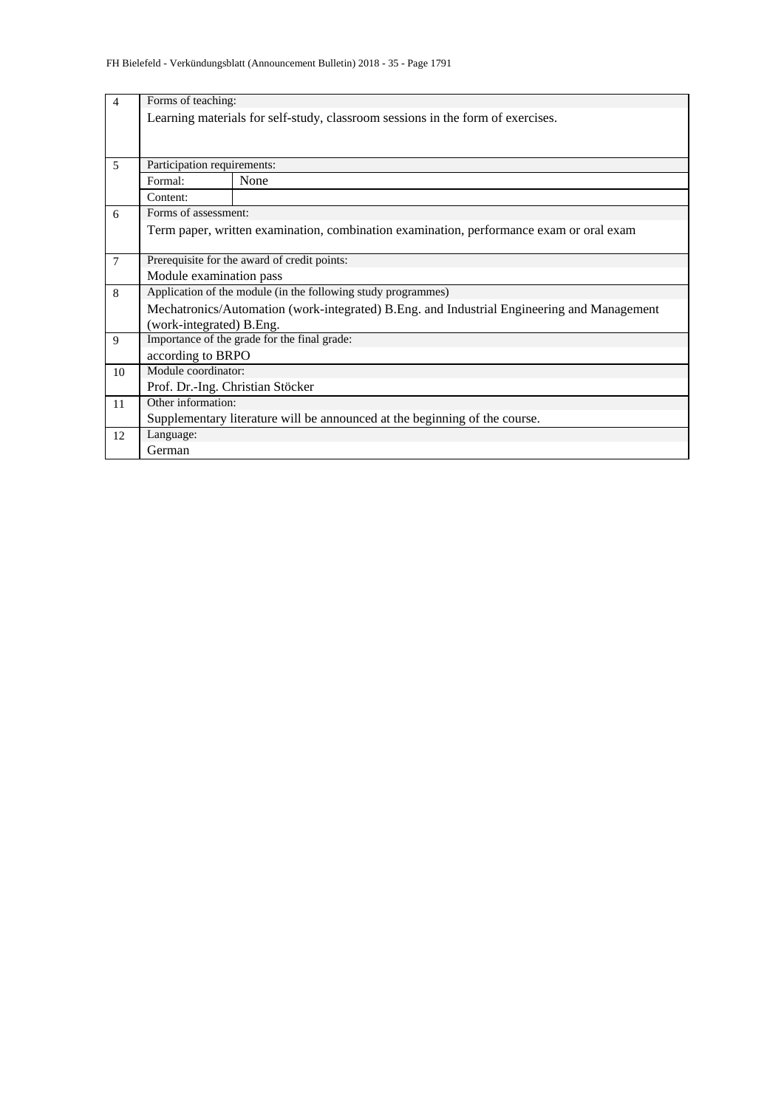| $\overline{4}$ | Forms of teaching:               |                                                                                            |  |  |  |  |  |  |  |
|----------------|----------------------------------|--------------------------------------------------------------------------------------------|--|--|--|--|--|--|--|
|                |                                  | Learning materials for self-study, classroom sessions in the form of exercises.            |  |  |  |  |  |  |  |
|                |                                  |                                                                                            |  |  |  |  |  |  |  |
|                |                                  |                                                                                            |  |  |  |  |  |  |  |
| 5              | Participation requirements:      |                                                                                            |  |  |  |  |  |  |  |
|                | None<br>Formal:                  |                                                                                            |  |  |  |  |  |  |  |
|                | Content:                         |                                                                                            |  |  |  |  |  |  |  |
| 6              | Forms of assessment:             |                                                                                            |  |  |  |  |  |  |  |
|                |                                  | Term paper, written examination, combination examination, performance exam or oral exam    |  |  |  |  |  |  |  |
|                |                                  |                                                                                            |  |  |  |  |  |  |  |
| $\tau$         |                                  | Prerequisite for the award of credit points:                                               |  |  |  |  |  |  |  |
|                | Module examination pass          |                                                                                            |  |  |  |  |  |  |  |
| 8              |                                  | Application of the module (in the following study programmes)                              |  |  |  |  |  |  |  |
|                |                                  | Mechatronics/Automation (work-integrated) B.Eng. and Industrial Engineering and Management |  |  |  |  |  |  |  |
|                | (work-integrated) B.Eng.         |                                                                                            |  |  |  |  |  |  |  |
| 9              |                                  | Importance of the grade for the final grade:                                               |  |  |  |  |  |  |  |
|                | according to BRPO                |                                                                                            |  |  |  |  |  |  |  |
| 10             | Module coordinator:              |                                                                                            |  |  |  |  |  |  |  |
|                | Prof. Dr.-Ing. Christian Stöcker |                                                                                            |  |  |  |  |  |  |  |
| 11             | Other information:               |                                                                                            |  |  |  |  |  |  |  |
|                |                                  | Supplementary literature will be announced at the beginning of the course.                 |  |  |  |  |  |  |  |
| 12             | Language:                        |                                                                                            |  |  |  |  |  |  |  |
|                | German                           |                                                                                            |  |  |  |  |  |  |  |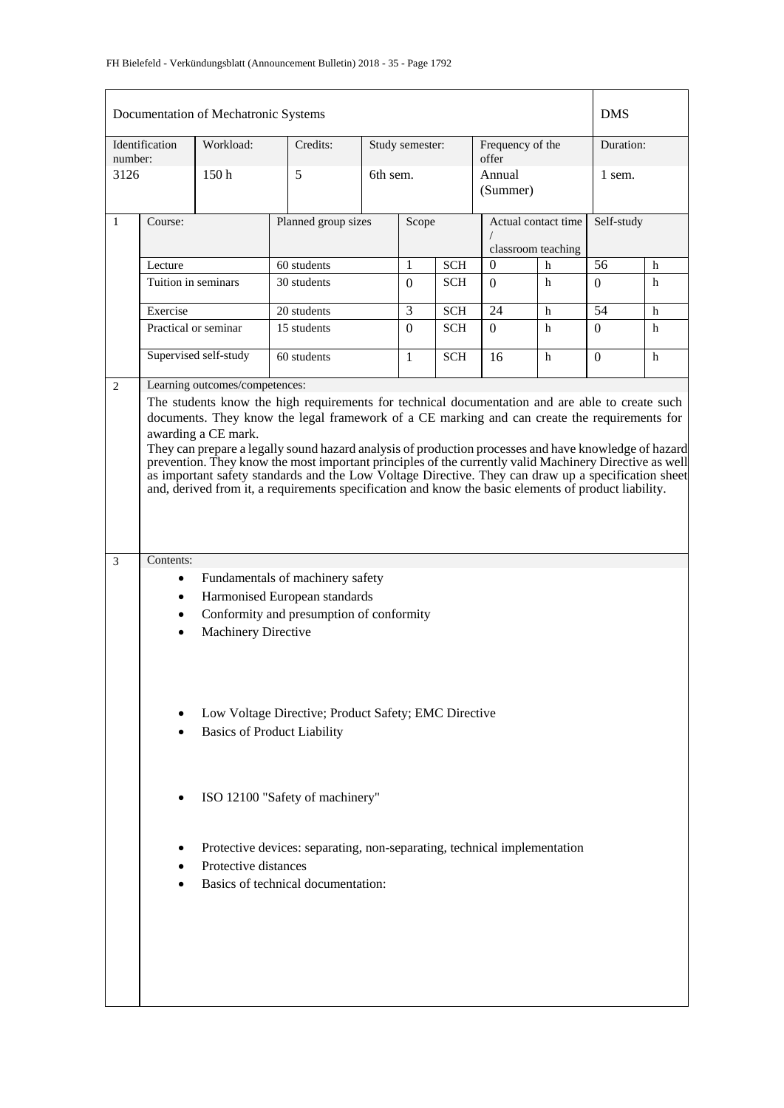|              | Documentation of Mechatronic Systems<br><b>DMS</b>                                                                                                                                                                                                                                                                                                                                                                                                                                                                                                                                                                                                                                              |                            |                                                                                            |  |                 |            |                                           |   |            |   |
|--------------|-------------------------------------------------------------------------------------------------------------------------------------------------------------------------------------------------------------------------------------------------------------------------------------------------------------------------------------------------------------------------------------------------------------------------------------------------------------------------------------------------------------------------------------------------------------------------------------------------------------------------------------------------------------------------------------------------|----------------------------|--------------------------------------------------------------------------------------------|--|-----------------|------------|-------------------------------------------|---|------------|---|
| number:      | Identification                                                                                                                                                                                                                                                                                                                                                                                                                                                                                                                                                                                                                                                                                  | Workload:                  | Credits:                                                                                   |  | Study semester: |            | Frequency of the<br>offer                 |   | Duration:  |   |
| 3126         |                                                                                                                                                                                                                                                                                                                                                                                                                                                                                                                                                                                                                                                                                                 | 150 <sub>h</sub>           | 5                                                                                          |  | 6th sem.        |            | Annual<br>(Summer)                        |   | 1 sem.     |   |
| $\mathbf{1}$ | Course:                                                                                                                                                                                                                                                                                                                                                                                                                                                                                                                                                                                                                                                                                         |                            | Planned group sizes                                                                        |  | Scope           |            | Actual contact time<br>classroom teaching |   | Self-study |   |
|              | Lecture                                                                                                                                                                                                                                                                                                                                                                                                                                                                                                                                                                                                                                                                                         |                            | 60 students                                                                                |  | 1               | <b>SCH</b> | $\overline{0}$<br>h                       |   | 56         | h |
|              | Tuition in seminars                                                                                                                                                                                                                                                                                                                                                                                                                                                                                                                                                                                                                                                                             |                            | 30 students                                                                                |  | $\Omega$        | <b>SCH</b> | $\Omega$                                  | h | $\Omega$   | h |
|              | Exercise                                                                                                                                                                                                                                                                                                                                                                                                                                                                                                                                                                                                                                                                                        |                            | 20 students                                                                                |  | 3               | <b>SCH</b> | 24                                        | h | 54         | h |
|              |                                                                                                                                                                                                                                                                                                                                                                                                                                                                                                                                                                                                                                                                                                 | Practical or seminar       | 15 students                                                                                |  | $\Omega$        | <b>SCH</b> | $\Omega$                                  | h | $\Omega$   | h |
|              | Supervised self-study                                                                                                                                                                                                                                                                                                                                                                                                                                                                                                                                                                                                                                                                           |                            | 60 students                                                                                |  | 1               | <b>SCH</b> | 16                                        | h | $\Omega$   | h |
|              | Learning outcomes/competences:<br>2<br>The students know the high requirements for technical documentation and are able to create such<br>documents. They know the legal framework of a CE marking and can create the requirements for<br>awarding a CE mark.<br>They can prepare a legally sound hazard analysis of production processes and have knowledge of hazard<br>prevention. They know the most important principles of the currently valid Machinery Directive as well<br>as important safety standards and the Low Voltage Directive. They can draw up a specification sheet<br>and, derived from it, a requirements specification and know the basic elements of product liability. |                            |                                                                                            |  |                 |            |                                           |   |            |   |
| 3            | Contents:                                                                                                                                                                                                                                                                                                                                                                                                                                                                                                                                                                                                                                                                                       |                            |                                                                                            |  |                 |            |                                           |   |            |   |
|              |                                                                                                                                                                                                                                                                                                                                                                                                                                                                                                                                                                                                                                                                                                 |                            | Fundamentals of machinery safety                                                           |  |                 |            |                                           |   |            |   |
|              |                                                                                                                                                                                                                                                                                                                                                                                                                                                                                                                                                                                                                                                                                                 |                            | Harmonised European standards                                                              |  |                 |            |                                           |   |            |   |
|              | $\bullet$                                                                                                                                                                                                                                                                                                                                                                                                                                                                                                                                                                                                                                                                                       |                            | Conformity and presumption of conformity                                                   |  |                 |            |                                           |   |            |   |
|              |                                                                                                                                                                                                                                                                                                                                                                                                                                                                                                                                                                                                                                                                                                 | <b>Machinery Directive</b> |                                                                                            |  |                 |            |                                           |   |            |   |
|              |                                                                                                                                                                                                                                                                                                                                                                                                                                                                                                                                                                                                                                                                                                 |                            | Low Voltage Directive; Product Safety; EMC Directive<br><b>Basics of Product Liability</b> |  |                 |            |                                           |   |            |   |
|              |                                                                                                                                                                                                                                                                                                                                                                                                                                                                                                                                                                                                                                                                                                 |                            | ISO 12100 "Safety of machinery"                                                            |  |                 |            |                                           |   |            |   |
|              |                                                                                                                                                                                                                                                                                                                                                                                                                                                                                                                                                                                                                                                                                                 |                            | Protective devices: separating, non-separating, technical implementation                   |  |                 |            |                                           |   |            |   |
|              |                                                                                                                                                                                                                                                                                                                                                                                                                                                                                                                                                                                                                                                                                                 | Protective distances       |                                                                                            |  |                 |            |                                           |   |            |   |
|              |                                                                                                                                                                                                                                                                                                                                                                                                                                                                                                                                                                                                                                                                                                 |                            | Basics of technical documentation:                                                         |  |                 |            |                                           |   |            |   |
|              |                                                                                                                                                                                                                                                                                                                                                                                                                                                                                                                                                                                                                                                                                                 |                            |                                                                                            |  |                 |            |                                           |   |            |   |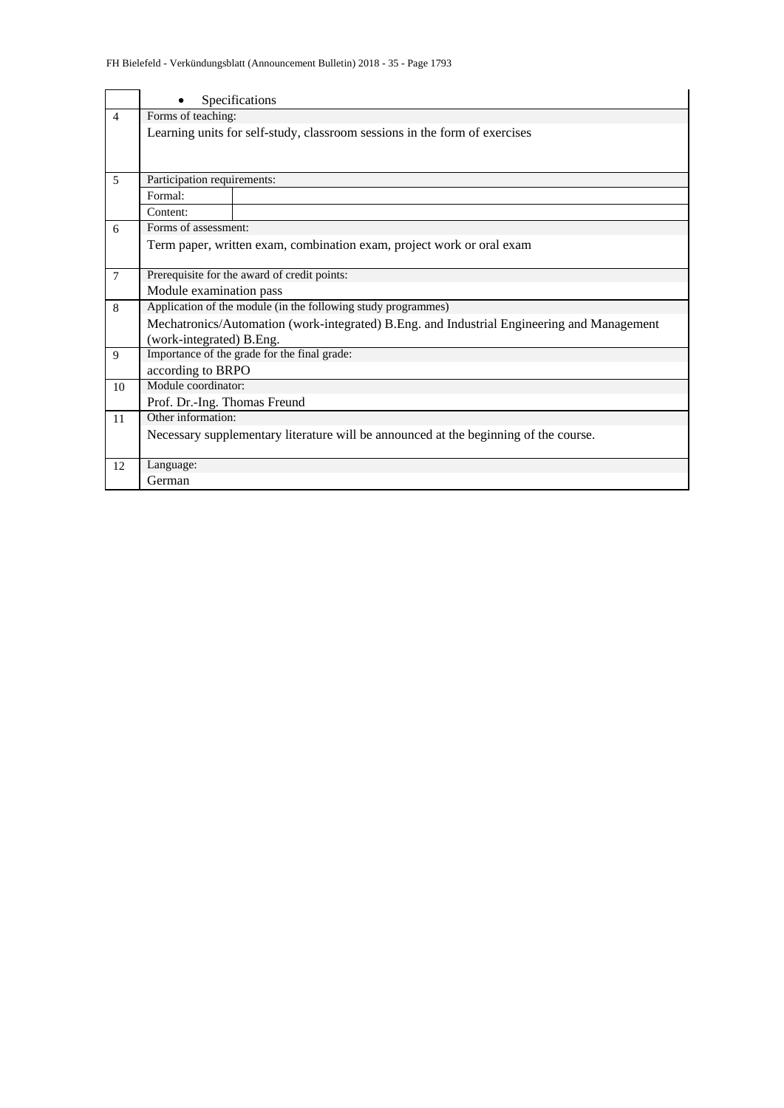|                |                              | Specifications                                                                             |  |  |  |  |  |  |  |
|----------------|------------------------------|--------------------------------------------------------------------------------------------|--|--|--|--|--|--|--|
| $\overline{4}$ | Forms of teaching:           |                                                                                            |  |  |  |  |  |  |  |
|                |                              | Learning units for self-study, classroom sessions in the form of exercises                 |  |  |  |  |  |  |  |
|                |                              |                                                                                            |  |  |  |  |  |  |  |
| 5              |                              | Participation requirements:                                                                |  |  |  |  |  |  |  |
|                | Formal:                      |                                                                                            |  |  |  |  |  |  |  |
|                | Content:                     |                                                                                            |  |  |  |  |  |  |  |
| 6              | Forms of assessment:         |                                                                                            |  |  |  |  |  |  |  |
|                |                              | Term paper, written exam, combination exam, project work or oral exam                      |  |  |  |  |  |  |  |
| $\overline{7}$ |                              | Prerequisite for the award of credit points:                                               |  |  |  |  |  |  |  |
|                | Module examination pass      |                                                                                            |  |  |  |  |  |  |  |
| 8              |                              | Application of the module (in the following study programmes)                              |  |  |  |  |  |  |  |
|                |                              | Mechatronics/Automation (work-integrated) B.Eng. and Industrial Engineering and Management |  |  |  |  |  |  |  |
|                | (work-integrated) B.Eng.     |                                                                                            |  |  |  |  |  |  |  |
| 9              |                              | Importance of the grade for the final grade:                                               |  |  |  |  |  |  |  |
|                | according to BRPO            |                                                                                            |  |  |  |  |  |  |  |
| 10             | Module coordinator:          |                                                                                            |  |  |  |  |  |  |  |
|                | Prof. Dr.-Ing. Thomas Freund |                                                                                            |  |  |  |  |  |  |  |
| 11             | Other information:           |                                                                                            |  |  |  |  |  |  |  |
|                |                              | Necessary supplementary literature will be announced at the beginning of the course.       |  |  |  |  |  |  |  |
| 12             | Language:                    |                                                                                            |  |  |  |  |  |  |  |
|                | German                       |                                                                                            |  |  |  |  |  |  |  |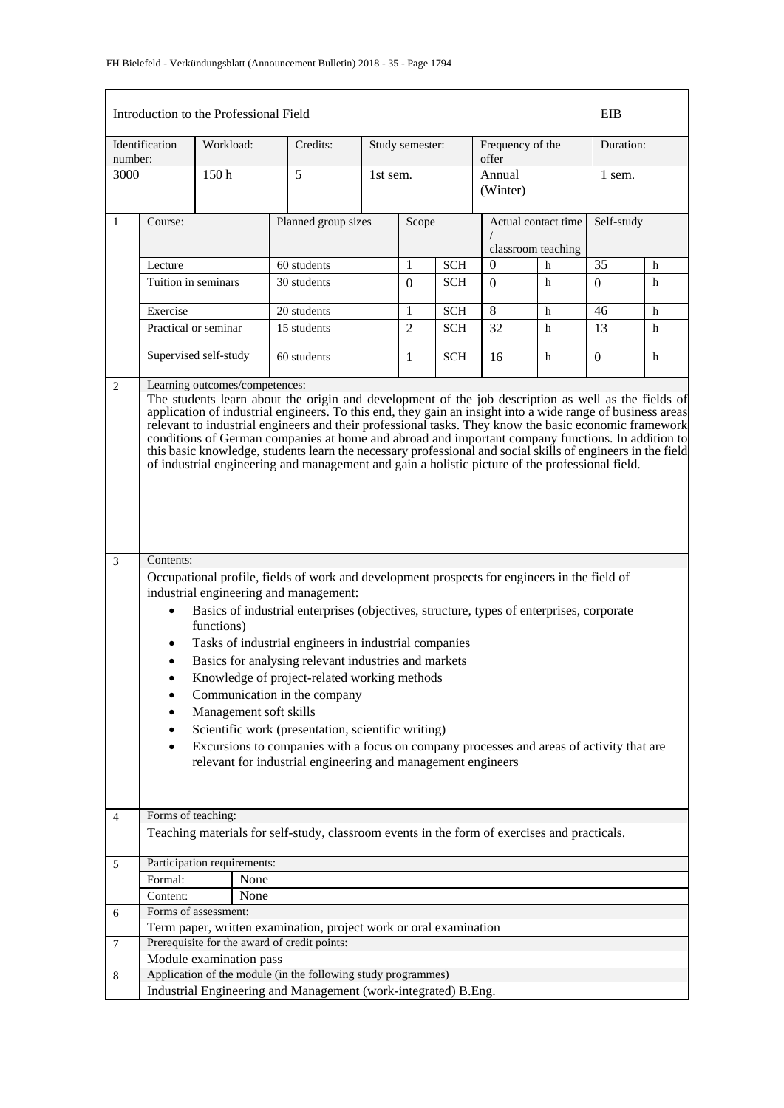|                | Introduction to the Professional Field                                                                                                                                                                                                                                                                                                                                                                                                                                                                                                                                                                                                                                                                                                                                                                                                                                                                                                                                                                                                                                                                                                                                                                                                                                                                                                                                                                                                                            |                                    |                                                                                              |                 |                |            |                           |                     | EIB              |           |  |
|----------------|-------------------------------------------------------------------------------------------------------------------------------------------------------------------------------------------------------------------------------------------------------------------------------------------------------------------------------------------------------------------------------------------------------------------------------------------------------------------------------------------------------------------------------------------------------------------------------------------------------------------------------------------------------------------------------------------------------------------------------------------------------------------------------------------------------------------------------------------------------------------------------------------------------------------------------------------------------------------------------------------------------------------------------------------------------------------------------------------------------------------------------------------------------------------------------------------------------------------------------------------------------------------------------------------------------------------------------------------------------------------------------------------------------------------------------------------------------------------|------------------------------------|----------------------------------------------------------------------------------------------|-----------------|----------------|------------|---------------------------|---------------------|------------------|-----------|--|
| number:        | Identification                                                                                                                                                                                                                                                                                                                                                                                                                                                                                                                                                                                                                                                                                                                                                                                                                                                                                                                                                                                                                                                                                                                                                                                                                                                                                                                                                                                                                                                    | Workload:                          | Credits:                                                                                     | Study semester: |                |            | Frequency of the<br>offer |                     |                  | Duration: |  |
| 3000           |                                                                                                                                                                                                                                                                                                                                                                                                                                                                                                                                                                                                                                                                                                                                                                                                                                                                                                                                                                                                                                                                                                                                                                                                                                                                                                                                                                                                                                                                   | 150 <sub>h</sub>                   | 5                                                                                            |                 | 1st sem.       |            | Annual<br>(Winter)        |                     | 1 sem.           |           |  |
| $\mathbf{1}$   | Course:                                                                                                                                                                                                                                                                                                                                                                                                                                                                                                                                                                                                                                                                                                                                                                                                                                                                                                                                                                                                                                                                                                                                                                                                                                                                                                                                                                                                                                                           |                                    | Planned group sizes                                                                          |                 | Scope          |            |                           | Actual contact time | Self-study       |           |  |
|                |                                                                                                                                                                                                                                                                                                                                                                                                                                                                                                                                                                                                                                                                                                                                                                                                                                                                                                                                                                                                                                                                                                                                                                                                                                                                                                                                                                                                                                                                   |                                    |                                                                                              |                 |                |            | classroom teaching        |                     |                  |           |  |
|                | Lecture                                                                                                                                                                                                                                                                                                                                                                                                                                                                                                                                                                                                                                                                                                                                                                                                                                                                                                                                                                                                                                                                                                                                                                                                                                                                                                                                                                                                                                                           |                                    | 60 students                                                                                  |                 | 1              | <b>SCH</b> | $\overline{0}$            | h                   | 35               | h         |  |
|                |                                                                                                                                                                                                                                                                                                                                                                                                                                                                                                                                                                                                                                                                                                                                                                                                                                                                                                                                                                                                                                                                                                                                                                                                                                                                                                                                                                                                                                                                   | Tuition in seminars<br>30 students |                                                                                              | $\Omega$        | <b>SCH</b>     | $\Omega$   | h                         | $\Omega$            | h                |           |  |
|                | Exercise                                                                                                                                                                                                                                                                                                                                                                                                                                                                                                                                                                                                                                                                                                                                                                                                                                                                                                                                                                                                                                                                                                                                                                                                                                                                                                                                                                                                                                                          |                                    | 20 students                                                                                  |                 | 1              | <b>SCH</b> | 8                         | h                   | 46               | h         |  |
|                | Practical or seminar                                                                                                                                                                                                                                                                                                                                                                                                                                                                                                                                                                                                                                                                                                                                                                                                                                                                                                                                                                                                                                                                                                                                                                                                                                                                                                                                                                                                                                              |                                    | 15 students                                                                                  |                 | $\overline{2}$ | <b>SCH</b> | 32                        | h                   | 13               | h         |  |
|                |                                                                                                                                                                                                                                                                                                                                                                                                                                                                                                                                                                                                                                                                                                                                                                                                                                                                                                                                                                                                                                                                                                                                                                                                                                                                                                                                                                                                                                                                   | Supervised self-study              | 60 students                                                                                  |                 | 1              | <b>SCH</b> | 16                        | h                   | $\boldsymbol{0}$ | h         |  |
| 3              | Learning outcomes/competences:<br>$\overline{2}$<br>The students learn about the origin and development of the job description as well as the fields of<br>application of industrial engineers. To this end, they gain an insight into a wide range of business areas<br>relevant to industrial engineers and their professional tasks. They know the basic economic framework<br>conditions of German companies at home and abroad and important company functions. In addition to<br>this basic knowledge, students learn the necessary professional and social skills of engineers in the field<br>of industrial engineering and management and gain a holistic picture of the professional field.<br>Contents:<br>Occupational profile, fields of work and development prospects for engineers in the field of<br>industrial engineering and management:<br>Basics of industrial enterprises (objectives, structure, types of enterprises, corporate<br>$\bullet$<br>functions)<br>Tasks of industrial engineers in industrial companies<br>$\bullet$<br>Basics for analysing relevant industries and markets<br>Knowledge of project-related working methods<br>Communication in the company<br>٠<br>Management soft skills<br>٠<br>Scientific work (presentation, scientific writing)<br>٠<br>Excursions to companies with a focus on company processes and areas of activity that are<br>٠<br>relevant for industrial engineering and management engineers |                                    |                                                                                              |                 |                |            |                           |                     |                  |           |  |
| $\overline{4}$ | Forms of teaching:                                                                                                                                                                                                                                                                                                                                                                                                                                                                                                                                                                                                                                                                                                                                                                                                                                                                                                                                                                                                                                                                                                                                                                                                                                                                                                                                                                                                                                                |                                    | Teaching materials for self-study, classroom events in the form of exercises and practicals. |                 |                |            |                           |                     |                  |           |  |
|                |                                                                                                                                                                                                                                                                                                                                                                                                                                                                                                                                                                                                                                                                                                                                                                                                                                                                                                                                                                                                                                                                                                                                                                                                                                                                                                                                                                                                                                                                   |                                    |                                                                                              |                 |                |            |                           |                     |                  |           |  |
| $\sqrt{5}$     |                                                                                                                                                                                                                                                                                                                                                                                                                                                                                                                                                                                                                                                                                                                                                                                                                                                                                                                                                                                                                                                                                                                                                                                                                                                                                                                                                                                                                                                                   | Participation requirements:        |                                                                                              |                 |                |            |                           |                     |                  |           |  |
|                | Formal:                                                                                                                                                                                                                                                                                                                                                                                                                                                                                                                                                                                                                                                                                                                                                                                                                                                                                                                                                                                                                                                                                                                                                                                                                                                                                                                                                                                                                                                           | None                               |                                                                                              |                 |                |            |                           |                     |                  |           |  |
|                | Content:                                                                                                                                                                                                                                                                                                                                                                                                                                                                                                                                                                                                                                                                                                                                                                                                                                                                                                                                                                                                                                                                                                                                                                                                                                                                                                                                                                                                                                                          | None                               |                                                                                              |                 |                |            |                           |                     |                  |           |  |
| 6              |                                                                                                                                                                                                                                                                                                                                                                                                                                                                                                                                                                                                                                                                                                                                                                                                                                                                                                                                                                                                                                                                                                                                                                                                                                                                                                                                                                                                                                                                   | Forms of assessment:               |                                                                                              |                 |                |            |                           |                     |                  |           |  |
|                |                                                                                                                                                                                                                                                                                                                                                                                                                                                                                                                                                                                                                                                                                                                                                                                                                                                                                                                                                                                                                                                                                                                                                                                                                                                                                                                                                                                                                                                                   |                                    | Term paper, written examination, project work or oral examination                            |                 |                |            |                           |                     |                  |           |  |
| $\tau$         |                                                                                                                                                                                                                                                                                                                                                                                                                                                                                                                                                                                                                                                                                                                                                                                                                                                                                                                                                                                                                                                                                                                                                                                                                                                                                                                                                                                                                                                                   |                                    | Prerequisite for the award of credit points:                                                 |                 |                |            |                           |                     |                  |           |  |
|                |                                                                                                                                                                                                                                                                                                                                                                                                                                                                                                                                                                                                                                                                                                                                                                                                                                                                                                                                                                                                                                                                                                                                                                                                                                                                                                                                                                                                                                                                   | Module examination pass            |                                                                                              |                 |                |            |                           |                     |                  |           |  |
| 8              |                                                                                                                                                                                                                                                                                                                                                                                                                                                                                                                                                                                                                                                                                                                                                                                                                                                                                                                                                                                                                                                                                                                                                                                                                                                                                                                                                                                                                                                                   |                                    | Application of the module (in the following study programmes)                                |                 |                |            |                           |                     |                  |           |  |
|                |                                                                                                                                                                                                                                                                                                                                                                                                                                                                                                                                                                                                                                                                                                                                                                                                                                                                                                                                                                                                                                                                                                                                                                                                                                                                                                                                                                                                                                                                   |                                    | Industrial Engineering and Management (work-integrated) B.Eng.                               |                 |                |            |                           |                     |                  |           |  |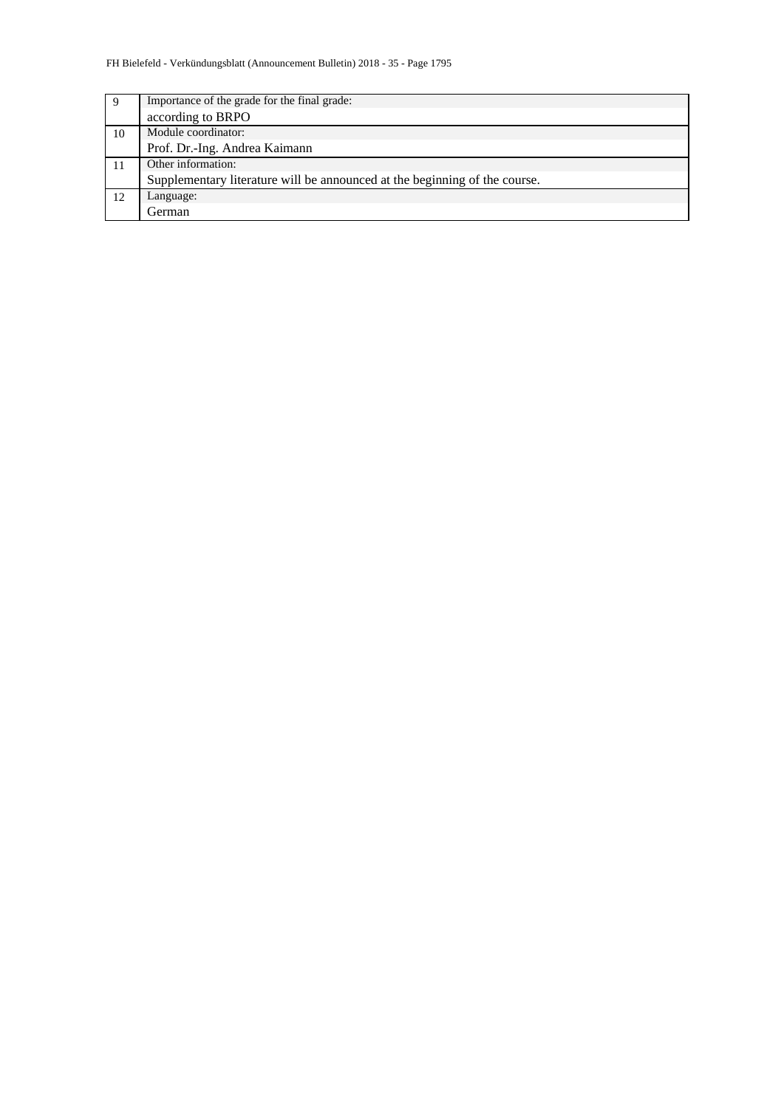| 9  | Importance of the grade for the final grade:                               |
|----|----------------------------------------------------------------------------|
|    | according to BRPO                                                          |
| 10 | Module coordinator:                                                        |
|    | Prof. Dr.-Ing. Andrea Kaimann                                              |
|    | Other information:                                                         |
|    | Supplementary literature will be announced at the beginning of the course. |
| 12 | Language:                                                                  |
|    | German                                                                     |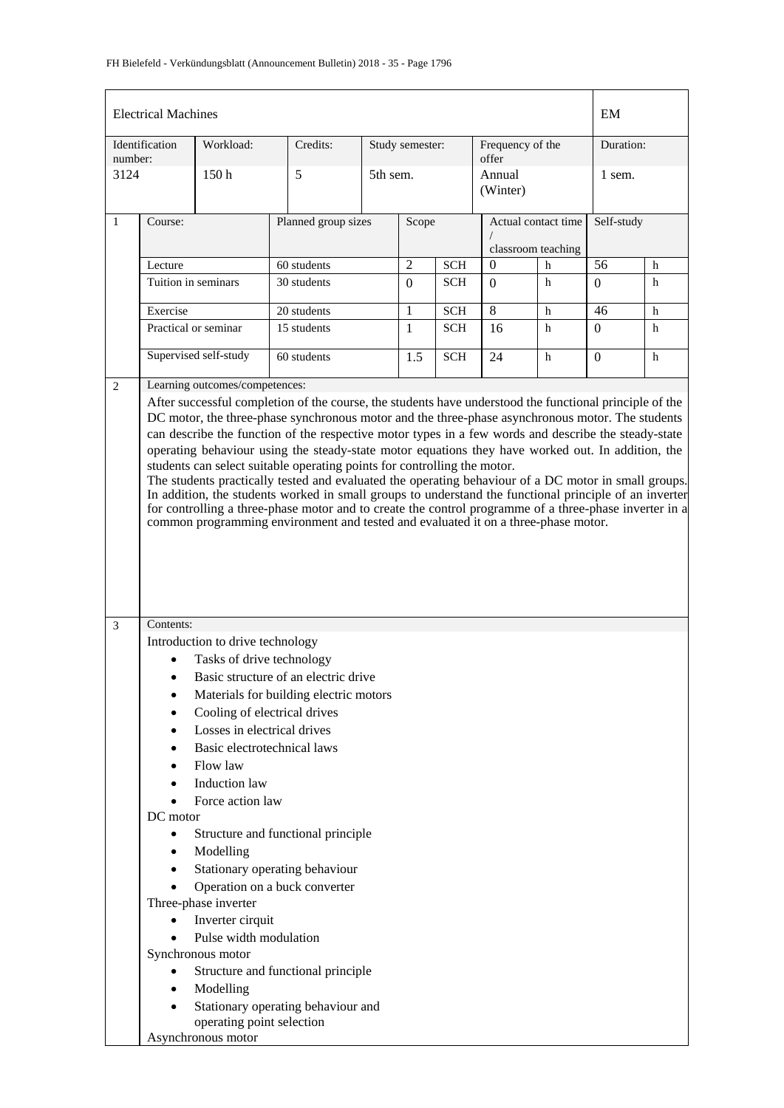| <b>Electrical Machines</b>                                                                                                                                                                                                                                                                                                                                                                                                                                                                                                                                                                                                                                                                                                                                                                                                                                                                                                                                                                                                                                                                                                                                                                                                                                                                                                                                                                                                                                                                                                                                                                                        |                      |                                                 |                                    |          |                                              |            |                                           |   | EM             |   |  |
|-------------------------------------------------------------------------------------------------------------------------------------------------------------------------------------------------------------------------------------------------------------------------------------------------------------------------------------------------------------------------------------------------------------------------------------------------------------------------------------------------------------------------------------------------------------------------------------------------------------------------------------------------------------------------------------------------------------------------------------------------------------------------------------------------------------------------------------------------------------------------------------------------------------------------------------------------------------------------------------------------------------------------------------------------------------------------------------------------------------------------------------------------------------------------------------------------------------------------------------------------------------------------------------------------------------------------------------------------------------------------------------------------------------------------------------------------------------------------------------------------------------------------------------------------------------------------------------------------------------------|----------------------|-------------------------------------------------|------------------------------------|----------|----------------------------------------------|------------|-------------------------------------------|---|----------------|---|--|
| number:                                                                                                                                                                                                                                                                                                                                                                                                                                                                                                                                                                                                                                                                                                                                                                                                                                                                                                                                                                                                                                                                                                                                                                                                                                                                                                                                                                                                                                                                                                                                                                                                           | Identification       | Workload:                                       | Credits:                           |          | Study semester:<br>Frequency of the<br>offer |            |                                           |   | Duration:      |   |  |
| 3124                                                                                                                                                                                                                                                                                                                                                                                                                                                                                                                                                                                                                                                                                                                                                                                                                                                                                                                                                                                                                                                                                                                                                                                                                                                                                                                                                                                                                                                                                                                                                                                                              |                      | 5<br>150h                                       |                                    | 5th sem. |                                              |            | Annual<br>(Winter)                        |   | 1 sem.         |   |  |
| $\mathbf{1}$                                                                                                                                                                                                                                                                                                                                                                                                                                                                                                                                                                                                                                                                                                                                                                                                                                                                                                                                                                                                                                                                                                                                                                                                                                                                                                                                                                                                                                                                                                                                                                                                      | Course:              |                                                 | Planned group sizes                |          | Scope                                        |            | Actual contact time<br>classroom teaching |   | Self-study     |   |  |
|                                                                                                                                                                                                                                                                                                                                                                                                                                                                                                                                                                                                                                                                                                                                                                                                                                                                                                                                                                                                                                                                                                                                                                                                                                                                                                                                                                                                                                                                                                                                                                                                                   | Lecture              |                                                 | 60 students                        |          | $\overline{2}$                               | <b>SCH</b> | $\overline{0}$                            | h | 56             | h |  |
|                                                                                                                                                                                                                                                                                                                                                                                                                                                                                                                                                                                                                                                                                                                                                                                                                                                                                                                                                                                                                                                                                                                                                                                                                                                                                                                                                                                                                                                                                                                                                                                                                   | Tuition in seminars  |                                                 | 30 students                        |          | $\Omega$                                     | <b>SCH</b> | $\Omega$                                  | h | $\Omega$       | h |  |
|                                                                                                                                                                                                                                                                                                                                                                                                                                                                                                                                                                                                                                                                                                                                                                                                                                                                                                                                                                                                                                                                                                                                                                                                                                                                                                                                                                                                                                                                                                                                                                                                                   | Exercise             |                                                 | 20 students                        |          | 1                                            | <b>SCH</b> | 8                                         | h | 46             | h |  |
|                                                                                                                                                                                                                                                                                                                                                                                                                                                                                                                                                                                                                                                                                                                                                                                                                                                                                                                                                                                                                                                                                                                                                                                                                                                                                                                                                                                                                                                                                                                                                                                                                   | Practical or seminar |                                                 | 15 students                        |          | $\mathbf{1}$                                 | <b>SCH</b> | 16                                        | h | $\overline{0}$ | h |  |
|                                                                                                                                                                                                                                                                                                                                                                                                                                                                                                                                                                                                                                                                                                                                                                                                                                                                                                                                                                                                                                                                                                                                                                                                                                                                                                                                                                                                                                                                                                                                                                                                                   |                      |                                                 |                                    |          | 1.5                                          | <b>SCH</b> | 24                                        | h | $\Omega$       | h |  |
| 2                                                                                                                                                                                                                                                                                                                                                                                                                                                                                                                                                                                                                                                                                                                                                                                                                                                                                                                                                                                                                                                                                                                                                                                                                                                                                                                                                                                                                                                                                                                                                                                                                 |                      |                                                 |                                    |          |                                              |            |                                           |   |                |   |  |
| Supervised self-study<br>60 students<br>Learning outcomes/competences:<br>After successful completion of the course, the students have understood the functional principle of the<br>DC motor, the three-phase synchronous motor and the three-phase asynchronous motor. The students<br>can describe the function of the respective motor types in a few words and describe the steady-state<br>operating behaviour using the steady-state motor equations they have worked out. In addition, the<br>students can select suitable operating points for controlling the motor.<br>The students practically tested and evaluated the operating behaviour of a DC motor in small groups.<br>In addition, the students worked in small groups to understand the functional principle of an inverter<br>for controlling a three-phase motor and to create the control programme of a three-phase inverter in a<br>common programming environment and tested and evaluated it on a three-phase motor.<br>Contents:<br>3<br>Introduction to drive technology<br>Tasks of drive technology<br>Basic structure of an electric drive<br>Materials for building electric motors<br>Cooling of electrical drives<br>Losses in electrical drives<br>Basic electrotechnical laws<br>Flow law<br>Induction law<br>Force action law<br>DC motor<br>Structure and functional principle<br>$\bullet$<br>Modelling<br>Stationary operating behaviour<br>Operation on a buck converter<br>Three-phase inverter<br>Inverter cirquit<br>Pulse width modulation<br>Synchronous motor<br>Structure and functional principle<br>Modelling |                      |                                                 |                                    |          |                                              |            |                                           |   |                |   |  |
|                                                                                                                                                                                                                                                                                                                                                                                                                                                                                                                                                                                                                                                                                                                                                                                                                                                                                                                                                                                                                                                                                                                                                                                                                                                                                                                                                                                                                                                                                                                                                                                                                   |                      | operating point selection<br>Asynchronous motor | Stationary operating behaviour and |          |                                              |            |                                           |   |                |   |  |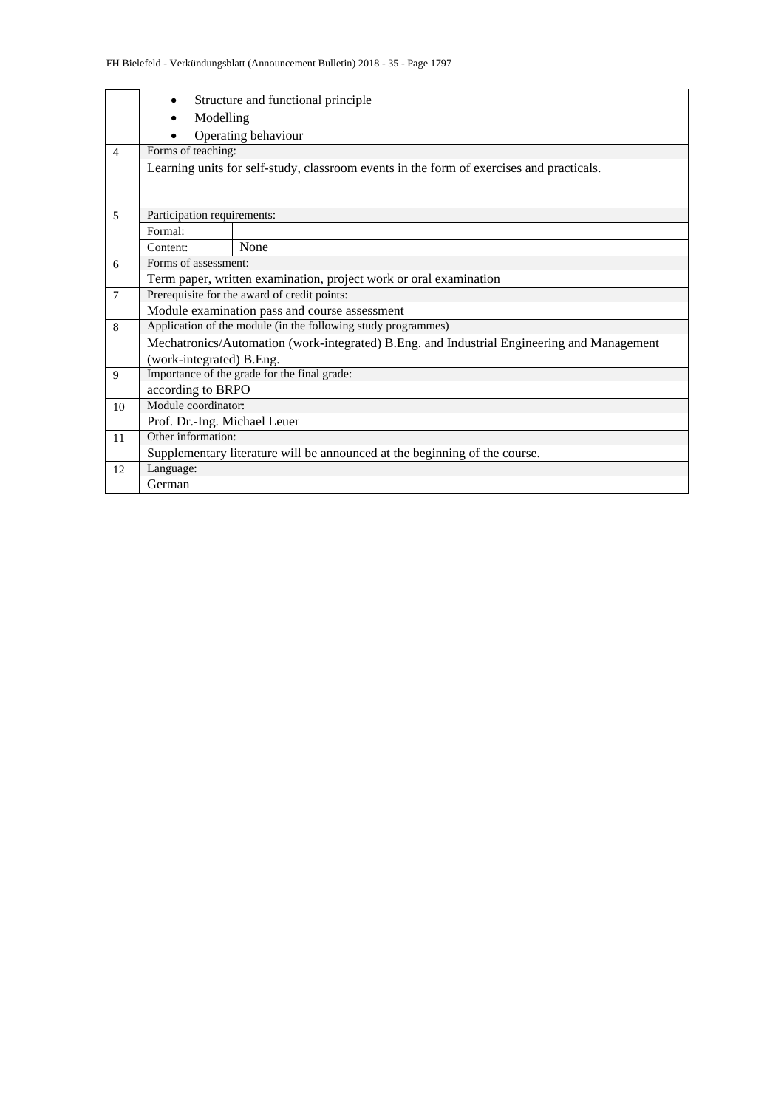|                 |                              | Structure and functional principle                                                         |  |  |  |  |  |  |  |
|-----------------|------------------------------|--------------------------------------------------------------------------------------------|--|--|--|--|--|--|--|
|                 | Modelling                    |                                                                                            |  |  |  |  |  |  |  |
|                 |                              | Operating behaviour                                                                        |  |  |  |  |  |  |  |
| $\overline{4}$  |                              | Forms of teaching:                                                                         |  |  |  |  |  |  |  |
|                 |                              | Learning units for self-study, classroom events in the form of exercises and practicals.   |  |  |  |  |  |  |  |
|                 |                              |                                                                                            |  |  |  |  |  |  |  |
|                 |                              |                                                                                            |  |  |  |  |  |  |  |
| 5               | Participation requirements:  |                                                                                            |  |  |  |  |  |  |  |
|                 | Formal:                      |                                                                                            |  |  |  |  |  |  |  |
|                 | Content:                     | None                                                                                       |  |  |  |  |  |  |  |
| 6               | Forms of assessment:         |                                                                                            |  |  |  |  |  |  |  |
|                 |                              | Term paper, written examination, project work or oral examination                          |  |  |  |  |  |  |  |
| $7\phantom{.0}$ |                              | Prerequisite for the award of credit points:                                               |  |  |  |  |  |  |  |
|                 |                              | Module examination pass and course assessment                                              |  |  |  |  |  |  |  |
| 8               |                              | Application of the module (in the following study programmes)                              |  |  |  |  |  |  |  |
|                 |                              | Mechatronics/Automation (work-integrated) B.Eng. and Industrial Engineering and Management |  |  |  |  |  |  |  |
|                 | (work-integrated) B.Eng.     |                                                                                            |  |  |  |  |  |  |  |
| 9               |                              | Importance of the grade for the final grade:                                               |  |  |  |  |  |  |  |
|                 | according to BRPO            |                                                                                            |  |  |  |  |  |  |  |
| 10              | Module coordinator:          |                                                                                            |  |  |  |  |  |  |  |
|                 | Prof. Dr.-Ing. Michael Leuer |                                                                                            |  |  |  |  |  |  |  |
| 11              | Other information:           |                                                                                            |  |  |  |  |  |  |  |
|                 |                              | Supplementary literature will be announced at the beginning of the course.                 |  |  |  |  |  |  |  |
| 12              | Language:                    |                                                                                            |  |  |  |  |  |  |  |
|                 | German                       |                                                                                            |  |  |  |  |  |  |  |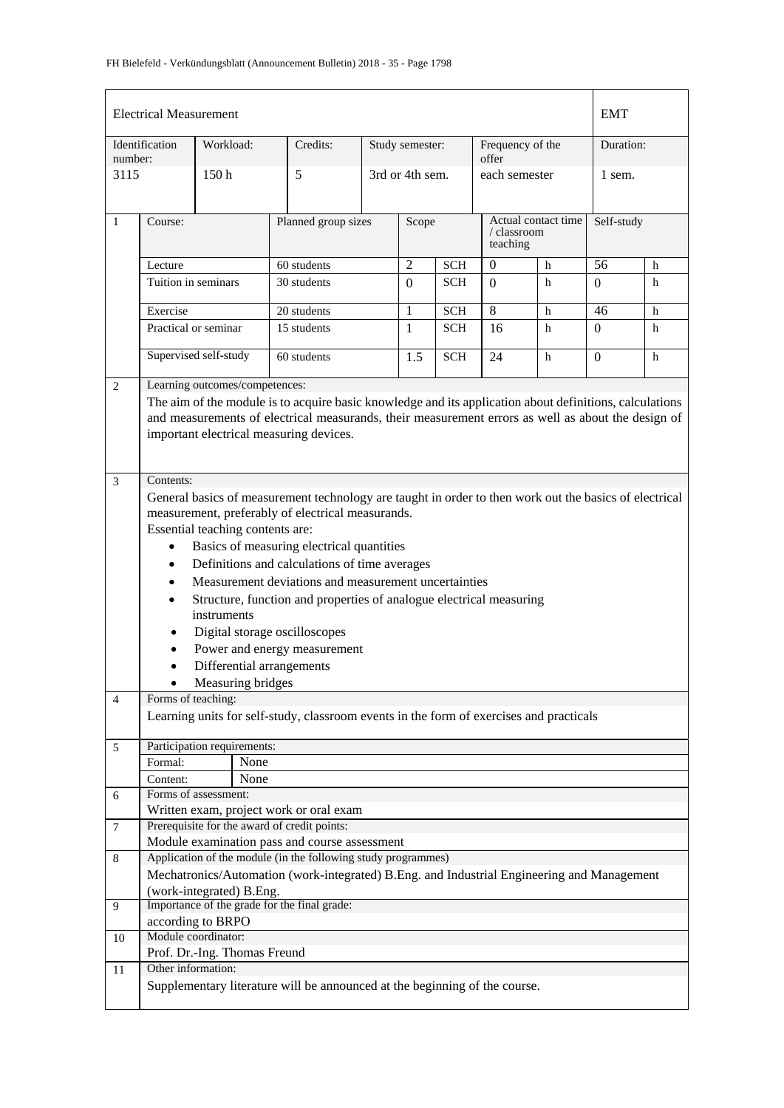|                                         | <b>Electrical Measurement</b> |                                  |                                                                                                         |  |                 |            |                                                |   | <b>EMT</b>   |   |  |
|-----------------------------------------|-------------------------------|----------------------------------|---------------------------------------------------------------------------------------------------------|--|-----------------|------------|------------------------------------------------|---|--------------|---|--|
| number:                                 | Identification                | Workload:                        | Credits:                                                                                                |  | Study semester: |            | Frequency of the<br>offer                      |   | Duration:    |   |  |
| 3115                                    |                               | 150h                             | 5                                                                                                       |  | 3rd or 4th sem. |            | each semester                                  |   | 1 sem.       |   |  |
| $\mathbf{1}$                            | Course:                       |                                  | Planned group sizes                                                                                     |  | Scope           |            | Actual contact time<br>/ classroom<br>teaching |   | Self-study   |   |  |
|                                         | Lecture                       |                                  | 60 students                                                                                             |  | $\overline{2}$  | <b>SCH</b> | $\overline{0}$                                 | h | 56           | h |  |
|                                         | Tuition in seminars           |                                  | 30 students                                                                                             |  | $\Omega$        | SCH        | $\theta$                                       | h | $\Omega$     | h |  |
|                                         | Exercise                      |                                  | 20 students                                                                                             |  | 1               | <b>SCH</b> | 8                                              | h | 46           | h |  |
|                                         | Practical or seminar          |                                  | 15 students                                                                                             |  | $\mathbf{1}$    | <b>SCH</b> | 16                                             | h | $\Omega$     | h |  |
|                                         |                               |                                  |                                                                                                         |  |                 |            |                                                |   |              |   |  |
|                                         |                               | Supervised self-study            | 60 students                                                                                             |  | 1.5             | <b>SCH</b> | 24                                             | h | $\mathbf{0}$ | h |  |
| $\overline{2}$                          |                               | Learning outcomes/competences:   |                                                                                                         |  |                 |            |                                                |   |              |   |  |
|                                         |                               |                                  | The aim of the module is to acquire basic knowledge and its application about definitions, calculations |  |                 |            |                                                |   |              |   |  |
|                                         |                               |                                  | and measurements of electrical measurands, their measurement errors as well as about the design of      |  |                 |            |                                                |   |              |   |  |
| important electrical measuring devices. |                               |                                  |                                                                                                         |  |                 |            |                                                |   |              |   |  |
|                                         |                               |                                  |                                                                                                         |  |                 |            |                                                |   |              |   |  |
| $\mathfrak{Z}$                          | Contents:                     |                                  |                                                                                                         |  |                 |            |                                                |   |              |   |  |
|                                         |                               |                                  | General basics of measurement technology are taught in order to then work out the basics of electrical  |  |                 |            |                                                |   |              |   |  |
|                                         |                               |                                  | measurement, preferably of electrical measurands.                                                       |  |                 |            |                                                |   |              |   |  |
|                                         |                               | Essential teaching contents are: |                                                                                                         |  |                 |            |                                                |   |              |   |  |
|                                         | $\bullet$                     |                                  | Basics of measuring electrical quantities                                                               |  |                 |            |                                                |   |              |   |  |
|                                         | $\bullet$                     |                                  | Definitions and calculations of time averages                                                           |  |                 |            |                                                |   |              |   |  |
|                                         | $\bullet$                     |                                  | Measurement deviations and measurement uncertainties                                                    |  |                 |            |                                                |   |              |   |  |
|                                         | $\bullet$                     | instruments                      | Structure, function and properties of analogue electrical measuring                                     |  |                 |            |                                                |   |              |   |  |
|                                         |                               |                                  | Digital storage oscilloscopes                                                                           |  |                 |            |                                                |   |              |   |  |
|                                         |                               |                                  | Power and energy measurement                                                                            |  |                 |            |                                                |   |              |   |  |
|                                         | $\bullet$                     | Differential arrangements        |                                                                                                         |  |                 |            |                                                |   |              |   |  |
|                                         |                               | Measuring bridges                |                                                                                                         |  |                 |            |                                                |   |              |   |  |
| 4                                       | Forms of teaching:            |                                  |                                                                                                         |  |                 |            |                                                |   |              |   |  |
|                                         |                               |                                  | Learning units for self-study, classroom events in the form of exercises and practicals                 |  |                 |            |                                                |   |              |   |  |
| 5                                       |                               | Participation requirements:      |                                                                                                         |  |                 |            |                                                |   |              |   |  |
|                                         | Formal:                       | None                             |                                                                                                         |  |                 |            |                                                |   |              |   |  |
|                                         | Content:                      | None<br>Forms of assessment:     |                                                                                                         |  |                 |            |                                                |   |              |   |  |
| 6                                       |                               |                                  | Written exam, project work or oral exam                                                                 |  |                 |            |                                                |   |              |   |  |
| $\overline{7}$                          |                               |                                  | Prerequisite for the award of credit points:                                                            |  |                 |            |                                                |   |              |   |  |
|                                         |                               |                                  | Module examination pass and course assessment                                                           |  |                 |            |                                                |   |              |   |  |
| 8                                       |                               |                                  | Application of the module (in the following study programmes)                                           |  |                 |            |                                                |   |              |   |  |
|                                         |                               |                                  | Mechatronics/Automation (work-integrated) B.Eng. and Industrial Engineering and Management              |  |                 |            |                                                |   |              |   |  |
|                                         |                               | (work-integrated) B.Eng.         |                                                                                                         |  |                 |            |                                                |   |              |   |  |
| 9                                       |                               | according to BRPO                | Importance of the grade for the final grade:                                                            |  |                 |            |                                                |   |              |   |  |
| 10                                      |                               | Module coordinator:              |                                                                                                         |  |                 |            |                                                |   |              |   |  |
|                                         |                               | Prof. Dr.-Ing. Thomas Freund     |                                                                                                         |  |                 |            |                                                |   |              |   |  |
| 11                                      | Other information:            |                                  |                                                                                                         |  |                 |            |                                                |   |              |   |  |
|                                         |                               |                                  | Supplementary literature will be announced at the beginning of the course.                              |  |                 |            |                                                |   |              |   |  |
|                                         |                               |                                  |                                                                                                         |  |                 |            |                                                |   |              |   |  |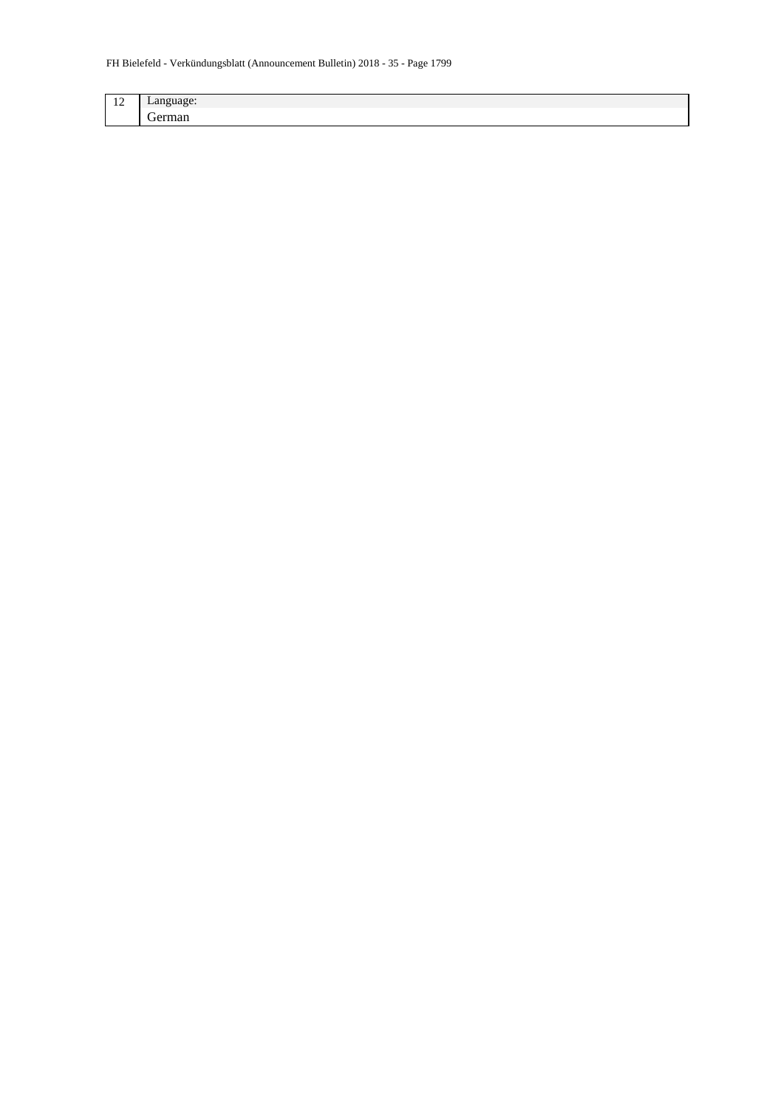| $\sim$<br>$\overline{1}$ | . .<br>$\sim$ 3300 $\sim$ 0.33<br>Language. |
|--------------------------|---------------------------------------------|
|                          | -<br>.<br>. .                               |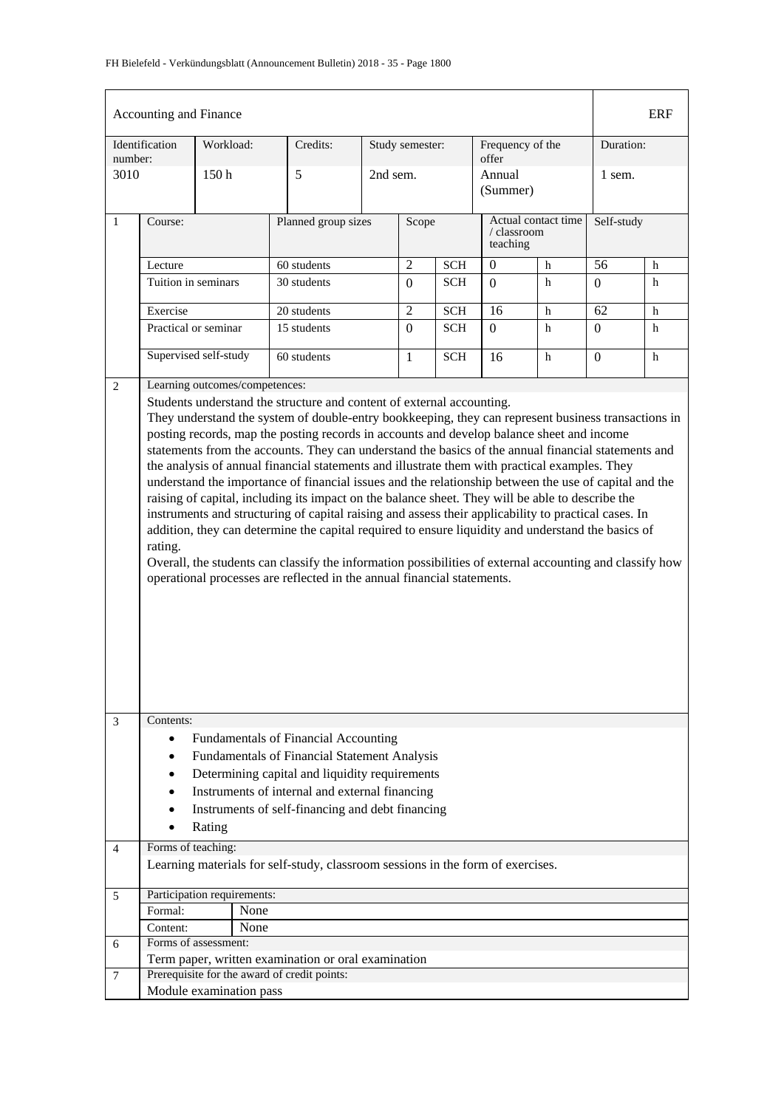### FH Bielefeld - Verkündungsblatt (Announcement Bulletin) 2018 - 35 - Page 1800

| Accounting and Finance<br><b>ERF</b><br>Identification<br>Frequency of the<br>Workload:<br>Credits:<br>Study semester:<br>Duration:<br>offer<br>number:<br>3010<br>150 <sub>h</sub><br>5<br>2nd sem.<br>Annual<br>1 sem.<br>(Summer)<br>Actual contact time<br>Self-study<br>$\mathbf{1}$<br>Planned group sizes<br>Scope<br>Course:<br>/ classroom<br>teaching<br>$\overline{2}$<br>$60$ students<br>$\mathbf{0}$<br>56<br><b>SCH</b><br>$\mathbf h$<br>h<br>Lecture<br>Tuition in seminars<br>30 students<br><b>SCH</b><br>h<br>$\Omega$<br>h<br>$\Omega$<br>$\Omega$<br>$\overline{2}$<br>16<br>62<br>Exercise<br>20 students<br><b>SCH</b><br>$\mathbf h$<br>h<br>15 students<br>Practical or seminar<br>$\overline{0}$<br><b>SCH</b><br>h<br>h<br>$\Omega$<br>$\Omega$<br>Supervised self-study<br>60 students<br><b>SCH</b><br>h<br>16<br>h<br>$\mathbf{0}$<br>$\mathbf{1}$<br>Learning outcomes/competences:<br>$\mathbf{2}$<br>Students understand the structure and content of external accounting.<br>They understand the system of double-entry bookkeeping, they can represent business transactions in<br>posting records, map the posting records in accounts and develop balance sheet and income<br>statements from the accounts. They can understand the basics of the annual financial statements and<br>the analysis of annual financial statements and illustrate them with practical examples. They<br>understand the importance of financial issues and the relationship between the use of capital and the<br>raising of capital, including its impact on the balance sheet. They will be able to describe the<br>instruments and structuring of capital raising and assess their applicability to practical cases. In<br>addition, they can determine the capital required to ensure liquidity and understand the basics of<br>rating.<br>Overall, the students can classify the information possibilities of external accounting and classify how<br>operational processes are reflected in the annual financial statements.<br>Contents:<br>3<br>Fundamentals of Financial Accounting<br>$\bullet$<br>Fundamentals of Financial Statement Analysis<br>Determining capital and liquidity requirements<br>Instruments of internal and external financing<br>Instruments of self-financing and debt financing<br>Rating<br>Forms of teaching:<br>4<br>Learning materials for self-study, classroom sessions in the form of exercises.<br>Participation requirements:<br>5<br>Formal:<br>None<br>None<br>Content:<br>Forms of assessment:<br>6<br>Term paper, written examination or oral examination<br>Prerequisite for the award of credit points:<br>$\overline{7}$<br>Module examination pass |  |  |  |  |  |  |  |  |  |  |  |
|--------------------------------------------------------------------------------------------------------------------------------------------------------------------------------------------------------------------------------------------------------------------------------------------------------------------------------------------------------------------------------------------------------------------------------------------------------------------------------------------------------------------------------------------------------------------------------------------------------------------------------------------------------------------------------------------------------------------------------------------------------------------------------------------------------------------------------------------------------------------------------------------------------------------------------------------------------------------------------------------------------------------------------------------------------------------------------------------------------------------------------------------------------------------------------------------------------------------------------------------------------------------------------------------------------------------------------------------------------------------------------------------------------------------------------------------------------------------------------------------------------------------------------------------------------------------------------------------------------------------------------------------------------------------------------------------------------------------------------------------------------------------------------------------------------------------------------------------------------------------------------------------------------------------------------------------------------------------------------------------------------------------------------------------------------------------------------------------------------------------------------------------------------------------------------------------------------------------------------------------------------------------------------------------------------------------------------------------------------------------------------------------------------------------------------------------------------------------------------------------------------------------------------------------------------------------------------------------------------------------------------------------------------------------------------------------------------------------------|--|--|--|--|--|--|--|--|--|--|--|
|                                                                                                                                                                                                                                                                                                                                                                                                                                                                                                                                                                                                                                                                                                                                                                                                                                                                                                                                                                                                                                                                                                                                                                                                                                                                                                                                                                                                                                                                                                                                                                                                                                                                                                                                                                                                                                                                                                                                                                                                                                                                                                                                                                                                                                                                                                                                                                                                                                                                                                                                                                                                                                                                                                                          |  |  |  |  |  |  |  |  |  |  |  |
|                                                                                                                                                                                                                                                                                                                                                                                                                                                                                                                                                                                                                                                                                                                                                                                                                                                                                                                                                                                                                                                                                                                                                                                                                                                                                                                                                                                                                                                                                                                                                                                                                                                                                                                                                                                                                                                                                                                                                                                                                                                                                                                                                                                                                                                                                                                                                                                                                                                                                                                                                                                                                                                                                                                          |  |  |  |  |  |  |  |  |  |  |  |
|                                                                                                                                                                                                                                                                                                                                                                                                                                                                                                                                                                                                                                                                                                                                                                                                                                                                                                                                                                                                                                                                                                                                                                                                                                                                                                                                                                                                                                                                                                                                                                                                                                                                                                                                                                                                                                                                                                                                                                                                                                                                                                                                                                                                                                                                                                                                                                                                                                                                                                                                                                                                                                                                                                                          |  |  |  |  |  |  |  |  |  |  |  |
|                                                                                                                                                                                                                                                                                                                                                                                                                                                                                                                                                                                                                                                                                                                                                                                                                                                                                                                                                                                                                                                                                                                                                                                                                                                                                                                                                                                                                                                                                                                                                                                                                                                                                                                                                                                                                                                                                                                                                                                                                                                                                                                                                                                                                                                                                                                                                                                                                                                                                                                                                                                                                                                                                                                          |  |  |  |  |  |  |  |  |  |  |  |
|                                                                                                                                                                                                                                                                                                                                                                                                                                                                                                                                                                                                                                                                                                                                                                                                                                                                                                                                                                                                                                                                                                                                                                                                                                                                                                                                                                                                                                                                                                                                                                                                                                                                                                                                                                                                                                                                                                                                                                                                                                                                                                                                                                                                                                                                                                                                                                                                                                                                                                                                                                                                                                                                                                                          |  |  |  |  |  |  |  |  |  |  |  |
|                                                                                                                                                                                                                                                                                                                                                                                                                                                                                                                                                                                                                                                                                                                                                                                                                                                                                                                                                                                                                                                                                                                                                                                                                                                                                                                                                                                                                                                                                                                                                                                                                                                                                                                                                                                                                                                                                                                                                                                                                                                                                                                                                                                                                                                                                                                                                                                                                                                                                                                                                                                                                                                                                                                          |  |  |  |  |  |  |  |  |  |  |  |
|                                                                                                                                                                                                                                                                                                                                                                                                                                                                                                                                                                                                                                                                                                                                                                                                                                                                                                                                                                                                                                                                                                                                                                                                                                                                                                                                                                                                                                                                                                                                                                                                                                                                                                                                                                                                                                                                                                                                                                                                                                                                                                                                                                                                                                                                                                                                                                                                                                                                                                                                                                                                                                                                                                                          |  |  |  |  |  |  |  |  |  |  |  |
|                                                                                                                                                                                                                                                                                                                                                                                                                                                                                                                                                                                                                                                                                                                                                                                                                                                                                                                                                                                                                                                                                                                                                                                                                                                                                                                                                                                                                                                                                                                                                                                                                                                                                                                                                                                                                                                                                                                                                                                                                                                                                                                                                                                                                                                                                                                                                                                                                                                                                                                                                                                                                                                                                                                          |  |  |  |  |  |  |  |  |  |  |  |
|                                                                                                                                                                                                                                                                                                                                                                                                                                                                                                                                                                                                                                                                                                                                                                                                                                                                                                                                                                                                                                                                                                                                                                                                                                                                                                                                                                                                                                                                                                                                                                                                                                                                                                                                                                                                                                                                                                                                                                                                                                                                                                                                                                                                                                                                                                                                                                                                                                                                                                                                                                                                                                                                                                                          |  |  |  |  |  |  |  |  |  |  |  |
|                                                                                                                                                                                                                                                                                                                                                                                                                                                                                                                                                                                                                                                                                                                                                                                                                                                                                                                                                                                                                                                                                                                                                                                                                                                                                                                                                                                                                                                                                                                                                                                                                                                                                                                                                                                                                                                                                                                                                                                                                                                                                                                                                                                                                                                                                                                                                                                                                                                                                                                                                                                                                                                                                                                          |  |  |  |  |  |  |  |  |  |  |  |
|                                                                                                                                                                                                                                                                                                                                                                                                                                                                                                                                                                                                                                                                                                                                                                                                                                                                                                                                                                                                                                                                                                                                                                                                                                                                                                                                                                                                                                                                                                                                                                                                                                                                                                                                                                                                                                                                                                                                                                                                                                                                                                                                                                                                                                                                                                                                                                                                                                                                                                                                                                                                                                                                                                                          |  |  |  |  |  |  |  |  |  |  |  |
|                                                                                                                                                                                                                                                                                                                                                                                                                                                                                                                                                                                                                                                                                                                                                                                                                                                                                                                                                                                                                                                                                                                                                                                                                                                                                                                                                                                                                                                                                                                                                                                                                                                                                                                                                                                                                                                                                                                                                                                                                                                                                                                                                                                                                                                                                                                                                                                                                                                                                                                                                                                                                                                                                                                          |  |  |  |  |  |  |  |  |  |  |  |
|                                                                                                                                                                                                                                                                                                                                                                                                                                                                                                                                                                                                                                                                                                                                                                                                                                                                                                                                                                                                                                                                                                                                                                                                                                                                                                                                                                                                                                                                                                                                                                                                                                                                                                                                                                                                                                                                                                                                                                                                                                                                                                                                                                                                                                                                                                                                                                                                                                                                                                                                                                                                                                                                                                                          |  |  |  |  |  |  |  |  |  |  |  |
|                                                                                                                                                                                                                                                                                                                                                                                                                                                                                                                                                                                                                                                                                                                                                                                                                                                                                                                                                                                                                                                                                                                                                                                                                                                                                                                                                                                                                                                                                                                                                                                                                                                                                                                                                                                                                                                                                                                                                                                                                                                                                                                                                                                                                                                                                                                                                                                                                                                                                                                                                                                                                                                                                                                          |  |  |  |  |  |  |  |  |  |  |  |
|                                                                                                                                                                                                                                                                                                                                                                                                                                                                                                                                                                                                                                                                                                                                                                                                                                                                                                                                                                                                                                                                                                                                                                                                                                                                                                                                                                                                                                                                                                                                                                                                                                                                                                                                                                                                                                                                                                                                                                                                                                                                                                                                                                                                                                                                                                                                                                                                                                                                                                                                                                                                                                                                                                                          |  |  |  |  |  |  |  |  |  |  |  |
|                                                                                                                                                                                                                                                                                                                                                                                                                                                                                                                                                                                                                                                                                                                                                                                                                                                                                                                                                                                                                                                                                                                                                                                                                                                                                                                                                                                                                                                                                                                                                                                                                                                                                                                                                                                                                                                                                                                                                                                                                                                                                                                                                                                                                                                                                                                                                                                                                                                                                                                                                                                                                                                                                                                          |  |  |  |  |  |  |  |  |  |  |  |
|                                                                                                                                                                                                                                                                                                                                                                                                                                                                                                                                                                                                                                                                                                                                                                                                                                                                                                                                                                                                                                                                                                                                                                                                                                                                                                                                                                                                                                                                                                                                                                                                                                                                                                                                                                                                                                                                                                                                                                                                                                                                                                                                                                                                                                                                                                                                                                                                                                                                                                                                                                                                                                                                                                                          |  |  |  |  |  |  |  |  |  |  |  |
|                                                                                                                                                                                                                                                                                                                                                                                                                                                                                                                                                                                                                                                                                                                                                                                                                                                                                                                                                                                                                                                                                                                                                                                                                                                                                                                                                                                                                                                                                                                                                                                                                                                                                                                                                                                                                                                                                                                                                                                                                                                                                                                                                                                                                                                                                                                                                                                                                                                                                                                                                                                                                                                                                                                          |  |  |  |  |  |  |  |  |  |  |  |
|                                                                                                                                                                                                                                                                                                                                                                                                                                                                                                                                                                                                                                                                                                                                                                                                                                                                                                                                                                                                                                                                                                                                                                                                                                                                                                                                                                                                                                                                                                                                                                                                                                                                                                                                                                                                                                                                                                                                                                                                                                                                                                                                                                                                                                                                                                                                                                                                                                                                                                                                                                                                                                                                                                                          |  |  |  |  |  |  |  |  |  |  |  |
|                                                                                                                                                                                                                                                                                                                                                                                                                                                                                                                                                                                                                                                                                                                                                                                                                                                                                                                                                                                                                                                                                                                                                                                                                                                                                                                                                                                                                                                                                                                                                                                                                                                                                                                                                                                                                                                                                                                                                                                                                                                                                                                                                                                                                                                                                                                                                                                                                                                                                                                                                                                                                                                                                                                          |  |  |  |  |  |  |  |  |  |  |  |
|                                                                                                                                                                                                                                                                                                                                                                                                                                                                                                                                                                                                                                                                                                                                                                                                                                                                                                                                                                                                                                                                                                                                                                                                                                                                                                                                                                                                                                                                                                                                                                                                                                                                                                                                                                                                                                                                                                                                                                                                                                                                                                                                                                                                                                                                                                                                                                                                                                                                                                                                                                                                                                                                                                                          |  |  |  |  |  |  |  |  |  |  |  |
|                                                                                                                                                                                                                                                                                                                                                                                                                                                                                                                                                                                                                                                                                                                                                                                                                                                                                                                                                                                                                                                                                                                                                                                                                                                                                                                                                                                                                                                                                                                                                                                                                                                                                                                                                                                                                                                                                                                                                                                                                                                                                                                                                                                                                                                                                                                                                                                                                                                                                                                                                                                                                                                                                                                          |  |  |  |  |  |  |  |  |  |  |  |
|                                                                                                                                                                                                                                                                                                                                                                                                                                                                                                                                                                                                                                                                                                                                                                                                                                                                                                                                                                                                                                                                                                                                                                                                                                                                                                                                                                                                                                                                                                                                                                                                                                                                                                                                                                                                                                                                                                                                                                                                                                                                                                                                                                                                                                                                                                                                                                                                                                                                                                                                                                                                                                                                                                                          |  |  |  |  |  |  |  |  |  |  |  |
|                                                                                                                                                                                                                                                                                                                                                                                                                                                                                                                                                                                                                                                                                                                                                                                                                                                                                                                                                                                                                                                                                                                                                                                                                                                                                                                                                                                                                                                                                                                                                                                                                                                                                                                                                                                                                                                                                                                                                                                                                                                                                                                                                                                                                                                                                                                                                                                                                                                                                                                                                                                                                                                                                                                          |  |  |  |  |  |  |  |  |  |  |  |
|                                                                                                                                                                                                                                                                                                                                                                                                                                                                                                                                                                                                                                                                                                                                                                                                                                                                                                                                                                                                                                                                                                                                                                                                                                                                                                                                                                                                                                                                                                                                                                                                                                                                                                                                                                                                                                                                                                                                                                                                                                                                                                                                                                                                                                                                                                                                                                                                                                                                                                                                                                                                                                                                                                                          |  |  |  |  |  |  |  |  |  |  |  |
|                                                                                                                                                                                                                                                                                                                                                                                                                                                                                                                                                                                                                                                                                                                                                                                                                                                                                                                                                                                                                                                                                                                                                                                                                                                                                                                                                                                                                                                                                                                                                                                                                                                                                                                                                                                                                                                                                                                                                                                                                                                                                                                                                                                                                                                                                                                                                                                                                                                                                                                                                                                                                                                                                                                          |  |  |  |  |  |  |  |  |  |  |  |
|                                                                                                                                                                                                                                                                                                                                                                                                                                                                                                                                                                                                                                                                                                                                                                                                                                                                                                                                                                                                                                                                                                                                                                                                                                                                                                                                                                                                                                                                                                                                                                                                                                                                                                                                                                                                                                                                                                                                                                                                                                                                                                                                                                                                                                                                                                                                                                                                                                                                                                                                                                                                                                                                                                                          |  |  |  |  |  |  |  |  |  |  |  |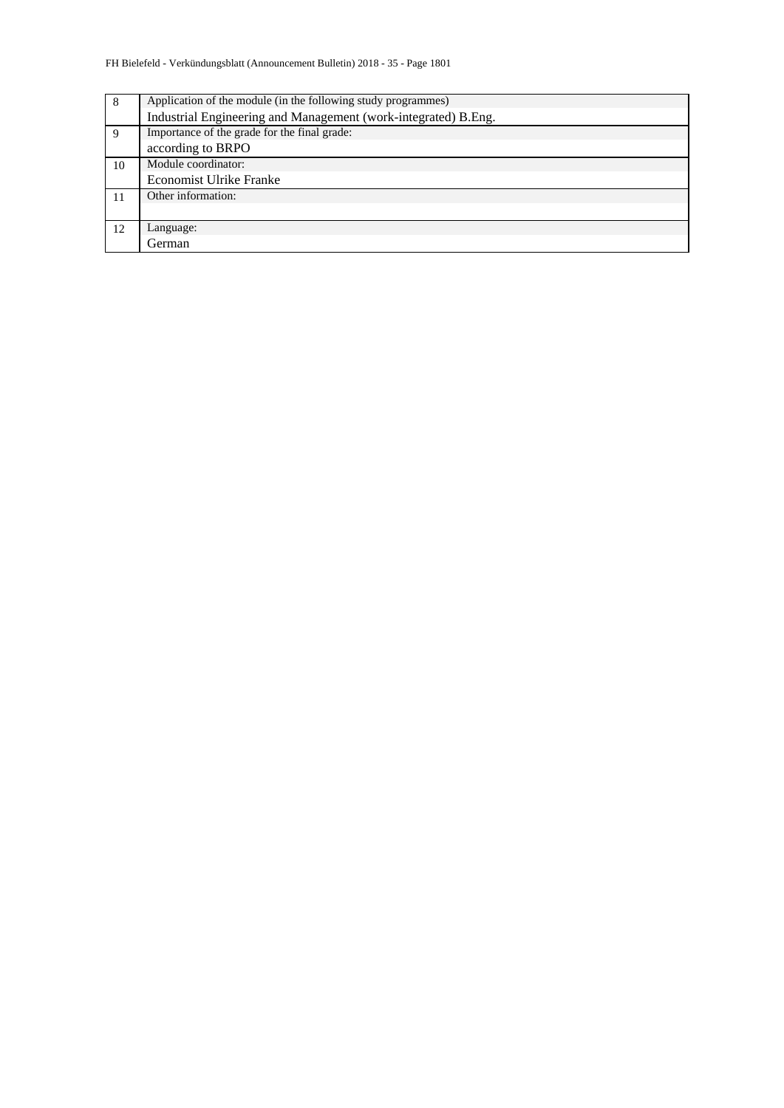| 8  | Application of the module (in the following study programmes)  |  |  |  |  |  |  |  |  |
|----|----------------------------------------------------------------|--|--|--|--|--|--|--|--|
|    | Industrial Engineering and Management (work-integrated) B.Eng. |  |  |  |  |  |  |  |  |
| 9  | Importance of the grade for the final grade:                   |  |  |  |  |  |  |  |  |
|    | according to BRPO                                              |  |  |  |  |  |  |  |  |
| 10 | Module coordinator:                                            |  |  |  |  |  |  |  |  |
|    | <b>Economist Ulrike Franke</b>                                 |  |  |  |  |  |  |  |  |
| 11 | Other information:                                             |  |  |  |  |  |  |  |  |
|    |                                                                |  |  |  |  |  |  |  |  |
| 12 | Language:                                                      |  |  |  |  |  |  |  |  |
|    | German                                                         |  |  |  |  |  |  |  |  |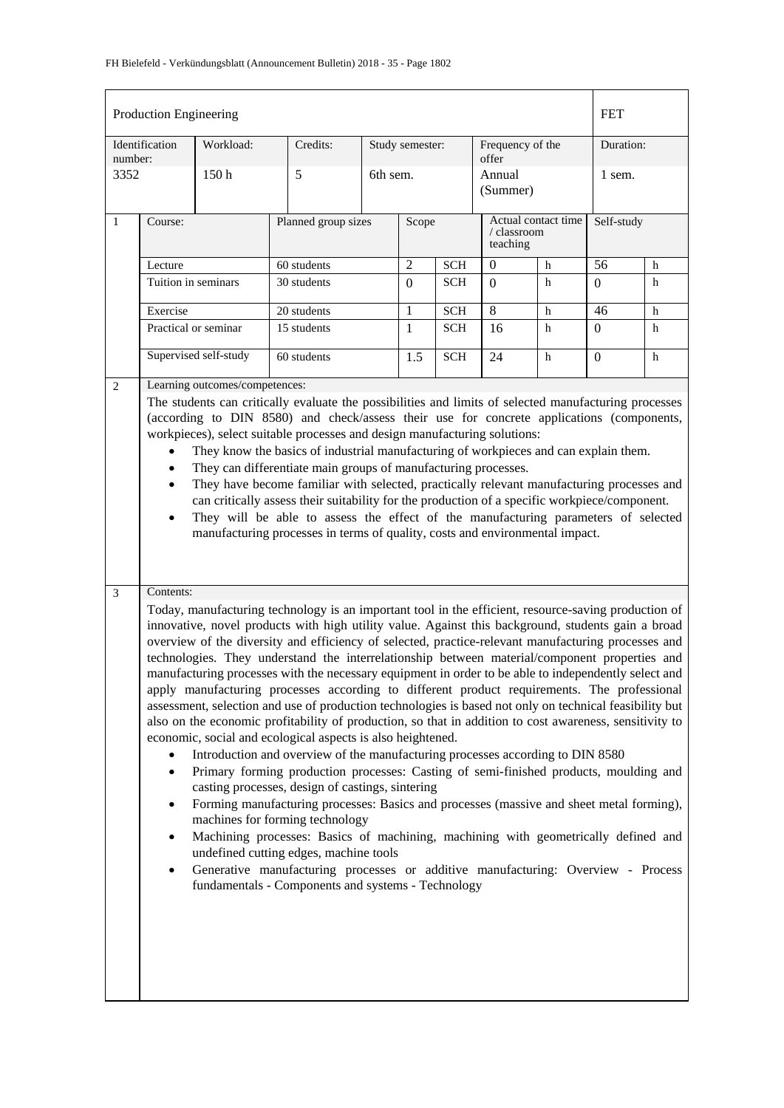|                | Production Engineering                                                                                                                                                                                                                                                                                                                                                                                                                                                                                                                                                                                                                                                                                                                                                                                                                                                                                                                                                                                                                                                                                                                                                                                                                                                                                                                                                                                                                                                                                                                                                                                                  |                       |             |          |                 |                                                |                           |            |                  | <b>FET</b> |  |
|----------------|-------------------------------------------------------------------------------------------------------------------------------------------------------------------------------------------------------------------------------------------------------------------------------------------------------------------------------------------------------------------------------------------------------------------------------------------------------------------------------------------------------------------------------------------------------------------------------------------------------------------------------------------------------------------------------------------------------------------------------------------------------------------------------------------------------------------------------------------------------------------------------------------------------------------------------------------------------------------------------------------------------------------------------------------------------------------------------------------------------------------------------------------------------------------------------------------------------------------------------------------------------------------------------------------------------------------------------------------------------------------------------------------------------------------------------------------------------------------------------------------------------------------------------------------------------------------------------------------------------------------------|-----------------------|-------------|----------|-----------------|------------------------------------------------|---------------------------|------------|------------------|------------|--|
| number:        | Identification                                                                                                                                                                                                                                                                                                                                                                                                                                                                                                                                                                                                                                                                                                                                                                                                                                                                                                                                                                                                                                                                                                                                                                                                                                                                                                                                                                                                                                                                                                                                                                                                          | Workload:             | Credits:    |          | Study semester: |                                                | Frequency of the<br>offer |            | Duration:        |            |  |
| 3352           |                                                                                                                                                                                                                                                                                                                                                                                                                                                                                                                                                                                                                                                                                                                                                                                                                                                                                                                                                                                                                                                                                                                                                                                                                                                                                                                                                                                                                                                                                                                                                                                                                         | 150 <sub>h</sub>      | 5           | 6th sem. |                 |                                                | Annual<br>(Summer)        |            | 1 sem.           |            |  |
| 1              | Course:                                                                                                                                                                                                                                                                                                                                                                                                                                                                                                                                                                                                                                                                                                                                                                                                                                                                                                                                                                                                                                                                                                                                                                                                                                                                                                                                                                                                                                                                                                                                                                                                                 | Planned group sizes   |             | Scope    |                 | Actual contact time<br>/ classroom<br>teaching |                           | Self-study |                  |            |  |
|                | Lecture                                                                                                                                                                                                                                                                                                                                                                                                                                                                                                                                                                                                                                                                                                                                                                                                                                                                                                                                                                                                                                                                                                                                                                                                                                                                                                                                                                                                                                                                                                                                                                                                                 |                       | 60 students |          | $\sqrt{2}$      | <b>SCH</b>                                     | $\mathbf{0}$              | h          | 56               | h          |  |
|                | Tuition in seminars                                                                                                                                                                                                                                                                                                                                                                                                                                                                                                                                                                                                                                                                                                                                                                                                                                                                                                                                                                                                                                                                                                                                                                                                                                                                                                                                                                                                                                                                                                                                                                                                     |                       | 30 students |          | $\Omega$        | <b>SCH</b>                                     | $\theta$                  | h          | $\boldsymbol{0}$ | h          |  |
|                | Exercise                                                                                                                                                                                                                                                                                                                                                                                                                                                                                                                                                                                                                                                                                                                                                                                                                                                                                                                                                                                                                                                                                                                                                                                                                                                                                                                                                                                                                                                                                                                                                                                                                |                       | 20 students |          | 1               | <b>SCH</b>                                     | $\overline{8}$            | h          | 46               | h          |  |
|                |                                                                                                                                                                                                                                                                                                                                                                                                                                                                                                                                                                                                                                                                                                                                                                                                                                                                                                                                                                                                                                                                                                                                                                                                                                                                                                                                                                                                                                                                                                                                                                                                                         | Practical or seminar  | 15 students |          | $\mathbf{1}$    | <b>SCH</b>                                     | 16                        | h          | $\overline{0}$   | h          |  |
| 2              |                                                                                                                                                                                                                                                                                                                                                                                                                                                                                                                                                                                                                                                                                                                                                                                                                                                                                                                                                                                                                                                                                                                                                                                                                                                                                                                                                                                                                                                                                                                                                                                                                         | Supervised self-study | 60 students |          | 1.5             | <b>SCH</b>                                     | 24                        | h          | $\mathbf{0}$     | h          |  |
|                | Learning outcomes/competences:<br>The students can critically evaluate the possibilities and limits of selected manufacturing processes<br>(according to DIN 8580) and check/assess their use for concrete applications (components,<br>workpieces), select suitable processes and design manufacturing solutions:<br>They know the basics of industrial manufacturing of workpieces and can explain them.<br>$\bullet$<br>They can differentiate main groups of manufacturing processes.<br>They have become familiar with selected, practically relevant manufacturing processes and<br>$\bullet$<br>can critically assess their suitability for the production of a specific workpiece/component.<br>They will be able to assess the effect of the manufacturing parameters of selected<br>$\bullet$<br>manufacturing processes in terms of quality, costs and environmental impact.                                                                                                                                                                                                                                                                                                                                                                                                                                                                                                                                                                                                                                                                                                                                 |                       |             |          |                 |                                                |                           |            |                  |            |  |
| $\overline{3}$ | Contents:<br>Today, manufacturing technology is an important tool in the efficient, resource-saving production of<br>innovative, novel products with high utility value. Against this background, students gain a broad<br>overview of the diversity and efficiency of selected, practice-relevant manufacturing processes and<br>technologies. They understand the interrelationship between material/component properties and<br>manufacturing processes with the necessary equipment in order to be able to independently select and<br>apply manufacturing processes according to different product requirements. The professional<br>assessment, selection and use of production technologies is based not only on technical feasibility but<br>also on the economic profitability of production, so that in addition to cost awareness, sensitivity to<br>economic, social and ecological aspects is also heightened.<br>Introduction and overview of the manufacturing processes according to DIN 8580<br>Primary forming production processes: Casting of semi-finished products, moulding and<br>$\bullet$<br>casting processes, design of castings, sintering<br>Forming manufacturing processes: Basics and processes (massive and sheet metal forming),<br>$\bullet$<br>machines for forming technology<br>Machining processes: Basics of machining, machining with geometrically defined and<br>$\bullet$<br>undefined cutting edges, machine tools<br>Generative manufacturing processes or additive manufacturing: Overview - Process<br>$\bullet$<br>fundamentals - Components and systems - Technology |                       |             |          |                 |                                                |                           |            |                  |            |  |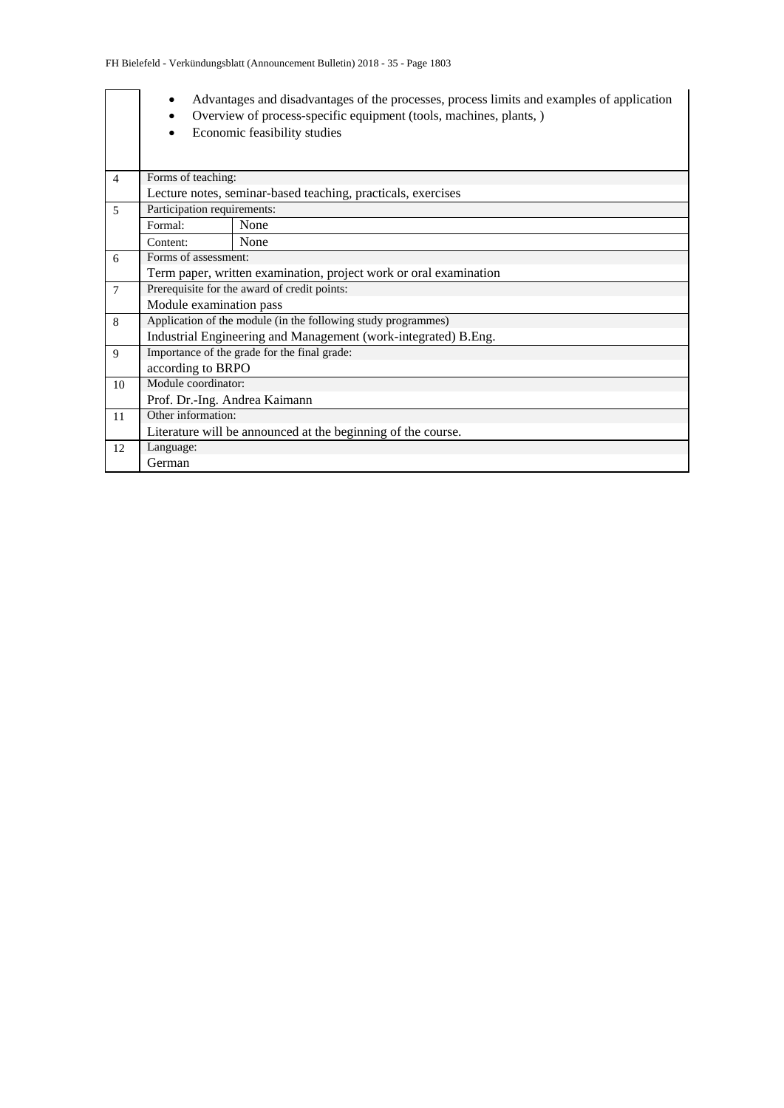|                | $\bullet$<br>$\bullet$        | Advantages and disadvantages of the processes, process limits and examples of application<br>Overview of process-specific equipment (tools, machines, plants, )<br>Economic feasibility studies |  |  |  |  |  |  |  |  |
|----------------|-------------------------------|-------------------------------------------------------------------------------------------------------------------------------------------------------------------------------------------------|--|--|--|--|--|--|--|--|
| $\overline{4}$ |                               | Forms of teaching:                                                                                                                                                                              |  |  |  |  |  |  |  |  |
|                |                               | Lecture notes, seminar-based teaching, practicals, exercises                                                                                                                                    |  |  |  |  |  |  |  |  |
| 5              | Participation requirements:   |                                                                                                                                                                                                 |  |  |  |  |  |  |  |  |
|                | Formal:                       | None                                                                                                                                                                                            |  |  |  |  |  |  |  |  |
|                | Content:                      | None                                                                                                                                                                                            |  |  |  |  |  |  |  |  |
| 6              | Forms of assessment:          |                                                                                                                                                                                                 |  |  |  |  |  |  |  |  |
|                |                               | Term paper, written examination, project work or oral examination                                                                                                                               |  |  |  |  |  |  |  |  |
| $\tau$         |                               | Prerequisite for the award of credit points:                                                                                                                                                    |  |  |  |  |  |  |  |  |
|                | Module examination pass       |                                                                                                                                                                                                 |  |  |  |  |  |  |  |  |
| 8              |                               | Application of the module (in the following study programmes)                                                                                                                                   |  |  |  |  |  |  |  |  |
|                |                               | Industrial Engineering and Management (work-integrated) B.Eng.                                                                                                                                  |  |  |  |  |  |  |  |  |
| 9              |                               | Importance of the grade for the final grade:                                                                                                                                                    |  |  |  |  |  |  |  |  |
|                | according to BRPO             |                                                                                                                                                                                                 |  |  |  |  |  |  |  |  |
| 10             | Module coordinator:           |                                                                                                                                                                                                 |  |  |  |  |  |  |  |  |
|                | Prof. Dr.-Ing. Andrea Kaimann |                                                                                                                                                                                                 |  |  |  |  |  |  |  |  |
| 11             | Other information:            |                                                                                                                                                                                                 |  |  |  |  |  |  |  |  |
|                |                               | Literature will be announced at the beginning of the course.                                                                                                                                    |  |  |  |  |  |  |  |  |
| 12             | Language:                     |                                                                                                                                                                                                 |  |  |  |  |  |  |  |  |
|                | German                        |                                                                                                                                                                                                 |  |  |  |  |  |  |  |  |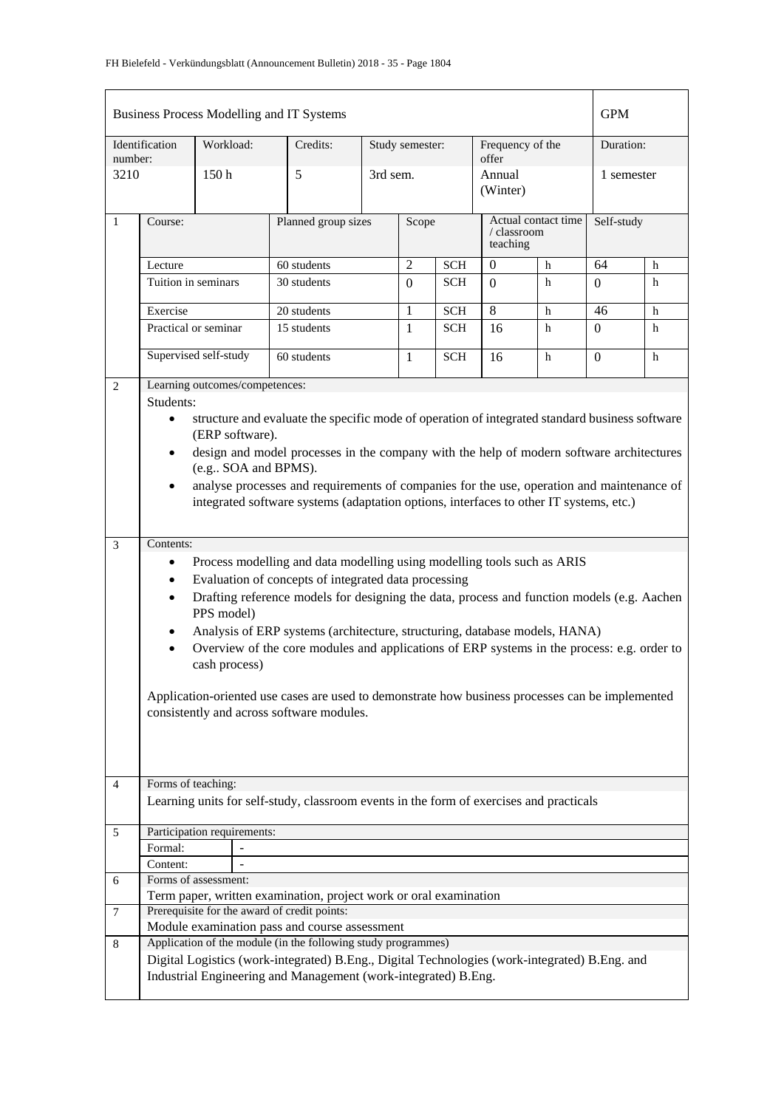|                | Business Process Modelling and IT Systems<br><b>GPM</b>                                                                        |                                |                                                                                                                                                                 |                     |                 |            |                           |                     |            |   |
|----------------|--------------------------------------------------------------------------------------------------------------------------------|--------------------------------|-----------------------------------------------------------------------------------------------------------------------------------------------------------------|---------------------|-----------------|------------|---------------------------|---------------------|------------|---|
| number:        | Identification                                                                                                                 | Workload:                      | Credits:                                                                                                                                                        |                     | Study semester: |            | Frequency of the<br>offer |                     | Duration:  |   |
| 3210           |                                                                                                                                | 150 <sub>h</sub>               | 5                                                                                                                                                               |                     | 3rd sem.        |            | Annual<br>(Winter)        |                     | 1 semester |   |
| $\mathbf{1}$   | Course:                                                                                                                        |                                |                                                                                                                                                                 | Planned group sizes |                 | Scope      | / classroom<br>teaching   | Actual contact time | Self-study |   |
|                | Lecture                                                                                                                        |                                | 60 students                                                                                                                                                     |                     | $\overline{2}$  | <b>SCH</b> | $\boldsymbol{0}$<br>h     |                     | 64         | h |
|                | Tuition in seminars                                                                                                            |                                | 30 students                                                                                                                                                     |                     | $\Omega$        | <b>SCH</b> | $\Omega$                  | h                   | $\Omega$   | h |
|                | Exercise                                                                                                                       |                                | 20 students                                                                                                                                                     |                     | 1               | <b>SCH</b> | 8                         | h                   | 46         | h |
|                |                                                                                                                                | Practical or seminar           | 15 students                                                                                                                                                     |                     | $\mathbf{1}$    | <b>SCH</b> | 16                        | h                   | $\Omega$   | h |
|                |                                                                                                                                | Supervised self-study          | 60 students                                                                                                                                                     |                     | 1               | <b>SCH</b> | 16                        | h                   | $\Omega$   | h |
| 2              |                                                                                                                                | Learning outcomes/competences: |                                                                                                                                                                 |                     |                 |            |                           |                     |            |   |
|                | Students:                                                                                                                      |                                |                                                                                                                                                                 |                     |                 |            |                           |                     |            |   |
|                | structure and evaluate the specific mode of operation of integrated standard business software<br>$\bullet$<br>(ERP software). |                                |                                                                                                                                                                 |                     |                 |            |                           |                     |            |   |
|                | design and model processes in the company with the help of modern software architectures<br>$\bullet$<br>(e.g., SOA and BPMS). |                                |                                                                                                                                                                 |                     |                 |            |                           |                     |            |   |
|                | $\bullet$                                                                                                                      |                                | analyse processes and requirements of companies for the use, operation and maintenance of                                                                       |                     |                 |            |                           |                     |            |   |
|                |                                                                                                                                |                                | integrated software systems (adaptation options, interfaces to other IT systems, etc.)                                                                          |                     |                 |            |                           |                     |            |   |
| 3              | Contents:                                                                                                                      |                                |                                                                                                                                                                 |                     |                 |            |                           |                     |            |   |
|                | ٠                                                                                                                              |                                | Process modelling and data modelling using modelling tools such as ARIS                                                                                         |                     |                 |            |                           |                     |            |   |
|                | ٠                                                                                                                              |                                | Evaluation of concepts of integrated data processing                                                                                                            |                     |                 |            |                           |                     |            |   |
|                | $\bullet$                                                                                                                      | PPS model)                     | Drafting reference models for designing the data, process and function models (e.g. Aachen                                                                      |                     |                 |            |                           |                     |            |   |
|                |                                                                                                                                |                                | Analysis of ERP systems (architecture, structuring, database models, HANA)                                                                                      |                     |                 |            |                           |                     |            |   |
|                |                                                                                                                                | cash process)                  | Overview of the core modules and applications of ERP systems in the process: e.g. order to                                                                      |                     |                 |            |                           |                     |            |   |
|                |                                                                                                                                |                                | Application-oriented use cases are used to demonstrate how business processes can be implemented                                                                |                     |                 |            |                           |                     |            |   |
|                |                                                                                                                                |                                | consistently and across software modules.                                                                                                                       |                     |                 |            |                           |                     |            |   |
|                |                                                                                                                                |                                |                                                                                                                                                                 |                     |                 |            |                           |                     |            |   |
|                |                                                                                                                                |                                |                                                                                                                                                                 |                     |                 |            |                           |                     |            |   |
| $\overline{4}$ | Forms of teaching:                                                                                                             |                                |                                                                                                                                                                 |                     |                 |            |                           |                     |            |   |
|                |                                                                                                                                |                                | Learning units for self-study, classroom events in the form of exercises and practicals                                                                         |                     |                 |            |                           |                     |            |   |
| 5              |                                                                                                                                | Participation requirements:    |                                                                                                                                                                 |                     |                 |            |                           |                     |            |   |
|                | Formal:                                                                                                                        |                                |                                                                                                                                                                 |                     |                 |            |                           |                     |            |   |
|                | Content:                                                                                                                       |                                |                                                                                                                                                                 |                     |                 |            |                           |                     |            |   |
| 6              |                                                                                                                                | Forms of assessment:           |                                                                                                                                                                 |                     |                 |            |                           |                     |            |   |
|                |                                                                                                                                |                                | Term paper, written examination, project work or oral examination                                                                                               |                     |                 |            |                           |                     |            |   |
| 7              |                                                                                                                                |                                | Prerequisite for the award of credit points:<br>Module examination pass and course assessment                                                                   |                     |                 |            |                           |                     |            |   |
| 8              |                                                                                                                                |                                | Application of the module (in the following study programmes)                                                                                                   |                     |                 |            |                           |                     |            |   |
|                |                                                                                                                                |                                | Digital Logistics (work-integrated) B.Eng., Digital Technologies (work-integrated) B.Eng. and<br>Industrial Engineering and Management (work-integrated) B.Eng. |                     |                 |            |                           |                     |            |   |
|                |                                                                                                                                |                                |                                                                                                                                                                 |                     |                 |            |                           |                     |            |   |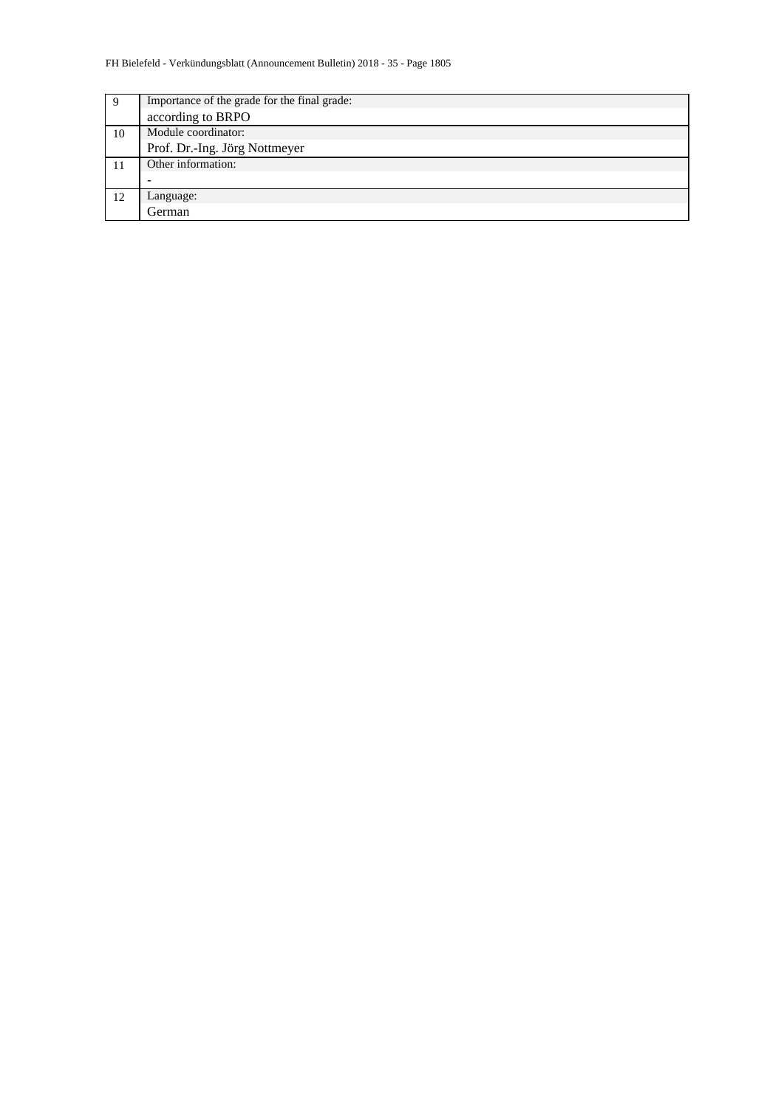| 9  | Importance of the grade for the final grade: |  |  |  |  |  |  |  |
|----|----------------------------------------------|--|--|--|--|--|--|--|
|    | according to BRPO                            |  |  |  |  |  |  |  |
| 10 | Module coordinator:                          |  |  |  |  |  |  |  |
|    | Prof. Dr.-Ing. Jörg Nottmeyer                |  |  |  |  |  |  |  |
|    | Other information:                           |  |  |  |  |  |  |  |
|    |                                              |  |  |  |  |  |  |  |
| 12 | Language:                                    |  |  |  |  |  |  |  |
|    | German                                       |  |  |  |  |  |  |  |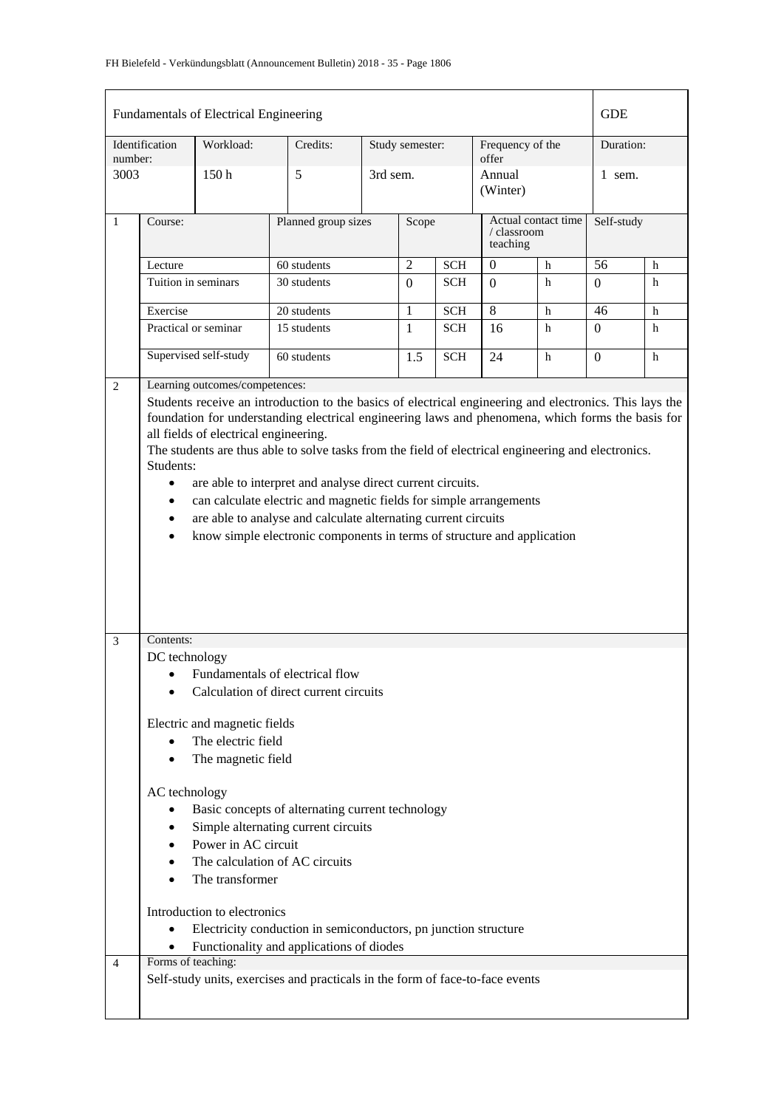|                |                                                                                                                                                                                                                                                                                                                                                                                                                                                                                                                                                                                        | Fundamentals of Electrical Engineering |                                                                               |                     |                 |              |                             |                     | <b>GDE</b>       |            |  |
|----------------|----------------------------------------------------------------------------------------------------------------------------------------------------------------------------------------------------------------------------------------------------------------------------------------------------------------------------------------------------------------------------------------------------------------------------------------------------------------------------------------------------------------------------------------------------------------------------------------|----------------------------------------|-------------------------------------------------------------------------------|---------------------|-----------------|--------------|-----------------------------|---------------------|------------------|------------|--|
| number:        | Identification                                                                                                                                                                                                                                                                                                                                                                                                                                                                                                                                                                         | Workload:                              | Credits:                                                                      |                     | Study semester: |              |                             | Frequency of the    | Duration:        |            |  |
| 3003           |                                                                                                                                                                                                                                                                                                                                                                                                                                                                                                                                                                                        | 150 <sub>h</sub>                       | 5                                                                             |                     | 3rd sem.        |              | offer<br>Annual<br>(Winter) |                     | $1$ sem.         |            |  |
| $\mathbf{1}$   | Course:                                                                                                                                                                                                                                                                                                                                                                                                                                                                                                                                                                                |                                        |                                                                               | Planned group sizes |                 |              | / classroom<br>teaching     | Actual contact time |                  | Self-study |  |
|                | Lecture                                                                                                                                                                                                                                                                                                                                                                                                                                                                                                                                                                                |                                        | 60 students                                                                   |                     | $\overline{2}$  | $\mbox{SCH}$ | $\boldsymbol{0}$            | $\mathbf h$         | 56               | h          |  |
|                |                                                                                                                                                                                                                                                                                                                                                                                                                                                                                                                                                                                        | Tuition in seminars                    | 30 students                                                                   |                     | $\Omega$        | <b>SCH</b>   | $\Omega$                    | h                   | $\overline{0}$   | h          |  |
|                | Exercise                                                                                                                                                                                                                                                                                                                                                                                                                                                                                                                                                                               |                                        | 20 students                                                                   |                     | 1               | <b>SCH</b>   | 8                           | h                   | 46               | h          |  |
|                |                                                                                                                                                                                                                                                                                                                                                                                                                                                                                                                                                                                        | Practical or seminar                   | 15 students                                                                   |                     | $\mathbf{1}$    | <b>SCH</b>   | 16                          | h                   | $\boldsymbol{0}$ | h          |  |
|                |                                                                                                                                                                                                                                                                                                                                                                                                                                                                                                                                                                                        | Supervised self-study                  | 60 students                                                                   |                     | 1.5             | <b>SCH</b>   | 24                          | h                   | $\Omega$         | h          |  |
|                | foundation for understanding electrical engineering laws and phenomena, which forms the basis for<br>all fields of electrical engineering.<br>The students are thus able to solve tasks from the field of electrical engineering and electronics.<br>Students:<br>are able to interpret and analyse direct current circuits.<br>$\bullet$<br>can calculate electric and magnetic fields for simple arrangements<br>are able to analyse and calculate alternating current circuits<br>$\bullet$<br>know simple electronic components in terms of structure and application<br>$\bullet$ |                                        |                                                                               |                     |                 |              |                             |                     |                  |            |  |
| 3              | Contents:                                                                                                                                                                                                                                                                                                                                                                                                                                                                                                                                                                              |                                        |                                                                               |                     |                 |              |                             |                     |                  |            |  |
|                | DC technology                                                                                                                                                                                                                                                                                                                                                                                                                                                                                                                                                                          |                                        |                                                                               |                     |                 |              |                             |                     |                  |            |  |
|                |                                                                                                                                                                                                                                                                                                                                                                                                                                                                                                                                                                                        |                                        | Fundamentals of electrical flow                                               |                     |                 |              |                             |                     |                  |            |  |
|                |                                                                                                                                                                                                                                                                                                                                                                                                                                                                                                                                                                                        |                                        | Calculation of direct current circuits                                        |                     |                 |              |                             |                     |                  |            |  |
|                |                                                                                                                                                                                                                                                                                                                                                                                                                                                                                                                                                                                        | Electric and magnetic fields           |                                                                               |                     |                 |              |                             |                     |                  |            |  |
|                |                                                                                                                                                                                                                                                                                                                                                                                                                                                                                                                                                                                        | The electric field                     |                                                                               |                     |                 |              |                             |                     |                  |            |  |
|                |                                                                                                                                                                                                                                                                                                                                                                                                                                                                                                                                                                                        | The magnetic field                     |                                                                               |                     |                 |              |                             |                     |                  |            |  |
|                | AC technology<br>Basic concepts of alternating current technology<br>Simple alternating current circuits<br>Power in AC circuit<br>The calculation of AC circuits<br>The transformer                                                                                                                                                                                                                                                                                                                                                                                                   |                                        |                                                                               |                     |                 |              |                             |                     |                  |            |  |
|                | $\bullet$                                                                                                                                                                                                                                                                                                                                                                                                                                                                                                                                                                              | Introduction to electronics            | Electricity conduction in semiconductors, pn junction structure               |                     |                 |              |                             |                     |                  |            |  |
|                | $\bullet$                                                                                                                                                                                                                                                                                                                                                                                                                                                                                                                                                                              |                                        | Functionality and applications of diodes                                      |                     |                 |              |                             |                     |                  |            |  |
| $\overline{4}$ | Forms of teaching:                                                                                                                                                                                                                                                                                                                                                                                                                                                                                                                                                                     |                                        | Self-study units, exercises and practicals in the form of face-to-face events |                     |                 |              |                             |                     |                  |            |  |
|                |                                                                                                                                                                                                                                                                                                                                                                                                                                                                                                                                                                                        |                                        |                                                                               |                     |                 |              |                             |                     |                  |            |  |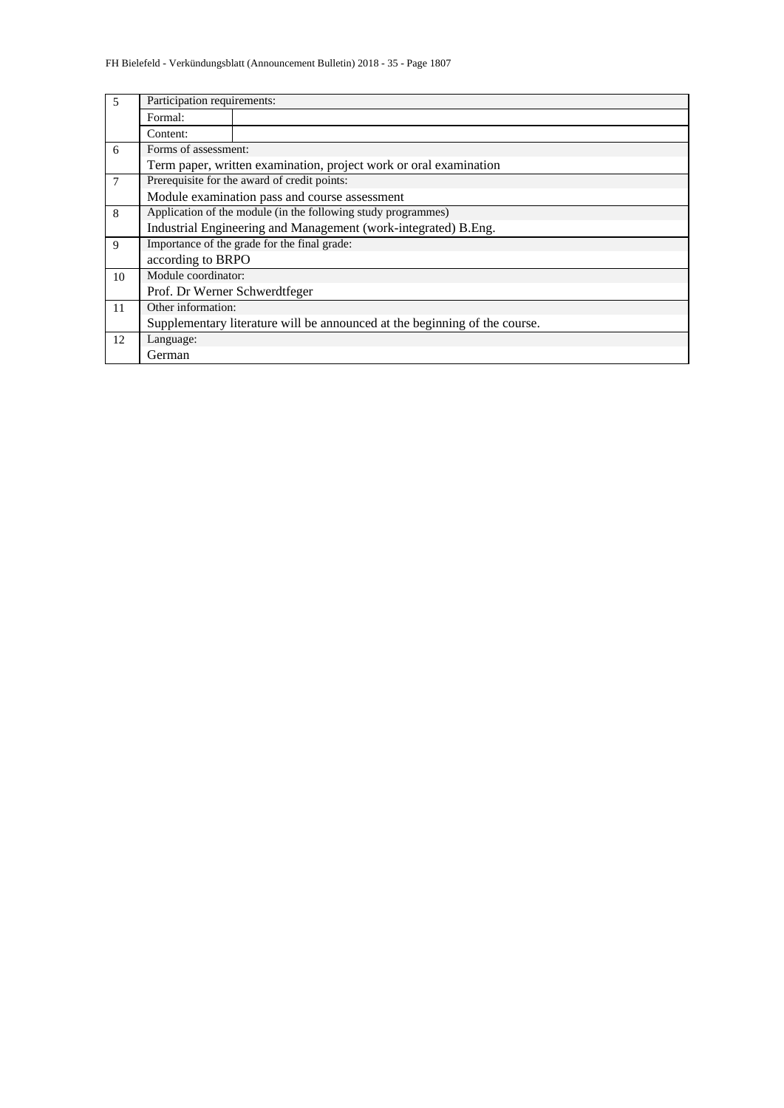| 5              | Participation requirements:   |                                                                            |  |  |  |  |  |  |  |
|----------------|-------------------------------|----------------------------------------------------------------------------|--|--|--|--|--|--|--|
|                | Formal:                       |                                                                            |  |  |  |  |  |  |  |
|                | Content:                      |                                                                            |  |  |  |  |  |  |  |
| 6              | Forms of assessment:          |                                                                            |  |  |  |  |  |  |  |
|                |                               | Term paper, written examination, project work or oral examination          |  |  |  |  |  |  |  |
| $\overline{7}$ |                               | Prerequisite for the award of credit points:                               |  |  |  |  |  |  |  |
|                |                               | Module examination pass and course assessment                              |  |  |  |  |  |  |  |
| 8              |                               | Application of the module (in the following study programmes)              |  |  |  |  |  |  |  |
|                |                               | Industrial Engineering and Management (work-integrated) B.Eng.             |  |  |  |  |  |  |  |
| 9              |                               | Importance of the grade for the final grade:                               |  |  |  |  |  |  |  |
|                | according to BRPO             |                                                                            |  |  |  |  |  |  |  |
| 10             | Module coordinator:           |                                                                            |  |  |  |  |  |  |  |
|                | Prof. Dr Werner Schwerdtfeger |                                                                            |  |  |  |  |  |  |  |
| 11             | Other information:            |                                                                            |  |  |  |  |  |  |  |
|                |                               | Supplementary literature will be announced at the beginning of the course. |  |  |  |  |  |  |  |
| 12             | Language:                     |                                                                            |  |  |  |  |  |  |  |
|                | German                        |                                                                            |  |  |  |  |  |  |  |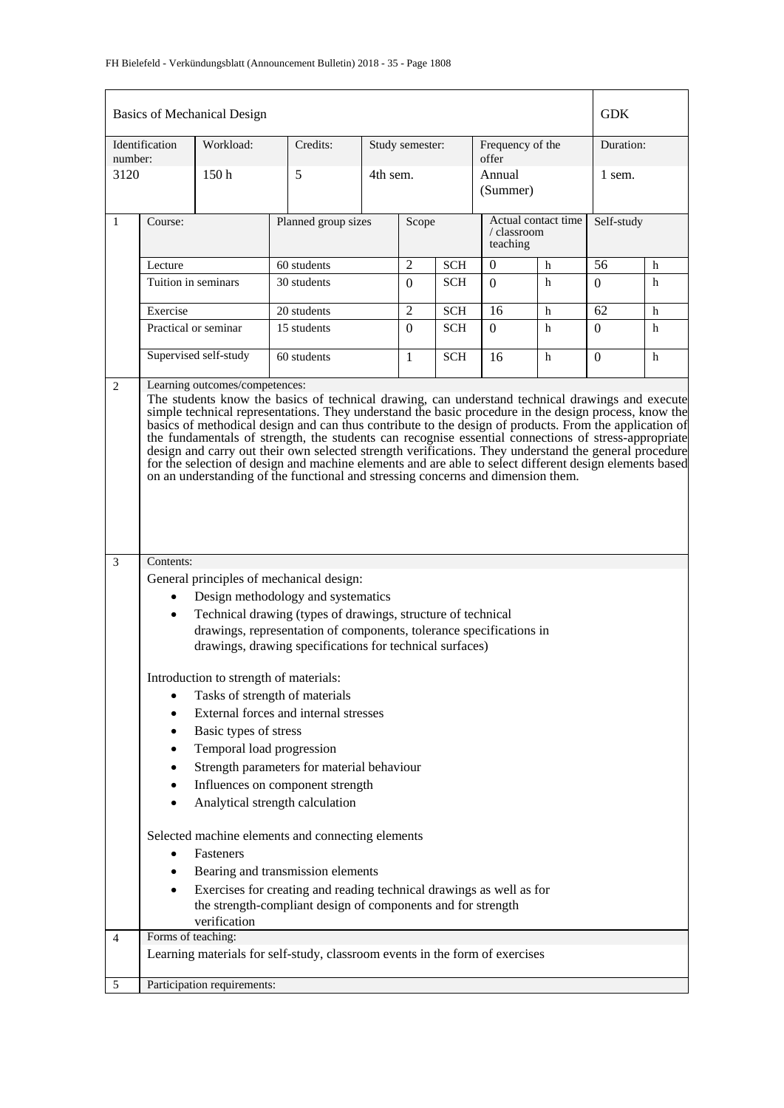### FH Bielefeld - Verkündungsblatt (Announcement Bulletin) 2018 - 35 - Page 1808

|              | Basics of Mechanical Design                                                                                                                                                                                                                                                                                                                                                                                                                                                                                                                                                                                                                                                                                                         |                                        |                                                                                                                                 |          |                 |                                                |                           |            |                |   |
|--------------|-------------------------------------------------------------------------------------------------------------------------------------------------------------------------------------------------------------------------------------------------------------------------------------------------------------------------------------------------------------------------------------------------------------------------------------------------------------------------------------------------------------------------------------------------------------------------------------------------------------------------------------------------------------------------------------------------------------------------------------|----------------------------------------|---------------------------------------------------------------------------------------------------------------------------------|----------|-----------------|------------------------------------------------|---------------------------|------------|----------------|---|
| number:      | Identification                                                                                                                                                                                                                                                                                                                                                                                                                                                                                                                                                                                                                                                                                                                      | Workload:                              | Credits:                                                                                                                        |          | Study semester: |                                                | Frequency of the<br>offer |            | Duration:      |   |
| 3120         |                                                                                                                                                                                                                                                                                                                                                                                                                                                                                                                                                                                                                                                                                                                                     | 150 <sub>h</sub>                       | 5                                                                                                                               | 4th sem. |                 |                                                | Annual<br>(Summer)        |            | 1 sem.         |   |
| $\mathbf{1}$ | Course:                                                                                                                                                                                                                                                                                                                                                                                                                                                                                                                                                                                                                                                                                                                             |                                        | Planned group sizes                                                                                                             | Scope    |                 | Actual contact time<br>/ classroom<br>teaching |                           | Self-study |                |   |
|              | Lecture                                                                                                                                                                                                                                                                                                                                                                                                                                                                                                                                                                                                                                                                                                                             |                                        | 60 students                                                                                                                     |          | $\overline{2}$  | <b>SCH</b>                                     | $\theta$                  | h          | 56             | h |
|              | Tuition in seminars                                                                                                                                                                                                                                                                                                                                                                                                                                                                                                                                                                                                                                                                                                                 |                                        | 30 students                                                                                                                     |          | $\Omega$        | <b>SCH</b>                                     | $\Omega$                  | h          | $\Omega$       | h |
|              | Exercise                                                                                                                                                                                                                                                                                                                                                                                                                                                                                                                                                                                                                                                                                                                            |                                        | 20 students                                                                                                                     |          | $\overline{2}$  | <b>SCH</b>                                     | 16                        | h          | 62             | h |
|              | Practical or seminar                                                                                                                                                                                                                                                                                                                                                                                                                                                                                                                                                                                                                                                                                                                |                                        | 15 students                                                                                                                     |          | $\mathbf{0}$    | <b>SCH</b>                                     | $\Omega$                  | h          | $\overline{0}$ | h |
|              |                                                                                                                                                                                                                                                                                                                                                                                                                                                                                                                                                                                                                                                                                                                                     | Supervised self-study                  | 60 students                                                                                                                     |          | $\mathbf{1}$    | <b>SCH</b>                                     | 16                        | h          | $\Omega$       | h |
|              | The students know the basics of technical drawing, can understand technical drawings and execute<br>simple technical representations. They understand the basic procedure in the design process, know the<br>basics of methodical design and can thus contribute to the design of products. From the application of<br>the fundamentals of strength, the students can recognise essential connections of stress-appropriate<br>design and carry out their own selected strength verifications. They understand the general procedure<br>for the selection of design and machine elements and are able to select different design elements based<br>on an understanding of the functional and stressing concerns and dimension them. |                                        |                                                                                                                                 |          |                 |                                                |                           |            |                |   |
| 3            | Contents:                                                                                                                                                                                                                                                                                                                                                                                                                                                                                                                                                                                                                                                                                                                           |                                        |                                                                                                                                 |          |                 |                                                |                           |            |                |   |
|              |                                                                                                                                                                                                                                                                                                                                                                                                                                                                                                                                                                                                                                                                                                                                     |                                        | General principles of mechanical design:                                                                                        |          |                 |                                                |                           |            |                |   |
|              |                                                                                                                                                                                                                                                                                                                                                                                                                                                                                                                                                                                                                                                                                                                                     |                                        | Design methodology and systematics                                                                                              |          |                 |                                                |                           |            |                |   |
|              | ٠                                                                                                                                                                                                                                                                                                                                                                                                                                                                                                                                                                                                                                                                                                                                   |                                        | Technical drawing (types of drawings, structure of technical                                                                    |          |                 |                                                |                           |            |                |   |
|              |                                                                                                                                                                                                                                                                                                                                                                                                                                                                                                                                                                                                                                                                                                                                     |                                        | drawings, representation of components, tolerance specifications in<br>drawings, drawing specifications for technical surfaces) |          |                 |                                                |                           |            |                |   |
|              |                                                                                                                                                                                                                                                                                                                                                                                                                                                                                                                                                                                                                                                                                                                                     | Introduction to strength of materials: | Tasks of strength of materials<br>External forces and internal stresses                                                         |          |                 |                                                |                           |            |                |   |
|              |                                                                                                                                                                                                                                                                                                                                                                                                                                                                                                                                                                                                                                                                                                                                     | Basic types of stress                  |                                                                                                                                 |          |                 |                                                |                           |            |                |   |
|              |                                                                                                                                                                                                                                                                                                                                                                                                                                                                                                                                                                                                                                                                                                                                     | Temporal load progression              |                                                                                                                                 |          |                 |                                                |                           |            |                |   |
|              |                                                                                                                                                                                                                                                                                                                                                                                                                                                                                                                                                                                                                                                                                                                                     |                                        | Strength parameters for material behaviour                                                                                      |          |                 |                                                |                           |            |                |   |
|              |                                                                                                                                                                                                                                                                                                                                                                                                                                                                                                                                                                                                                                                                                                                                     |                                        | Influences on component strength                                                                                                |          |                 |                                                |                           |            |                |   |
|              |                                                                                                                                                                                                                                                                                                                                                                                                                                                                                                                                                                                                                                                                                                                                     |                                        | Analytical strength calculation                                                                                                 |          |                 |                                                |                           |            |                |   |
|              |                                                                                                                                                                                                                                                                                                                                                                                                                                                                                                                                                                                                                                                                                                                                     |                                        | Selected machine elements and connecting elements                                                                               |          |                 |                                                |                           |            |                |   |
|              |                                                                                                                                                                                                                                                                                                                                                                                                                                                                                                                                                                                                                                                                                                                                     | Fasteners                              |                                                                                                                                 |          |                 |                                                |                           |            |                |   |
|              |                                                                                                                                                                                                                                                                                                                                                                                                                                                                                                                                                                                                                                                                                                                                     |                                        | Bearing and transmission elements<br>Exercises for creating and reading technical drawings as well as for                       |          |                 |                                                |                           |            |                |   |
|              |                                                                                                                                                                                                                                                                                                                                                                                                                                                                                                                                                                                                                                                                                                                                     | verification                           | the strength-compliant design of components and for strength                                                                    |          |                 |                                                |                           |            |                |   |
| 4            | Forms of teaching:                                                                                                                                                                                                                                                                                                                                                                                                                                                                                                                                                                                                                                                                                                                  |                                        |                                                                                                                                 |          |                 |                                                |                           |            |                |   |
|              |                                                                                                                                                                                                                                                                                                                                                                                                                                                                                                                                                                                                                                                                                                                                     |                                        | Learning materials for self-study, classroom events in the form of exercises                                                    |          |                 |                                                |                           |            |                |   |
| 5            |                                                                                                                                                                                                                                                                                                                                                                                                                                                                                                                                                                                                                                                                                                                                     | Participation requirements:            |                                                                                                                                 |          |                 |                                                |                           |            |                |   |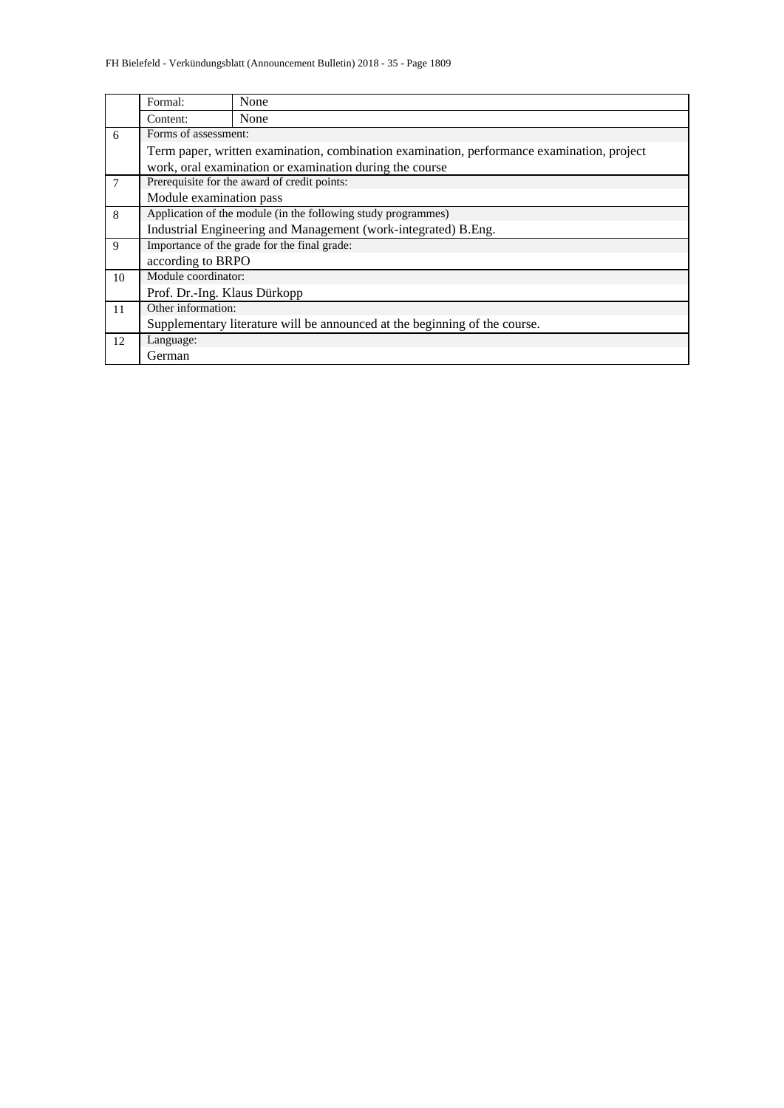|    | Formal:                                      | None                                                                                       |  |  |  |  |  |  |  |
|----|----------------------------------------------|--------------------------------------------------------------------------------------------|--|--|--|--|--|--|--|
|    | Content:                                     | None                                                                                       |  |  |  |  |  |  |  |
| 6  | Forms of assessment:                         |                                                                                            |  |  |  |  |  |  |  |
|    |                                              | Term paper, written examination, combination examination, performance examination, project |  |  |  |  |  |  |  |
|    |                                              | work, oral examination or examination during the course                                    |  |  |  |  |  |  |  |
| 7  | Prerequisite for the award of credit points: |                                                                                            |  |  |  |  |  |  |  |
|    | Module examination pass                      |                                                                                            |  |  |  |  |  |  |  |
| 8  |                                              | Application of the module (in the following study programmes)                              |  |  |  |  |  |  |  |
|    |                                              | Industrial Engineering and Management (work-integrated) B.Eng.                             |  |  |  |  |  |  |  |
| 9  |                                              | Importance of the grade for the final grade:                                               |  |  |  |  |  |  |  |
|    | according to BRPO                            |                                                                                            |  |  |  |  |  |  |  |
| 10 | Module coordinator:                          |                                                                                            |  |  |  |  |  |  |  |
|    | Prof. Dr.-Ing. Klaus Dürkopp                 |                                                                                            |  |  |  |  |  |  |  |
| 11 | Other information:                           |                                                                                            |  |  |  |  |  |  |  |
|    |                                              | Supplementary literature will be announced at the beginning of the course.                 |  |  |  |  |  |  |  |
| 12 | Language:                                    |                                                                                            |  |  |  |  |  |  |  |
|    | German                                       |                                                                                            |  |  |  |  |  |  |  |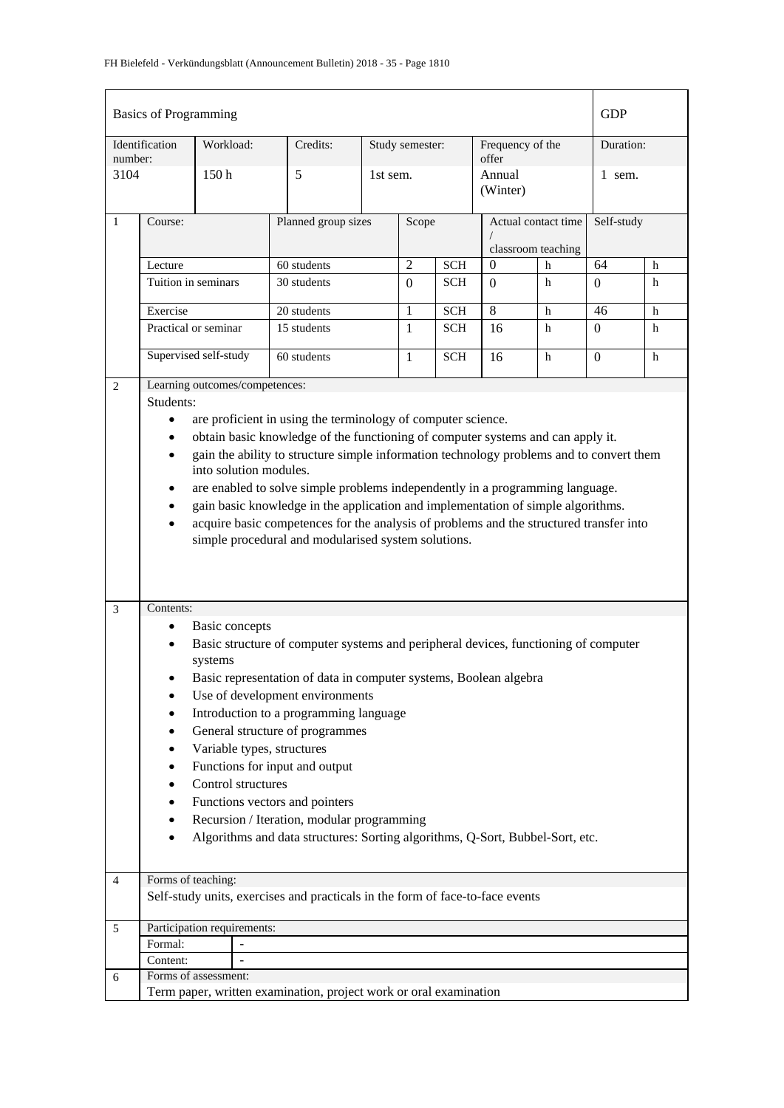|              | <b>Basics of Programming</b>     |                       |                                |                                                                                                                                                                             |                 |                |                          |                           |                                           |           | <b>GDP</b>         |        |
|--------------|----------------------------------|-----------------------|--------------------------------|-----------------------------------------------------------------------------------------------------------------------------------------------------------------------------|-----------------|----------------|--------------------------|---------------------------|-------------------------------------------|-----------|--------------------|--------|
| number:      | Identification                   | Workload:             |                                | Credits:                                                                                                                                                                    | Study semester: |                |                          | Frequency of the<br>offer |                                           | Duration: |                    |        |
| 3104         |                                  | 150h                  |                                | 5                                                                                                                                                                           |                 | 1st sem.       |                          |                           | Annual<br>(Winter)                        |           | 1 sem.             |        |
| $\mathbf{1}$ | Course:                          |                       |                                | Planned group sizes                                                                                                                                                         |                 | Scope          |                          |                           | Actual contact time<br>classroom teaching |           | Self-study         |        |
|              | Lecture                          |                       |                                | 60 students                                                                                                                                                                 |                 | $\overline{2}$ | <b>SCH</b>               |                           | $\mathbf{0}$                              | h         | 64                 | h      |
|              | Tuition in seminars              |                       |                                | 30 students                                                                                                                                                                 |                 | $\Omega$       | <b>SCH</b>               |                           | $\Omega$                                  | h         | $\overline{0}$     | h      |
|              |                                  |                       |                                |                                                                                                                                                                             |                 |                |                          |                           |                                           |           |                    |        |
|              | Exercise<br>Practical or seminar |                       |                                | 20 students<br>15 students                                                                                                                                                  |                 | 1<br>1         | <b>SCH</b><br><b>SCH</b> |                           | 8<br>16                                   | h<br>h    | 46<br>$\mathbf{0}$ | h<br>h |
|              |                                  |                       |                                |                                                                                                                                                                             |                 |                |                          |                           |                                           |           |                    |        |
|              | Supervised self-study            |                       |                                | 60 students                                                                                                                                                                 |                 | 1              | <b>SCH</b>               |                           | 16                                        | h         | $\mathbf{0}$       | h      |
| 2            |                                  |                       | Learning outcomes/competences: |                                                                                                                                                                             |                 |                |                          |                           |                                           |           |                    |        |
|              | Students:                        |                       |                                |                                                                                                                                                                             |                 |                |                          |                           |                                           |           |                    |        |
|              | $\bullet$                        |                       |                                | are proficient in using the terminology of computer science.                                                                                                                |                 |                |                          |                           |                                           |           |                    |        |
|              | ٠                                |                       |                                | obtain basic knowledge of the functioning of computer systems and can apply it.                                                                                             |                 |                |                          |                           |                                           |           |                    |        |
|              | ٠                                |                       |                                | gain the ability to structure simple information technology problems and to convert them                                                                                    |                 |                |                          |                           |                                           |           |                    |        |
|              |                                  |                       | into solution modules.         |                                                                                                                                                                             |                 |                |                          |                           |                                           |           |                    |        |
|              |                                  |                       |                                | are enabled to solve simple problems independently in a programming language.                                                                                               |                 |                |                          |                           |                                           |           |                    |        |
|              |                                  |                       |                                | gain basic knowledge in the application and implementation of simple algorithms.<br>acquire basic competences for the analysis of problems and the structured transfer into |                 |                |                          |                           |                                           |           |                    |        |
|              |                                  |                       |                                | simple procedural and modularised system solutions.                                                                                                                         |                 |                |                          |                           |                                           |           |                    |        |
|              |                                  |                       |                                |                                                                                                                                                                             |                 |                |                          |                           |                                           |           |                    |        |
| 3            | Contents:                        |                       |                                |                                                                                                                                                                             |                 |                |                          |                           |                                           |           |                    |        |
|              | ٠                                | <b>Basic</b> concepts |                                |                                                                                                                                                                             |                 |                |                          |                           |                                           |           |                    |        |
|              | $\bullet$                        | systems               |                                | Basic structure of computer systems and peripheral devices, functioning of computer                                                                                         |                 |                |                          |                           |                                           |           |                    |        |
|              |                                  |                       |                                | Basic representation of data in computer systems, Boolean algebra                                                                                                           |                 |                |                          |                           |                                           |           |                    |        |
|              | ٠                                |                       |                                | Use of development environments                                                                                                                                             |                 |                |                          |                           |                                           |           |                    |        |
|              | ٠                                |                       |                                | Introduction to a programming language                                                                                                                                      |                 |                |                          |                           |                                           |           |                    |        |
|              | ٠                                |                       |                                | General structure of programmes                                                                                                                                             |                 |                |                          |                           |                                           |           |                    |        |
|              |                                  |                       | Variable types, structures     |                                                                                                                                                                             |                 |                |                          |                           |                                           |           |                    |        |
|              |                                  |                       |                                | Functions for input and output                                                                                                                                              |                 |                |                          |                           |                                           |           |                    |        |
|              |                                  |                       | Control structures             |                                                                                                                                                                             |                 |                |                          |                           |                                           |           |                    |        |
|              |                                  |                       |                                | Functions vectors and pointers<br>Recursion / Iteration, modular programming                                                                                                |                 |                |                          |                           |                                           |           |                    |        |
|              |                                  |                       |                                | Algorithms and data structures: Sorting algorithms, Q-Sort, Bubbel-Sort, etc.                                                                                               |                 |                |                          |                           |                                           |           |                    |        |
|              |                                  |                       |                                |                                                                                                                                                                             |                 |                |                          |                           |                                           |           |                    |        |
| 4            | Forms of teaching:               |                       |                                |                                                                                                                                                                             |                 |                |                          |                           |                                           |           |                    |        |
|              |                                  |                       |                                | Self-study units, exercises and practicals in the form of face-to-face events                                                                                               |                 |                |                          |                           |                                           |           |                    |        |
|              |                                  |                       |                                |                                                                                                                                                                             |                 |                |                          |                           |                                           |           |                    |        |
| 5            | Participation requirements:      |                       |                                |                                                                                                                                                                             |                 |                |                          |                           |                                           |           |                    |        |
|              | Formal:<br>Content:              |                       |                                |                                                                                                                                                                             |                 |                |                          |                           |                                           |           |                    |        |
| 6            | Forms of assessment:             |                       |                                |                                                                                                                                                                             |                 |                |                          |                           |                                           |           |                    |        |
|              |                                  |                       |                                | Term paper, written examination, project work or oral examination                                                                                                           |                 |                |                          |                           |                                           |           |                    |        |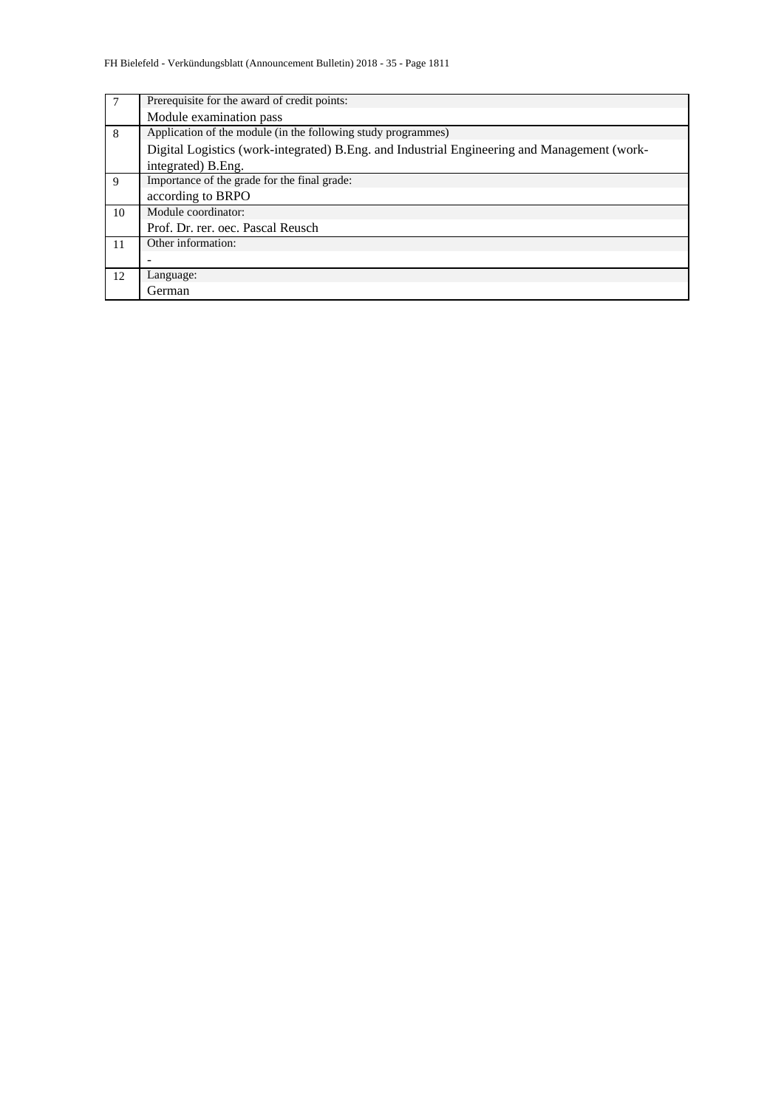| 7  | Prerequisite for the award of credit points:                                                |
|----|---------------------------------------------------------------------------------------------|
|    | Module examination pass                                                                     |
| 8  | Application of the module (in the following study programmes)                               |
|    | Digital Logistics (work-integrated) B.Eng. and Industrial Engineering and Management (work- |
|    | integrated) B. Eng.                                                                         |
| 9  | Importance of the grade for the final grade:                                                |
|    | according to BRPO                                                                           |
| 10 | Module coordinator:                                                                         |
|    | Prof. Dr. rer. oec. Pascal Reusch                                                           |
| 11 | Other information:                                                                          |
|    |                                                                                             |
| 12 | Language:                                                                                   |
|    | German                                                                                      |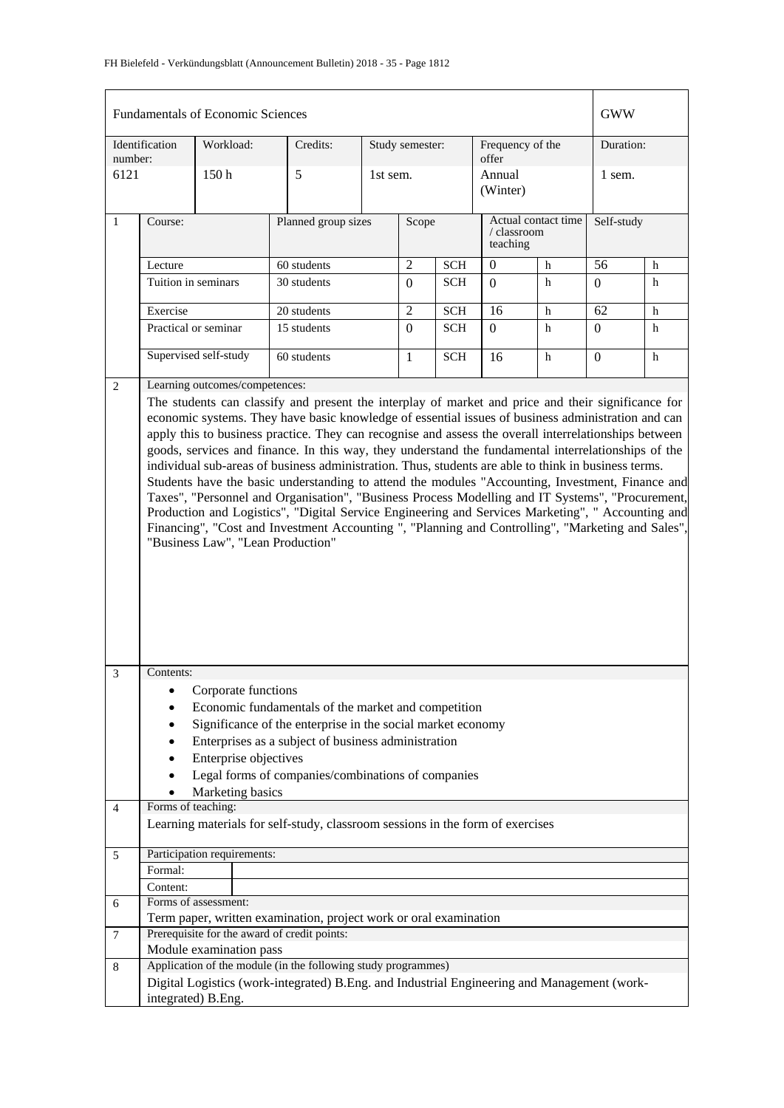| <b>Fundamentals of Economic Sciences</b> |                                                                                                                                                                                                                                                                                                                                                                                                                                                                                                                                                                                                                                                                                                                                                                                                                                                                                                                                                                                        |                                                                  |                                                                                                                                                                                                                                 |                              |                 |            |                           |                                    |                  | <b>GWW</b> |  |
|------------------------------------------|----------------------------------------------------------------------------------------------------------------------------------------------------------------------------------------------------------------------------------------------------------------------------------------------------------------------------------------------------------------------------------------------------------------------------------------------------------------------------------------------------------------------------------------------------------------------------------------------------------------------------------------------------------------------------------------------------------------------------------------------------------------------------------------------------------------------------------------------------------------------------------------------------------------------------------------------------------------------------------------|------------------------------------------------------------------|---------------------------------------------------------------------------------------------------------------------------------------------------------------------------------------------------------------------------------|------------------------------|-----------------|------------|---------------------------|------------------------------------|------------------|------------|--|
| number:                                  | Identification                                                                                                                                                                                                                                                                                                                                                                                                                                                                                                                                                                                                                                                                                                                                                                                                                                                                                                                                                                         | Workload:                                                        | Credits:                                                                                                                                                                                                                        |                              | Study semester: |            | Frequency of the<br>offer |                                    | Duration:        |            |  |
| 6121                                     |                                                                                                                                                                                                                                                                                                                                                                                                                                                                                                                                                                                                                                                                                                                                                                                                                                                                                                                                                                                        | 150 <sub>h</sub>                                                 | 5                                                                                                                                                                                                                               |                              | 1st sem.        |            | Annual<br>(Winter)        |                                    |                  |            |  |
| $\mathbf{1}$                             | Course:                                                                                                                                                                                                                                                                                                                                                                                                                                                                                                                                                                                                                                                                                                                                                                                                                                                                                                                                                                                |                                                                  |                                                                                                                                                                                                                                 | Planned group sizes<br>Scope |                 |            | teaching                  | Actual contact time<br>/ classroom |                  | Self-study |  |
|                                          | Lecture                                                                                                                                                                                                                                                                                                                                                                                                                                                                                                                                                                                                                                                                                                                                                                                                                                                                                                                                                                                |                                                                  | 60 students                                                                                                                                                                                                                     |                              | $\overline{2}$  | <b>SCH</b> | $\overline{0}$            | h                                  | 56               | h          |  |
|                                          | Tuition in seminars                                                                                                                                                                                                                                                                                                                                                                                                                                                                                                                                                                                                                                                                                                                                                                                                                                                                                                                                                                    |                                                                  | 30 students                                                                                                                                                                                                                     |                              | $\overline{0}$  | <b>SCH</b> | $\Omega$                  | h                                  | $\boldsymbol{0}$ | h          |  |
|                                          | Exercise                                                                                                                                                                                                                                                                                                                                                                                                                                                                                                                                                                                                                                                                                                                                                                                                                                                                                                                                                                               |                                                                  | 20 students                                                                                                                                                                                                                     |                              | $\overline{2}$  | <b>SCH</b> | 16                        | h                                  | 62               | h          |  |
|                                          | Practical or seminar                                                                                                                                                                                                                                                                                                                                                                                                                                                                                                                                                                                                                                                                                                                                                                                                                                                                                                                                                                   |                                                                  | 15 students                                                                                                                                                                                                                     |                              | $\theta$        | <b>SCH</b> | $\theta$                  | h                                  | $\overline{0}$   | h          |  |
|                                          |                                                                                                                                                                                                                                                                                                                                                                                                                                                                                                                                                                                                                                                                                                                                                                                                                                                                                                                                                                                        | Supervised self-study                                            | 60 students                                                                                                                                                                                                                     |                              | $\mathbf{1}$    | <b>SCH</b> | 16                        | h                                  | $\Omega$         | h          |  |
| 2                                        |                                                                                                                                                                                                                                                                                                                                                                                                                                                                                                                                                                                                                                                                                                                                                                                                                                                                                                                                                                                        | Learning outcomes/competences:                                   |                                                                                                                                                                                                                                 |                              |                 |            |                           |                                    |                  |            |  |
|                                          | The students can classify and present the interplay of market and price and their significance for<br>economic systems. They have basic knowledge of essential issues of business administration and can<br>apply this to business practice. They can recognise and assess the overall interrelationships between<br>goods, services and finance. In this way, they understand the fundamental interrelationships of the<br>individual sub-areas of business administration. Thus, students are able to think in business terms.<br>Students have the basic understanding to attend the modules "Accounting, Investment, Finance and<br>Taxes", "Personnel and Organisation", "Business Process Modelling and IT Systems", "Procurement,<br>Production and Logistics", "Digital Service Engineering and Services Marketing", "Accounting and<br>Financing", "Cost and Investment Accounting ", "Planning and Controlling", "Marketing and Sales",<br>"Business Law", "Lean Production" |                                                                  |                                                                                                                                                                                                                                 |                              |                 |            |                           |                                    |                  |            |  |
| 3                                        | Contents:<br>$\bullet$                                                                                                                                                                                                                                                                                                                                                                                                                                                                                                                                                                                                                                                                                                                                                                                                                                                                                                                                                                 | Corporate functions<br>Enterprise objectives<br>Marketing basics | Economic fundamentals of the market and competition<br>Significance of the enterprise in the social market economy<br>Enterprises as a subject of business administration<br>Legal forms of companies/combinations of companies |                              |                 |            |                           |                                    |                  |            |  |
| $\overline{4}$                           | Forms of teaching:                                                                                                                                                                                                                                                                                                                                                                                                                                                                                                                                                                                                                                                                                                                                                                                                                                                                                                                                                                     |                                                                  |                                                                                                                                                                                                                                 |                              |                 |            |                           |                                    |                  |            |  |
|                                          |                                                                                                                                                                                                                                                                                                                                                                                                                                                                                                                                                                                                                                                                                                                                                                                                                                                                                                                                                                                        |                                                                  | Learning materials for self-study, classroom sessions in the form of exercises                                                                                                                                                  |                              |                 |            |                           |                                    |                  |            |  |
| 5                                        |                                                                                                                                                                                                                                                                                                                                                                                                                                                                                                                                                                                                                                                                                                                                                                                                                                                                                                                                                                                        | Participation requirements:                                      |                                                                                                                                                                                                                                 |                              |                 |            |                           |                                    |                  |            |  |
|                                          | Formal:                                                                                                                                                                                                                                                                                                                                                                                                                                                                                                                                                                                                                                                                                                                                                                                                                                                                                                                                                                                |                                                                  |                                                                                                                                                                                                                                 |                              |                 |            |                           |                                    |                  |            |  |
|                                          | Content:                                                                                                                                                                                                                                                                                                                                                                                                                                                                                                                                                                                                                                                                                                                                                                                                                                                                                                                                                                               |                                                                  |                                                                                                                                                                                                                                 |                              |                 |            |                           |                                    |                  |            |  |
| 6                                        |                                                                                                                                                                                                                                                                                                                                                                                                                                                                                                                                                                                                                                                                                                                                                                                                                                                                                                                                                                                        | Forms of assessment:                                             |                                                                                                                                                                                                                                 |                              |                 |            |                           |                                    |                  |            |  |
|                                          |                                                                                                                                                                                                                                                                                                                                                                                                                                                                                                                                                                                                                                                                                                                                                                                                                                                                                                                                                                                        |                                                                  | Term paper, written examination, project work or oral examination                                                                                                                                                               |                              |                 |            |                           |                                    |                  |            |  |
| $\overline{7}$                           |                                                                                                                                                                                                                                                                                                                                                                                                                                                                                                                                                                                                                                                                                                                                                                                                                                                                                                                                                                                        |                                                                  | Prerequisite for the award of credit points:                                                                                                                                                                                    |                              |                 |            |                           |                                    |                  |            |  |
|                                          |                                                                                                                                                                                                                                                                                                                                                                                                                                                                                                                                                                                                                                                                                                                                                                                                                                                                                                                                                                                        | Module examination pass                                          |                                                                                                                                                                                                                                 |                              |                 |            |                           |                                    |                  |            |  |
| 8                                        |                                                                                                                                                                                                                                                                                                                                                                                                                                                                                                                                                                                                                                                                                                                                                                                                                                                                                                                                                                                        |                                                                  | Application of the module (in the following study programmes)<br>Digital Logistics (work-integrated) B.Eng. and Industrial Engineering and Management (work-                                                                    |                              |                 |            |                           |                                    |                  |            |  |
|                                          |                                                                                                                                                                                                                                                                                                                                                                                                                                                                                                                                                                                                                                                                                                                                                                                                                                                                                                                                                                                        | integrated) B.Eng.                                               |                                                                                                                                                                                                                                 |                              |                 |            |                           |                                    |                  |            |  |
|                                          |                                                                                                                                                                                                                                                                                                                                                                                                                                                                                                                                                                                                                                                                                                                                                                                                                                                                                                                                                                                        |                                                                  |                                                                                                                                                                                                                                 |                              |                 |            |                           |                                    |                  |            |  |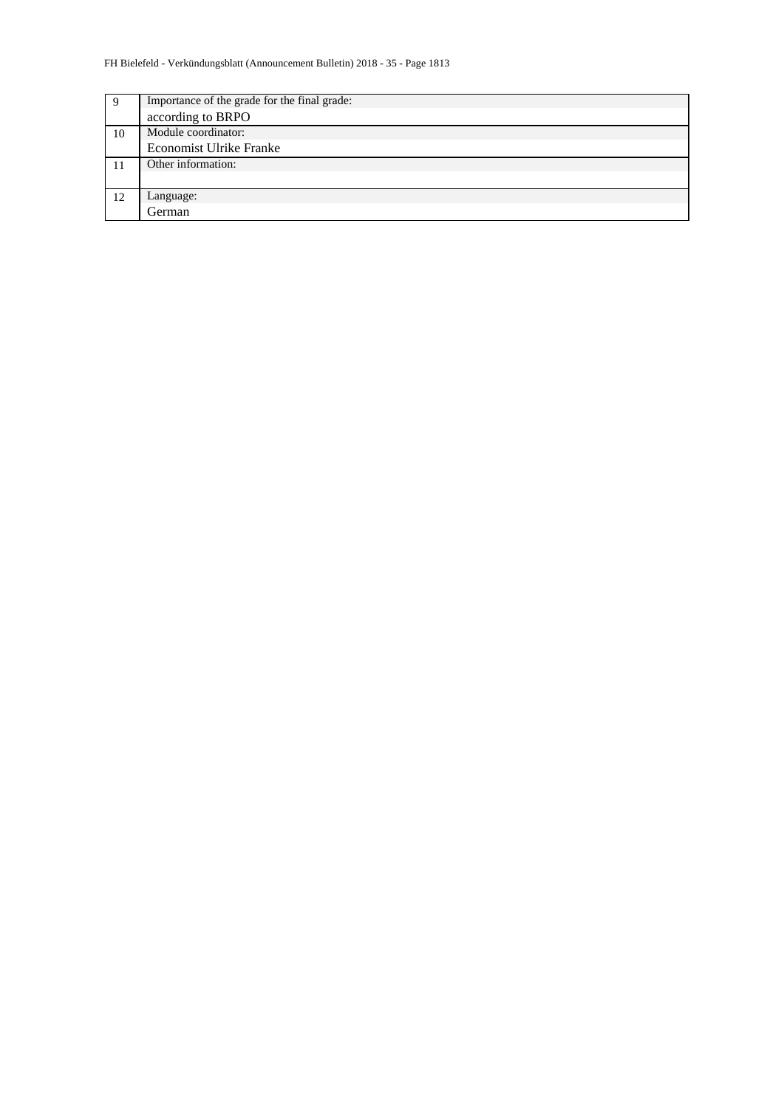| 9  | Importance of the grade for the final grade: |  |  |  |  |  |  |  |
|----|----------------------------------------------|--|--|--|--|--|--|--|
|    | according to BRPO                            |  |  |  |  |  |  |  |
| 10 | Module coordinator:                          |  |  |  |  |  |  |  |
|    | <b>Economist Ulrike Franke</b>               |  |  |  |  |  |  |  |
|    | Other information:                           |  |  |  |  |  |  |  |
|    |                                              |  |  |  |  |  |  |  |
| 12 | Language:                                    |  |  |  |  |  |  |  |
|    | German                                       |  |  |  |  |  |  |  |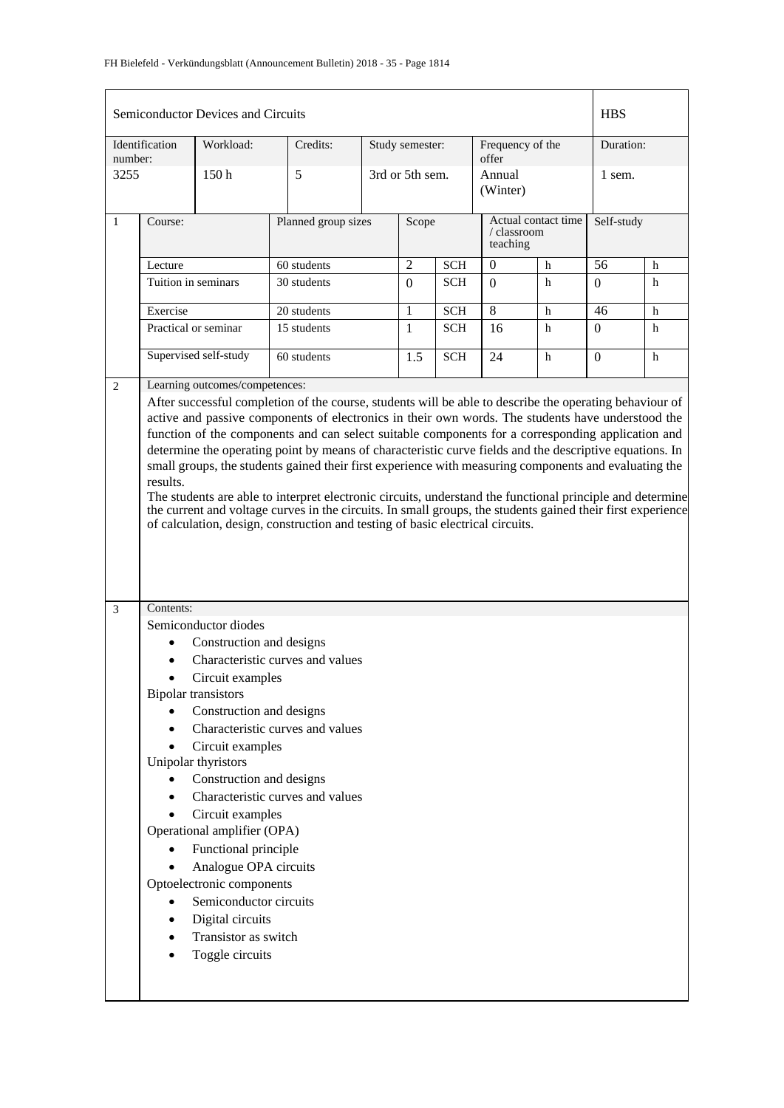|              |                                                     | Semiconductor Devices and Circuits                                                                                                                                                                                                                                                                         |                                  |                     |                 |            |                                                |   | <b>HBS</b> |           |  |
|--------------|-----------------------------------------------------|------------------------------------------------------------------------------------------------------------------------------------------------------------------------------------------------------------------------------------------------------------------------------------------------------------|----------------------------------|---------------------|-----------------|------------|------------------------------------------------|---|------------|-----------|--|
| number:      | Identification                                      | Workload:                                                                                                                                                                                                                                                                                                  | Credits:                         |                     | Study semester: |            | Frequency of the<br>offer                      |   |            | Duration: |  |
| 3255         |                                                     | 150h                                                                                                                                                                                                                                                                                                       | 5                                |                     | 3rd or 5th sem. |            | Annual<br>(Winter)                             |   | 1 sem.     |           |  |
| $\mathbf{1}$ | Course:                                             |                                                                                                                                                                                                                                                                                                            |                                  | Planned group sizes |                 | Scope      | Actual contact time<br>/ classroom<br>teaching |   | Self-study |           |  |
|              | Lecture                                             |                                                                                                                                                                                                                                                                                                            | 60 students                      |                     | $\overline{2}$  | <b>SCH</b> | $\theta$                                       | h | 56         | h         |  |
|              |                                                     | Tuition in seminars                                                                                                                                                                                                                                                                                        | 30 students                      |                     | $\Omega$        | <b>SCH</b> | $\Omega$                                       | h | 0          | h         |  |
|              | Exercise                                            |                                                                                                                                                                                                                                                                                                            | 20 students                      |                     | 1               | <b>SCH</b> | $\overline{8}$                                 | h | 46         | h         |  |
|              |                                                     | Practical or seminar                                                                                                                                                                                                                                                                                       | 15 students                      |                     | 1               | <b>SCH</b> | 16                                             | h | 0          | h         |  |
|              |                                                     | Supervised self-study                                                                                                                                                                                                                                                                                      | 60 students                      |                     | 1.5             | <b>SCH</b> | 24                                             | h | $\Omega$   | h         |  |
| 2            |                                                     | Learning outcomes/competences:                                                                                                                                                                                                                                                                             |                                  |                     |                 |            |                                                |   |            |           |  |
|              | results.                                            | The students are able to interpret electronic circuits, understand the functional principle and determine<br>the current and voltage curves in the circuits. In small groups, the students gained their first experience<br>of calculation, design, construction and testing of basic electrical circuits. |                                  |                     |                 |            |                                                |   |            |           |  |
| 3            | Contents:                                           |                                                                                                                                                                                                                                                                                                            |                                  |                     |                 |            |                                                |   |            |           |  |
|              |                                                     | Semiconductor diodes                                                                                                                                                                                                                                                                                       |                                  |                     |                 |            |                                                |   |            |           |  |
|              |                                                     | Construction and designs                                                                                                                                                                                                                                                                                   |                                  |                     |                 |            |                                                |   |            |           |  |
|              |                                                     |                                                                                                                                                                                                                                                                                                            | Characteristic curves and values |                     |                 |            |                                                |   |            |           |  |
|              |                                                     | Circuit examples                                                                                                                                                                                                                                                                                           |                                  |                     |                 |            |                                                |   |            |           |  |
|              |                                                     | <b>Bipolar transistors</b>                                                                                                                                                                                                                                                                                 |                                  |                     |                 |            |                                                |   |            |           |  |
|              |                                                     | Construction and designs                                                                                                                                                                                                                                                                                   |                                  |                     |                 |            |                                                |   |            |           |  |
|              |                                                     |                                                                                                                                                                                                                                                                                                            | Characteristic curves and values |                     |                 |            |                                                |   |            |           |  |
|              |                                                     | Circuit examples                                                                                                                                                                                                                                                                                           |                                  |                     |                 |            |                                                |   |            |           |  |
|              |                                                     | Unipolar thyristors                                                                                                                                                                                                                                                                                        |                                  |                     |                 |            |                                                |   |            |           |  |
|              |                                                     | Construction and designs                                                                                                                                                                                                                                                                                   | Characteristic curves and values |                     |                 |            |                                                |   |            |           |  |
|              |                                                     | Circuit examples                                                                                                                                                                                                                                                                                           |                                  |                     |                 |            |                                                |   |            |           |  |
|              |                                                     |                                                                                                                                                                                                                                                                                                            |                                  |                     |                 |            |                                                |   |            |           |  |
|              | Operational amplifier (OPA)<br>Functional principle |                                                                                                                                                                                                                                                                                                            |                                  |                     |                 |            |                                                |   |            |           |  |
|              |                                                     | Analogue OPA circuits                                                                                                                                                                                                                                                                                      |                                  |                     |                 |            |                                                |   |            |           |  |
|              |                                                     | Optoelectronic components                                                                                                                                                                                                                                                                                  |                                  |                     |                 |            |                                                |   |            |           |  |
|              |                                                     | Semiconductor circuits                                                                                                                                                                                                                                                                                     |                                  |                     |                 |            |                                                |   |            |           |  |
|              |                                                     | Digital circuits                                                                                                                                                                                                                                                                                           |                                  |                     |                 |            |                                                |   |            |           |  |
|              |                                                     | Transistor as switch                                                                                                                                                                                                                                                                                       |                                  |                     |                 |            |                                                |   |            |           |  |
|              |                                                     | Toggle circuits                                                                                                                                                                                                                                                                                            |                                  |                     |                 |            |                                                |   |            |           |  |
|              |                                                     |                                                                                                                                                                                                                                                                                                            |                                  |                     |                 |            |                                                |   |            |           |  |
|              |                                                     |                                                                                                                                                                                                                                                                                                            |                                  |                     |                 |            |                                                |   |            |           |  |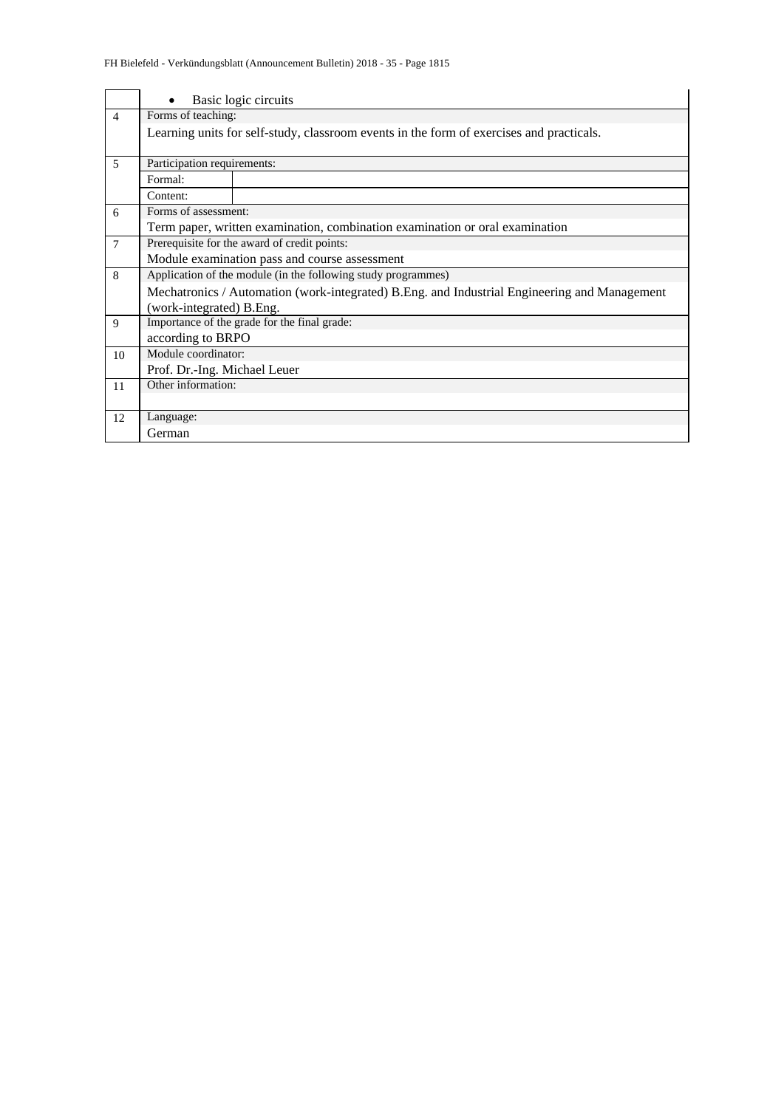|                          | Basic logic circuits                                          |                                                                                              |  |
|--------------------------|---------------------------------------------------------------|----------------------------------------------------------------------------------------------|--|
| $\overline{4}$           | Forms of teaching:                                            |                                                                                              |  |
|                          |                                                               | Learning units for self-study, classroom events in the form of exercises and practicals.     |  |
| 5                        | Participation requirements:                                   |                                                                                              |  |
|                          | Formal:                                                       |                                                                                              |  |
|                          | Content:                                                      |                                                                                              |  |
| 6                        | Forms of assessment:                                          |                                                                                              |  |
|                          |                                                               | Term paper, written examination, combination examination or oral examination                 |  |
| $\overline{7}$           | Prerequisite for the award of credit points:                  |                                                                                              |  |
|                          | Module examination pass and course assessment                 |                                                                                              |  |
| 8                        | Application of the module (in the following study programmes) |                                                                                              |  |
|                          |                                                               | Mechatronics / Automation (work-integrated) B.Eng. and Industrial Engineering and Management |  |
| (work-integrated) B.Eng. |                                                               |                                                                                              |  |
| 9                        |                                                               | Importance of the grade for the final grade:                                                 |  |
|                          | according to BRPO                                             |                                                                                              |  |
| 10                       | Module coordinator:                                           |                                                                                              |  |
|                          | Prof. Dr.-Ing. Michael Leuer                                  |                                                                                              |  |
| 11                       | Other information:                                            |                                                                                              |  |
|                          |                                                               |                                                                                              |  |
| 12                       | Language:                                                     |                                                                                              |  |
|                          | German                                                        |                                                                                              |  |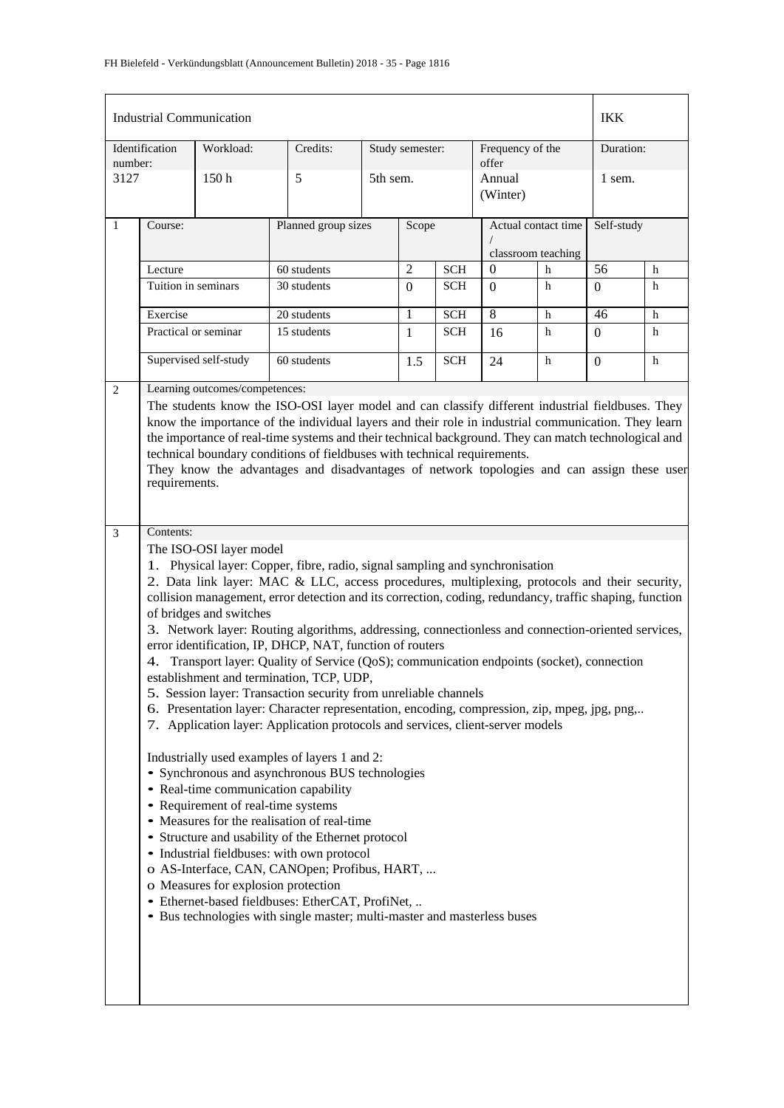|                                                                                                                                                                                                                                                                                                                                                                                                        |                                                                                                                                  |                                                                                                                                                                                                                                                        |                                                                                                                                                                                                               |                                                                                                                                                                                                               |                                                                                                                                                                                      |                                                                                                      | <b>IKK</b>                                                                                                                                                                                                                                                                                                                 |                                                                                                                                                                                                                                                                                                                                                                                                                                                                                                                                                                                                                                                       |  |
|--------------------------------------------------------------------------------------------------------------------------------------------------------------------------------------------------------------------------------------------------------------------------------------------------------------------------------------------------------------------------------------------------------|----------------------------------------------------------------------------------------------------------------------------------|--------------------------------------------------------------------------------------------------------------------------------------------------------------------------------------------------------------------------------------------------------|---------------------------------------------------------------------------------------------------------------------------------------------------------------------------------------------------------------|---------------------------------------------------------------------------------------------------------------------------------------------------------------------------------------------------------------|--------------------------------------------------------------------------------------------------------------------------------------------------------------------------------------|------------------------------------------------------------------------------------------------------|----------------------------------------------------------------------------------------------------------------------------------------------------------------------------------------------------------------------------------------------------------------------------------------------------------------------------|-------------------------------------------------------------------------------------------------------------------------------------------------------------------------------------------------------------------------------------------------------------------------------------------------------------------------------------------------------------------------------------------------------------------------------------------------------------------------------------------------------------------------------------------------------------------------------------------------------------------------------------------------------|--|
| Workload:                                                                                                                                                                                                                                                                                                                                                                                              | Credits:                                                                                                                         |                                                                                                                                                                                                                                                        |                                                                                                                                                                                                               |                                                                                                                                                                                                               |                                                                                                                                                                                      |                                                                                                      |                                                                                                                                                                                                                                                                                                                            | Duration:                                                                                                                                                                                                                                                                                                                                                                                                                                                                                                                                                                                                                                             |  |
| 150 <sub>h</sub>                                                                                                                                                                                                                                                                                                                                                                                       | 5                                                                                                                                |                                                                                                                                                                                                                                                        |                                                                                                                                                                                                               |                                                                                                                                                                                                               | Annual<br>(Winter)                                                                                                                                                                   |                                                                                                      | 1 sem.                                                                                                                                                                                                                                                                                                                     |                                                                                                                                                                                                                                                                                                                                                                                                                                                                                                                                                                                                                                                       |  |
|                                                                                                                                                                                                                                                                                                                                                                                                        |                                                                                                                                  |                                                                                                                                                                                                                                                        | Scope                                                                                                                                                                                                         |                                                                                                                                                                                                               |                                                                                                                                                                                      |                                                                                                      | Self-study                                                                                                                                                                                                                                                                                                                 |                                                                                                                                                                                                                                                                                                                                                                                                                                                                                                                                                                                                                                                       |  |
|                                                                                                                                                                                                                                                                                                                                                                                                        |                                                                                                                                  |                                                                                                                                                                                                                                                        |                                                                                                                                                                                                               |                                                                                                                                                                                                               |                                                                                                                                                                                      |                                                                                                      | h                                                                                                                                                                                                                                                                                                                          |                                                                                                                                                                                                                                                                                                                                                                                                                                                                                                                                                                                                                                                       |  |
|                                                                                                                                                                                                                                                                                                                                                                                                        | 30 students                                                                                                                      |                                                                                                                                                                                                                                                        |                                                                                                                                                                                                               |                                                                                                                                                                                                               |                                                                                                                                                                                      | h                                                                                                    |                                                                                                                                                                                                                                                                                                                            | h                                                                                                                                                                                                                                                                                                                                                                                                                                                                                                                                                                                                                                                     |  |
|                                                                                                                                                                                                                                                                                                                                                                                                        |                                                                                                                                  |                                                                                                                                                                                                                                                        |                                                                                                                                                                                                               |                                                                                                                                                                                                               |                                                                                                                                                                                      |                                                                                                      |                                                                                                                                                                                                                                                                                                                            |                                                                                                                                                                                                                                                                                                                                                                                                                                                                                                                                                                                                                                                       |  |
|                                                                                                                                                                                                                                                                                                                                                                                                        |                                                                                                                                  |                                                                                                                                                                                                                                                        |                                                                                                                                                                                                               |                                                                                                                                                                                                               |                                                                                                                                                                                      |                                                                                                      |                                                                                                                                                                                                                                                                                                                            | h                                                                                                                                                                                                                                                                                                                                                                                                                                                                                                                                                                                                                                                     |  |
|                                                                                                                                                                                                                                                                                                                                                                                                        |                                                                                                                                  |                                                                                                                                                                                                                                                        |                                                                                                                                                                                                               |                                                                                                                                                                                                               |                                                                                                                                                                                      |                                                                                                      |                                                                                                                                                                                                                                                                                                                            | h                                                                                                                                                                                                                                                                                                                                                                                                                                                                                                                                                                                                                                                     |  |
|                                                                                                                                                                                                                                                                                                                                                                                                        | 60 students                                                                                                                      |                                                                                                                                                                                                                                                        | 1.5                                                                                                                                                                                                           | <b>SCH</b>                                                                                                                                                                                                    | 24                                                                                                                                                                                   | h                                                                                                    | $\boldsymbol{0}$                                                                                                                                                                                                                                                                                                           | h                                                                                                                                                                                                                                                                                                                                                                                                                                                                                                                                                                                                                                                     |  |
|                                                                                                                                                                                                                                                                                                                                                                                                        |                                                                                                                                  |                                                                                                                                                                                                                                                        |                                                                                                                                                                                                               |                                                                                                                                                                                                               |                                                                                                                                                                                      |                                                                                                      |                                                                                                                                                                                                                                                                                                                            |                                                                                                                                                                                                                                                                                                                                                                                                                                                                                                                                                                                                                                                       |  |
| know the importance of the individual layers and their role in industrial communication. They learn<br>the importance of real-time systems and their technical background. They can match technological and<br>technical boundary conditions of fieldbuses with technical requirements.<br>They know the advantages and disadvantages of network topologies and can assign these user<br>requirements. |                                                                                                                                  |                                                                                                                                                                                                                                                        |                                                                                                                                                                                                               |                                                                                                                                                                                                               |                                                                                                                                                                                      |                                                                                                      |                                                                                                                                                                                                                                                                                                                            |                                                                                                                                                                                                                                                                                                                                                                                                                                                                                                                                                                                                                                                       |  |
|                                                                                                                                                                                                                                                                                                                                                                                                        |                                                                                                                                  |                                                                                                                                                                                                                                                        |                                                                                                                                                                                                               |                                                                                                                                                                                                               |                                                                                                                                                                                      |                                                                                                      |                                                                                                                                                                                                                                                                                                                            |                                                                                                                                                                                                                                                                                                                                                                                                                                                                                                                                                                                                                                                       |  |
| Course:<br>Lecture                                                                                                                                                                                                                                                                                                                                                                                     | <b>Industrial Communication</b><br>Tuition in seminars<br>Exercise<br>Practical or seminar<br>Supervised self-study<br>Contents: | 60 students<br>20 students<br>15 students<br>Learning outcomes/competences:<br>The ISO-OSI layer model<br>of bridges and switches<br>• Real-time communication capability<br>• Requirement of real-time systems<br>o Measures for explosion protection | Planned group sizes<br>establishment and termination, TCP, UDP,<br>Industrially used examples of layers 1 and 2:<br>• Measures for the realisation of real-time<br>• Industrial fieldbuses: with own protocol | 5th sem.<br>$\overline{2}$<br>$\Omega$<br>1<br>1<br>• Synchronous and asynchronous BUS technologies<br>• Structure and usability of the Ethernet protocol<br>· Ethernet-based fieldbuses: EtherCAT, ProfiNet, | Study semester:<br><b>SCH</b><br><b>SCH</b><br><b>SCH</b><br><b>SCH</b><br>error identification, IP, DHCP, NAT, function of routers<br>o AS-Interface, CAN, CANOpen; Profibus, HART, | offer<br>0<br>$\Omega$<br>8<br>16<br>5. Session layer: Transaction security from unreliable channels | Frequency of the<br>Actual contact time<br>classroom teaching<br>h<br>h<br>h<br>1. Physical layer: Copper, fibre, radio, signal sampling and synchronisation<br>7. Application layer: Application protocols and services, client-server models<br>• Bus technologies with single master; multi-master and masterless buses | 56<br>$\Omega$<br>46<br>$\mathbf{0}$<br>The students know the ISO-OSI layer model and can classify different industrial fieldbuses. They<br>2. Data link layer: MAC & LLC, access procedures, multiplexing, protocols and their security,<br>collision management, error detection and its correction, coding, redundancy, traffic shaping, function<br>3. Network layer: Routing algorithms, addressing, connectionless and connection-oriented services,<br>Transport layer: Quality of Service (QoS); communication endpoints (socket), connection<br>6. Presentation layer: Character representation, encoding, compression, zip, mpeg, jpg, png, |  |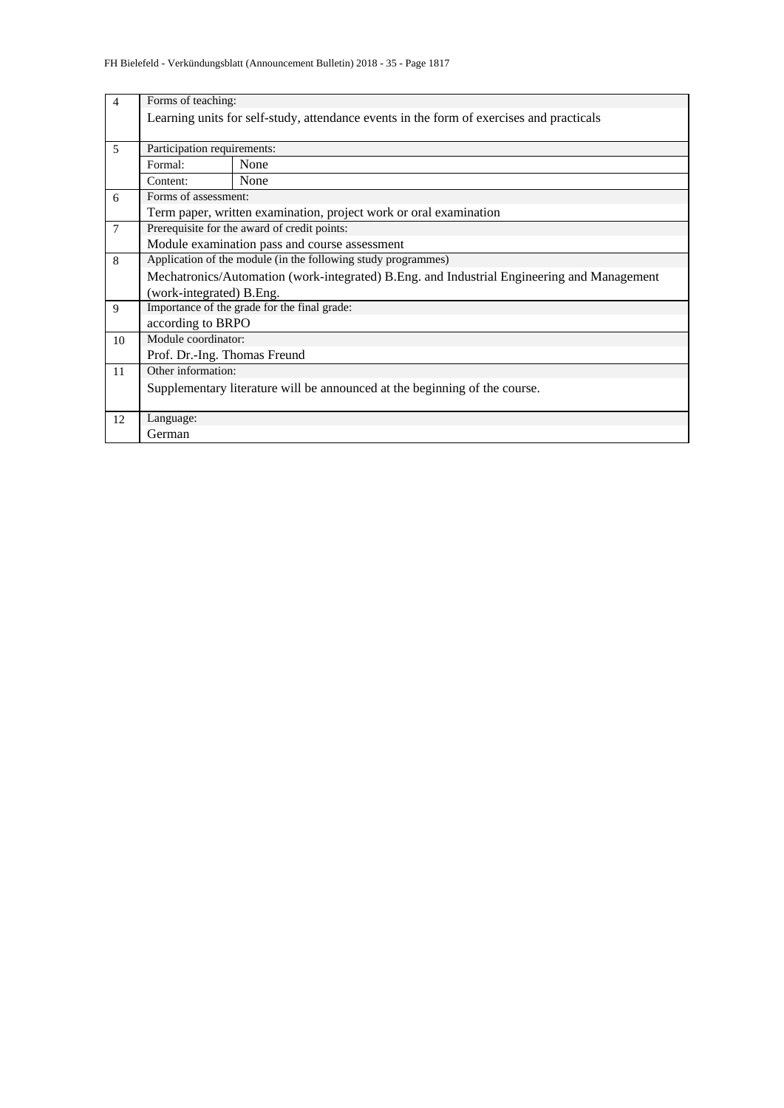| $\overline{4}$ | Forms of teaching:                                                                         |                                                                                          |  |  |  |  |  |  |  |  |
|----------------|--------------------------------------------------------------------------------------------|------------------------------------------------------------------------------------------|--|--|--|--|--|--|--|--|
|                |                                                                                            | Learning units for self-study, attendance events in the form of exercises and practicals |  |  |  |  |  |  |  |  |
|                |                                                                                            |                                                                                          |  |  |  |  |  |  |  |  |
| $\overline{5}$ | Participation requirements:                                                                |                                                                                          |  |  |  |  |  |  |  |  |
|                | Formal:                                                                                    | None                                                                                     |  |  |  |  |  |  |  |  |
|                | Content:                                                                                   | None                                                                                     |  |  |  |  |  |  |  |  |
| 6              | Forms of assessment:                                                                       |                                                                                          |  |  |  |  |  |  |  |  |
|                | Term paper, written examination, project work or oral examination                          |                                                                                          |  |  |  |  |  |  |  |  |
| $\overline{7}$ | Prerequisite for the award of credit points:                                               |                                                                                          |  |  |  |  |  |  |  |  |
|                |                                                                                            | Module examination pass and course assessment                                            |  |  |  |  |  |  |  |  |
| 8              | Application of the module (in the following study programmes)                              |                                                                                          |  |  |  |  |  |  |  |  |
|                | Mechatronics/Automation (work-integrated) B.Eng. and Industrial Engineering and Management |                                                                                          |  |  |  |  |  |  |  |  |
|                | (work-integrated) B.Eng.                                                                   |                                                                                          |  |  |  |  |  |  |  |  |
| 9              |                                                                                            | Importance of the grade for the final grade:                                             |  |  |  |  |  |  |  |  |
|                | according to BRPO                                                                          |                                                                                          |  |  |  |  |  |  |  |  |
| 10             | Module coordinator:                                                                        |                                                                                          |  |  |  |  |  |  |  |  |
|                | Prof. Dr.-Ing. Thomas Freund                                                               |                                                                                          |  |  |  |  |  |  |  |  |
| 11             | Other information:                                                                         |                                                                                          |  |  |  |  |  |  |  |  |
|                |                                                                                            | Supplementary literature will be announced at the beginning of the course.               |  |  |  |  |  |  |  |  |
|                |                                                                                            |                                                                                          |  |  |  |  |  |  |  |  |
| 12             | Language:                                                                                  |                                                                                          |  |  |  |  |  |  |  |  |
|                | German                                                                                     |                                                                                          |  |  |  |  |  |  |  |  |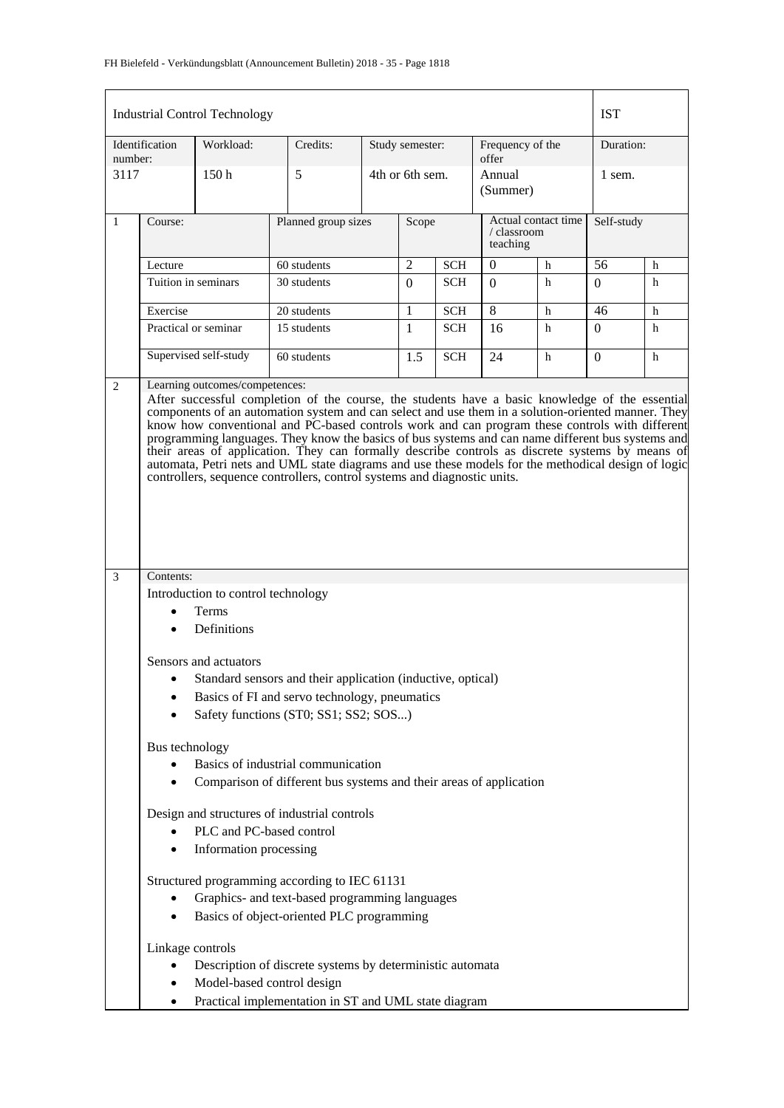|              |                                                                                                                                                                                                                                                                                                                                                                                                                                                                                                        | <b>Industrial Control Technology</b>                                                   |                     |  |                 |            |                                                |   | <b>IST</b> |   |
|--------------|--------------------------------------------------------------------------------------------------------------------------------------------------------------------------------------------------------------------------------------------------------------------------------------------------------------------------------------------------------------------------------------------------------------------------------------------------------------------------------------------------------|----------------------------------------------------------------------------------------|---------------------|--|-----------------|------------|------------------------------------------------|---|------------|---|
| number:      | Identification                                                                                                                                                                                                                                                                                                                                                                                                                                                                                         | Workload:                                                                              | Credits:            |  | Study semester: |            | Frequency of the<br>offer                      |   | Duration:  |   |
| 3117         |                                                                                                                                                                                                                                                                                                                                                                                                                                                                                                        | 150 <sub>h</sub>                                                                       | 5                   |  | 4th or 6th sem. |            | Annual<br>(Summer)                             |   | 1 sem.     |   |
| $\mathbf{1}$ | Course:                                                                                                                                                                                                                                                                                                                                                                                                                                                                                                |                                                                                        | Planned group sizes |  | Scope           |            | Actual contact time<br>/ classroom<br>teaching |   | Self-study |   |
|              | Lecture                                                                                                                                                                                                                                                                                                                                                                                                                                                                                                |                                                                                        | 60 students         |  | 2               | <b>SCH</b> | $\mathbf{0}$                                   | h | 56         | h |
|              | Tuition in seminars                                                                                                                                                                                                                                                                                                                                                                                                                                                                                    |                                                                                        | 30 students         |  | $\Omega$        | SCH        | $\Omega$                                       | h | $\Omega$   | h |
|              | Exercise                                                                                                                                                                                                                                                                                                                                                                                                                                                                                               |                                                                                        | 20 students         |  | 1               | <b>SCH</b> | 8                                              | h | 46         | h |
|              | Practical or seminar                                                                                                                                                                                                                                                                                                                                                                                                                                                                                   |                                                                                        | 15 students         |  | $\mathbf{1}$    | <b>SCH</b> | 16                                             | h | $\Omega$   | h |
|              | Supervised self-study                                                                                                                                                                                                                                                                                                                                                                                                                                                                                  |                                                                                        | 60 students         |  | 1.5             | <b>SCH</b> | 24                                             | h | $\Omega$   | h |
| 3            | know how conventional and PC-based controls work and can program these controls with different<br>programming languages. They know the basics of bus systems and can name different bus systems and<br>their areas of application. They can formally describe controls as discrete systems by means of<br>automata, Petri nets and UML state diagrams and use these models for the methodical design of logic<br>controllers, sequence controllers, control systems and diagnostic units.<br>Contents: |                                                                                        |                     |  |                 |            |                                                |   |            |   |
|              |                                                                                                                                                                                                                                                                                                                                                                                                                                                                                                        | Introduction to control technology                                                     |                     |  |                 |            |                                                |   |            |   |
|              |                                                                                                                                                                                                                                                                                                                                                                                                                                                                                                        | Terms<br>Definitions                                                                   |                     |  |                 |            |                                                |   |            |   |
|              |                                                                                                                                                                                                                                                                                                                                                                                                                                                                                                        | Sensors and actuators                                                                  |                     |  |                 |            |                                                |   |            |   |
|              |                                                                                                                                                                                                                                                                                                                                                                                                                                                                                                        | • Standard sensors and their application (inductive, optical)                          |                     |  |                 |            |                                                |   |            |   |
|              |                                                                                                                                                                                                                                                                                                                                                                                                                                                                                                        | Basics of FI and servo technology, pneumatics<br>Safety functions (ST0; SS1; SS2; SOS) |                     |  |                 |            |                                                |   |            |   |
|              | Bus technology                                                                                                                                                                                                                                                                                                                                                                                                                                                                                         |                                                                                        |                     |  |                 |            |                                                |   |            |   |
|              |                                                                                                                                                                                                                                                                                                                                                                                                                                                                                                        | Basics of industrial communication                                                     |                     |  |                 |            |                                                |   |            |   |
|              |                                                                                                                                                                                                                                                                                                                                                                                                                                                                                                        | Comparison of different bus systems and their areas of application                     |                     |  |                 |            |                                                |   |            |   |
|              |                                                                                                                                                                                                                                                                                                                                                                                                                                                                                                        | Design and structures of industrial controls                                           |                     |  |                 |            |                                                |   |            |   |
|              |                                                                                                                                                                                                                                                                                                                                                                                                                                                                                                        | PLC and PC-based control                                                               |                     |  |                 |            |                                                |   |            |   |
|              |                                                                                                                                                                                                                                                                                                                                                                                                                                                                                                        | Information processing                                                                 |                     |  |                 |            |                                                |   |            |   |
|              |                                                                                                                                                                                                                                                                                                                                                                                                                                                                                                        | Structured programming according to IEC 61131                                          |                     |  |                 |            |                                                |   |            |   |
|              |                                                                                                                                                                                                                                                                                                                                                                                                                                                                                                        | Graphics- and text-based programming languages                                         |                     |  |                 |            |                                                |   |            |   |
|              |                                                                                                                                                                                                                                                                                                                                                                                                                                                                                                        | Basics of object-oriented PLC programming                                              |                     |  |                 |            |                                                |   |            |   |
|              | Linkage controls                                                                                                                                                                                                                                                                                                                                                                                                                                                                                       |                                                                                        |                     |  |                 |            |                                                |   |            |   |
|              |                                                                                                                                                                                                                                                                                                                                                                                                                                                                                                        | Description of discrete systems by deterministic automata                              |                     |  |                 |            |                                                |   |            |   |
|              |                                                                                                                                                                                                                                                                                                                                                                                                                                                                                                        | Model-based control design                                                             |                     |  |                 |            |                                                |   |            |   |
|              |                                                                                                                                                                                                                                                                                                                                                                                                                                                                                                        | Practical implementation in ST and UML state diagram                                   |                     |  |                 |            |                                                |   |            |   |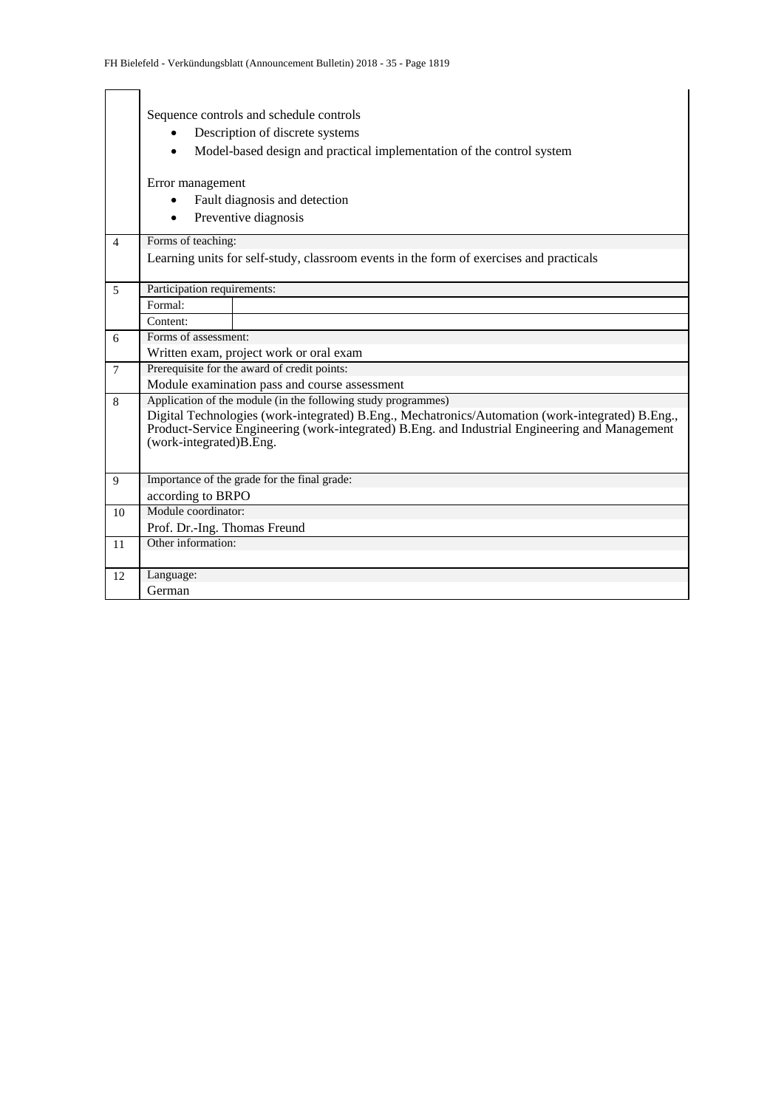|                | Sequence controls and schedule controls                                                                                   |  |  |  |  |  |  |  |  |  |
|----------------|---------------------------------------------------------------------------------------------------------------------------|--|--|--|--|--|--|--|--|--|
|                | Description of discrete systems                                                                                           |  |  |  |  |  |  |  |  |  |
|                | Model-based design and practical implementation of the control system                                                     |  |  |  |  |  |  |  |  |  |
|                |                                                                                                                           |  |  |  |  |  |  |  |  |  |
|                | Error management                                                                                                          |  |  |  |  |  |  |  |  |  |
|                | Fault diagnosis and detection                                                                                             |  |  |  |  |  |  |  |  |  |
|                | Preventive diagnosis                                                                                                      |  |  |  |  |  |  |  |  |  |
|                |                                                                                                                           |  |  |  |  |  |  |  |  |  |
| $\overline{4}$ | Forms of teaching:                                                                                                        |  |  |  |  |  |  |  |  |  |
|                | Learning units for self-study, classroom events in the form of exercises and practicals                                   |  |  |  |  |  |  |  |  |  |
|                |                                                                                                                           |  |  |  |  |  |  |  |  |  |
| 5              | Participation requirements:                                                                                               |  |  |  |  |  |  |  |  |  |
|                | Formal:                                                                                                                   |  |  |  |  |  |  |  |  |  |
|                | Content:                                                                                                                  |  |  |  |  |  |  |  |  |  |
| 6              | Forms of assessment:                                                                                                      |  |  |  |  |  |  |  |  |  |
|                | Written exam, project work or oral exam                                                                                   |  |  |  |  |  |  |  |  |  |
| $\overline{7}$ | Prerequisite for the award of credit points:                                                                              |  |  |  |  |  |  |  |  |  |
|                | Module examination pass and course assessment                                                                             |  |  |  |  |  |  |  |  |  |
| 8              | Application of the module (in the following study programmes)                                                             |  |  |  |  |  |  |  |  |  |
|                | Digital Technologies (work-integrated) B.Eng., Mechatronics/Automation (work-integrated) B.Eng.,                          |  |  |  |  |  |  |  |  |  |
|                | Product-Service Engineering (work-integrated) B.Eng. and Industrial Engineering and Management<br>(work-integrated)B.Eng. |  |  |  |  |  |  |  |  |  |
|                |                                                                                                                           |  |  |  |  |  |  |  |  |  |
|                |                                                                                                                           |  |  |  |  |  |  |  |  |  |
| $\mathbf{Q}$   | Importance of the grade for the final grade:                                                                              |  |  |  |  |  |  |  |  |  |
|                | according to BRPO                                                                                                         |  |  |  |  |  |  |  |  |  |
| 10             | Module coordinator:                                                                                                       |  |  |  |  |  |  |  |  |  |
|                | Prof. Dr.-Ing. Thomas Freund                                                                                              |  |  |  |  |  |  |  |  |  |
| 11             | Other information:                                                                                                        |  |  |  |  |  |  |  |  |  |
|                |                                                                                                                           |  |  |  |  |  |  |  |  |  |
| 12             | Language:                                                                                                                 |  |  |  |  |  |  |  |  |  |
|                | German                                                                                                                    |  |  |  |  |  |  |  |  |  |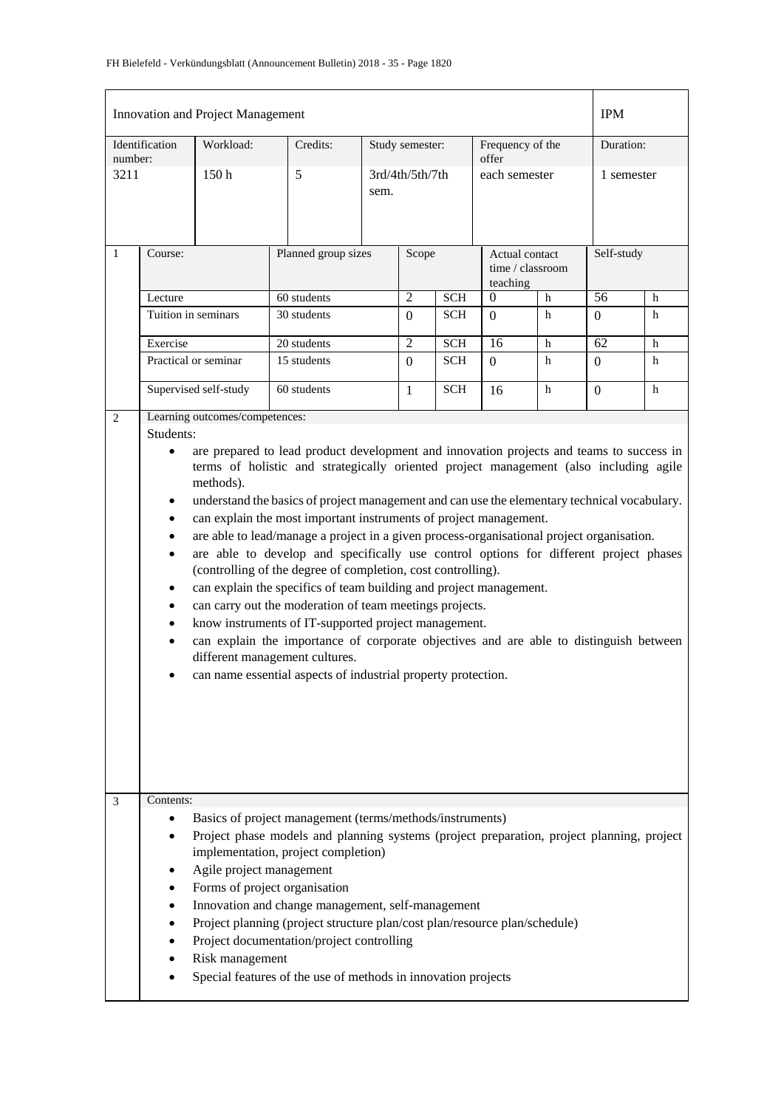|              |                                                                                                                                                                                                                                                                                                                                                                                                                                                                                                                                                                                                                                                                                                                                                                                                                                                                                                                                                                                                                                                                                                         | Innovation and Project Management           |                                                                                                                                                                                                                                                                                                                                                                                                                                                                                |      |                 |            |                                                |   | <b>IPM</b> |   |
|--------------|---------------------------------------------------------------------------------------------------------------------------------------------------------------------------------------------------------------------------------------------------------------------------------------------------------------------------------------------------------------------------------------------------------------------------------------------------------------------------------------------------------------------------------------------------------------------------------------------------------------------------------------------------------------------------------------------------------------------------------------------------------------------------------------------------------------------------------------------------------------------------------------------------------------------------------------------------------------------------------------------------------------------------------------------------------------------------------------------------------|---------------------------------------------|--------------------------------------------------------------------------------------------------------------------------------------------------------------------------------------------------------------------------------------------------------------------------------------------------------------------------------------------------------------------------------------------------------------------------------------------------------------------------------|------|-----------------|------------|------------------------------------------------|---|------------|---|
| number:      | Identification                                                                                                                                                                                                                                                                                                                                                                                                                                                                                                                                                                                                                                                                                                                                                                                                                                                                                                                                                                                                                                                                                          | Workload:                                   | Credits:                                                                                                                                                                                                                                                                                                                                                                                                                                                                       |      | Study semester: |            | Frequency of the<br>offer                      |   | Duration:  |   |
| 3211         |                                                                                                                                                                                                                                                                                                                                                                                                                                                                                                                                                                                                                                                                                                                                                                                                                                                                                                                                                                                                                                                                                                         | 150 <sub>h</sub>                            | 5                                                                                                                                                                                                                                                                                                                                                                                                                                                                              | sem. | 3rd/4th/5th/7th |            | each semester                                  |   | 1 semester |   |
| $\mathbf{1}$ | Course:                                                                                                                                                                                                                                                                                                                                                                                                                                                                                                                                                                                                                                                                                                                                                                                                                                                                                                                                                                                                                                                                                                 |                                             | Planned group sizes                                                                                                                                                                                                                                                                                                                                                                                                                                                            |      | Scope           |            | Actual contact<br>time / classroom<br>teaching |   | Self-study |   |
|              | Lecture                                                                                                                                                                                                                                                                                                                                                                                                                                                                                                                                                                                                                                                                                                                                                                                                                                                                                                                                                                                                                                                                                                 |                                             | 60 students                                                                                                                                                                                                                                                                                                                                                                                                                                                                    |      | $\overline{2}$  | <b>SCH</b> | $\overline{0}$                                 | h | 56         | h |
|              | Tuition in seminars                                                                                                                                                                                                                                                                                                                                                                                                                                                                                                                                                                                                                                                                                                                                                                                                                                                                                                                                                                                                                                                                                     |                                             | 30 students                                                                                                                                                                                                                                                                                                                                                                                                                                                                    |      | $\Omega$        | <b>SCH</b> | $\Omega$                                       | h | $\Omega$   | h |
|              | Exercise                                                                                                                                                                                                                                                                                                                                                                                                                                                                                                                                                                                                                                                                                                                                                                                                                                                                                                                                                                                                                                                                                                |                                             | 20 students                                                                                                                                                                                                                                                                                                                                                                                                                                                                    |      | $\mathfrak{2}$  | <b>SCH</b> | 16                                             | h | 62         | h |
|              |                                                                                                                                                                                                                                                                                                                                                                                                                                                                                                                                                                                                                                                                                                                                                                                                                                                                                                                                                                                                                                                                                                         | Practical or seminar                        | 15 students                                                                                                                                                                                                                                                                                                                                                                                                                                                                    |      | $\Omega$        | <b>SCH</b> | $\Omega$                                       | h | $\Omega$   | h |
|              |                                                                                                                                                                                                                                                                                                                                                                                                                                                                                                                                                                                                                                                                                                                                                                                                                                                                                                                                                                                                                                                                                                         | Supervised self-study                       | 60 students                                                                                                                                                                                                                                                                                                                                                                                                                                                                    |      | $\mathbf{1}$    | <b>SCH</b> | 16                                             | h | $\Omega$   | h |
| 3            | Students:<br>are prepared to lead product development and innovation projects and teams to success in<br>$\bullet$<br>terms of holistic and strategically oriented project management (also including agile<br>methods).<br>understand the basics of project management and can use the elementary technical vocabulary.<br>can explain the most important instruments of project management.<br>$\bullet$<br>are able to lead/manage a project in a given process-organisational project organisation.<br>$\bullet$<br>are able to develop and specifically use control options for different project phases<br>٠<br>(controlling of the degree of completion, cost controlling).<br>can explain the specifics of team building and project management.<br>٠<br>can carry out the moderation of team meetings projects.<br>know instruments of IT-supported project management.<br>$\bullet$<br>can explain the importance of corporate objectives and are able to distinguish between<br>different management cultures.<br>can name essential aspects of industrial property protection.<br>Contents: |                                             |                                                                                                                                                                                                                                                                                                                                                                                                                                                                                |      |                 |            |                                                |   |            |   |
|              |                                                                                                                                                                                                                                                                                                                                                                                                                                                                                                                                                                                                                                                                                                                                                                                                                                                                                                                                                                                                                                                                                                         | Agile project management<br>Risk management | Basics of project management (terms/methods/instruments)<br>Project phase models and planning systems (project preparation, project planning, project<br>implementation, project completion)<br>Forms of project organisation<br>Innovation and change management, self-management<br>Project planning (project structure plan/cost plan/resource plan/schedule)<br>Project documentation/project controlling<br>Special features of the use of methods in innovation projects |      |                 |            |                                                |   |            |   |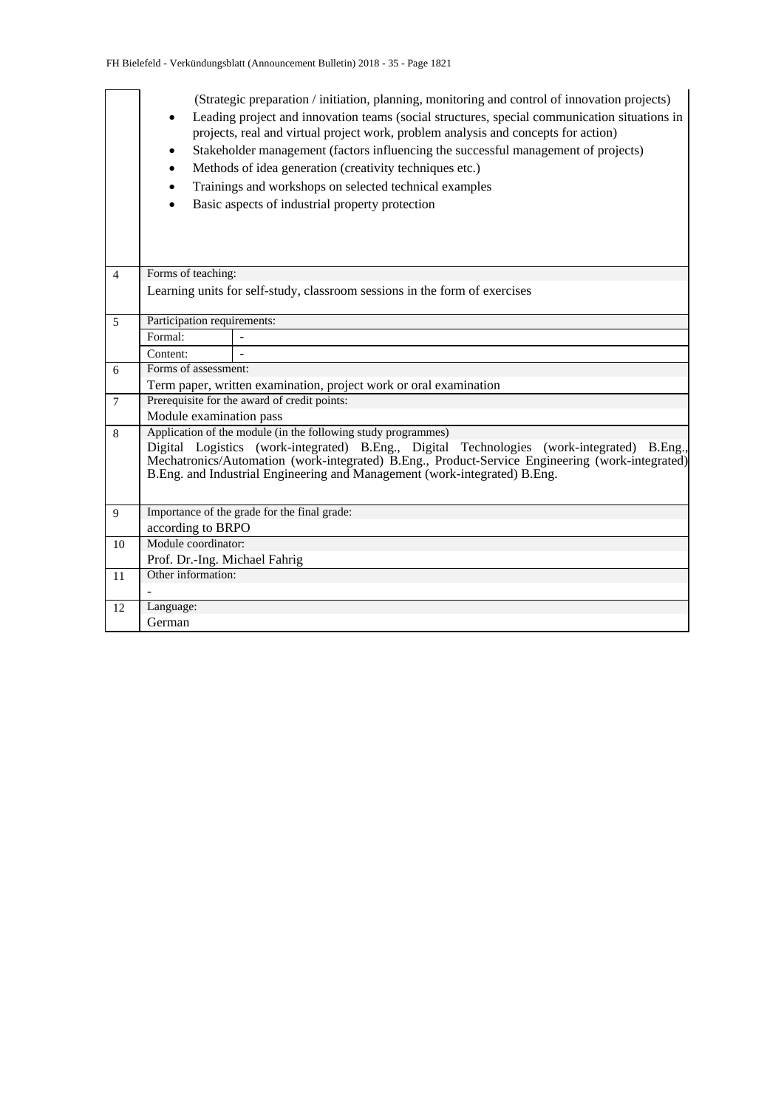|                | (Strategic preparation / initiation, planning, monitoring and control of innovation projects)<br>Leading project and innovation teams (social structures, special communication situations in<br>projects, real and virtual project work, problem analysis and concepts for action)<br>Stakeholder management (factors influencing the successful management of projects)<br>Methods of idea generation (creativity techniques etc.)<br>Trainings and workshops on selected technical examples<br>Basic aspects of industrial property protection<br>Forms of teaching: |                                                                   |  |  |  |  |  |  |  |  |  |
|----------------|-------------------------------------------------------------------------------------------------------------------------------------------------------------------------------------------------------------------------------------------------------------------------------------------------------------------------------------------------------------------------------------------------------------------------------------------------------------------------------------------------------------------------------------------------------------------------|-------------------------------------------------------------------|--|--|--|--|--|--|--|--|--|
| $\overline{4}$ |                                                                                                                                                                                                                                                                                                                                                                                                                                                                                                                                                                         |                                                                   |  |  |  |  |  |  |  |  |  |
|                | Learning units for self-study, classroom sessions in the form of exercises                                                                                                                                                                                                                                                                                                                                                                                                                                                                                              |                                                                   |  |  |  |  |  |  |  |  |  |
| 5              | Participation requirements:                                                                                                                                                                                                                                                                                                                                                                                                                                                                                                                                             |                                                                   |  |  |  |  |  |  |  |  |  |
|                | Formal:                                                                                                                                                                                                                                                                                                                                                                                                                                                                                                                                                                 |                                                                   |  |  |  |  |  |  |  |  |  |
|                | Content:                                                                                                                                                                                                                                                                                                                                                                                                                                                                                                                                                                |                                                                   |  |  |  |  |  |  |  |  |  |
| 6              | Forms of assessment:                                                                                                                                                                                                                                                                                                                                                                                                                                                                                                                                                    |                                                                   |  |  |  |  |  |  |  |  |  |
|                |                                                                                                                                                                                                                                                                                                                                                                                                                                                                                                                                                                         | Term paper, written examination, project work or oral examination |  |  |  |  |  |  |  |  |  |
| $\overline{7}$ |                                                                                                                                                                                                                                                                                                                                                                                                                                                                                                                                                                         | Prerequisite for the award of credit points:                      |  |  |  |  |  |  |  |  |  |
|                | Module examination pass                                                                                                                                                                                                                                                                                                                                                                                                                                                                                                                                                 |                                                                   |  |  |  |  |  |  |  |  |  |
| 8              | Application of the module (in the following study programmes)<br>Digital Logistics (work-integrated) B.Eng., Digital Technologies (work-integrated) B.Eng.,<br>Mechatronics/Automation (work-integrated) B.Eng., Product-Service Engineering (work-integrated)<br>B.Eng. and Industrial Engineering and Management (work-integrated) B.Eng.                                                                                                                                                                                                                             |                                                                   |  |  |  |  |  |  |  |  |  |
| 9              |                                                                                                                                                                                                                                                                                                                                                                                                                                                                                                                                                                         | Importance of the grade for the final grade:                      |  |  |  |  |  |  |  |  |  |
|                | according to BRPO                                                                                                                                                                                                                                                                                                                                                                                                                                                                                                                                                       |                                                                   |  |  |  |  |  |  |  |  |  |
| 10             | Module coordinator:                                                                                                                                                                                                                                                                                                                                                                                                                                                                                                                                                     |                                                                   |  |  |  |  |  |  |  |  |  |
|                | Prof. Dr.-Ing. Michael Fahrig                                                                                                                                                                                                                                                                                                                                                                                                                                                                                                                                           |                                                                   |  |  |  |  |  |  |  |  |  |
| 11             | Other information:                                                                                                                                                                                                                                                                                                                                                                                                                                                                                                                                                      |                                                                   |  |  |  |  |  |  |  |  |  |
|                |                                                                                                                                                                                                                                                                                                                                                                                                                                                                                                                                                                         |                                                                   |  |  |  |  |  |  |  |  |  |
| 12             | Language:                                                                                                                                                                                                                                                                                                                                                                                                                                                                                                                                                               |                                                                   |  |  |  |  |  |  |  |  |  |
|                | German                                                                                                                                                                                                                                                                                                                                                                                                                                                                                                                                                                  |                                                                   |  |  |  |  |  |  |  |  |  |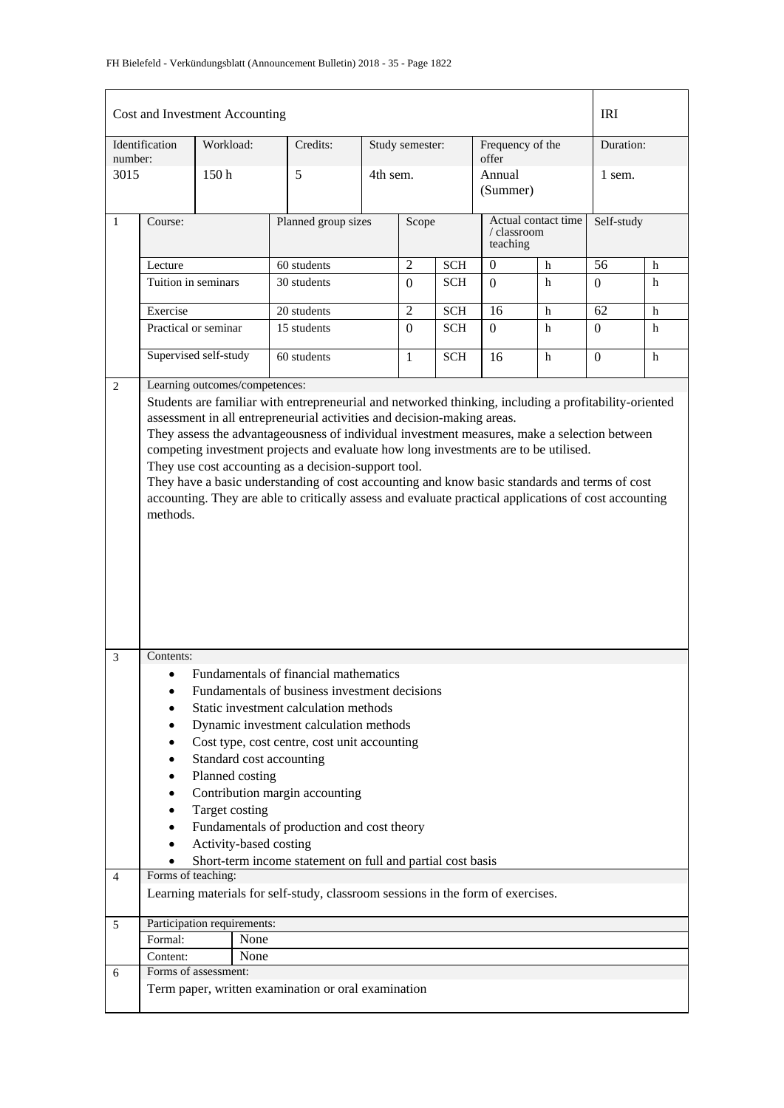## FH Bielefeld - Verkündungsblatt (Announcement Bulletin) 2018 - 35 - Page 1822

|                |                     | Cost and Investment Accounting |                                                                                                                                                                                     |          |                 |            |                           |                     | <b>IRI</b>     |   |
|----------------|---------------------|--------------------------------|-------------------------------------------------------------------------------------------------------------------------------------------------------------------------------------|----------|-----------------|------------|---------------------------|---------------------|----------------|---|
| number:        | Identification      | Workload:                      | Credits:                                                                                                                                                                            |          | Study semester: |            | Frequency of the<br>offer |                     | Duration:      |   |
| 3015           |                     | 150 <sub>h</sub>               | 5                                                                                                                                                                                   | 4th sem. |                 |            | Annual<br>(Summer)        |                     | 1 sem.         |   |
| $\mathbf{1}$   | Course:             |                                | Planned group sizes                                                                                                                                                                 |          | Scope           |            | / classroom<br>teaching   | Actual contact time | Self-study     |   |
|                | Lecture             |                                | 60 students                                                                                                                                                                         |          | $\overline{2}$  | <b>SCH</b> | $\theta$                  | h                   | 56             | h |
|                | Tuition in seminars |                                | 30 students                                                                                                                                                                         |          | $\Omega$        | <b>SCH</b> | $\Omega$                  | h                   | $\Omega$       | h |
|                | Exercise            |                                | 20 students                                                                                                                                                                         |          | $\overline{2}$  | <b>SCH</b> | 16                        | h                   | 62             | h |
|                |                     | Practical or seminar           | 15 students                                                                                                                                                                         |          | $\Omega$        | <b>SCH</b> | $\Omega$                  | h                   | $\overline{0}$ | h |
|                |                     | Supervised self-study          | 60 students                                                                                                                                                                         |          | 1               | <b>SCH</b> | 16                        | h                   | $\Omega$       | h |
| 2              |                     | Learning outcomes/competences: |                                                                                                                                                                                     |          |                 |            |                           |                     |                |   |
|                |                     |                                | Students are familiar with entrepreneurial and networked thinking, including a profitability-oriented                                                                               |          |                 |            |                           |                     |                |   |
|                |                     |                                | assessment in all entrepreneurial activities and decision-making areas.                                                                                                             |          |                 |            |                           |                     |                |   |
|                |                     |                                | They assess the advantageousness of individual investment measures, make a selection between<br>competing investment projects and evaluate how long investments are to be utilised. |          |                 |            |                           |                     |                |   |
|                |                     |                                | They use cost accounting as a decision-support tool.                                                                                                                                |          |                 |            |                           |                     |                |   |
|                |                     |                                | They have a basic understanding of cost accounting and know basic standards and terms of cost                                                                                       |          |                 |            |                           |                     |                |   |
|                |                     |                                | accounting. They are able to critically assess and evaluate practical applications of cost accounting                                                                               |          |                 |            |                           |                     |                |   |
|                | methods.            |                                |                                                                                                                                                                                     |          |                 |            |                           |                     |                |   |
|                |                     |                                |                                                                                                                                                                                     |          |                 |            |                           |                     |                |   |
|                |                     |                                |                                                                                                                                                                                     |          |                 |            |                           |                     |                |   |
|                |                     |                                |                                                                                                                                                                                     |          |                 |            |                           |                     |                |   |
|                |                     |                                |                                                                                                                                                                                     |          |                 |            |                           |                     |                |   |
|                |                     |                                |                                                                                                                                                                                     |          |                 |            |                           |                     |                |   |
|                |                     |                                |                                                                                                                                                                                     |          |                 |            |                           |                     |                |   |
| 3              | Contents:           |                                |                                                                                                                                                                                     |          |                 |            |                           |                     |                |   |
|                |                     |                                | Fundamentals of financial mathematics                                                                                                                                               |          |                 |            |                           |                     |                |   |
|                | $\bullet$           |                                | Fundamentals of business investment decisions                                                                                                                                       |          |                 |            |                           |                     |                |   |
|                |                     |                                | Static investment calculation methods                                                                                                                                               |          |                 |            |                           |                     |                |   |
|                |                     |                                | Dynamic investment calculation methods                                                                                                                                              |          |                 |            |                           |                     |                |   |
|                |                     |                                | Cost type, cost centre, cost unit accounting                                                                                                                                        |          |                 |            |                           |                     |                |   |
|                |                     | Standard cost accounting       |                                                                                                                                                                                     |          |                 |            |                           |                     |                |   |
|                |                     | Planned costing                |                                                                                                                                                                                     |          |                 |            |                           |                     |                |   |
|                |                     | Target costing                 | Contribution margin accounting                                                                                                                                                      |          |                 |            |                           |                     |                |   |
|                |                     |                                | Fundamentals of production and cost theory                                                                                                                                          |          |                 |            |                           |                     |                |   |
|                | $\bullet$           | Activity-based costing         |                                                                                                                                                                                     |          |                 |            |                           |                     |                |   |
|                |                     |                                | Short-term income statement on full and partial cost basis                                                                                                                          |          |                 |            |                           |                     |                |   |
| $\overline{4}$ | Forms of teaching:  |                                |                                                                                                                                                                                     |          |                 |            |                           |                     |                |   |
|                |                     |                                | Learning materials for self-study, classroom sessions in the form of exercises.                                                                                                     |          |                 |            |                           |                     |                |   |
| 5              |                     | Participation requirements:    |                                                                                                                                                                                     |          |                 |            |                           |                     |                |   |
|                | Formal:             | None                           |                                                                                                                                                                                     |          |                 |            |                           |                     |                |   |
|                | Content:            | None<br>Forms of assessment:   |                                                                                                                                                                                     |          |                 |            |                           |                     |                |   |
| 6              |                     |                                | Term paper, written examination or oral examination                                                                                                                                 |          |                 |            |                           |                     |                |   |
|                |                     |                                |                                                                                                                                                                                     |          |                 |            |                           |                     |                |   |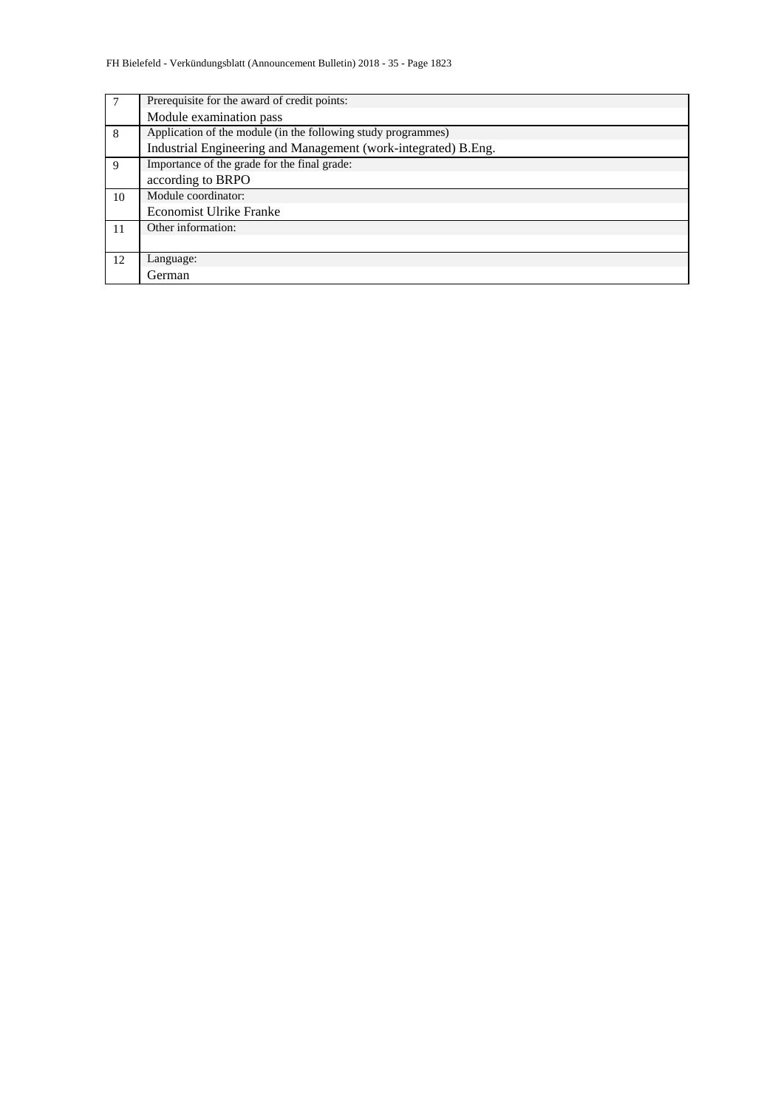|    | Prerequisite for the award of credit points:                   |
|----|----------------------------------------------------------------|
|    | Module examination pass                                        |
| 8  | Application of the module (in the following study programmes)  |
|    | Industrial Engineering and Management (work-integrated) B.Eng. |
| 9  | Importance of the grade for the final grade:                   |
|    | according to BRPO                                              |
| 10 | Module coordinator:                                            |
|    | <b>Economist Ulrike Franke</b>                                 |
| 11 | Other information:                                             |
|    |                                                                |
| 12 | Language:                                                      |
|    | German                                                         |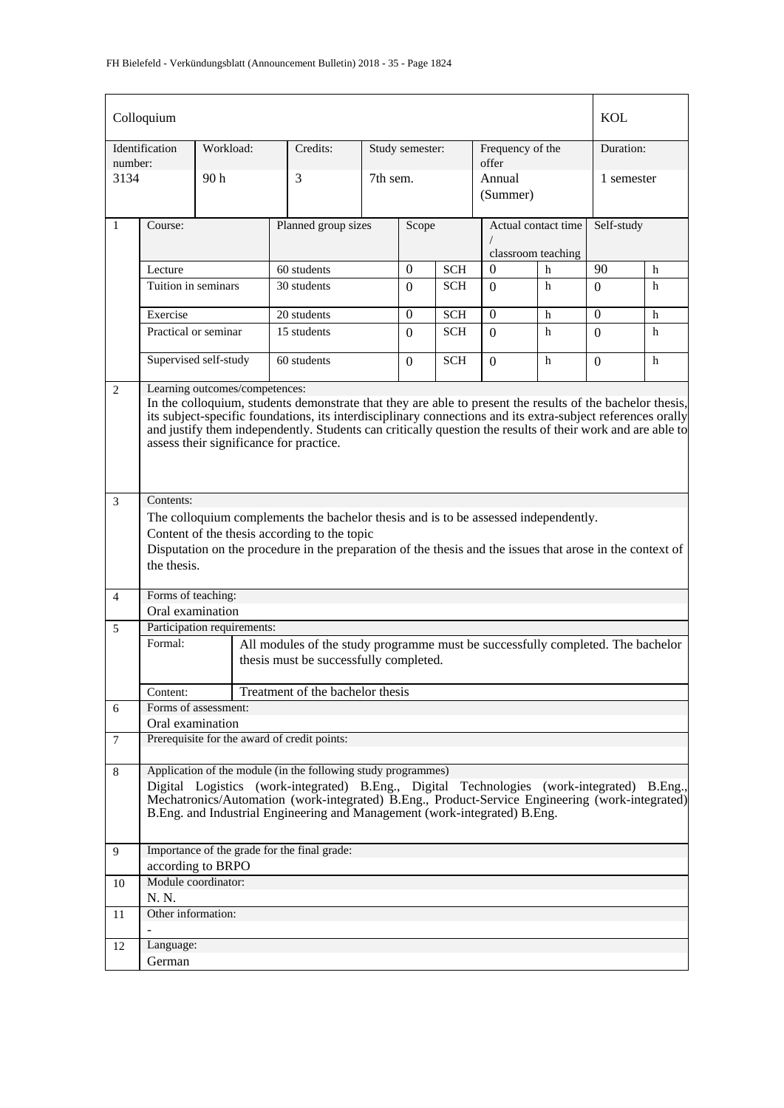|                | Colloquium                                                                                                                                                                                                                                                                                                                                                                                                          |                                          |                                                                                                                                                                                                                                                                                                                                             |                     |                 |            |                                           |   | <b>KOL</b> |   |  |
|----------------|---------------------------------------------------------------------------------------------------------------------------------------------------------------------------------------------------------------------------------------------------------------------------------------------------------------------------------------------------------------------------------------------------------------------|------------------------------------------|---------------------------------------------------------------------------------------------------------------------------------------------------------------------------------------------------------------------------------------------------------------------------------------------------------------------------------------------|---------------------|-----------------|------------|-------------------------------------------|---|------------|---|--|
| number:        | Identification                                                                                                                                                                                                                                                                                                                                                                                                      | Workload:                                | Credits:                                                                                                                                                                                                                                                                                                                                    |                     | Study semester: |            | Frequency of the<br>offer                 |   | Duration:  |   |  |
| 3134           |                                                                                                                                                                                                                                                                                                                                                                                                                     | 90 h                                     | 3                                                                                                                                                                                                                                                                                                                                           | 7th sem.            |                 |            | Annual<br>(Summer)                        |   | 1 semester |   |  |
| $\mathbf{1}$   | Course:                                                                                                                                                                                                                                                                                                                                                                                                             |                                          |                                                                                                                                                                                                                                                                                                                                             | Planned group sizes |                 |            | Actual contact time<br>classroom teaching |   | Self-study |   |  |
|                | Lecture                                                                                                                                                                                                                                                                                                                                                                                                             |                                          | 60 students                                                                                                                                                                                                                                                                                                                                 |                     | $\overline{0}$  | <b>SCH</b> | $\theta$                                  | h | 90         | h |  |
|                | Tuition in seminars                                                                                                                                                                                                                                                                                                                                                                                                 |                                          | 30 students                                                                                                                                                                                                                                                                                                                                 |                     |                 | <b>SCH</b> | $\Omega$                                  | h | 0          | h |  |
|                | Exercise                                                                                                                                                                                                                                                                                                                                                                                                            |                                          | 20 students                                                                                                                                                                                                                                                                                                                                 |                     | $\overline{0}$  | <b>SCH</b> | $\Omega$                                  | h | 0          | h |  |
|                | Practical or seminar                                                                                                                                                                                                                                                                                                                                                                                                |                                          | 15 students                                                                                                                                                                                                                                                                                                                                 |                     | $\Omega$        | <b>SCH</b> | $\Omega$                                  | h | 0          | h |  |
|                |                                                                                                                                                                                                                                                                                                                                                                                                                     | Supervised self-study                    | 60 students                                                                                                                                                                                                                                                                                                                                 |                     | $\theta$        | <b>SCH</b> | $\Omega$                                  | h | 0          | h |  |
| $\overline{2}$ | Learning outcomes/competences:<br>In the colloquium, students demonstrate that they are able to present the results of the bachelor thesis,<br>its subject-specific foundations, its interdisciplinary connections and its extra-subject references orally<br>and justify them independently. Students can critically question the results of their work and are able to<br>assess their significance for practice. |                                          |                                                                                                                                                                                                                                                                                                                                             |                     |                 |            |                                           |   |            |   |  |
| 3              | Contents:                                                                                                                                                                                                                                                                                                                                                                                                           |                                          |                                                                                                                                                                                                                                                                                                                                             |                     |                 |            |                                           |   |            |   |  |
|                | The colloquium complements the bachelor thesis and is to be assessed independently.<br>Content of the thesis according to the topic                                                                                                                                                                                                                                                                                 |                                          |                                                                                                                                                                                                                                                                                                                                             |                     |                 |            |                                           |   |            |   |  |
|                | the thesis.                                                                                                                                                                                                                                                                                                                                                                                                         |                                          | Disputation on the procedure in the preparation of the thesis and the issues that arose in the context of                                                                                                                                                                                                                                   |                     |                 |            |                                           |   |            |   |  |
| $\overline{4}$ | Forms of teaching:                                                                                                                                                                                                                                                                                                                                                                                                  |                                          |                                                                                                                                                                                                                                                                                                                                             |                     |                 |            |                                           |   |            |   |  |
|                | Oral examination                                                                                                                                                                                                                                                                                                                                                                                                    |                                          |                                                                                                                                                                                                                                                                                                                                             |                     |                 |            |                                           |   |            |   |  |
| 5              |                                                                                                                                                                                                                                                                                                                                                                                                                     | Participation requirements:              |                                                                                                                                                                                                                                                                                                                                             |                     |                 |            |                                           |   |            |   |  |
|                | Formal:                                                                                                                                                                                                                                                                                                                                                                                                             |                                          | All modules of the study programme must be successfully completed. The bachelor<br>thesis must be successfully completed.                                                                                                                                                                                                                   |                     |                 |            |                                           |   |            |   |  |
|                | Content:                                                                                                                                                                                                                                                                                                                                                                                                            |                                          | Treatment of the bachelor thesis                                                                                                                                                                                                                                                                                                            |                     |                 |            |                                           |   |            |   |  |
| 6              |                                                                                                                                                                                                                                                                                                                                                                                                                     | Forms of assessment:                     |                                                                                                                                                                                                                                                                                                                                             |                     |                 |            |                                           |   |            |   |  |
|                | Oral examination                                                                                                                                                                                                                                                                                                                                                                                                    |                                          | Prerequisite for the award of credit points:                                                                                                                                                                                                                                                                                                |                     |                 |            |                                           |   |            |   |  |
| 7              |                                                                                                                                                                                                                                                                                                                                                                                                                     |                                          |                                                                                                                                                                                                                                                                                                                                             |                     |                 |            |                                           |   |            |   |  |
| 8              |                                                                                                                                                                                                                                                                                                                                                                                                                     |                                          | Application of the module (in the following study programmes)<br>Digital Logistics (work-integrated) B.Eng., Digital Technologies (work-integrated) B.Eng.,<br>Mechatronics/Automation (work-integrated) B.Eng., Product-Service Engineering (work-integrated)<br>B.Eng. and Industrial Engineering and Management (work-integrated) B.Eng. |                     |                 |            |                                           |   |            |   |  |
| $\overline{9}$ |                                                                                                                                                                                                                                                                                                                                                                                                                     |                                          | Importance of the grade for the final grade:                                                                                                                                                                                                                                                                                                |                     |                 |            |                                           |   |            |   |  |
|                |                                                                                                                                                                                                                                                                                                                                                                                                                     | according to BRPO<br>Module coordinator: |                                                                                                                                                                                                                                                                                                                                             |                     |                 |            |                                           |   |            |   |  |
| 10             | N. N.                                                                                                                                                                                                                                                                                                                                                                                                               |                                          |                                                                                                                                                                                                                                                                                                                                             |                     |                 |            |                                           |   |            |   |  |
| 11             | Other information:                                                                                                                                                                                                                                                                                                                                                                                                  |                                          |                                                                                                                                                                                                                                                                                                                                             |                     |                 |            |                                           |   |            |   |  |
| 12             | Language:                                                                                                                                                                                                                                                                                                                                                                                                           |                                          |                                                                                                                                                                                                                                                                                                                                             |                     |                 |            |                                           |   |            |   |  |
|                | German                                                                                                                                                                                                                                                                                                                                                                                                              |                                          |                                                                                                                                                                                                                                                                                                                                             |                     |                 |            |                                           |   |            |   |  |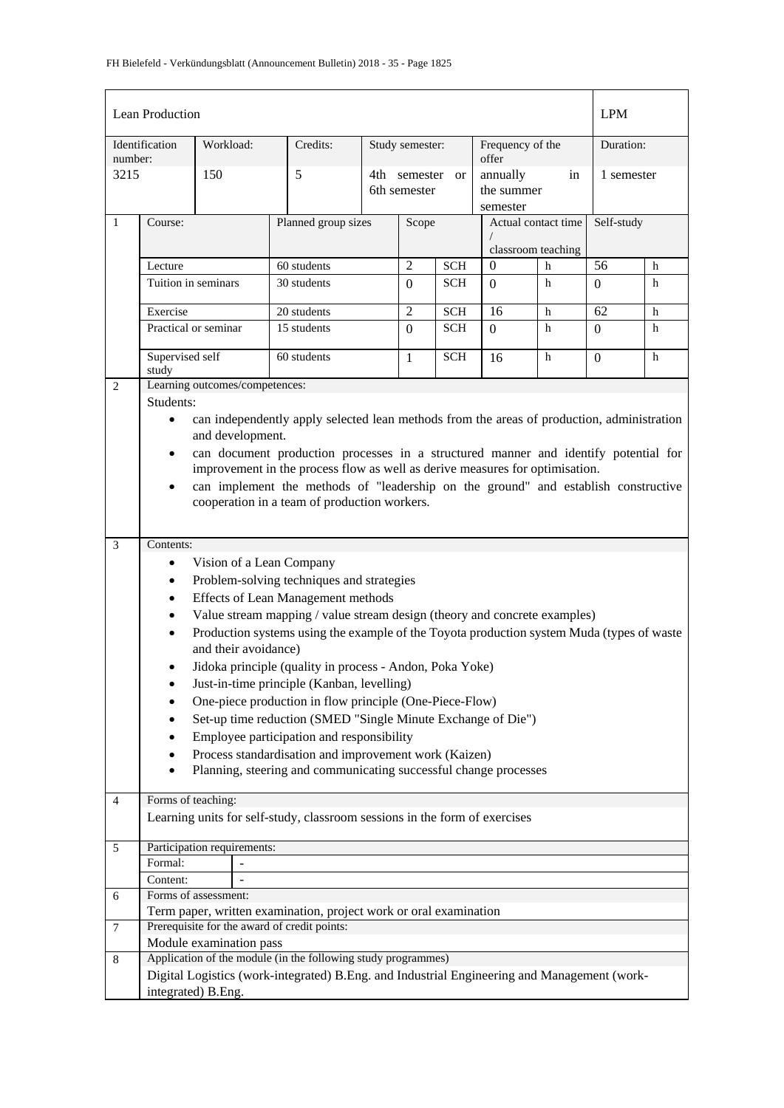|                | Lean Production                                                                                                                                                                  |                                |                                                                                                                           |  |                              |                          |                                    |        | <b>LPM</b>     |        |
|----------------|----------------------------------------------------------------------------------------------------------------------------------------------------------------------------------|--------------------------------|---------------------------------------------------------------------------------------------------------------------------|--|------------------------------|--------------------------|------------------------------------|--------|----------------|--------|
| number:        | Identification                                                                                                                                                                   | Workload:                      | Credits:                                                                                                                  |  | Study semester:              |                          | Frequency of the<br>offer          |        | Duration:      |        |
| 3215           |                                                                                                                                                                                  | 150                            | 5                                                                                                                         |  | 4th semester<br>6th semester | <sub>or</sub>            | annually<br>the summer<br>semester | in     | 1 semester     |        |
| $\mathbf{1}$   | Course:                                                                                                                                                                          |                                | Planned group sizes                                                                                                       |  | Scope                        |                          | Actual contact time                |        | Self-study     |        |
|                |                                                                                                                                                                                  |                                |                                                                                                                           |  |                              |                          | classroom teaching<br>$\mathbf{0}$ |        | 56             |        |
|                | Lecture<br>Tuition in seminars                                                                                                                                                   |                                | 60 students<br>30 students                                                                                                |  | $\overline{2}$<br>$\Omega$   | <b>SCH</b><br><b>SCH</b> | $\Omega$                           | h<br>h |                | h<br>h |
|                |                                                                                                                                                                                  |                                |                                                                                                                           |  |                              |                          |                                    |        | $\overline{0}$ |        |
|                | Exercise                                                                                                                                                                         |                                | 20 students                                                                                                               |  | $\overline{2}$               | <b>SCH</b>               | 16                                 | h      | 62             | h      |
|                |                                                                                                                                                                                  | Practical or seminar           | 15 students                                                                                                               |  | $\Omega$                     | <b>SCH</b>               | $\Omega$                           | h      | $\Omega$       | h      |
|                | Supervised self<br>study                                                                                                                                                         |                                | 60 students                                                                                                               |  | 1                            | <b>SCH</b>               | 16                                 | h      | $\overline{0}$ | h      |
| 2              |                                                                                                                                                                                  | Learning outcomes/competences: |                                                                                                                           |  |                              |                          |                                    |        |                |        |
|                | Students:                                                                                                                                                                        |                                |                                                                                                                           |  |                              |                          |                                    |        |                |        |
|                | $\bullet$                                                                                                                                                                        | and development.               | can independently apply selected lean methods from the areas of production, administration                                |  |                              |                          |                                    |        |                |        |
|                | can document production processes in a structured manner and identify potential for<br>$\bullet$<br>improvement in the process flow as well as derive measures for optimisation. |                                |                                                                                                                           |  |                              |                          |                                    |        |                |        |
|                | can implement the methods of "leadership on the ground" and establish constructive<br>$\bullet$                                                                                  |                                |                                                                                                                           |  |                              |                          |                                    |        |                |        |
|                | cooperation in a team of production workers.                                                                                                                                     |                                |                                                                                                                           |  |                              |                          |                                    |        |                |        |
|                |                                                                                                                                                                                  |                                |                                                                                                                           |  |                              |                          |                                    |        |                |        |
| $\mathfrak{Z}$ | Contents:                                                                                                                                                                        |                                |                                                                                                                           |  |                              |                          |                                    |        |                |        |
|                | $\bullet$                                                                                                                                                                        | Vision of a Lean Company       |                                                                                                                           |  |                              |                          |                                    |        |                |        |
|                | $\bullet$                                                                                                                                                                        |                                | Problem-solving techniques and strategies                                                                                 |  |                              |                          |                                    |        |                |        |
|                | $\bullet$                                                                                                                                                                        |                                | Effects of Lean Management methods                                                                                        |  |                              |                          |                                    |        |                |        |
|                | $\bullet$                                                                                                                                                                        |                                | Value stream mapping / value stream design (theory and concrete examples)                                                 |  |                              |                          |                                    |        |                |        |
|                | $\bullet$                                                                                                                                                                        | and their avoidance)           | Production systems using the example of the Toyota production system Muda (types of waste                                 |  |                              |                          |                                    |        |                |        |
|                | $\bullet$                                                                                                                                                                        |                                | Jidoka principle (quality in process - Andon, Poka Yoke)                                                                  |  |                              |                          |                                    |        |                |        |
|                | $\bullet$                                                                                                                                                                        |                                | Just-in-time principle (Kanban, levelling)                                                                                |  |                              |                          |                                    |        |                |        |
|                |                                                                                                                                                                                  |                                | One-piece production in flow principle (One-Piece-Flow)                                                                   |  |                              |                          |                                    |        |                |        |
|                |                                                                                                                                                                                  |                                | Set-up time reduction (SMED "Single Minute Exchange of Die")                                                              |  |                              |                          |                                    |        |                |        |
|                | $\bullet$                                                                                                                                                                        |                                | Employee participation and responsibility                                                                                 |  |                              |                          |                                    |        |                |        |
|                |                                                                                                                                                                                  |                                | Process standardisation and improvement work (Kaizen)<br>Planning, steering and communicating successful change processes |  |                              |                          |                                    |        |                |        |
|                | Forms of teaching:                                                                                                                                                               |                                |                                                                                                                           |  |                              |                          |                                    |        |                |        |
| $\overline{4}$ |                                                                                                                                                                                  |                                | Learning units for self-study, classroom sessions in the form of exercises                                                |  |                              |                          |                                    |        |                |        |
|                |                                                                                                                                                                                  |                                |                                                                                                                           |  |                              |                          |                                    |        |                |        |
| 5              |                                                                                                                                                                                  | Participation requirements:    |                                                                                                                           |  |                              |                          |                                    |        |                |        |
|                | Formal:                                                                                                                                                                          |                                |                                                                                                                           |  |                              |                          |                                    |        |                |        |
|                | Content:                                                                                                                                                                         |                                |                                                                                                                           |  |                              |                          |                                    |        |                |        |
| 6              |                                                                                                                                                                                  | Forms of assessment:           |                                                                                                                           |  |                              |                          |                                    |        |                |        |
| $\tau$         |                                                                                                                                                                                  |                                | Term paper, written examination, project work or oral examination<br>Prerequisite for the award of credit points:         |  |                              |                          |                                    |        |                |        |
|                |                                                                                                                                                                                  | Module examination pass        |                                                                                                                           |  |                              |                          |                                    |        |                |        |
| 8              |                                                                                                                                                                                  |                                | Application of the module (in the following study programmes)                                                             |  |                              |                          |                                    |        |                |        |
|                |                                                                                                                                                                                  |                                | Digital Logistics (work-integrated) B.Eng. and Industrial Engineering and Management (work-                               |  |                              |                          |                                    |        |                |        |
|                |                                                                                                                                                                                  | integrated) B.Eng.             |                                                                                                                           |  |                              |                          |                                    |        |                |        |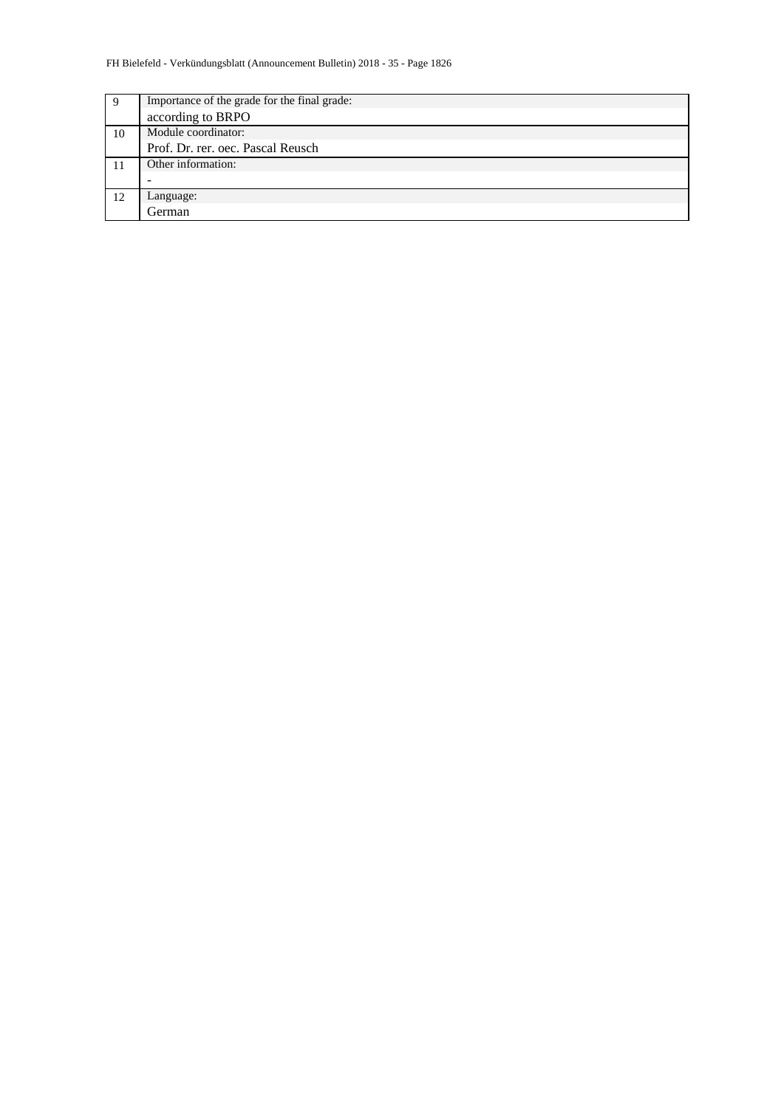| 9  | Importance of the grade for the final grade: |
|----|----------------------------------------------|
|    | according to BRPO                            |
| 10 | Module coordinator:                          |
|    | Prof. Dr. rer. oec. Pascal Reusch            |
| 11 | Other information:                           |
|    |                                              |
| 12 | Language:                                    |
|    | German                                       |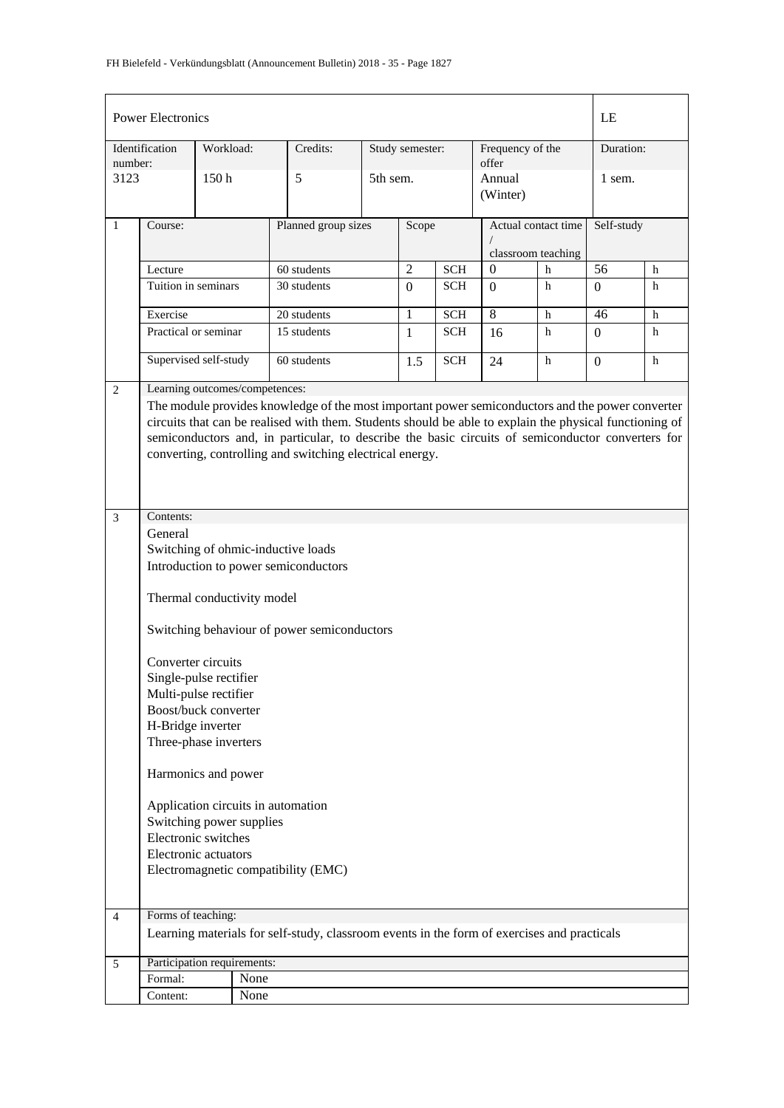|                | <b>Power Electronics</b>                                                                                                                                                                                                                                                                                                                                                                                                                                                                                                        |                                     |                                |                                                                                             |          |                 |            |                                           |            | LE               |           |  |
|----------------|---------------------------------------------------------------------------------------------------------------------------------------------------------------------------------------------------------------------------------------------------------------------------------------------------------------------------------------------------------------------------------------------------------------------------------------------------------------------------------------------------------------------------------|-------------------------------------|--------------------------------|---------------------------------------------------------------------------------------------|----------|-----------------|------------|-------------------------------------------|------------|------------------|-----------|--|
| number:        | Identification                                                                                                                                                                                                                                                                                                                                                                                                                                                                                                                  | Workload:                           |                                | Credits:                                                                                    |          | Study semester: |            | Frequency of the<br>offer                 |            |                  | Duration: |  |
| 3123           |                                                                                                                                                                                                                                                                                                                                                                                                                                                                                                                                 | 150h                                |                                | 5                                                                                           | 5th sem. |                 |            | Annual<br>(Winter)                        |            | 1 sem.           |           |  |
| $\mathbf{1}$   | Course:                                                                                                                                                                                                                                                                                                                                                                                                                                                                                                                         |                                     |                                | Planned group sizes                                                                         | Scope    |                 |            | Actual contact time<br>classroom teaching | Self-study |                  |           |  |
|                | Lecture                                                                                                                                                                                                                                                                                                                                                                                                                                                                                                                         |                                     |                                | 60 students                                                                                 |          | $\overline{2}$  | <b>SCH</b> | $\boldsymbol{0}$                          | h          | $\overline{56}$  | h         |  |
|                | Tuition in seminars                                                                                                                                                                                                                                                                                                                                                                                                                                                                                                             |                                     |                                | 30 students                                                                                 |          | $\overline{0}$  | <b>SCH</b> | $\mathbf{0}$                              | h          | $\overline{0}$   | h         |  |
|                | Exercise                                                                                                                                                                                                                                                                                                                                                                                                                                                                                                                        |                                     |                                | 20 students                                                                                 |          | 1               | <b>SCH</b> | 8                                         | h          | 46               | h         |  |
|                |                                                                                                                                                                                                                                                                                                                                                                                                                                                                                                                                 | Practical or seminar<br>15 students |                                |                                                                                             |          | $\mathbf{1}$    | <b>SCH</b> | 16                                        | h          | $\overline{0}$   | h         |  |
|                | Supervised self-study                                                                                                                                                                                                                                                                                                                                                                                                                                                                                                           |                                     |                                | 60 students                                                                                 |          | 1.5             | <b>SCH</b> | 24                                        | h          | $\boldsymbol{0}$ | h         |  |
| 2              |                                                                                                                                                                                                                                                                                                                                                                                                                                                                                                                                 |                                     | Learning outcomes/competences: |                                                                                             |          |                 |            |                                           |            |                  |           |  |
|                | The module provides knowledge of the most important power semiconductors and the power converter<br>circuits that can be realised with them. Students should be able to explain the physical functioning of<br>semiconductors and, in particular, to describe the basic circuits of semiconductor converters for<br>converting, controlling and switching electrical energy.                                                                                                                                                    |                                     |                                |                                                                                             |          |                 |            |                                           |            |                  |           |  |
|                |                                                                                                                                                                                                                                                                                                                                                                                                                                                                                                                                 |                                     |                                |                                                                                             |          |                 |            |                                           |            |                  |           |  |
|                | Contents:<br>$\mathfrak{Z}$<br>General<br>Switching of ohmic-inductive loads<br>Introduction to power semiconductors<br>Thermal conductivity model<br>Switching behaviour of power semiconductors<br>Converter circuits<br>Single-pulse rectifier<br>Multi-pulse rectifier<br>Boost/buck converter<br>H-Bridge inverter<br>Three-phase inverters<br>Harmonics and power<br>Application circuits in automation<br>Switching power supplies<br>Electronic switches<br>Electronic actuators<br>Electromagnetic compatibility (EMC) |                                     |                                |                                                                                             |          |                 |            |                                           |            |                  |           |  |
| $\overline{4}$ | Forms of teaching:                                                                                                                                                                                                                                                                                                                                                                                                                                                                                                              |                                     |                                | Learning materials for self-study, classroom events in the form of exercises and practicals |          |                 |            |                                           |            |                  |           |  |
|                |                                                                                                                                                                                                                                                                                                                                                                                                                                                                                                                                 |                                     |                                |                                                                                             |          |                 |            |                                           |            |                  |           |  |
| 5              | Participation requirements:                                                                                                                                                                                                                                                                                                                                                                                                                                                                                                     |                                     |                                |                                                                                             |          |                 |            |                                           |            |                  |           |  |
|                | Formal:                                                                                                                                                                                                                                                                                                                                                                                                                                                                                                                         |                                     | None                           |                                                                                             |          |                 |            |                                           |            |                  |           |  |
|                | Content:                                                                                                                                                                                                                                                                                                                                                                                                                                                                                                                        |                                     | None                           |                                                                                             |          |                 |            |                                           |            |                  |           |  |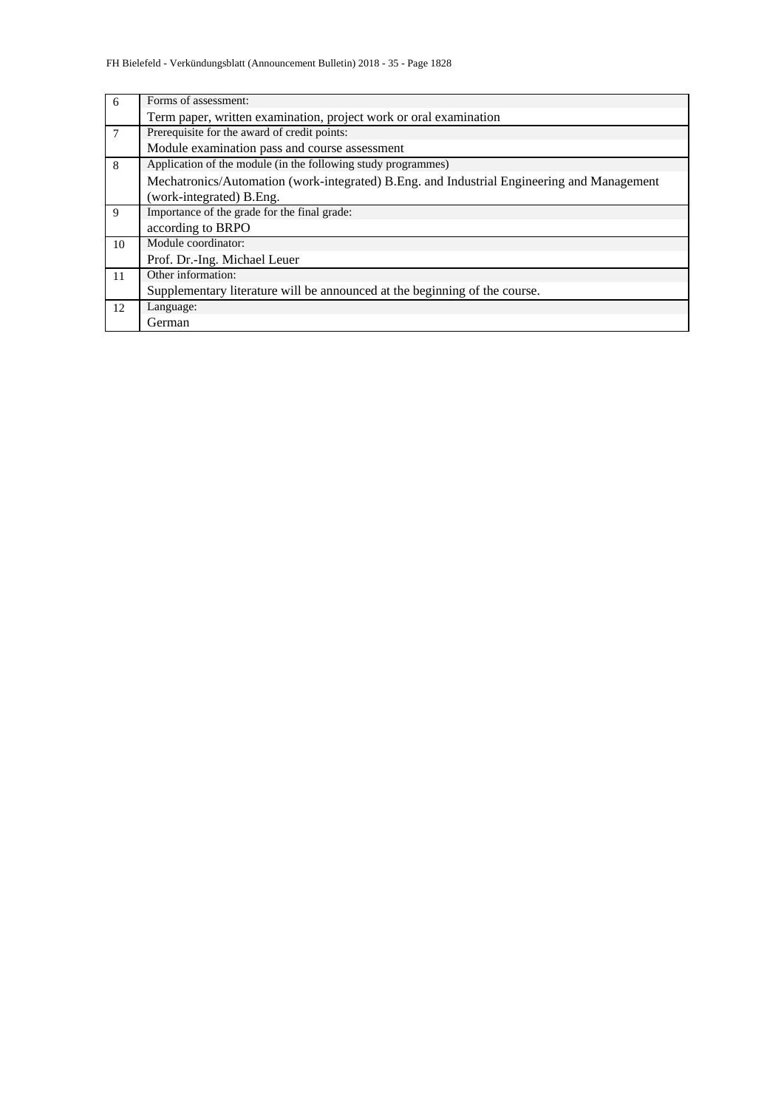| 6              | Forms of assessment:                                                                       |  |  |  |  |  |  |  |  |
|----------------|--------------------------------------------------------------------------------------------|--|--|--|--|--|--|--|--|
|                | Term paper, written examination, project work or oral examination                          |  |  |  |  |  |  |  |  |
| $\overline{7}$ | Prerequisite for the award of credit points:                                               |  |  |  |  |  |  |  |  |
|                | Module examination pass and course assessment                                              |  |  |  |  |  |  |  |  |
| 8              | Application of the module (in the following study programmes)                              |  |  |  |  |  |  |  |  |
|                | Mechatronics/Automation (work-integrated) B.Eng. and Industrial Engineering and Management |  |  |  |  |  |  |  |  |
|                | (work-integrated) B.Eng.                                                                   |  |  |  |  |  |  |  |  |
| 9              | Importance of the grade for the final grade:                                               |  |  |  |  |  |  |  |  |
|                | according to BRPO                                                                          |  |  |  |  |  |  |  |  |
| 10             | Module coordinator:                                                                        |  |  |  |  |  |  |  |  |
|                | Prof. Dr.-Ing. Michael Leuer                                                               |  |  |  |  |  |  |  |  |
| 11             | Other information:                                                                         |  |  |  |  |  |  |  |  |
|                | Supplementary literature will be announced at the beginning of the course.                 |  |  |  |  |  |  |  |  |
| 12             | Language:                                                                                  |  |  |  |  |  |  |  |  |
|                | German                                                                                     |  |  |  |  |  |  |  |  |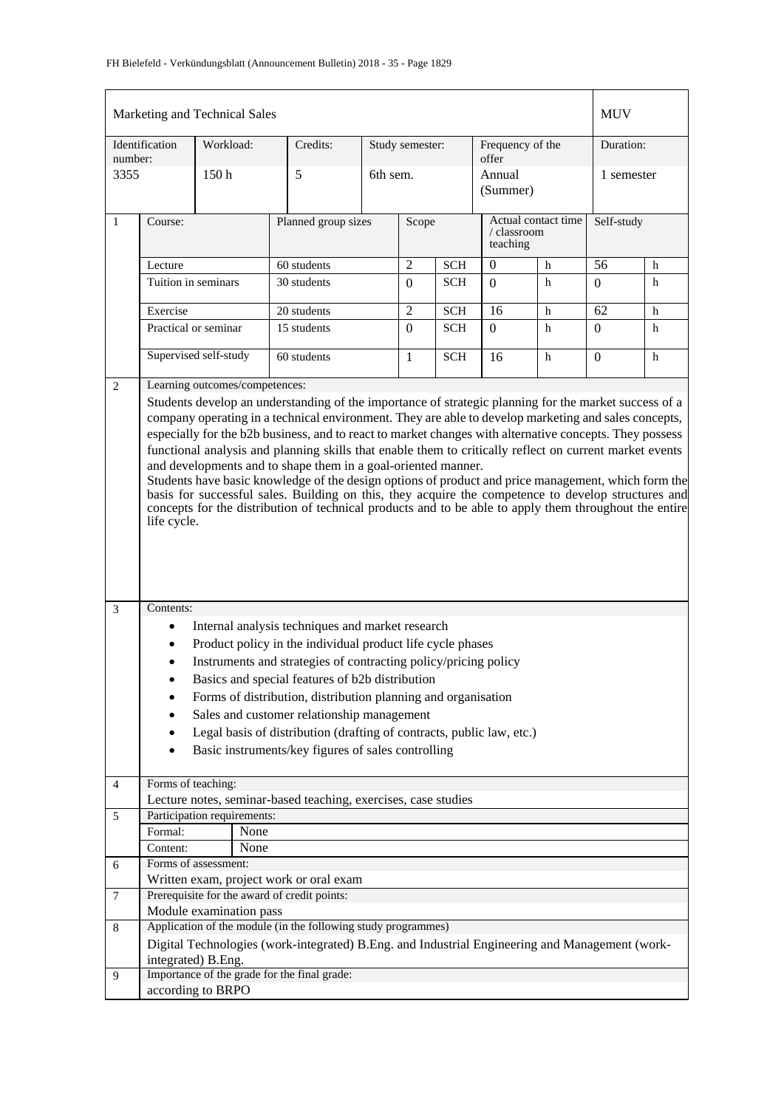|                | Marketing and Technical Sales                                                                                                                                                                                                                                                                                                                                                                                                                                                                                                                                                                                                                                                                                                                                                                                                               |                                |                                                                                                                                                                                                                                      |  |                 |            |                           |                                    | <b>MUV</b>       |            |
|----------------|---------------------------------------------------------------------------------------------------------------------------------------------------------------------------------------------------------------------------------------------------------------------------------------------------------------------------------------------------------------------------------------------------------------------------------------------------------------------------------------------------------------------------------------------------------------------------------------------------------------------------------------------------------------------------------------------------------------------------------------------------------------------------------------------------------------------------------------------|--------------------------------|--------------------------------------------------------------------------------------------------------------------------------------------------------------------------------------------------------------------------------------|--|-----------------|------------|---------------------------|------------------------------------|------------------|------------|
| number:        | Identification                                                                                                                                                                                                                                                                                                                                                                                                                                                                                                                                                                                                                                                                                                                                                                                                                              | Workload:                      | Credits:                                                                                                                                                                                                                             |  | Study semester: |            | Frequency of the<br>offer |                                    | Duration:        |            |
| 3355           |                                                                                                                                                                                                                                                                                                                                                                                                                                                                                                                                                                                                                                                                                                                                                                                                                                             | 150h                           | 5                                                                                                                                                                                                                                    |  | 6th sem.        |            | Annual<br>(Summer)        |                                    | 1 semester       |            |
| $\mathbf{1}$   | Course:                                                                                                                                                                                                                                                                                                                                                                                                                                                                                                                                                                                                                                                                                                                                                                                                                                     |                                | Planned group sizes                                                                                                                                                                                                                  |  | Scope           |            | teaching                  | Actual contact time<br>/ classroom |                  | Self-study |
|                | Lecture                                                                                                                                                                                                                                                                                                                                                                                                                                                                                                                                                                                                                                                                                                                                                                                                                                     |                                | 60 students                                                                                                                                                                                                                          |  | $\overline{c}$  | <b>SCH</b> | 0                         | h                                  | 56               | h          |
|                | Tuition in seminars                                                                                                                                                                                                                                                                                                                                                                                                                                                                                                                                                                                                                                                                                                                                                                                                                         |                                | 30 students                                                                                                                                                                                                                          |  | $\Omega$        | <b>SCH</b> | $\Omega$                  | h                                  | $\boldsymbol{0}$ | h          |
|                | Exercise                                                                                                                                                                                                                                                                                                                                                                                                                                                                                                                                                                                                                                                                                                                                                                                                                                    |                                | 20 students                                                                                                                                                                                                                          |  | $\overline{c}$  | <b>SCH</b> | 16                        | h                                  | 62               | h          |
|                | Practical or seminar                                                                                                                                                                                                                                                                                                                                                                                                                                                                                                                                                                                                                                                                                                                                                                                                                        |                                | 15 students                                                                                                                                                                                                                          |  | $\overline{0}$  | SCH        | $\Omega$                  | h                                  | $\mathbf{0}$     | h          |
|                |                                                                                                                                                                                                                                                                                                                                                                                                                                                                                                                                                                                                                                                                                                                                                                                                                                             | Supervised self-study          | 60 students                                                                                                                                                                                                                          |  | $\mathbf{1}$    | <b>SCH</b> | 16                        | h                                  | $\boldsymbol{0}$ | h          |
| 2              |                                                                                                                                                                                                                                                                                                                                                                                                                                                                                                                                                                                                                                                                                                                                                                                                                                             | Learning outcomes/competences: |                                                                                                                                                                                                                                      |  |                 |            |                           |                                    |                  |            |
|                | Students develop an understanding of the importance of strategic planning for the market success of a<br>company operating in a technical environment. They are able to develop marketing and sales concepts,<br>especially for the b2b business, and to react to market changes with alternative concepts. They possess<br>functional analysis and planning skills that enable them to critically reflect on current market events<br>and developments and to shape them in a goal-oriented manner.<br>Students have basic knowledge of the design options of product and price management, which form the<br>basis for successful sales. Building on this, they acquire the competence to develop structures and<br>concepts for the distribution of technical products and to be able to apply them throughout the entire<br>life cycle. |                                |                                                                                                                                                                                                                                      |  |                 |            |                           |                                    |                  |            |
| 3              | Contents:                                                                                                                                                                                                                                                                                                                                                                                                                                                                                                                                                                                                                                                                                                                                                                                                                                   |                                |                                                                                                                                                                                                                                      |  |                 |            |                           |                                    |                  |            |
|                | $\bullet$                                                                                                                                                                                                                                                                                                                                                                                                                                                                                                                                                                                                                                                                                                                                                                                                                                   |                                | Internal analysis techniques and market research<br>Product policy in the individual product life cycle phases<br>Instruments and strategies of contracting policy/pricing policy<br>Basics and special features of b2b distribution |  |                 |            |                           |                                    |                  |            |
|                |                                                                                                                                                                                                                                                                                                                                                                                                                                                                                                                                                                                                                                                                                                                                                                                                                                             |                                | Forms of distribution, distribution planning and organisation                                                                                                                                                                        |  |                 |            |                           |                                    |                  |            |
|                |                                                                                                                                                                                                                                                                                                                                                                                                                                                                                                                                                                                                                                                                                                                                                                                                                                             |                                | Sales and customer relationship management                                                                                                                                                                                           |  |                 |            |                           |                                    |                  |            |
|                |                                                                                                                                                                                                                                                                                                                                                                                                                                                                                                                                                                                                                                                                                                                                                                                                                                             |                                | Legal basis of distribution (drafting of contracts, public law, etc.)                                                                                                                                                                |  |                 |            |                           |                                    |                  |            |
|                |                                                                                                                                                                                                                                                                                                                                                                                                                                                                                                                                                                                                                                                                                                                                                                                                                                             |                                | Basic instruments/key figures of sales controlling                                                                                                                                                                                   |  |                 |            |                           |                                    |                  |            |
|                |                                                                                                                                                                                                                                                                                                                                                                                                                                                                                                                                                                                                                                                                                                                                                                                                                                             |                                |                                                                                                                                                                                                                                      |  |                 |            |                           |                                    |                  |            |
| $\overline{4}$ | Forms of teaching:                                                                                                                                                                                                                                                                                                                                                                                                                                                                                                                                                                                                                                                                                                                                                                                                                          |                                | Lecture notes, seminar-based teaching, exercises, case studies                                                                                                                                                                       |  |                 |            |                           |                                    |                  |            |
| 5              |                                                                                                                                                                                                                                                                                                                                                                                                                                                                                                                                                                                                                                                                                                                                                                                                                                             | Participation requirements:    |                                                                                                                                                                                                                                      |  |                 |            |                           |                                    |                  |            |
|                | Formal:                                                                                                                                                                                                                                                                                                                                                                                                                                                                                                                                                                                                                                                                                                                                                                                                                                     | None                           |                                                                                                                                                                                                                                      |  |                 |            |                           |                                    |                  |            |
|                | Content:                                                                                                                                                                                                                                                                                                                                                                                                                                                                                                                                                                                                                                                                                                                                                                                                                                    | None                           |                                                                                                                                                                                                                                      |  |                 |            |                           |                                    |                  |            |
| 6              |                                                                                                                                                                                                                                                                                                                                                                                                                                                                                                                                                                                                                                                                                                                                                                                                                                             | Forms of assessment:           |                                                                                                                                                                                                                                      |  |                 |            |                           |                                    |                  |            |
|                |                                                                                                                                                                                                                                                                                                                                                                                                                                                                                                                                                                                                                                                                                                                                                                                                                                             |                                | Written exam, project work or oral exam                                                                                                                                                                                              |  |                 |            |                           |                                    |                  |            |
| $\tau$         |                                                                                                                                                                                                                                                                                                                                                                                                                                                                                                                                                                                                                                                                                                                                                                                                                                             |                                | Prerequisite for the award of credit points:                                                                                                                                                                                         |  |                 |            |                           |                                    |                  |            |
| 8              |                                                                                                                                                                                                                                                                                                                                                                                                                                                                                                                                                                                                                                                                                                                                                                                                                                             | Module examination pass        | Application of the module (in the following study programmes)                                                                                                                                                                        |  |                 |            |                           |                                    |                  |            |
|                |                                                                                                                                                                                                                                                                                                                                                                                                                                                                                                                                                                                                                                                                                                                                                                                                                                             |                                | Digital Technologies (work-integrated) B.Eng. and Industrial Engineering and Management (work-                                                                                                                                       |  |                 |            |                           |                                    |                  |            |
|                |                                                                                                                                                                                                                                                                                                                                                                                                                                                                                                                                                                                                                                                                                                                                                                                                                                             | integrated) B.Eng.             |                                                                                                                                                                                                                                      |  |                 |            |                           |                                    |                  |            |
| 9              |                                                                                                                                                                                                                                                                                                                                                                                                                                                                                                                                                                                                                                                                                                                                                                                                                                             |                                | Importance of the grade for the final grade:                                                                                                                                                                                         |  |                 |            |                           |                                    |                  |            |
|                |                                                                                                                                                                                                                                                                                                                                                                                                                                                                                                                                                                                                                                                                                                                                                                                                                                             | according to BRPO              |                                                                                                                                                                                                                                      |  |                 |            |                           |                                    |                  |            |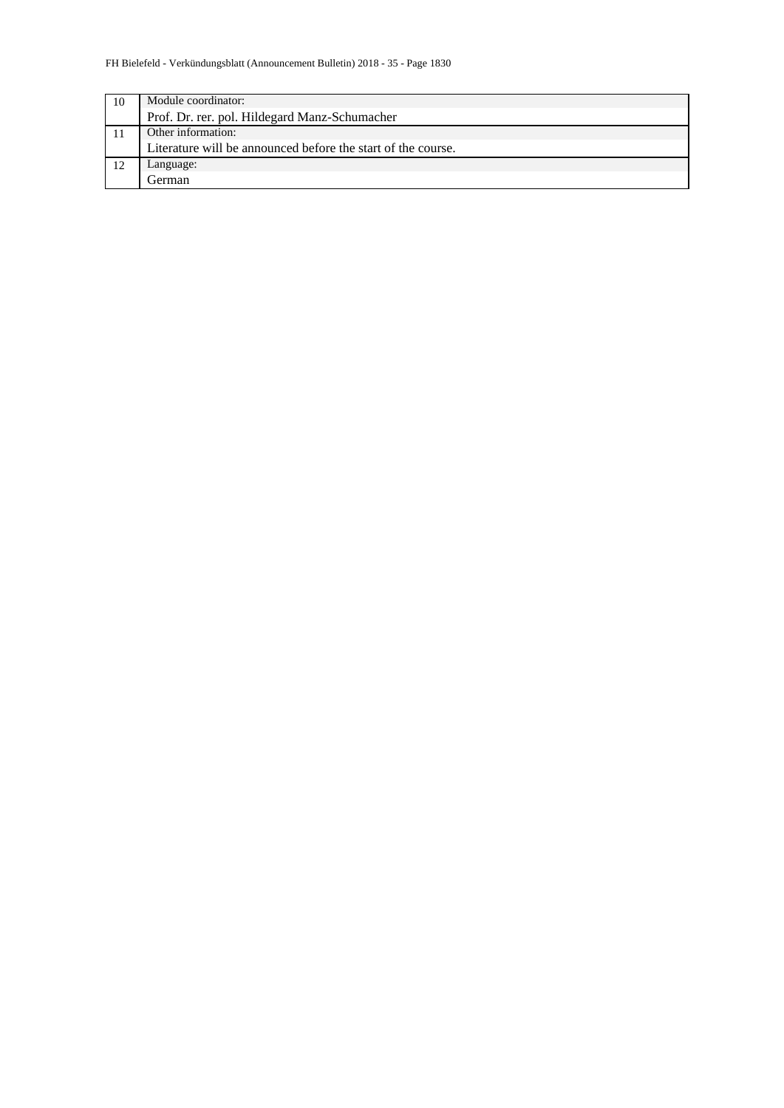| 10 | Module coordinator:                                          |  |  |  |
|----|--------------------------------------------------------------|--|--|--|
|    | Prof. Dr. rer. pol. Hildegard Manz-Schumacher                |  |  |  |
|    | Other information:                                           |  |  |  |
|    | Literature will be announced before the start of the course. |  |  |  |
| 12 | Language:                                                    |  |  |  |
|    | . ierman                                                     |  |  |  |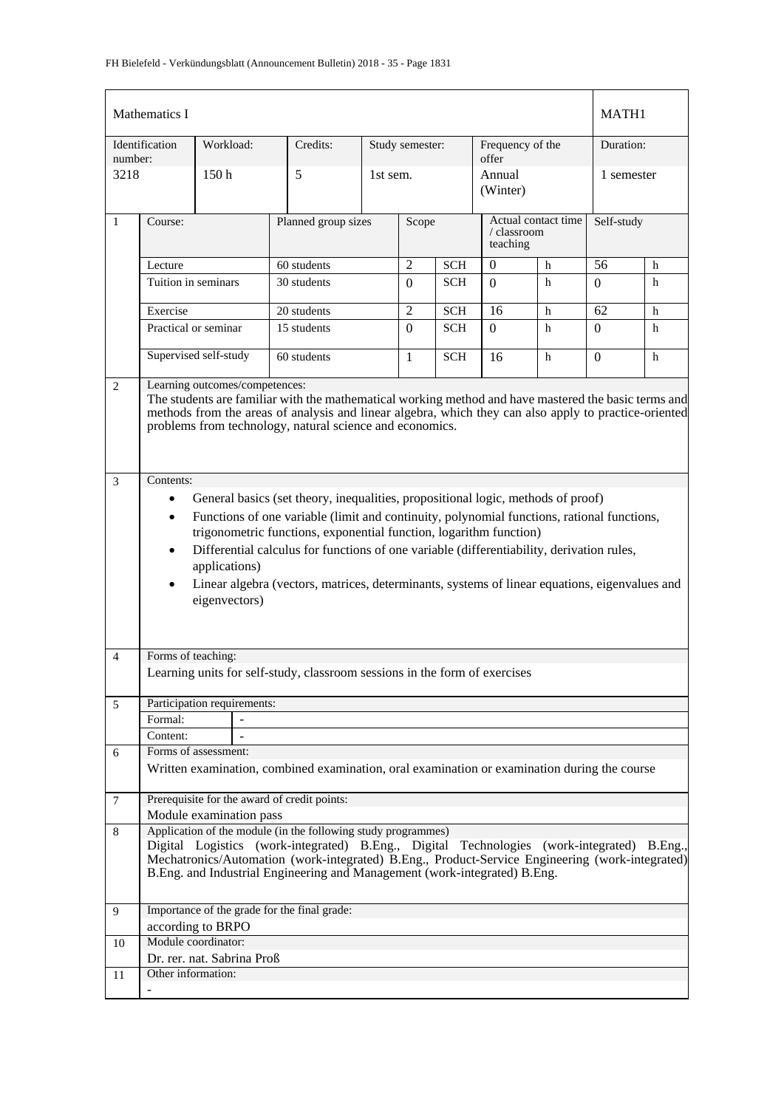| Mathematics I  |                                                                                                                                                                                                                                                                                                                                                                                                                                                                                                                                                       |                             |                                                                                              |                     |                 |            |                                                | MATH1                     |            |            |  |
|----------------|-------------------------------------------------------------------------------------------------------------------------------------------------------------------------------------------------------------------------------------------------------------------------------------------------------------------------------------------------------------------------------------------------------------------------------------------------------------------------------------------------------------------------------------------------------|-----------------------------|----------------------------------------------------------------------------------------------|---------------------|-----------------|------------|------------------------------------------------|---------------------------|------------|------------|--|
| number:        | Identification                                                                                                                                                                                                                                                                                                                                                                                                                                                                                                                                        | Workload:                   | Credits:                                                                                     |                     | Study semester: |            |                                                | Frequency of the<br>offer |            | Duration:  |  |
| 3218           |                                                                                                                                                                                                                                                                                                                                                                                                                                                                                                                                                       | 150 <sub>h</sub>            | 5                                                                                            |                     | 1st sem.        |            |                                                | Annual<br>(Winter)        |            | 1 semester |  |
| $\mathbf{1}$   | Course:                                                                                                                                                                                                                                                                                                                                                                                                                                                                                                                                               |                             |                                                                                              | Planned group sizes |                 | Scope      | Actual contact time<br>/ classroom<br>teaching |                           | Self-study |            |  |
|                | Lecture                                                                                                                                                                                                                                                                                                                                                                                                                                                                                                                                               |                             | 60 students                                                                                  |                     | $\overline{2}$  | <b>SCH</b> | $\mathbf{0}$                                   | $\mathbf h$               | 56         | h          |  |
|                | Tuition in seminars                                                                                                                                                                                                                                                                                                                                                                                                                                                                                                                                   |                             | 30 students                                                                                  |                     | $\Omega$        | <b>SCH</b> | $\Omega$                                       | h                         | 0          | h          |  |
|                | Exercise                                                                                                                                                                                                                                                                                                                                                                                                                                                                                                                                              |                             | 20 students                                                                                  |                     | $\overline{2}$  | <b>SCH</b> | 16                                             | h                         | 62         | h          |  |
|                | Practical or seminar                                                                                                                                                                                                                                                                                                                                                                                                                                                                                                                                  |                             | 15 students                                                                                  |                     | $\Omega$        | <b>SCH</b> | $\Omega$                                       | h                         | $\Omega$   | h          |  |
|                | Supervised self-study<br>60 students                                                                                                                                                                                                                                                                                                                                                                                                                                                                                                                  |                             | $\mathbf{1}$                                                                                 | <b>SCH</b>          | 16              | h          | $\Omega$                                       | h                         |            |            |  |
| $\mathbf{2}$   | Learning outcomes/competences:<br>The students are familiar with the mathematical working method and have mastered the basic terms and<br>methods from the areas of analysis and linear algebra, which they can also apply to practice-oriented<br>problems from technology, natural science and economics.                                                                                                                                                                                                                                           |                             |                                                                                              |                     |                 |            |                                                |                           |            |            |  |
| $\mathfrak{Z}$ | Contents:<br>General basics (set theory, inequalities, propositional logic, methods of proof)<br>$\bullet$<br>Functions of one variable (limit and continuity, polynomial functions, rational functions,<br>$\bullet$<br>trigonometric functions, exponential function, logarithm function)<br>Differential calculus for functions of one variable (differentiability, derivation rules,<br>$\bullet$<br>applications)<br>Linear algebra (vectors, matrices, determinants, systems of linear equations, eigenvalues and<br>$\bullet$<br>eigenvectors) |                             |                                                                                              |                     |                 |            |                                                |                           |            |            |  |
| $\overline{4}$ | Forms of teaching:                                                                                                                                                                                                                                                                                                                                                                                                                                                                                                                                    |                             |                                                                                              |                     |                 |            |                                                |                           |            |            |  |
|                |                                                                                                                                                                                                                                                                                                                                                                                                                                                                                                                                                       |                             | Learning units for self-study, classroom sessions in the form of exercises                   |                     |                 |            |                                                |                           |            |            |  |
| 5              |                                                                                                                                                                                                                                                                                                                                                                                                                                                                                                                                                       | Participation requirements: |                                                                                              |                     |                 |            |                                                |                           |            |            |  |
|                | Formal:                                                                                                                                                                                                                                                                                                                                                                                                                                                                                                                                               |                             |                                                                                              |                     |                 |            |                                                |                           |            |            |  |
|                | Content:                                                                                                                                                                                                                                                                                                                                                                                                                                                                                                                                              |                             |                                                                                              |                     |                 |            |                                                |                           |            |            |  |
| 6              |                                                                                                                                                                                                                                                                                                                                                                                                                                                                                                                                                       | Forms of assessment:        |                                                                                              |                     |                 |            |                                                |                           |            |            |  |
|                |                                                                                                                                                                                                                                                                                                                                                                                                                                                                                                                                                       |                             | Written examination, combined examination, oral examination or examination during the course |                     |                 |            |                                                |                           |            |            |  |
| $\tau$         |                                                                                                                                                                                                                                                                                                                                                                                                                                                                                                                                                       |                             | Prerequisite for the award of credit points:                                                 |                     |                 |            |                                                |                           |            |            |  |
|                |                                                                                                                                                                                                                                                                                                                                                                                                                                                                                                                                                       | Module examination pass     |                                                                                              |                     |                 |            |                                                |                           |            |            |  |
| 8              | Application of the module (in the following study programmes)<br>Digital Logistics (work-integrated) B.Eng., Digital Technologies (work-integrated) B.Eng.,<br>Mechatronics/Automation (work-integrated) B.Eng., Product-Service Engineering (work-integrated)<br>B.Eng. and Industrial Engineering and Management (work-integrated) B.Eng.                                                                                                                                                                                                           |                             |                                                                                              |                     |                 |            |                                                |                           |            |            |  |
| 9              |                                                                                                                                                                                                                                                                                                                                                                                                                                                                                                                                                       |                             | Importance of the grade for the final grade:                                                 |                     |                 |            |                                                |                           |            |            |  |
|                |                                                                                                                                                                                                                                                                                                                                                                                                                                                                                                                                                       | according to BRPO           |                                                                                              |                     |                 |            |                                                |                           |            |            |  |
| 10             |                                                                                                                                                                                                                                                                                                                                                                                                                                                                                                                                                       | Module coordinator:         |                                                                                              |                     |                 |            |                                                |                           |            |            |  |
|                |                                                                                                                                                                                                                                                                                                                                                                                                                                                                                                                                                       | Dr. rer. nat. Sabrina Proß  |                                                                                              |                     |                 |            |                                                |                           |            |            |  |
| 11             | Other information:                                                                                                                                                                                                                                                                                                                                                                                                                                                                                                                                    |                             |                                                                                              |                     |                 |            |                                                |                           |            |            |  |
|                |                                                                                                                                                                                                                                                                                                                                                                                                                                                                                                                                                       |                             |                                                                                              |                     |                 |            |                                                |                           |            |            |  |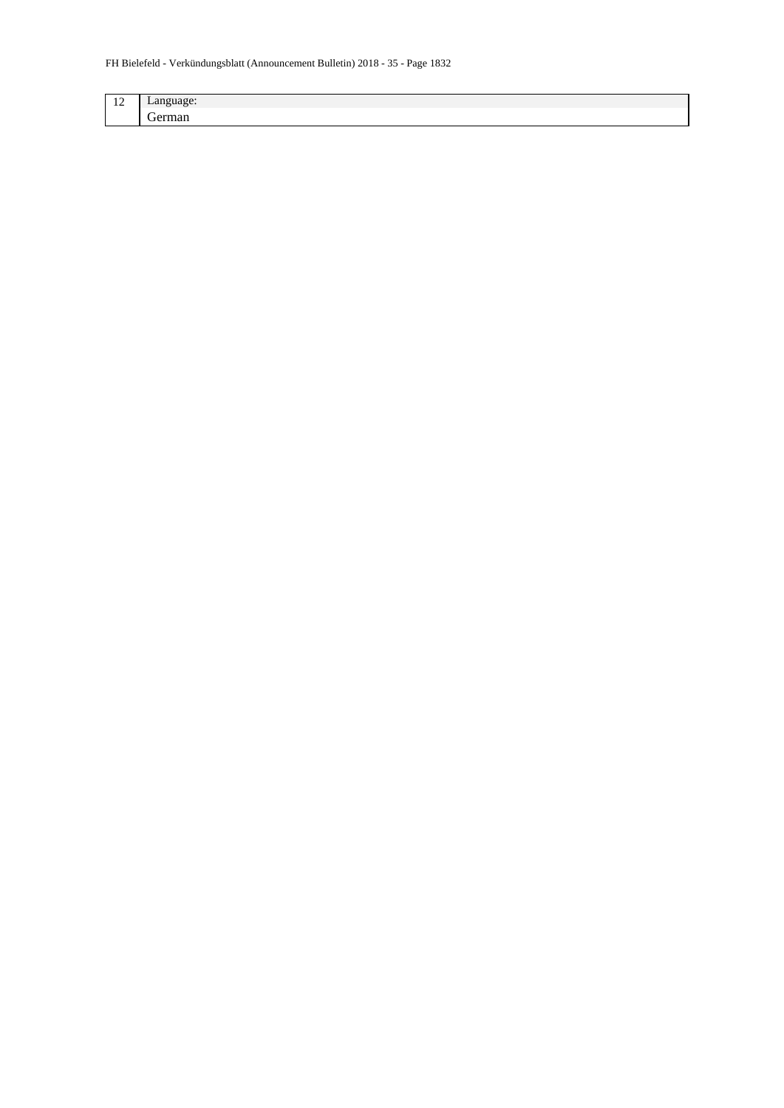| $\sim$<br>-- | $-0.115$ |
|--------------|----------|
|              | -        |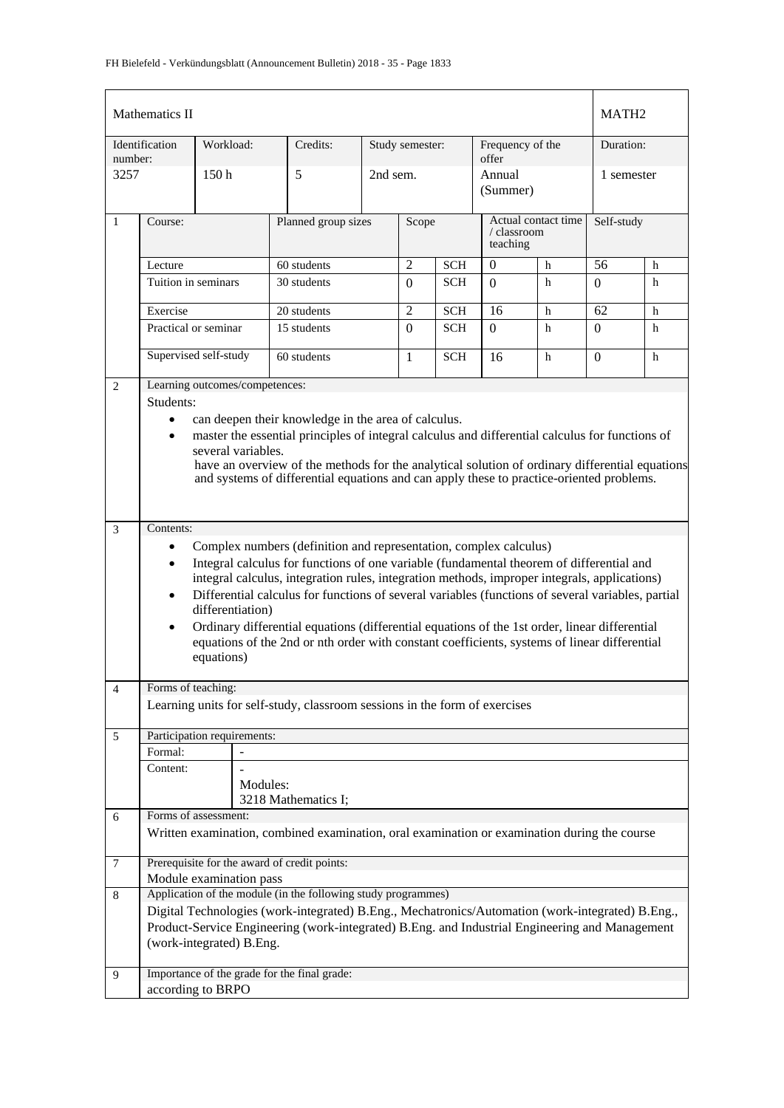| Mathematics II |                                                                                |                                |                                                                                                                                                                                                    |                     |                 |            |                                                | MATH <sub>2</sub> |                |           |  |
|----------------|--------------------------------------------------------------------------------|--------------------------------|----------------------------------------------------------------------------------------------------------------------------------------------------------------------------------------------------|---------------------|-----------------|------------|------------------------------------------------|-------------------|----------------|-----------|--|
| number:        | Identification                                                                 | Workload:                      | Credits:                                                                                                                                                                                           |                     | Study semester: |            | Frequency of the<br>offer                      |                   |                | Duration: |  |
| 3257           |                                                                                | 150 <sub>h</sub>               | 5                                                                                                                                                                                                  | 2nd sem.            |                 |            | Annual<br>(Summer)                             |                   | 1 semester     |           |  |
| $\mathbf{1}$   | Course:                                                                        |                                |                                                                                                                                                                                                    | Planned group sizes |                 | Scope      | Actual contact time<br>/ classroom<br>teaching |                   | Self-study     |           |  |
|                | Lecture                                                                        |                                | 60 students                                                                                                                                                                                        |                     | $\overline{2}$  | <b>SCH</b> | $\overline{0}$                                 | $\mathbf h$       | 56             | h         |  |
|                | Tuition in seminars                                                            |                                | 30 students                                                                                                                                                                                        |                     | $\Omega$        | <b>SCH</b> | $\Omega$                                       | h                 | 0              | h         |  |
|                | Exercise                                                                       |                                | 20 students                                                                                                                                                                                        |                     | $\overline{2}$  | <b>SCH</b> | 16                                             | $\mathbf h$       | 62             | h         |  |
|                | Practical or seminar                                                           |                                | 15 students                                                                                                                                                                                        |                     | $\Omega$        | <b>SCH</b> | $\Omega$                                       | h                 | $\Omega$       | h         |  |
|                |                                                                                | Supervised self-study          | 60 students                                                                                                                                                                                        |                     | $\mathbf{1}$    | <b>SCH</b> | 16                                             | h                 | $\overline{0}$ | h         |  |
| $\overline{2}$ |                                                                                | Learning outcomes/competences: |                                                                                                                                                                                                    |                     |                 |            |                                                |                   |                |           |  |
|                | Students:                                                                      |                                |                                                                                                                                                                                                    |                     |                 |            |                                                |                   |                |           |  |
|                | $\bullet$                                                                      |                                | can deepen their knowledge in the area of calculus.                                                                                                                                                |                     |                 |            |                                                |                   |                |           |  |
|                | $\bullet$                                                                      | several variables.             | master the essential principles of integral calculus and differential calculus for functions of                                                                                                    |                     |                 |            |                                                |                   |                |           |  |
|                |                                                                                |                                | have an overview of the methods for the analytical solution of ordinary differential equations                                                                                                     |                     |                 |            |                                                |                   |                |           |  |
|                |                                                                                |                                | and systems of differential equations and can apply these to practice-oriented problems.                                                                                                           |                     |                 |            |                                                |                   |                |           |  |
|                |                                                                                |                                |                                                                                                                                                                                                    |                     |                 |            |                                                |                   |                |           |  |
|                |                                                                                |                                |                                                                                                                                                                                                    |                     |                 |            |                                                |                   |                |           |  |
| 3              | Contents:<br>Complex numbers (definition and representation, complex calculus) |                                |                                                                                                                                                                                                    |                     |                 |            |                                                |                   |                |           |  |
|                | $\bullet$                                                                      |                                | Integral calculus for functions of one variable (fundamental theorem of differential and                                                                                                           |                     |                 |            |                                                |                   |                |           |  |
|                | $\bullet$                                                                      |                                | integral calculus, integration rules, integration methods, improper integrals, applications)                                                                                                       |                     |                 |            |                                                |                   |                |           |  |
|                | $\bullet$                                                                      |                                | Differential calculus for functions of several variables (functions of several variables, partial                                                                                                  |                     |                 |            |                                                |                   |                |           |  |
|                |                                                                                | differentiation)               |                                                                                                                                                                                                    |                     |                 |            |                                                |                   |                |           |  |
|                | $\bullet$                                                                      |                                | Ordinary differential equations (differential equations of the 1st order, linear differential                                                                                                      |                     |                 |            |                                                |                   |                |           |  |
|                |                                                                                |                                | equations of the 2nd or nth order with constant coefficients, systems of linear differential                                                                                                       |                     |                 |            |                                                |                   |                |           |  |
|                |                                                                                | equations)                     |                                                                                                                                                                                                    |                     |                 |            |                                                |                   |                |           |  |
| $\overline{4}$ | Forms of teaching:                                                             |                                |                                                                                                                                                                                                    |                     |                 |            |                                                |                   |                |           |  |
|                |                                                                                |                                | Learning units for self-study, classroom sessions in the form of exercises                                                                                                                         |                     |                 |            |                                                |                   |                |           |  |
| 5              |                                                                                | Participation requirements:    |                                                                                                                                                                                                    |                     |                 |            |                                                |                   |                |           |  |
|                | Formal:                                                                        |                                |                                                                                                                                                                                                    |                     |                 |            |                                                |                   |                |           |  |
|                | Content:                                                                       |                                |                                                                                                                                                                                                    |                     |                 |            |                                                |                   |                |           |  |
|                |                                                                                | Modules:                       |                                                                                                                                                                                                    |                     |                 |            |                                                |                   |                |           |  |
|                |                                                                                |                                | 3218 Mathematics I;                                                                                                                                                                                |                     |                 |            |                                                |                   |                |           |  |
| 6              |                                                                                | Forms of assessment:           |                                                                                                                                                                                                    |                     |                 |            |                                                |                   |                |           |  |
|                |                                                                                |                                | Written examination, combined examination, oral examination or examination during the course                                                                                                       |                     |                 |            |                                                |                   |                |           |  |
| $\tau$         |                                                                                |                                | Prerequisite for the award of credit points:                                                                                                                                                       |                     |                 |            |                                                |                   |                |           |  |
|                |                                                                                | Module examination pass        |                                                                                                                                                                                                    |                     |                 |            |                                                |                   |                |           |  |
| 8              |                                                                                |                                | Application of the module (in the following study programmes)                                                                                                                                      |                     |                 |            |                                                |                   |                |           |  |
|                |                                                                                |                                | Digital Technologies (work-integrated) B.Eng., Mechatronics/Automation (work-integrated) B.Eng.,<br>Product-Service Engineering (work-integrated) B.Eng. and Industrial Engineering and Management |                     |                 |            |                                                |                   |                |           |  |
|                |                                                                                | (work-integrated) B.Eng.       |                                                                                                                                                                                                    |                     |                 |            |                                                |                   |                |           |  |
|                |                                                                                |                                |                                                                                                                                                                                                    |                     |                 |            |                                                |                   |                |           |  |
| 9              |                                                                                |                                | Importance of the grade for the final grade:                                                                                                                                                       |                     |                 |            |                                                |                   |                |           |  |
|                |                                                                                | according to BRPO              |                                                                                                                                                                                                    |                     |                 |            |                                                |                   |                |           |  |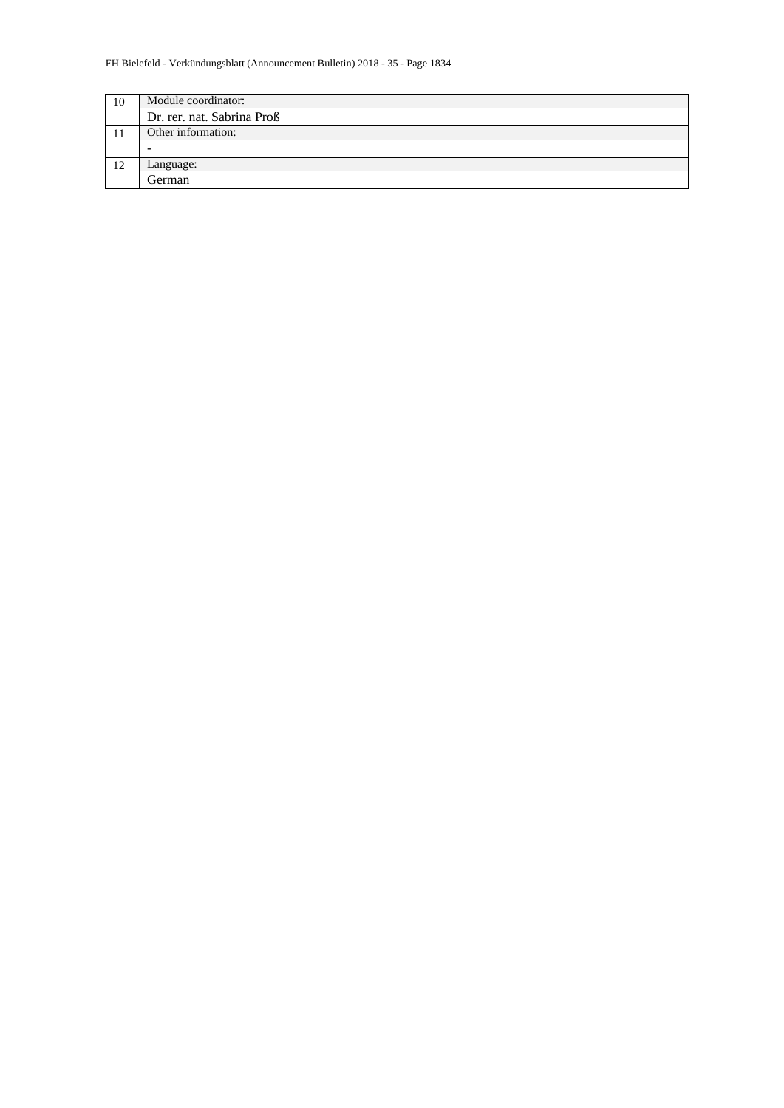| 10 | Module coordinator:        |
|----|----------------------------|
|    | Dr. rer. nat. Sabrina Proß |
|    | Other information:         |
|    |                            |
| 12 | Language:                  |
|    | German                     |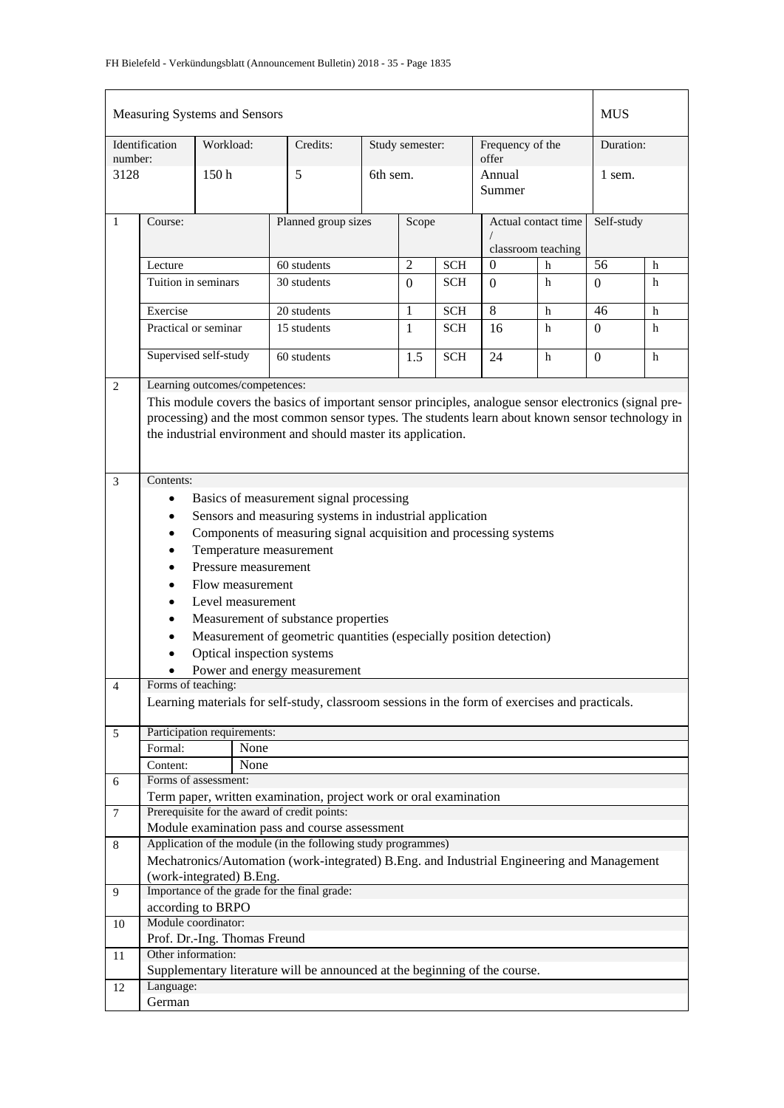| Measuring Systems and Sensors |                                                                                                                                                                                                                                                                                                                                                                                                                                                                                                                                                                                                                          |                                |                                                                                            |              |                 |                | <b>MUS</b>                             |    |                |            |  |
|-------------------------------|--------------------------------------------------------------------------------------------------------------------------------------------------------------------------------------------------------------------------------------------------------------------------------------------------------------------------------------------------------------------------------------------------------------------------------------------------------------------------------------------------------------------------------------------------------------------------------------------------------------------------|--------------------------------|--------------------------------------------------------------------------------------------|--------------|-----------------|----------------|----------------------------------------|----|----------------|------------|--|
| number:                       | Identification                                                                                                                                                                                                                                                                                                                                                                                                                                                                                                                                                                                                           | Workload:                      | Credits:                                                                                   |              | Study semester: |                | Frequency of the<br>offer              |    |                | Duration:  |  |
| 3128                          |                                                                                                                                                                                                                                                                                                                                                                                                                                                                                                                                                                                                                          | 150 <sub>h</sub>               | 5                                                                                          | 6th sem.     |                 |                | Annual<br>Summer                       |    |                | 1 sem.     |  |
| $\mathbf{1}$                  | Course:                                                                                                                                                                                                                                                                                                                                                                                                                                                                                                                                                                                                                  |                                | Planned group sizes                                                                        |              | Scope           |                | Actual contact time                    |    |                | Self-study |  |
|                               | Lecture                                                                                                                                                                                                                                                                                                                                                                                                                                                                                                                                                                                                                  |                                | 60 students                                                                                |              | $\overline{2}$  | <b>SCH</b>     | classroom teaching<br>$\boldsymbol{0}$ | h  | 56             | h          |  |
|                               | Tuition in seminars                                                                                                                                                                                                                                                                                                                                                                                                                                                                                                                                                                                                      |                                | 30 students                                                                                |              | $\overline{0}$  | <b>SCH</b>     | $\Omega$                               | h  | $\Omega$       | h          |  |
|                               |                                                                                                                                                                                                                                                                                                                                                                                                                                                                                                                                                                                                                          |                                |                                                                                            |              |                 |                |                                        |    |                |            |  |
|                               | 20 students<br>Exercise                                                                                                                                                                                                                                                                                                                                                                                                                                                                                                                                                                                                  |                                |                                                                                            | $\mathbf{1}$ | <b>SCH</b>      | $\overline{8}$ | h                                      | 46 | h              |            |  |
|                               | Practical or seminar                                                                                                                                                                                                                                                                                                                                                                                                                                                                                                                                                                                                     |                                | 15 students                                                                                |              | 1               | <b>SCH</b>     | 16                                     | h  | $\Omega$       | h          |  |
|                               |                                                                                                                                                                                                                                                                                                                                                                                                                                                                                                                                                                                                                          | Supervised self-study          | 60 students                                                                                |              | 1.5             | <b>SCH</b>     | 24                                     | h  | $\overline{0}$ | h          |  |
| $\overline{2}$                |                                                                                                                                                                                                                                                                                                                                                                                                                                                                                                                                                                                                                          | Learning outcomes/competences: |                                                                                            |              |                 |                |                                        |    |                |            |  |
|                               | This module covers the basics of important sensor principles, analogue sensor electronics (signal pre-<br>processing) and the most common sensor types. The students learn about known sensor technology in<br>the industrial environment and should master its application.                                                                                                                                                                                                                                                                                                                                             |                                |                                                                                            |              |                 |                |                                        |    |                |            |  |
| $\mathfrak{Z}$                | Contents:                                                                                                                                                                                                                                                                                                                                                                                                                                                                                                                                                                                                                |                                |                                                                                            |              |                 |                |                                        |    |                |            |  |
| $\overline{4}$                | Basics of measurement signal processing<br>٠<br>Sensors and measuring systems in industrial application<br>$\bullet$<br>Components of measuring signal acquisition and processing systems<br>$\bullet$<br>Temperature measurement<br>٠<br>Pressure measurement<br>Flow measurement<br>Level measurement<br>Measurement of substance properties<br>Measurement of geometric quantities (especially position detection)<br>$\bullet$<br>Optical inspection systems<br>Power and energy measurement<br>Forms of teaching:<br>Learning materials for self-study, classroom sessions in the form of exercises and practicals. |                                |                                                                                            |              |                 |                |                                        |    |                |            |  |
| 5                             |                                                                                                                                                                                                                                                                                                                                                                                                                                                                                                                                                                                                                          | Participation requirements:    |                                                                                            |              |                 |                |                                        |    |                |            |  |
|                               | Formal:                                                                                                                                                                                                                                                                                                                                                                                                                                                                                                                                                                                                                  | None                           |                                                                                            |              |                 |                |                                        |    |                |            |  |
|                               | Content:                                                                                                                                                                                                                                                                                                                                                                                                                                                                                                                                                                                                                 | None<br>Forms of assessment:   |                                                                                            |              |                 |                |                                        |    |                |            |  |
| 6                             |                                                                                                                                                                                                                                                                                                                                                                                                                                                                                                                                                                                                                          |                                | Term paper, written examination, project work or oral examination                          |              |                 |                |                                        |    |                |            |  |
| 7                             |                                                                                                                                                                                                                                                                                                                                                                                                                                                                                                                                                                                                                          |                                | Prerequisite for the award of credit points:                                               |              |                 |                |                                        |    |                |            |  |
|                               |                                                                                                                                                                                                                                                                                                                                                                                                                                                                                                                                                                                                                          |                                | Module examination pass and course assessment                                              |              |                 |                |                                        |    |                |            |  |
| 8                             |                                                                                                                                                                                                                                                                                                                                                                                                                                                                                                                                                                                                                          |                                | Application of the module (in the following study programmes)                              |              |                 |                |                                        |    |                |            |  |
|                               |                                                                                                                                                                                                                                                                                                                                                                                                                                                                                                                                                                                                                          | (work-integrated) B.Eng.       | Mechatronics/Automation (work-integrated) B.Eng. and Industrial Engineering and Management |              |                 |                |                                        |    |                |            |  |
| 9                             |                                                                                                                                                                                                                                                                                                                                                                                                                                                                                                                                                                                                                          |                                | Importance of the grade for the final grade:                                               |              |                 |                |                                        |    |                |            |  |
|                               |                                                                                                                                                                                                                                                                                                                                                                                                                                                                                                                                                                                                                          | according to BRPO              |                                                                                            |              |                 |                |                                        |    |                |            |  |
| 10                            |                                                                                                                                                                                                                                                                                                                                                                                                                                                                                                                                                                                                                          | Module coordinator:            |                                                                                            |              |                 |                |                                        |    |                |            |  |
| 11                            | Other information:                                                                                                                                                                                                                                                                                                                                                                                                                                                                                                                                                                                                       | Prof. Dr.-Ing. Thomas Freund   |                                                                                            |              |                 |                |                                        |    |                |            |  |
|                               |                                                                                                                                                                                                                                                                                                                                                                                                                                                                                                                                                                                                                          |                                | Supplementary literature will be announced at the beginning of the course.                 |              |                 |                |                                        |    |                |            |  |
| 12                            | Language:                                                                                                                                                                                                                                                                                                                                                                                                                                                                                                                                                                                                                |                                |                                                                                            |              |                 |                |                                        |    |                |            |  |
|                               | German                                                                                                                                                                                                                                                                                                                                                                                                                                                                                                                                                                                                                   |                                |                                                                                            |              |                 |                |                                        |    |                |            |  |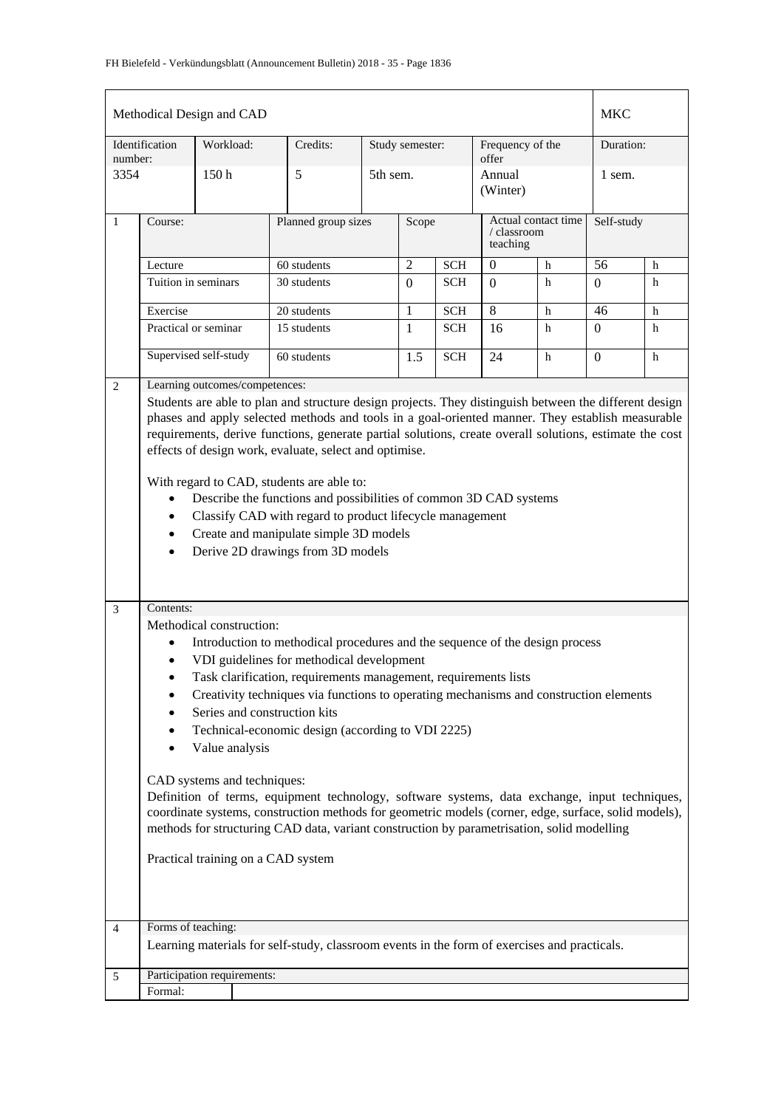|                | Methodical Design and CAD<br><b>MKC</b>                                                                                                                                                                                                                                                                                                                                                                                                                                                                                                                                                                                                                                                                                                                                                              |                             |  |                                                                                              |  |                 |            |                                                |   |                |   |
|----------------|------------------------------------------------------------------------------------------------------------------------------------------------------------------------------------------------------------------------------------------------------------------------------------------------------------------------------------------------------------------------------------------------------------------------------------------------------------------------------------------------------------------------------------------------------------------------------------------------------------------------------------------------------------------------------------------------------------------------------------------------------------------------------------------------------|-----------------------------|--|----------------------------------------------------------------------------------------------|--|-----------------|------------|------------------------------------------------|---|----------------|---|
| number:        | Identification                                                                                                                                                                                                                                                                                                                                                                                                                                                                                                                                                                                                                                                                                                                                                                                       | Workload:                   |  | Credits:                                                                                     |  | Study semester: |            | Frequency of the<br>offer                      |   | Duration:      |   |
| 3354           |                                                                                                                                                                                                                                                                                                                                                                                                                                                                                                                                                                                                                                                                                                                                                                                                      | 150 <sub>h</sub>            |  | 5                                                                                            |  | 5th sem.        |            | Annual<br>(Winter)                             |   | 1 sem.         |   |
| 1              | Course:                                                                                                                                                                                                                                                                                                                                                                                                                                                                                                                                                                                                                                                                                                                                                                                              |                             |  | Planned group sizes                                                                          |  | Scope           |            | Actual contact time<br>/ classroom<br>teaching |   | Self-study     |   |
|                | Lecture                                                                                                                                                                                                                                                                                                                                                                                                                                                                                                                                                                                                                                                                                                                                                                                              |                             |  | 60 students                                                                                  |  | 2               | <b>SCH</b> | $\mathbf{0}$                                   | h | 56             | h |
|                | Tuition in seminars                                                                                                                                                                                                                                                                                                                                                                                                                                                                                                                                                                                                                                                                                                                                                                                  |                             |  | 30 students                                                                                  |  | $\Omega$        | <b>SCH</b> | $\Omega$                                       | h | $\Omega$       | h |
|                | Exercise                                                                                                                                                                                                                                                                                                                                                                                                                                                                                                                                                                                                                                                                                                                                                                                             |                             |  | 20 students                                                                                  |  | 1               | <b>SCH</b> | 8                                              | h | 46             | h |
|                |                                                                                                                                                                                                                                                                                                                                                                                                                                                                                                                                                                                                                                                                                                                                                                                                      | Practical or seminar        |  | 15 students                                                                                  |  | 1               | <b>SCH</b> | 16                                             | h | $\overline{0}$ | h |
|                |                                                                                                                                                                                                                                                                                                                                                                                                                                                                                                                                                                                                                                                                                                                                                                                                      | Supervised self-study       |  | 60 students                                                                                  |  | 1.5             | <b>SCH</b> | 24                                             | h | $\overline{0}$ | h |
| 3              | Students are able to plan and structure design projects. They distinguish between the different design<br>phases and apply selected methods and tools in a goal-oriented manner. They establish measurable<br>requirements, derive functions, generate partial solutions, create overall solutions, estimate the cost<br>effects of design work, evaluate, select and optimise.<br>With regard to CAD, students are able to:<br>Describe the functions and possibilities of common 3D CAD systems<br>Classify CAD with regard to product lifecycle management<br>Create and manipulate simple 3D models<br>٠<br>Derive 2D drawings from 3D models<br>$\bullet$                                                                                                                                       |                             |  |                                                                                              |  |                 |            |                                                |   |                |   |
|                | Methodical construction:<br>Introduction to methodical procedures and the sequence of the design process<br>VDI guidelines for methodical development<br>Task clarification, requirements management, requirements lists<br>Creativity techniques via functions to operating mechanisms and construction elements<br>Series and construction kits<br>Technical-economic design (according to VDI 2225)<br>Value analysis<br>CAD systems and techniques:<br>Definition of terms, equipment technology, software systems, data exchange, input techniques,<br>coordinate systems, construction methods for geometric models (corner, edge, surface, solid models),<br>methods for structuring CAD data, variant construction by parametrisation, solid modelling<br>Practical training on a CAD system |                             |  |                                                                                              |  |                 |            |                                                |   |                |   |
| $\overline{4}$ | Forms of teaching:                                                                                                                                                                                                                                                                                                                                                                                                                                                                                                                                                                                                                                                                                                                                                                                   |                             |  | Learning materials for self-study, classroom events in the form of exercises and practicals. |  |                 |            |                                                |   |                |   |
| 5              | Formal:                                                                                                                                                                                                                                                                                                                                                                                                                                                                                                                                                                                                                                                                                                                                                                                              | Participation requirements: |  |                                                                                              |  |                 |            |                                                |   |                |   |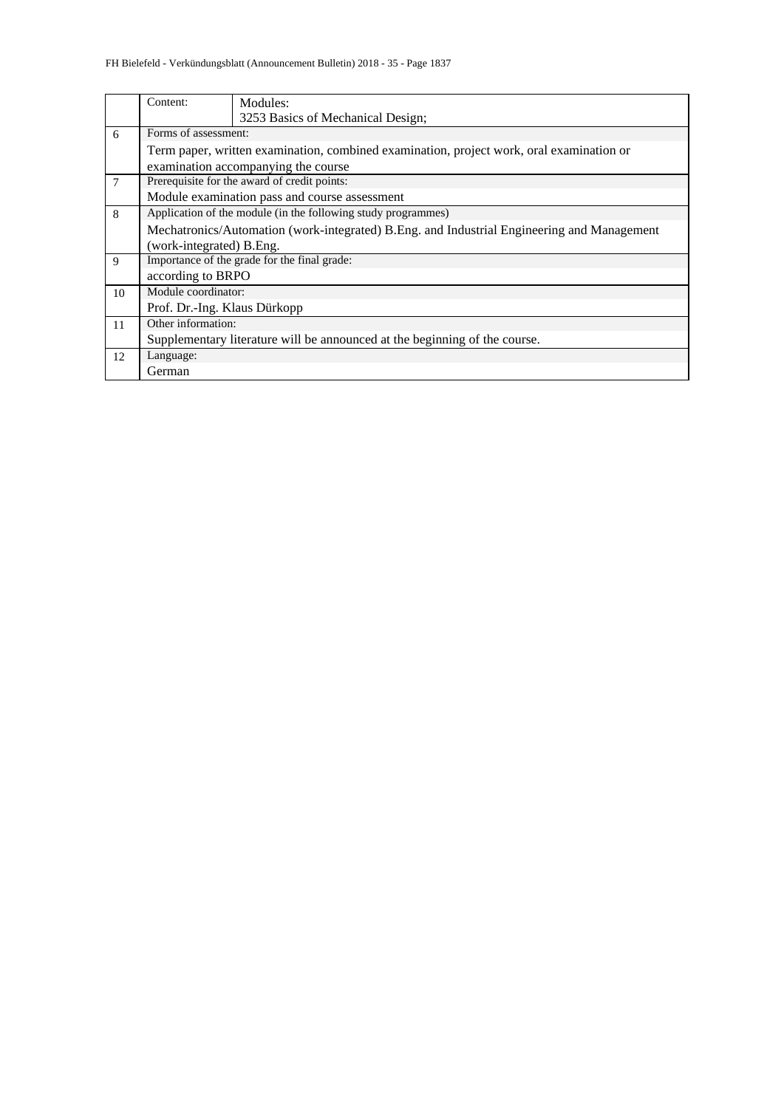|    | Content:                                                                                   | Modules:                                                                   |  |  |  |  |  |  |  |
|----|--------------------------------------------------------------------------------------------|----------------------------------------------------------------------------|--|--|--|--|--|--|--|
|    |                                                                                            | 3253 Basics of Mechanical Design;                                          |  |  |  |  |  |  |  |
| 6  |                                                                                            | Forms of assessment:                                                       |  |  |  |  |  |  |  |
|    | Term paper, written examination, combined examination, project work, oral examination or   |                                                                            |  |  |  |  |  |  |  |
|    | examination accompanying the course                                                        |                                                                            |  |  |  |  |  |  |  |
| 7  | Prerequisite for the award of credit points:                                               |                                                                            |  |  |  |  |  |  |  |
|    | Module examination pass and course assessment                                              |                                                                            |  |  |  |  |  |  |  |
| 8  | Application of the module (in the following study programmes)                              |                                                                            |  |  |  |  |  |  |  |
|    | Mechatronics/Automation (work-integrated) B.Eng. and Industrial Engineering and Management |                                                                            |  |  |  |  |  |  |  |
|    | (work-integrated) B.Eng.                                                                   |                                                                            |  |  |  |  |  |  |  |
| 9  |                                                                                            | Importance of the grade for the final grade:                               |  |  |  |  |  |  |  |
|    | according to BRPO                                                                          |                                                                            |  |  |  |  |  |  |  |
| 10 | Module coordinator:                                                                        |                                                                            |  |  |  |  |  |  |  |
|    |                                                                                            | Prof. Dr.-Ing. Klaus Dürkopp                                               |  |  |  |  |  |  |  |
| 11 | Other information:                                                                         |                                                                            |  |  |  |  |  |  |  |
|    |                                                                                            | Supplementary literature will be announced at the beginning of the course. |  |  |  |  |  |  |  |
| 12 | Language:                                                                                  |                                                                            |  |  |  |  |  |  |  |
|    | German                                                                                     |                                                                            |  |  |  |  |  |  |  |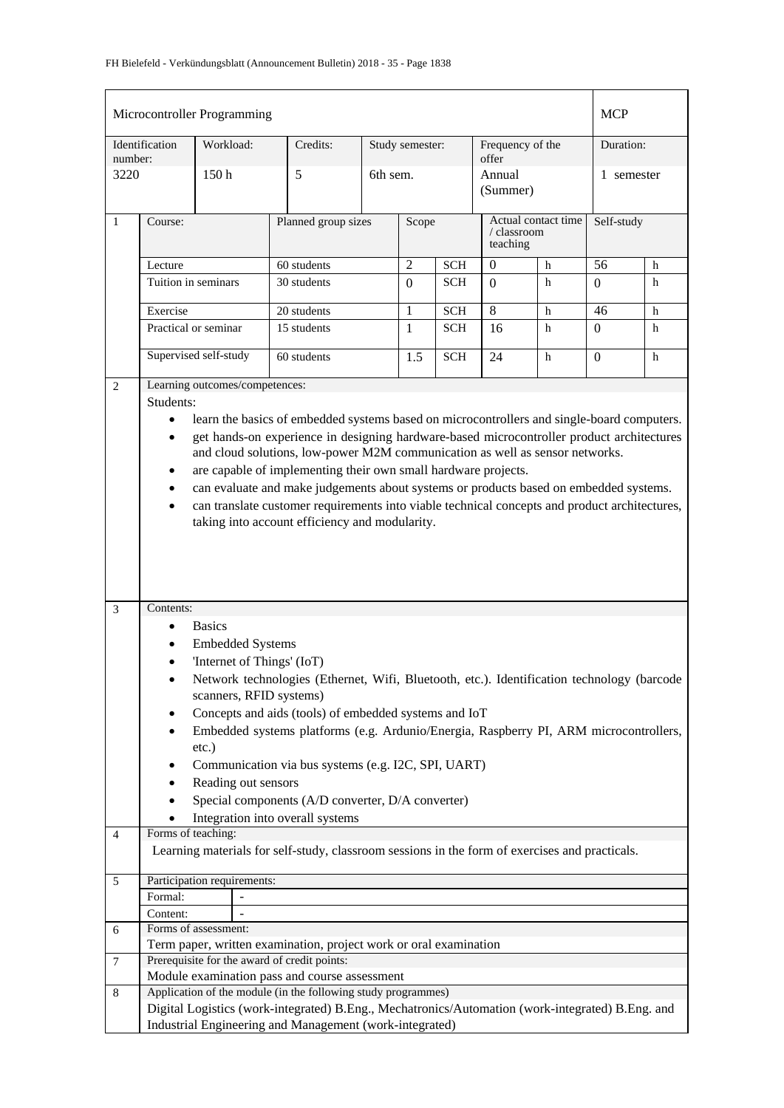|                | Microcontroller Programming |                                                         |                                                                                                  |  |                 |            |                  |                     | <b>MCP</b>   |   |  |
|----------------|-----------------------------|---------------------------------------------------------|--------------------------------------------------------------------------------------------------|--|-----------------|------------|------------------|---------------------|--------------|---|--|
|                | Identification              | Workload:                                               | Credits:                                                                                         |  | Study semester: |            | Frequency of the |                     | Duration:    |   |  |
| number:        |                             |                                                         |                                                                                                  |  | offer           |            |                  |                     |              |   |  |
| 3220           |                             | 150h                                                    | 5<br>6th sem.                                                                                    |  |                 |            | Annual           |                     | 1 semester   |   |  |
|                |                             |                                                         |                                                                                                  |  | (Summer)        |            |                  |                     |              |   |  |
| $\mathbf{1}$   | Course:                     |                                                         | Planned group sizes                                                                              |  | Scope           |            |                  | Actual contact time | Self-study   |   |  |
|                |                             |                                                         |                                                                                                  |  |                 |            | teaching         | / classroom         |              |   |  |
|                | Lecture                     |                                                         | 60 students                                                                                      |  | $\overline{2}$  | <b>SCH</b> | $\boldsymbol{0}$ | h                   | 56           | h |  |
|                | Tuition in seminars         |                                                         | 30 students                                                                                      |  | $\Omega$        | <b>SCH</b> | $\Omega$         | h                   | $\Omega$     | h |  |
|                |                             |                                                         |                                                                                                  |  |                 |            |                  |                     |              |   |  |
|                | Exercise                    |                                                         | 20 students                                                                                      |  | 1               | <b>SCH</b> | 8                | h                   | 46           | h |  |
|                |                             | Practical or seminar                                    | 15 students                                                                                      |  | $\mathbf{1}$    | <b>SCH</b> | 16               | h                   | $\Omega$     | h |  |
|                |                             | Supervised self-study                                   | 60 students                                                                                      |  | 1.5             | <b>SCH</b> | 24               | h                   | $\mathbf{0}$ | h |  |
|                |                             |                                                         |                                                                                                  |  |                 |            |                  |                     |              |   |  |
| 2              | Students:                   | Learning outcomes/competences:                          |                                                                                                  |  |                 |            |                  |                     |              |   |  |
|                | $\bullet$                   |                                                         | learn the basics of embedded systems based on microcontrollers and single-board computers.       |  |                 |            |                  |                     |              |   |  |
|                | $\bullet$                   |                                                         | get hands-on experience in designing hardware-based microcontroller product architectures        |  |                 |            |                  |                     |              |   |  |
|                |                             |                                                         | and cloud solutions, low-power M2M communication as well as sensor networks.                     |  |                 |            |                  |                     |              |   |  |
|                | $\bullet$                   |                                                         | are capable of implementing their own small hardware projects.                                   |  |                 |            |                  |                     |              |   |  |
|                | $\bullet$                   |                                                         | can evaluate and make judgements about systems or products based on embedded systems.            |  |                 |            |                  |                     |              |   |  |
|                | $\bullet$                   |                                                         | can translate customer requirements into viable technical concepts and product architectures,    |  |                 |            |                  |                     |              |   |  |
|                |                             |                                                         | taking into account efficiency and modularity.                                                   |  |                 |            |                  |                     |              |   |  |
|                |                             |                                                         |                                                                                                  |  |                 |            |                  |                     |              |   |  |
|                |                             |                                                         |                                                                                                  |  |                 |            |                  |                     |              |   |  |
|                |                             |                                                         |                                                                                                  |  |                 |            |                  |                     |              |   |  |
| 3              | Contents:                   |                                                         |                                                                                                  |  |                 |            |                  |                     |              |   |  |
|                | $\bullet$                   | <b>Basics</b>                                           |                                                                                                  |  |                 |            |                  |                     |              |   |  |
|                |                             | <b>Embedded Systems</b>                                 |                                                                                                  |  |                 |            |                  |                     |              |   |  |
|                | $\bullet$                   | 'Internet of Things' (IoT)                              |                                                                                                  |  |                 |            |                  |                     |              |   |  |
|                |                             |                                                         | Network technologies (Ethernet, Wifi, Bluetooth, etc.). Identification technology (barcode       |  |                 |            |                  |                     |              |   |  |
|                |                             | scanners, RFID systems)                                 |                                                                                                  |  |                 |            |                  |                     |              |   |  |
|                | $\bullet$                   |                                                         | Concepts and aids (tools) of embedded systems and IoT                                            |  |                 |            |                  |                     |              |   |  |
|                |                             |                                                         | Embedded systems platforms (e.g. Ardunio/Energia, Raspberry PI, ARM microcontrollers,            |  |                 |            |                  |                     |              |   |  |
|                |                             | etc.)                                                   |                                                                                                  |  |                 |            |                  |                     |              |   |  |
|                |                             |                                                         | Communication via bus systems (e.g. I2C, SPI, UART)                                              |  |                 |            |                  |                     |              |   |  |
|                |                             | Reading out sensors                                     |                                                                                                  |  |                 |            |                  |                     |              |   |  |
|                |                             |                                                         | Special components (A/D converter, D/A converter)<br>Integration into overall systems            |  |                 |            |                  |                     |              |   |  |
| $\overline{4}$ | Forms of teaching:          |                                                         |                                                                                                  |  |                 |            |                  |                     |              |   |  |
|                |                             |                                                         | Learning materials for self-study, classroom sessions in the form of exercises and practicals.   |  |                 |            |                  |                     |              |   |  |
|                |                             |                                                         |                                                                                                  |  |                 |            |                  |                     |              |   |  |
| 5              | Participation requirements: |                                                         |                                                                                                  |  |                 |            |                  |                     |              |   |  |
|                | Formal:                     |                                                         |                                                                                                  |  |                 |            |                  |                     |              |   |  |
| 6              | Content:                    | Forms of assessment:                                    |                                                                                                  |  |                 |            |                  |                     |              |   |  |
|                |                             |                                                         | Term paper, written examination, project work or oral examination                                |  |                 |            |                  |                     |              |   |  |
| 7              |                             |                                                         | Prerequisite for the award of credit points:                                                     |  |                 |            |                  |                     |              |   |  |
|                |                             |                                                         | Module examination pass and course assessment                                                    |  |                 |            |                  |                     |              |   |  |
| 8              |                             |                                                         | Application of the module (in the following study programmes)                                    |  |                 |            |                  |                     |              |   |  |
|                |                             |                                                         | Digital Logistics (work-integrated) B.Eng., Mechatronics/Automation (work-integrated) B.Eng. and |  |                 |            |                  |                     |              |   |  |
|                |                             | Industrial Engineering and Management (work-integrated) |                                                                                                  |  |                 |            |                  |                     |              |   |  |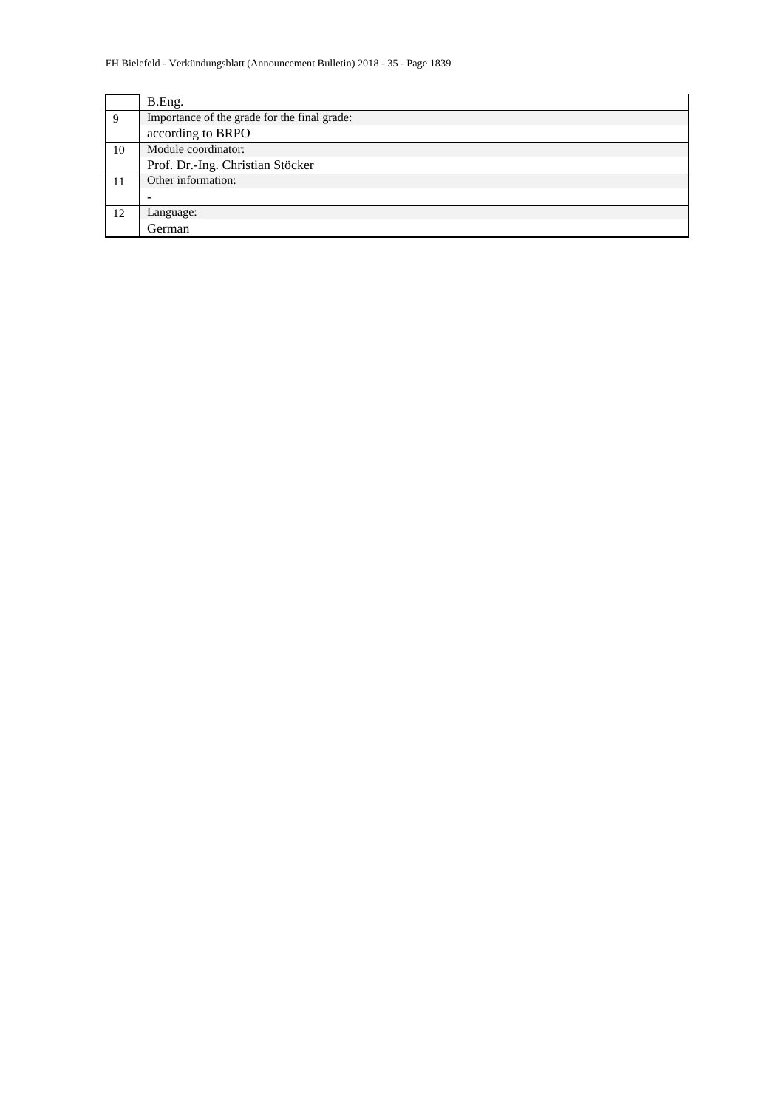|    | B.Eng.                                       |  |  |  |  |
|----|----------------------------------------------|--|--|--|--|
| 9  | Importance of the grade for the final grade: |  |  |  |  |
|    | according to BRPO                            |  |  |  |  |
| 10 | Module coordinator:                          |  |  |  |  |
|    | Prof. Dr.-Ing. Christian Stöcker             |  |  |  |  |
| 11 | Other information:                           |  |  |  |  |
|    |                                              |  |  |  |  |
| 12 | Language:                                    |  |  |  |  |
|    | German                                       |  |  |  |  |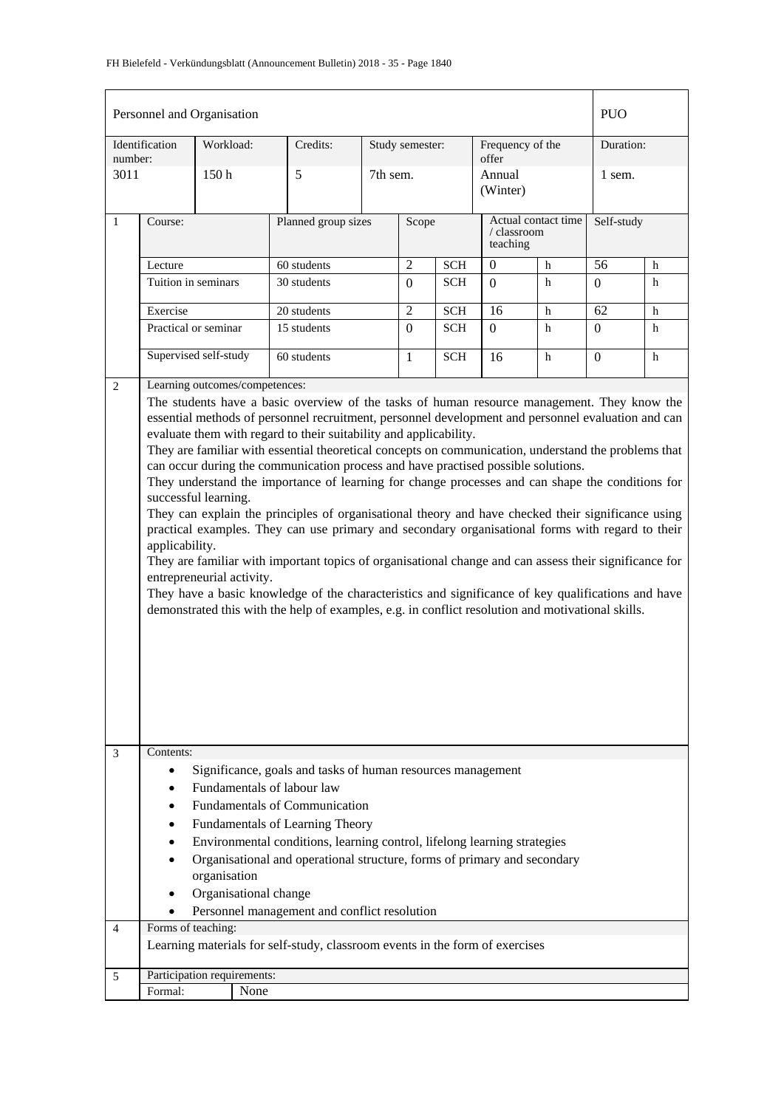|              | Personnel and Organisation                                          |              |                                |                                                                                                                                                                                                                                                                                                                                                                                                                                                                                                                                                                                                                                                                                                                                                                                                                                                                                                                                                                                                                                                                                                        |          |                 |                                                |                           |            | <b>PUO</b>     |   |
|--------------|---------------------------------------------------------------------|--------------|--------------------------------|--------------------------------------------------------------------------------------------------------------------------------------------------------------------------------------------------------------------------------------------------------------------------------------------------------------------------------------------------------------------------------------------------------------------------------------------------------------------------------------------------------------------------------------------------------------------------------------------------------------------------------------------------------------------------------------------------------------------------------------------------------------------------------------------------------------------------------------------------------------------------------------------------------------------------------------------------------------------------------------------------------------------------------------------------------------------------------------------------------|----------|-----------------|------------------------------------------------|---------------------------|------------|----------------|---|
| number:      | Identification                                                      | Workload:    |                                | Credits:                                                                                                                                                                                                                                                                                                                                                                                                                                                                                                                                                                                                                                                                                                                                                                                                                                                                                                                                                                                                                                                                                               |          | Study semester: |                                                | Frequency of the<br>offer |            | Duration:      |   |
| 3011         |                                                                     | 150h         |                                | 5                                                                                                                                                                                                                                                                                                                                                                                                                                                                                                                                                                                                                                                                                                                                                                                                                                                                                                                                                                                                                                                                                                      | 7th sem. |                 |                                                | Annual<br>(Winter)        |            | 1 sem.         |   |
| $\mathbf{1}$ | Course:                                                             |              |                                | Planned group sizes                                                                                                                                                                                                                                                                                                                                                                                                                                                                                                                                                                                                                                                                                                                                                                                                                                                                                                                                                                                                                                                                                    | Scope    |                 | Actual contact time<br>/ classroom<br>teaching |                           | Self-study |                |   |
|              | Lecture                                                             |              |                                | 60 students                                                                                                                                                                                                                                                                                                                                                                                                                                                                                                                                                                                                                                                                                                                                                                                                                                                                                                                                                                                                                                                                                            |          | 2               | <b>SCH</b>                                     | $\overline{0}$<br>h       |            | 56             | h |
|              | Tuition in seminars                                                 |              |                                | 30 students                                                                                                                                                                                                                                                                                                                                                                                                                                                                                                                                                                                                                                                                                                                                                                                                                                                                                                                                                                                                                                                                                            |          | $\Omega$        | <b>SCH</b>                                     | $\Omega$                  | h          | $\overline{0}$ | h |
|              | Exercise                                                            |              |                                | 20 students                                                                                                                                                                                                                                                                                                                                                                                                                                                                                                                                                                                                                                                                                                                                                                                                                                                                                                                                                                                                                                                                                            |          | $\overline{2}$  | <b>SCH</b>                                     | 16                        | h          | 62             | h |
|              | Practical or seminar                                                |              |                                | 15 students                                                                                                                                                                                                                                                                                                                                                                                                                                                                                                                                                                                                                                                                                                                                                                                                                                                                                                                                                                                                                                                                                            |          | $\overline{0}$  | <b>SCH</b>                                     | $\Omega$                  | h          | $\Omega$       | h |
|              | Supervised self-study                                               |              |                                | 60 students                                                                                                                                                                                                                                                                                                                                                                                                                                                                                                                                                                                                                                                                                                                                                                                                                                                                                                                                                                                                                                                                                            |          | $\mathbf{1}$    | <b>SCH</b>                                     | 16                        | h          | $\overline{0}$ | h |
| 2            | successful learning.<br>applicability.<br>entrepreneurial activity. |              | Learning outcomes/competences: | The students have a basic overview of the tasks of human resource management. They know the<br>essential methods of personnel recruitment, personnel development and personnel evaluation and can<br>evaluate them with regard to their suitability and applicability.<br>They are familiar with essential theoretical concepts on communication, understand the problems that<br>can occur during the communication process and have practised possible solutions.<br>They understand the importance of learning for change processes and can shape the conditions for<br>They can explain the principles of organisational theory and have checked their significance using<br>practical examples. They can use primary and secondary organisational forms with regard to their<br>They are familiar with important topics of organisational change and can assess their significance for<br>They have a basic knowledge of the characteristics and significance of key qualifications and have<br>demonstrated this with the help of examples, e.g. in conflict resolution and motivational skills. |          |                 |                                                |                           |            |                |   |
| 3            | Contents:                                                           |              |                                |                                                                                                                                                                                                                                                                                                                                                                                                                                                                                                                                                                                                                                                                                                                                                                                                                                                                                                                                                                                                                                                                                                        |          |                 |                                                |                           |            |                |   |
|              | $\bullet$                                                           |              |                                | Significance, goals and tasks of human resources management                                                                                                                                                                                                                                                                                                                                                                                                                                                                                                                                                                                                                                                                                                                                                                                                                                                                                                                                                                                                                                            |          |                 |                                                |                           |            |                |   |
|              |                                                                     |              |                                | Fundamentals of labour law<br><b>Fundamentals of Communication</b>                                                                                                                                                                                                                                                                                                                                                                                                                                                                                                                                                                                                                                                                                                                                                                                                                                                                                                                                                                                                                                     |          |                 |                                                |                           |            |                |   |
|              |                                                                     |              |                                |                                                                                                                                                                                                                                                                                                                                                                                                                                                                                                                                                                                                                                                                                                                                                                                                                                                                                                                                                                                                                                                                                                        |          |                 |                                                |                           |            |                |   |
|              | ٠                                                                   |              |                                | Fundamentals of Learning Theory                                                                                                                                                                                                                                                                                                                                                                                                                                                                                                                                                                                                                                                                                                                                                                                                                                                                                                                                                                                                                                                                        |          |                 |                                                |                           |            |                |   |
|              |                                                                     |              |                                | Environmental conditions, learning control, lifelong learning strategies                                                                                                                                                                                                                                                                                                                                                                                                                                                                                                                                                                                                                                                                                                                                                                                                                                                                                                                                                                                                                               |          |                 |                                                |                           |            |                |   |
|              |                                                                     | organisation |                                | Organisational and operational structure, forms of primary and secondary                                                                                                                                                                                                                                                                                                                                                                                                                                                                                                                                                                                                                                                                                                                                                                                                                                                                                                                                                                                                                               |          |                 |                                                |                           |            |                |   |
|              |                                                                     |              | Organisational change          |                                                                                                                                                                                                                                                                                                                                                                                                                                                                                                                                                                                                                                                                                                                                                                                                                                                                                                                                                                                                                                                                                                        |          |                 |                                                |                           |            |                |   |
|              |                                                                     |              |                                | Personnel management and conflict resolution                                                                                                                                                                                                                                                                                                                                                                                                                                                                                                                                                                                                                                                                                                                                                                                                                                                                                                                                                                                                                                                           |          |                 |                                                |                           |            |                |   |
| 4            | Forms of teaching:                                                  |              |                                |                                                                                                                                                                                                                                                                                                                                                                                                                                                                                                                                                                                                                                                                                                                                                                                                                                                                                                                                                                                                                                                                                                        |          |                 |                                                |                           |            |                |   |
|              |                                                                     |              |                                | Learning materials for self-study, classroom events in the form of exercises                                                                                                                                                                                                                                                                                                                                                                                                                                                                                                                                                                                                                                                                                                                                                                                                                                                                                                                                                                                                                           |          |                 |                                                |                           |            |                |   |
| 5            | Participation requirements:                                         |              |                                |                                                                                                                                                                                                                                                                                                                                                                                                                                                                                                                                                                                                                                                                                                                                                                                                                                                                                                                                                                                                                                                                                                        |          |                 |                                                |                           |            |                |   |
|              | Formal:                                                             |              | None                           |                                                                                                                                                                                                                                                                                                                                                                                                                                                                                                                                                                                                                                                                                                                                                                                                                                                                                                                                                                                                                                                                                                        |          |                 |                                                |                           |            |                |   |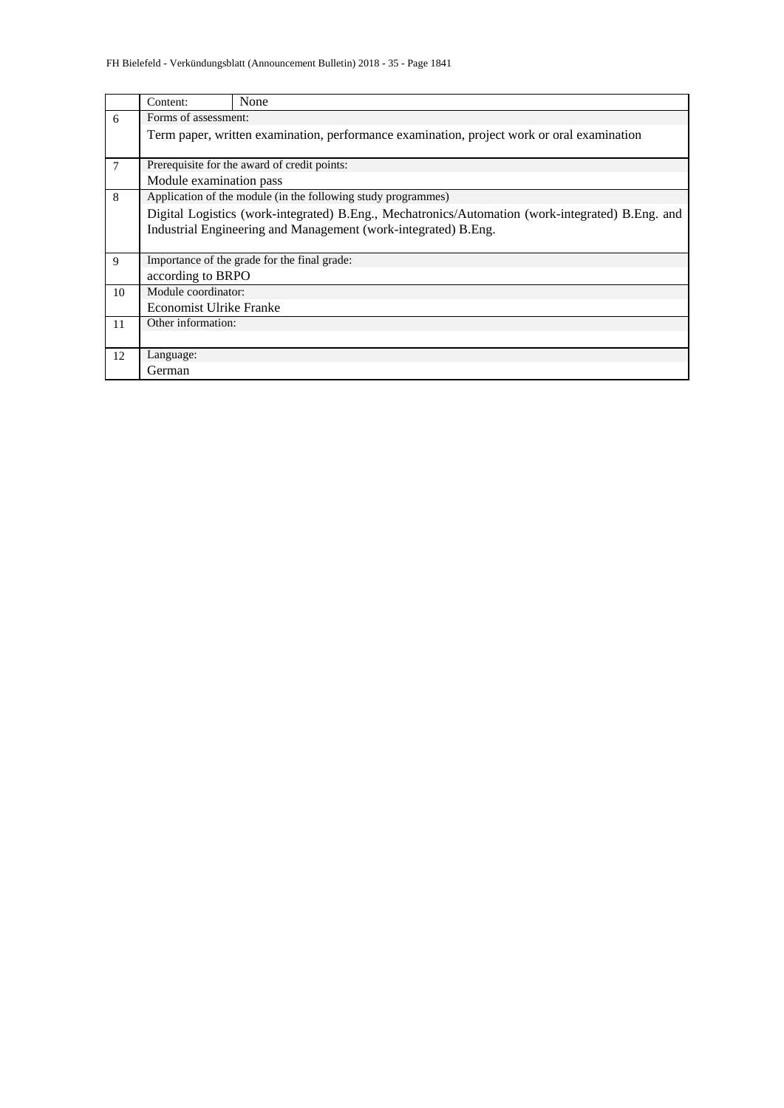|                | Content:                       | None                                                                                             |  |  |  |  |  |  |  |  |  |
|----------------|--------------------------------|--------------------------------------------------------------------------------------------------|--|--|--|--|--|--|--|--|--|
| 6              | Forms of assessment:           |                                                                                                  |  |  |  |  |  |  |  |  |  |
|                |                                | Term paper, written examination, performance examination, project work or oral examination       |  |  |  |  |  |  |  |  |  |
|                |                                |                                                                                                  |  |  |  |  |  |  |  |  |  |
| $\overline{7}$ |                                | Prerequisite for the award of credit points:                                                     |  |  |  |  |  |  |  |  |  |
|                |                                | Module examination pass                                                                          |  |  |  |  |  |  |  |  |  |
| 8              |                                | Application of the module (in the following study programmes)                                    |  |  |  |  |  |  |  |  |  |
|                |                                | Digital Logistics (work-integrated) B.Eng., Mechatronics/Automation (work-integrated) B.Eng. and |  |  |  |  |  |  |  |  |  |
|                |                                | Industrial Engineering and Management (work-integrated) B.Eng.                                   |  |  |  |  |  |  |  |  |  |
|                |                                |                                                                                                  |  |  |  |  |  |  |  |  |  |
| 9              |                                | Importance of the grade for the final grade:                                                     |  |  |  |  |  |  |  |  |  |
|                | according to BRPO              |                                                                                                  |  |  |  |  |  |  |  |  |  |
| 10             | Module coordinator:            |                                                                                                  |  |  |  |  |  |  |  |  |  |
|                | <b>Economist Ulrike Franke</b> |                                                                                                  |  |  |  |  |  |  |  |  |  |
| 11             | Other information:             |                                                                                                  |  |  |  |  |  |  |  |  |  |
|                |                                |                                                                                                  |  |  |  |  |  |  |  |  |  |
| 12             | Language:                      |                                                                                                  |  |  |  |  |  |  |  |  |  |
|                | German                         |                                                                                                  |  |  |  |  |  |  |  |  |  |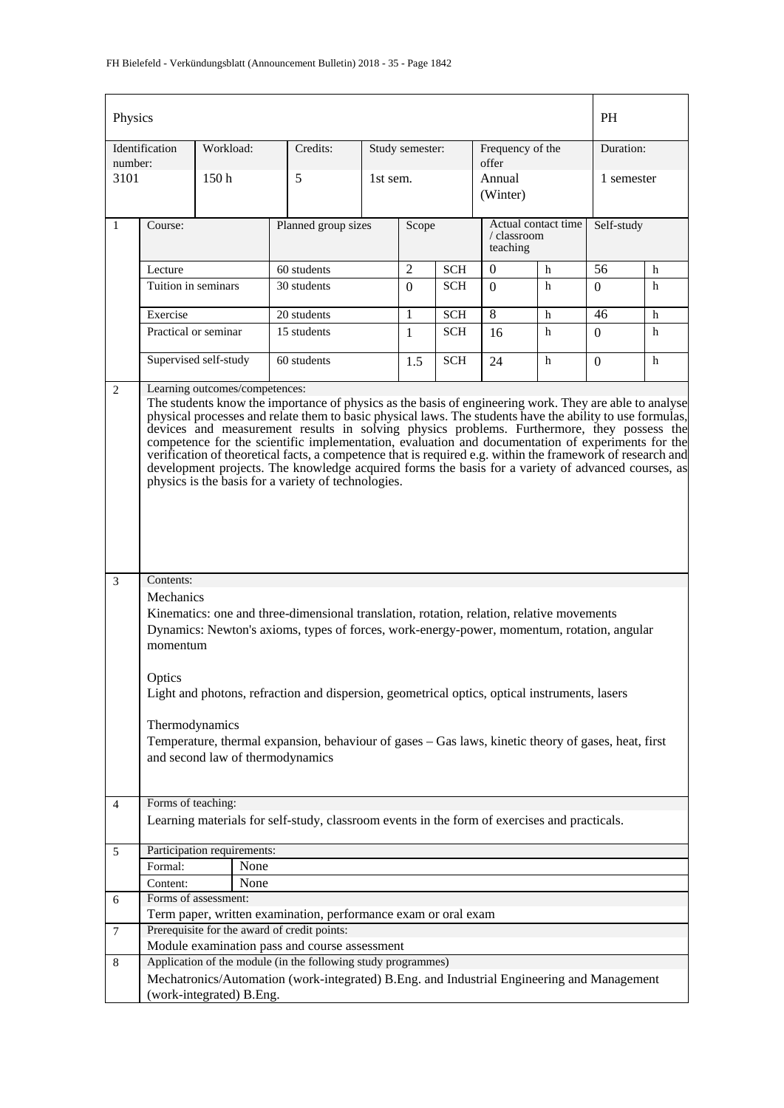| Physics                                                                                                                                                                                                                                                                                                                                                                                                                                                                                                                                                                                                                                                                                                                                                                                                                                                                                                                                                                                                                                                                                                                                                                                                                                                           |                      |                             |                                                                                              |          |                 |                                                |                           |            | PH         |   |
|-------------------------------------------------------------------------------------------------------------------------------------------------------------------------------------------------------------------------------------------------------------------------------------------------------------------------------------------------------------------------------------------------------------------------------------------------------------------------------------------------------------------------------------------------------------------------------------------------------------------------------------------------------------------------------------------------------------------------------------------------------------------------------------------------------------------------------------------------------------------------------------------------------------------------------------------------------------------------------------------------------------------------------------------------------------------------------------------------------------------------------------------------------------------------------------------------------------------------------------------------------------------|----------------------|-----------------------------|----------------------------------------------------------------------------------------------|----------|-----------------|------------------------------------------------|---------------------------|------------|------------|---|
| number:                                                                                                                                                                                                                                                                                                                                                                                                                                                                                                                                                                                                                                                                                                                                                                                                                                                                                                                                                                                                                                                                                                                                                                                                                                                           | Identification       | Workload:                   | Credits:                                                                                     |          | Study semester: |                                                | Frequency of the<br>offer |            | Duration:  |   |
| 3101                                                                                                                                                                                                                                                                                                                                                                                                                                                                                                                                                                                                                                                                                                                                                                                                                                                                                                                                                                                                                                                                                                                                                                                                                                                              |                      | 150 <sub>h</sub>            | 5                                                                                            | 1st sem. |                 |                                                | Annual<br>(Winter)        |            | 1 semester |   |
| $\mathbf{1}$                                                                                                                                                                                                                                                                                                                                                                                                                                                                                                                                                                                                                                                                                                                                                                                                                                                                                                                                                                                                                                                                                                                                                                                                                                                      | Course:              |                             | Planned group sizes                                                                          | Scope    |                 | Actual contact time<br>/ classroom<br>teaching |                           | Self-study |            |   |
|                                                                                                                                                                                                                                                                                                                                                                                                                                                                                                                                                                                                                                                                                                                                                                                                                                                                                                                                                                                                                                                                                                                                                                                                                                                                   | Lecture              |                             | 60 students                                                                                  |          | $\overline{2}$  | <b>SCH</b>                                     | $\mathbf{0}$              | h          | 56         | h |
|                                                                                                                                                                                                                                                                                                                                                                                                                                                                                                                                                                                                                                                                                                                                                                                                                                                                                                                                                                                                                                                                                                                                                                                                                                                                   | Tuition in seminars  |                             | 30 students                                                                                  |          | $\Omega$        | <b>SCH</b>                                     | $\Omega$                  | h          | $\Omega$   | h |
|                                                                                                                                                                                                                                                                                                                                                                                                                                                                                                                                                                                                                                                                                                                                                                                                                                                                                                                                                                                                                                                                                                                                                                                                                                                                   | Exercise             |                             | 20 students                                                                                  |          | 1               | <b>SCH</b>                                     | 8                         | h          | 46         | h |
|                                                                                                                                                                                                                                                                                                                                                                                                                                                                                                                                                                                                                                                                                                                                                                                                                                                                                                                                                                                                                                                                                                                                                                                                                                                                   | Practical or seminar |                             | 15 students                                                                                  |          | $\mathbf{1}$    | <b>SCH</b>                                     | 16                        | h          | $\Omega$   | h |
|                                                                                                                                                                                                                                                                                                                                                                                                                                                                                                                                                                                                                                                                                                                                                                                                                                                                                                                                                                                                                                                                                                                                                                                                                                                                   |                      | Supervised self-study       | 60 students                                                                                  |          | 1.5             | <b>SCH</b>                                     | 24                        | h          | 0          | h |
| Learning outcomes/competences:<br>$\mathbf{2}$<br>The students know the importance of physics as the basis of engineering work. They are able to analyse<br>physical processes and relate them to basic physical laws. The students have the ability to use formulas,<br>devices and measurement results in solving physics problems. Furthermore, they possess the<br>competence for the scientific implementation, evaluation and documentation of experiments for the<br>verification of theoretical facts, a competence that is required e.g. within the framework of research and<br>development projects. The knowledge acquired forms the basis for a variety of advanced courses, as<br>physics is the basis for a variety of technologies.<br>Contents:<br>3<br>Mechanics<br>Kinematics: one and three-dimensional translation, rotation, relation, relative movements<br>Dynamics: Newton's axioms, types of forces, work-energy-power, momentum, rotation, angular<br>momentum<br>Optics<br>Light and photons, refraction and dispersion, geometrical optics, optical instruments, lasers<br>Thermodynamics<br>Temperature, thermal expansion, behaviour of gases - Gas laws, kinetic theory of gases, heat, first<br>and second law of thermodynamics |                      |                             |                                                                                              |          |                 |                                                |                           |            |            |   |
| $\overline{4}$                                                                                                                                                                                                                                                                                                                                                                                                                                                                                                                                                                                                                                                                                                                                                                                                                                                                                                                                                                                                                                                                                                                                                                                                                                                    | Forms of teaching:   |                             | Learning materials for self-study, classroom events in the form of exercises and practicals. |          |                 |                                                |                           |            |            |   |
| 5                                                                                                                                                                                                                                                                                                                                                                                                                                                                                                                                                                                                                                                                                                                                                                                                                                                                                                                                                                                                                                                                                                                                                                                                                                                                 |                      | Participation requirements: |                                                                                              |          |                 |                                                |                           |            |            |   |
|                                                                                                                                                                                                                                                                                                                                                                                                                                                                                                                                                                                                                                                                                                                                                                                                                                                                                                                                                                                                                                                                                                                                                                                                                                                                   | Formal:              | None                        |                                                                                              |          |                 |                                                |                           |            |            |   |
|                                                                                                                                                                                                                                                                                                                                                                                                                                                                                                                                                                                                                                                                                                                                                                                                                                                                                                                                                                                                                                                                                                                                                                                                                                                                   | Content:             | None                        |                                                                                              |          |                 |                                                |                           |            |            |   |
| 6                                                                                                                                                                                                                                                                                                                                                                                                                                                                                                                                                                                                                                                                                                                                                                                                                                                                                                                                                                                                                                                                                                                                                                                                                                                                 |                      | Forms of assessment:        |                                                                                              |          |                 |                                                |                           |            |            |   |
|                                                                                                                                                                                                                                                                                                                                                                                                                                                                                                                                                                                                                                                                                                                                                                                                                                                                                                                                                                                                                                                                                                                                                                                                                                                                   |                      |                             | Term paper, written examination, performance exam or oral exam                               |          |                 |                                                |                           |            |            |   |
| 7                                                                                                                                                                                                                                                                                                                                                                                                                                                                                                                                                                                                                                                                                                                                                                                                                                                                                                                                                                                                                                                                                                                                                                                                                                                                 |                      |                             | Prerequisite for the award of credit points:                                                 |          |                 |                                                |                           |            |            |   |
|                                                                                                                                                                                                                                                                                                                                                                                                                                                                                                                                                                                                                                                                                                                                                                                                                                                                                                                                                                                                                                                                                                                                                                                                                                                                   |                      |                             | Module examination pass and course assessment                                                |          |                 |                                                |                           |            |            |   |
| 8                                                                                                                                                                                                                                                                                                                                                                                                                                                                                                                                                                                                                                                                                                                                                                                                                                                                                                                                                                                                                                                                                                                                                                                                                                                                 |                      |                             | Application of the module (in the following study programmes)                                |          |                 |                                                |                           |            |            |   |
|                                                                                                                                                                                                                                                                                                                                                                                                                                                                                                                                                                                                                                                                                                                                                                                                                                                                                                                                                                                                                                                                                                                                                                                                                                                                   |                      |                             | Mechatronics/Automation (work-integrated) B.Eng. and Industrial Engineering and Management   |          |                 |                                                |                           |            |            |   |
|                                                                                                                                                                                                                                                                                                                                                                                                                                                                                                                                                                                                                                                                                                                                                                                                                                                                                                                                                                                                                                                                                                                                                                                                                                                                   |                      | (work-integrated) B.Eng.    |                                                                                              |          |                 |                                                |                           |            |            |   |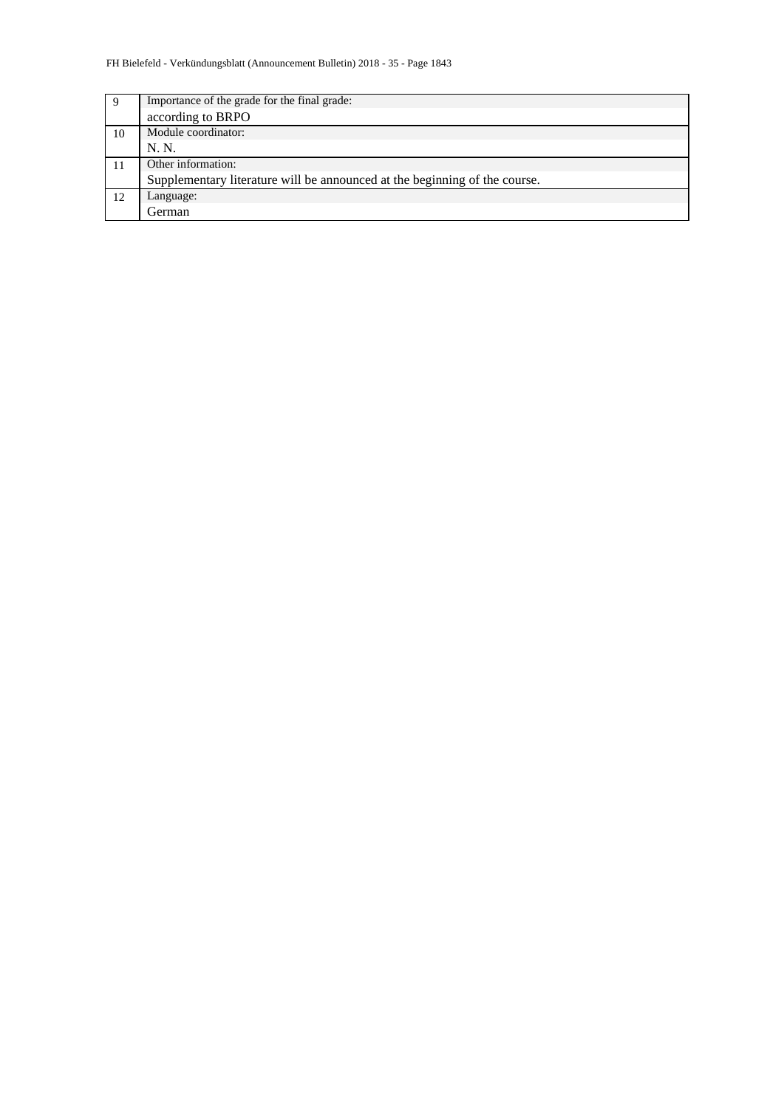| 9  | Importance of the grade for the final grade:                               |
|----|----------------------------------------------------------------------------|
|    | according to BRPO                                                          |
| 10 | Module coordinator:                                                        |
|    | N. N.                                                                      |
|    | Other information:                                                         |
|    | Supplementary literature will be announced at the beginning of the course. |
| 12 | Language:                                                                  |
|    | German                                                                     |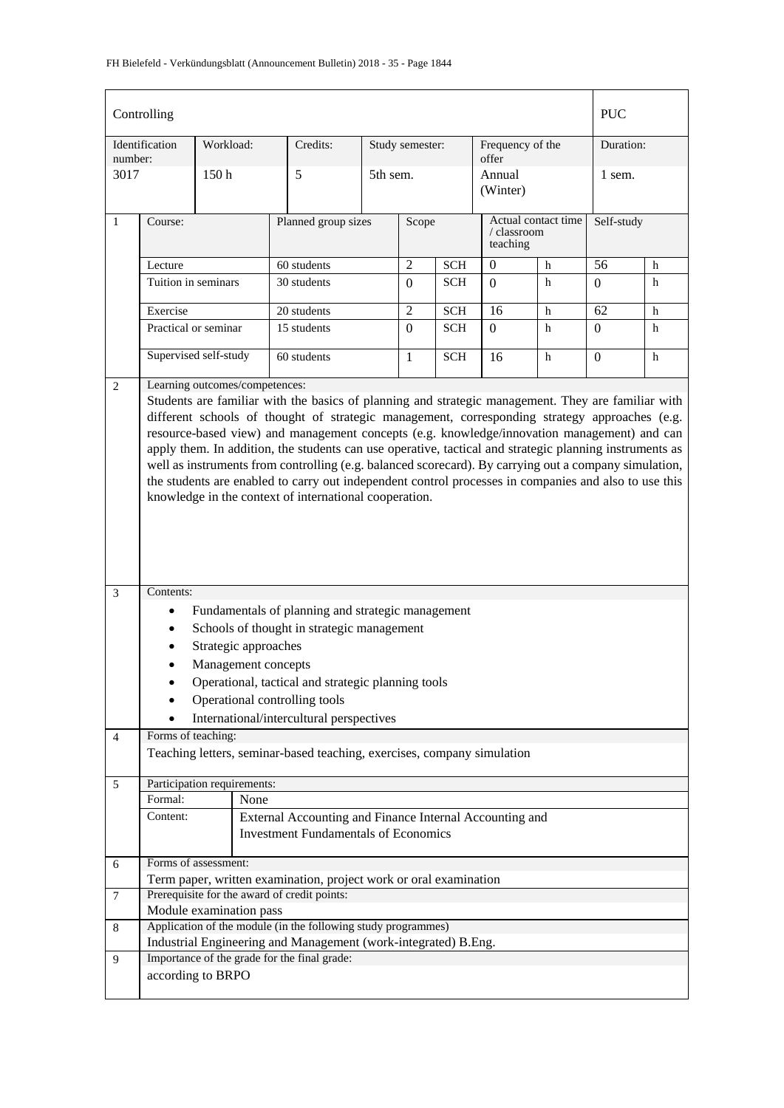|                | Controlling                                 |           |                         |                                                                                                                                                                                                                                                                                                                                                                                                                                                                                                                                                                                     |          |                 |            |                           |                     | <b>PUC</b>      |             |
|----------------|---------------------------------------------|-----------|-------------------------|-------------------------------------------------------------------------------------------------------------------------------------------------------------------------------------------------------------------------------------------------------------------------------------------------------------------------------------------------------------------------------------------------------------------------------------------------------------------------------------------------------------------------------------------------------------------------------------|----------|-----------------|------------|---------------------------|---------------------|-----------------|-------------|
| number:        | Identification                              | Workload: |                         | Credits:                                                                                                                                                                                                                                                                                                                                                                                                                                                                                                                                                                            |          | Study semester: |            | Frequency of the<br>offer |                     | Duration:       |             |
| 3017           |                                             | 150h      |                         | 5                                                                                                                                                                                                                                                                                                                                                                                                                                                                                                                                                                                   | 5th sem. |                 |            | Annual<br>(Winter)        |                     | 1 sem.          |             |
| $\mathbf{1}$   | Course:                                     |           |                         | Planned group sizes                                                                                                                                                                                                                                                                                                                                                                                                                                                                                                                                                                 |          |                 | Scope      | / classroom<br>teaching   | Actual contact time | Self-study      |             |
|                | Lecture                                     |           |                         | 60 students                                                                                                                                                                                                                                                                                                                                                                                                                                                                                                                                                                         |          | $\overline{2}$  | <b>SCH</b> | $\boldsymbol{0}$          | h                   | 56              | h           |
|                | Tuition in seminars                         |           |                         | 30 students                                                                                                                                                                                                                                                                                                                                                                                                                                                                                                                                                                         |          | $\Omega$        | <b>SCH</b> | $\Omega$                  | h                   | 0               | h           |
|                | Exercise                                    |           |                         | 20 students                                                                                                                                                                                                                                                                                                                                                                                                                                                                                                                                                                         |          | $\overline{2}$  | <b>SCH</b> | $\overline{16}$           | h                   | $\overline{62}$ | $\mathbf h$ |
|                | Practical or seminar                        |           |                         | 15 students                                                                                                                                                                                                                                                                                                                                                                                                                                                                                                                                                                         |          | $\Omega$        | <b>SCH</b> | $\Omega$                  | h                   | $\Omega$        | h           |
|                | Supervised self-study                       |           |                         | 60 students                                                                                                                                                                                                                                                                                                                                                                                                                                                                                                                                                                         |          | $\mathbf{1}$    | <b>SCH</b> | 16                        | h                   | $\mathbf{0}$    | h           |
|                | Learning outcomes/competences:<br>2         |           |                         |                                                                                                                                                                                                                                                                                                                                                                                                                                                                                                                                                                                     |          |                 |            |                           |                     |                 |             |
|                |                                             |           |                         | different schools of thought of strategic management, corresponding strategy approaches (e.g.<br>resource-based view) and management concepts (e.g. knowledge/innovation management) and can<br>apply them. In addition, the students can use operative, tactical and strategic planning instruments as<br>well as instruments from controlling (e.g. balanced scorecard). By carrying out a company simulation,<br>the students are enabled to carry out independent control processes in companies and also to use this<br>knowledge in the context of international cooperation. |          |                 |            |                           |                     |                 |             |
| 3              | Contents:                                   |           |                         |                                                                                                                                                                                                                                                                                                                                                                                                                                                                                                                                                                                     |          |                 |            |                           |                     |                 |             |
|                | $\bullet$                                   |           |                         | Fundamentals of planning and strategic management                                                                                                                                                                                                                                                                                                                                                                                                                                                                                                                                   |          |                 |            |                           |                     |                 |             |
|                |                                             |           |                         | Schools of thought in strategic management                                                                                                                                                                                                                                                                                                                                                                                                                                                                                                                                          |          |                 |            |                           |                     |                 |             |
|                |                                             |           | Strategic approaches    |                                                                                                                                                                                                                                                                                                                                                                                                                                                                                                                                                                                     |          |                 |            |                           |                     |                 |             |
|                |                                             |           | Management concepts     |                                                                                                                                                                                                                                                                                                                                                                                                                                                                                                                                                                                     |          |                 |            |                           |                     |                 |             |
|                |                                             |           |                         | Operational, tactical and strategic planning tools                                                                                                                                                                                                                                                                                                                                                                                                                                                                                                                                  |          |                 |            |                           |                     |                 |             |
|                |                                             |           |                         | Operational controlling tools                                                                                                                                                                                                                                                                                                                                                                                                                                                                                                                                                       |          |                 |            |                           |                     |                 |             |
|                | Forms of teaching:                          |           |                         | International/intercultural perspectives                                                                                                                                                                                                                                                                                                                                                                                                                                                                                                                                            |          |                 |            |                           |                     |                 |             |
| $\overline{4}$ |                                             |           |                         | Teaching letters, seminar-based teaching, exercises, company simulation                                                                                                                                                                                                                                                                                                                                                                                                                                                                                                             |          |                 |            |                           |                     |                 |             |
| 5              | Participation requirements:                 |           |                         |                                                                                                                                                                                                                                                                                                                                                                                                                                                                                                                                                                                     |          |                 |            |                           |                     |                 |             |
|                | Formal:                                     |           | None                    |                                                                                                                                                                                                                                                                                                                                                                                                                                                                                                                                                                                     |          |                 |            |                           |                     |                 |             |
|                | Content:                                    |           |                         | External Accounting and Finance Internal Accounting and                                                                                                                                                                                                                                                                                                                                                                                                                                                                                                                             |          |                 |            |                           |                     |                 |             |
|                | <b>Investment Fundamentals of Economics</b> |           |                         |                                                                                                                                                                                                                                                                                                                                                                                                                                                                                                                                                                                     |          |                 |            |                           |                     |                 |             |
| 6              | Forms of assessment:                        |           |                         | Term paper, written examination, project work or oral examination                                                                                                                                                                                                                                                                                                                                                                                                                                                                                                                   |          |                 |            |                           |                     |                 |             |
| $\tau$         |                                             |           |                         | Prerequisite for the award of credit points:                                                                                                                                                                                                                                                                                                                                                                                                                                                                                                                                        |          |                 |            |                           |                     |                 |             |
|                |                                             |           | Module examination pass |                                                                                                                                                                                                                                                                                                                                                                                                                                                                                                                                                                                     |          |                 |            |                           |                     |                 |             |
| 8              |                                             |           |                         | Application of the module (in the following study programmes)<br>Industrial Engineering and Management (work-integrated) B.Eng.                                                                                                                                                                                                                                                                                                                                                                                                                                                     |          |                 |            |                           |                     |                 |             |
| 9              |                                             |           |                         | Importance of the grade for the final grade:                                                                                                                                                                                                                                                                                                                                                                                                                                                                                                                                        |          |                 |            |                           |                     |                 |             |
|                | according to BRPO                           |           |                         |                                                                                                                                                                                                                                                                                                                                                                                                                                                                                                                                                                                     |          |                 |            |                           |                     |                 |             |
|                |                                             |           |                         |                                                                                                                                                                                                                                                                                                                                                                                                                                                                                                                                                                                     |          |                 |            |                           |                     |                 |             |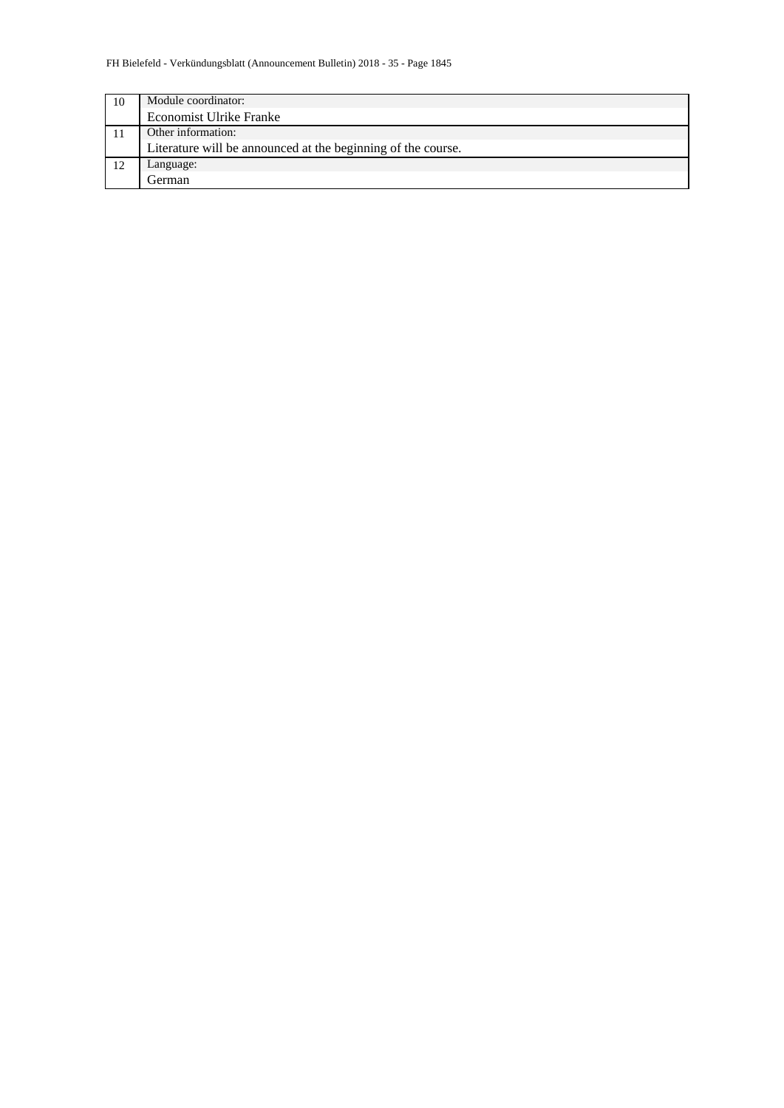| 10 | Module coordinator:                                          |
|----|--------------------------------------------------------------|
|    | Economist Ulrike Franke                                      |
|    | Other information:                                           |
|    | Literature will be announced at the beginning of the course. |
| 12 | Language:                                                    |
|    | German                                                       |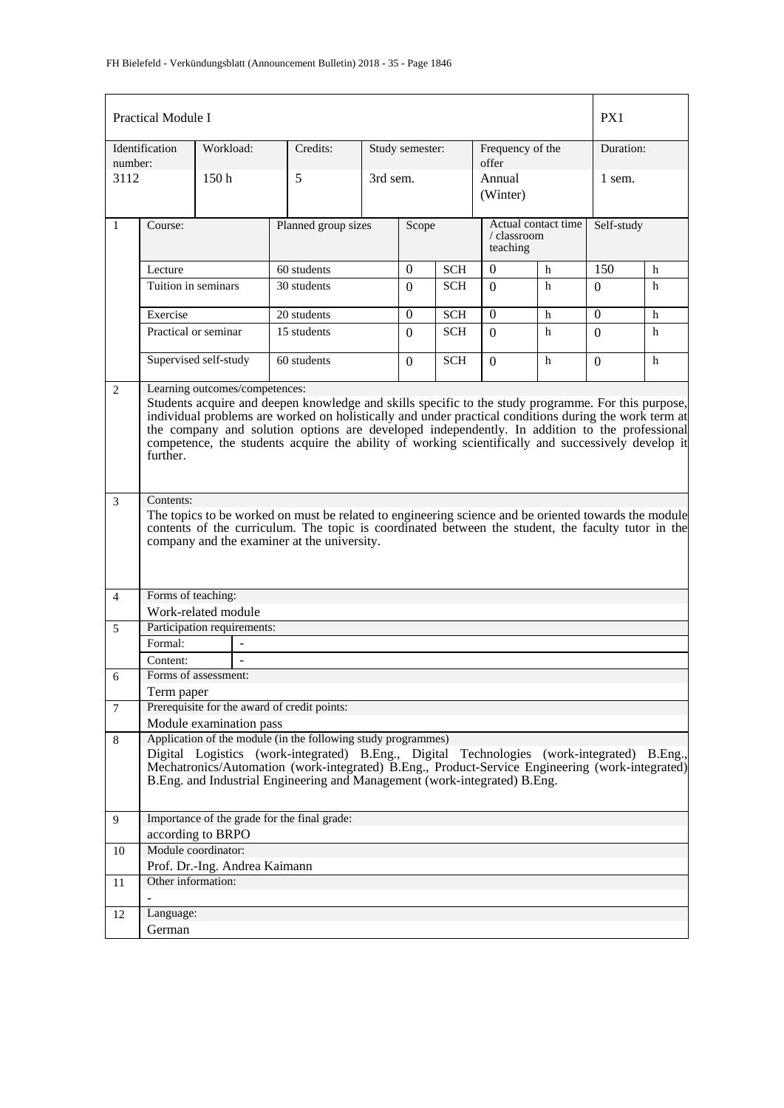|                | <b>Practical Module I</b>                                                                                                                                                                                                                                                                                                                                                                                                                                         |                               |                                                                                                                                                                                                                                                                                                                                             |                     |                 |            |                                                |   | PX1          |   |
|----------------|-------------------------------------------------------------------------------------------------------------------------------------------------------------------------------------------------------------------------------------------------------------------------------------------------------------------------------------------------------------------------------------------------------------------------------------------------------------------|-------------------------------|---------------------------------------------------------------------------------------------------------------------------------------------------------------------------------------------------------------------------------------------------------------------------------------------------------------------------------------------|---------------------|-----------------|------------|------------------------------------------------|---|--------------|---|
| number:        | Identification                                                                                                                                                                                                                                                                                                                                                                                                                                                    | Workload:                     | Credits:                                                                                                                                                                                                                                                                                                                                    |                     | Study semester: |            | Frequency of the<br>offer                      |   | Duration:    |   |
| 3112           |                                                                                                                                                                                                                                                                                                                                                                                                                                                                   | 150h                          | 5                                                                                                                                                                                                                                                                                                                                           |                     | 3rd sem.        |            | Annual<br>(Winter)                             |   | 1 sem.       |   |
| $\mathbf{1}$   | Course:                                                                                                                                                                                                                                                                                                                                                                                                                                                           |                               |                                                                                                                                                                                                                                                                                                                                             | Planned group sizes |                 | Scope      | Actual contact time<br>/ classroom<br>teaching |   | Self-study   |   |
|                | Lecture                                                                                                                                                                                                                                                                                                                                                                                                                                                           |                               | 60 students                                                                                                                                                                                                                                                                                                                                 |                     | $\Omega$        | <b>SCH</b> | $\mathbf{0}$<br>h                              |   | 150          | h |
|                | Tuition in seminars                                                                                                                                                                                                                                                                                                                                                                                                                                               |                               | 30 students                                                                                                                                                                                                                                                                                                                                 |                     | $\Omega$        | <b>SCH</b> | $\Omega$                                       | h | $\Omega$     | h |
|                | Exercise                                                                                                                                                                                                                                                                                                                                                                                                                                                          |                               | 20 students                                                                                                                                                                                                                                                                                                                                 |                     | $\theta$        | <b>SCH</b> | $\Omega$                                       | h | $\mathbf{0}$ | h |
|                | Practical or seminar                                                                                                                                                                                                                                                                                                                                                                                                                                              |                               | 15 students                                                                                                                                                                                                                                                                                                                                 |                     | $\Omega$        | SCH        | $\Omega$                                       | h | $\Omega$     | h |
|                |                                                                                                                                                                                                                                                                                                                                                                                                                                                                   | Supervised self-study         | 60 students                                                                                                                                                                                                                                                                                                                                 |                     | $\Omega$        | <b>SCH</b> | $\Omega$                                       | h | $\Omega$     | h |
| 2              | Learning outcomes/competences:<br>Students acquire and deepen knowledge and skills specific to the study programme. For this purpose,<br>individual problems are worked on holistically and under practical conditions during the work term at<br>the company and solution options are developed independently. In addition to the professional<br>competence, the students acquire the ability of working scientifically and successively develop it<br>further. |                               |                                                                                                                                                                                                                                                                                                                                             |                     |                 |            |                                                |   |              |   |
| 3              | Contents:                                                                                                                                                                                                                                                                                                                                                                                                                                                         |                               | The topics to be worked on must be related to engineering science and be oriented towards the module<br>contents of the curriculum. The topic is coordinated between the student, the faculty tutor in the<br>company and the examiner at the university.                                                                                   |                     |                 |            |                                                |   |              |   |
| $\overline{4}$ | Forms of teaching:                                                                                                                                                                                                                                                                                                                                                                                                                                                |                               |                                                                                                                                                                                                                                                                                                                                             |                     |                 |            |                                                |   |              |   |
|                |                                                                                                                                                                                                                                                                                                                                                                                                                                                                   | Work-related module           |                                                                                                                                                                                                                                                                                                                                             |                     |                 |            |                                                |   |              |   |
| 5              |                                                                                                                                                                                                                                                                                                                                                                                                                                                                   | Participation requirements:   |                                                                                                                                                                                                                                                                                                                                             |                     |                 |            |                                                |   |              |   |
|                | Formal:                                                                                                                                                                                                                                                                                                                                                                                                                                                           | $\overline{a}$                |                                                                                                                                                                                                                                                                                                                                             |                     |                 |            |                                                |   |              |   |
|                | Content:                                                                                                                                                                                                                                                                                                                                                                                                                                                          |                               |                                                                                                                                                                                                                                                                                                                                             |                     |                 |            |                                                |   |              |   |
| 6              |                                                                                                                                                                                                                                                                                                                                                                                                                                                                   | Forms of assessment:          |                                                                                                                                                                                                                                                                                                                                             |                     |                 |            |                                                |   |              |   |
|                | Term paper                                                                                                                                                                                                                                                                                                                                                                                                                                                        |                               | Prerequisite for the award of credit points:                                                                                                                                                                                                                                                                                                |                     |                 |            |                                                |   |              |   |
| $\overline{7}$ |                                                                                                                                                                                                                                                                                                                                                                                                                                                                   | Module examination pass       |                                                                                                                                                                                                                                                                                                                                             |                     |                 |            |                                                |   |              |   |
| 8              |                                                                                                                                                                                                                                                                                                                                                                                                                                                                   |                               | Application of the module (in the following study programmes)<br>Digital Logistics (work-integrated) B.Eng., Digital Technologies (work-integrated) B.Eng.,<br>Mechatronics/Automation (work-integrated) B.Eng., Product-Service Engineering (work-integrated)<br>B.Eng. and Industrial Engineering and Management (work-integrated) B.Eng. |                     |                 |            |                                                |   |              |   |
| 9              |                                                                                                                                                                                                                                                                                                                                                                                                                                                                   | according to BRPO             | Importance of the grade for the final grade:                                                                                                                                                                                                                                                                                                |                     |                 |            |                                                |   |              |   |
| 10             | Module coordinator:                                                                                                                                                                                                                                                                                                                                                                                                                                               |                               |                                                                                                                                                                                                                                                                                                                                             |                     |                 |            |                                                |   |              |   |
|                |                                                                                                                                                                                                                                                                                                                                                                                                                                                                   | Prof. Dr.-Ing. Andrea Kaimann |                                                                                                                                                                                                                                                                                                                                             |                     |                 |            |                                                |   |              |   |
| 11             | Other information:                                                                                                                                                                                                                                                                                                                                                                                                                                                |                               |                                                                                                                                                                                                                                                                                                                                             |                     |                 |            |                                                |   |              |   |
|                |                                                                                                                                                                                                                                                                                                                                                                                                                                                                   |                               |                                                                                                                                                                                                                                                                                                                                             |                     |                 |            |                                                |   |              |   |
| 12             | Language:<br>German                                                                                                                                                                                                                                                                                                                                                                                                                                               |                               |                                                                                                                                                                                                                                                                                                                                             |                     |                 |            |                                                |   |              |   |
|                |                                                                                                                                                                                                                                                                                                                                                                                                                                                                   |                               |                                                                                                                                                                                                                                                                                                                                             |                     |                 |            |                                                |   |              |   |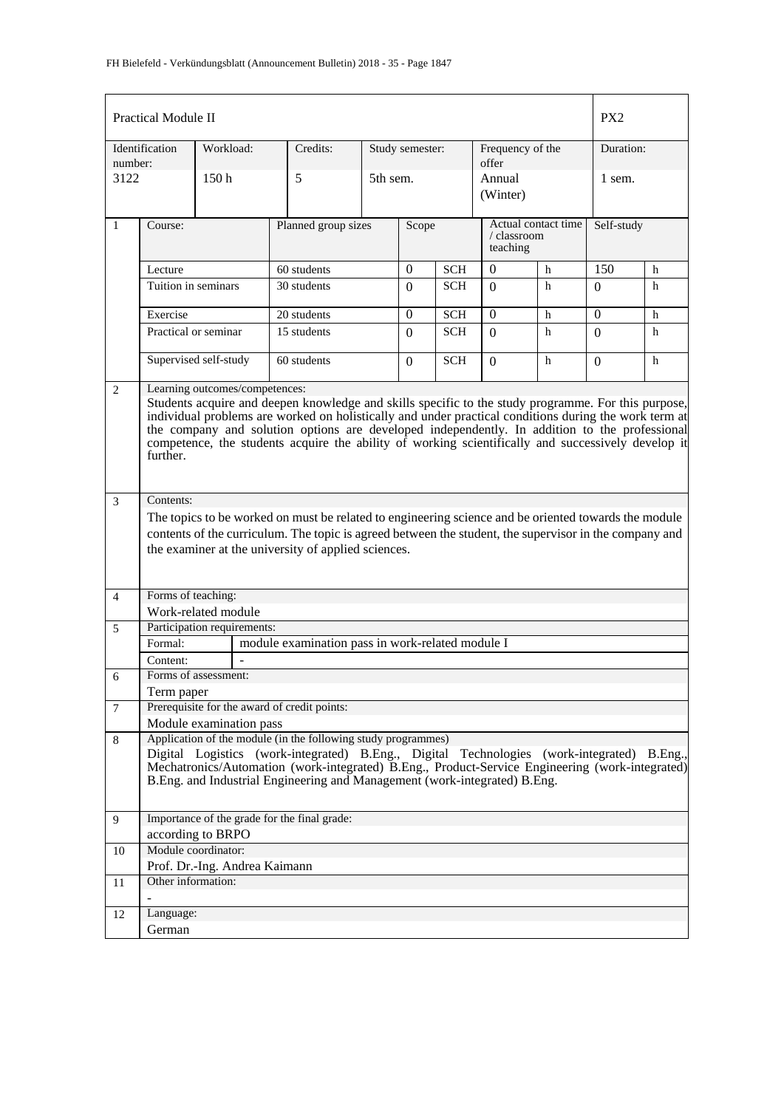|                | <b>Practical Module II</b>                                                                                                                                                                                                                                                                                                                                                                                                                                        |                               |                                                                                                                                                                                                                                                                                                                                             |       |                 |                                                |                           |                    | PX <sub>2</sub> |   |
|----------------|-------------------------------------------------------------------------------------------------------------------------------------------------------------------------------------------------------------------------------------------------------------------------------------------------------------------------------------------------------------------------------------------------------------------------------------------------------------------|-------------------------------|---------------------------------------------------------------------------------------------------------------------------------------------------------------------------------------------------------------------------------------------------------------------------------------------------------------------------------------------|-------|-----------------|------------------------------------------------|---------------------------|--------------------|-----------------|---|
| number:        | Identification                                                                                                                                                                                                                                                                                                                                                                                                                                                    | Workload:                     | Credits:                                                                                                                                                                                                                                                                                                                                    |       | Study semester: |                                                | Frequency of the<br>offer |                    | Duration:       |   |
| 3122           |                                                                                                                                                                                                                                                                                                                                                                                                                                                                   | 150 <sub>h</sub>              | 5                                                                                                                                                                                                                                                                                                                                           |       | 5th sem.        |                                                |                           | Annual<br>(Winter) |                 |   |
| 1              | Course:                                                                                                                                                                                                                                                                                                                                                                                                                                                           |                               | Planned group sizes                                                                                                                                                                                                                                                                                                                         | Scope |                 | Actual contact time<br>/ classroom<br>teaching |                           | Self-study         |                 |   |
|                | Lecture                                                                                                                                                                                                                                                                                                                                                                                                                                                           |                               | 60 students                                                                                                                                                                                                                                                                                                                                 |       | $\theta$        | <b>SCH</b>                                     | $\theta$<br>h             |                    | 150             | h |
|                | Tuition in seminars                                                                                                                                                                                                                                                                                                                                                                                                                                               |                               | 30 students                                                                                                                                                                                                                                                                                                                                 |       | $\Omega$        | <b>SCH</b>                                     | $\Omega$                  | h                  | $\Omega$        | h |
|                | Exercise                                                                                                                                                                                                                                                                                                                                                                                                                                                          |                               | 20 students                                                                                                                                                                                                                                                                                                                                 |       | $\Omega$        | <b>SCH</b>                                     | $\Omega$                  | h                  | $\Omega$        | h |
|                | Practical or seminar                                                                                                                                                                                                                                                                                                                                                                                                                                              |                               | 15 students                                                                                                                                                                                                                                                                                                                                 |       | $\Omega$        | <b>SCH</b>                                     | $\Omega$                  | h                  | 0               | h |
|                |                                                                                                                                                                                                                                                                                                                                                                                                                                                                   | Supervised self-study         | 60 students                                                                                                                                                                                                                                                                                                                                 |       | $\overline{0}$  | <b>SCH</b>                                     | $\Omega$                  | h                  | $\Omega$        | h |
| 2              | Learning outcomes/competences:<br>Students acquire and deepen knowledge and skills specific to the study programme. For this purpose,<br>individual problems are worked on holistically and under practical conditions during the work term at<br>the company and solution options are developed independently. In addition to the professional<br>competence, the students acquire the ability of working scientifically and successively develop it<br>further. |                               |                                                                                                                                                                                                                                                                                                                                             |       |                 |                                                |                           |                    |                 |   |
| 3              | Contents:                                                                                                                                                                                                                                                                                                                                                                                                                                                         |                               | The topics to be worked on must be related to engineering science and be oriented towards the module<br>contents of the curriculum. The topic is agreed between the student, the supervisor in the company and<br>the examiner at the university of applied sciences.                                                                       |       |                 |                                                |                           |                    |                 |   |
| $\overline{4}$ | Forms of teaching:                                                                                                                                                                                                                                                                                                                                                                                                                                                |                               |                                                                                                                                                                                                                                                                                                                                             |       |                 |                                                |                           |                    |                 |   |
|                |                                                                                                                                                                                                                                                                                                                                                                                                                                                                   | Work-related module           |                                                                                                                                                                                                                                                                                                                                             |       |                 |                                                |                           |                    |                 |   |
| 5              |                                                                                                                                                                                                                                                                                                                                                                                                                                                                   | Participation requirements:   |                                                                                                                                                                                                                                                                                                                                             |       |                 |                                                |                           |                    |                 |   |
|                | Formal:                                                                                                                                                                                                                                                                                                                                                                                                                                                           |                               | module examination pass in work-related module I                                                                                                                                                                                                                                                                                            |       |                 |                                                |                           |                    |                 |   |
|                | Content:                                                                                                                                                                                                                                                                                                                                                                                                                                                          |                               |                                                                                                                                                                                                                                                                                                                                             |       |                 |                                                |                           |                    |                 |   |
| 6              |                                                                                                                                                                                                                                                                                                                                                                                                                                                                   | Forms of assessment:          |                                                                                                                                                                                                                                                                                                                                             |       |                 |                                                |                           |                    |                 |   |
|                | Term paper                                                                                                                                                                                                                                                                                                                                                                                                                                                        |                               |                                                                                                                                                                                                                                                                                                                                             |       |                 |                                                |                           |                    |                 |   |
| 7              |                                                                                                                                                                                                                                                                                                                                                                                                                                                                   | Module examination pass       | Prerequisite for the award of credit points:                                                                                                                                                                                                                                                                                                |       |                 |                                                |                           |                    |                 |   |
| 8              |                                                                                                                                                                                                                                                                                                                                                                                                                                                                   |                               | Application of the module (in the following study programmes)<br>Digital Logistics (work-integrated) B.Eng., Digital Technologies (work-integrated) B.Eng.,<br>Mechatronics/Automation (work-integrated) B.Eng., Product-Service Engineering (work-integrated)<br>B.Eng. and Industrial Engineering and Management (work-integrated) B.Eng. |       |                 |                                                |                           |                    |                 |   |
| 9              |                                                                                                                                                                                                                                                                                                                                                                                                                                                                   |                               | Importance of the grade for the final grade:                                                                                                                                                                                                                                                                                                |       |                 |                                                |                           |                    |                 |   |
|                | according to BRPO<br>Module coordinator:                                                                                                                                                                                                                                                                                                                                                                                                                          |                               |                                                                                                                                                                                                                                                                                                                                             |       |                 |                                                |                           |                    |                 |   |
| 10             |                                                                                                                                                                                                                                                                                                                                                                                                                                                                   | Prof. Dr.-Ing. Andrea Kaimann |                                                                                                                                                                                                                                                                                                                                             |       |                 |                                                |                           |                    |                 |   |
| 11             | Other information:                                                                                                                                                                                                                                                                                                                                                                                                                                                |                               |                                                                                                                                                                                                                                                                                                                                             |       |                 |                                                |                           |                    |                 |   |
|                |                                                                                                                                                                                                                                                                                                                                                                                                                                                                   |                               |                                                                                                                                                                                                                                                                                                                                             |       |                 |                                                |                           |                    |                 |   |
| 12             | Language:                                                                                                                                                                                                                                                                                                                                                                                                                                                         |                               |                                                                                                                                                                                                                                                                                                                                             |       |                 |                                                |                           |                    |                 |   |
|                | German                                                                                                                                                                                                                                                                                                                                                                                                                                                            |                               |                                                                                                                                                                                                                                                                                                                                             |       |                 |                                                |                           |                    |                 |   |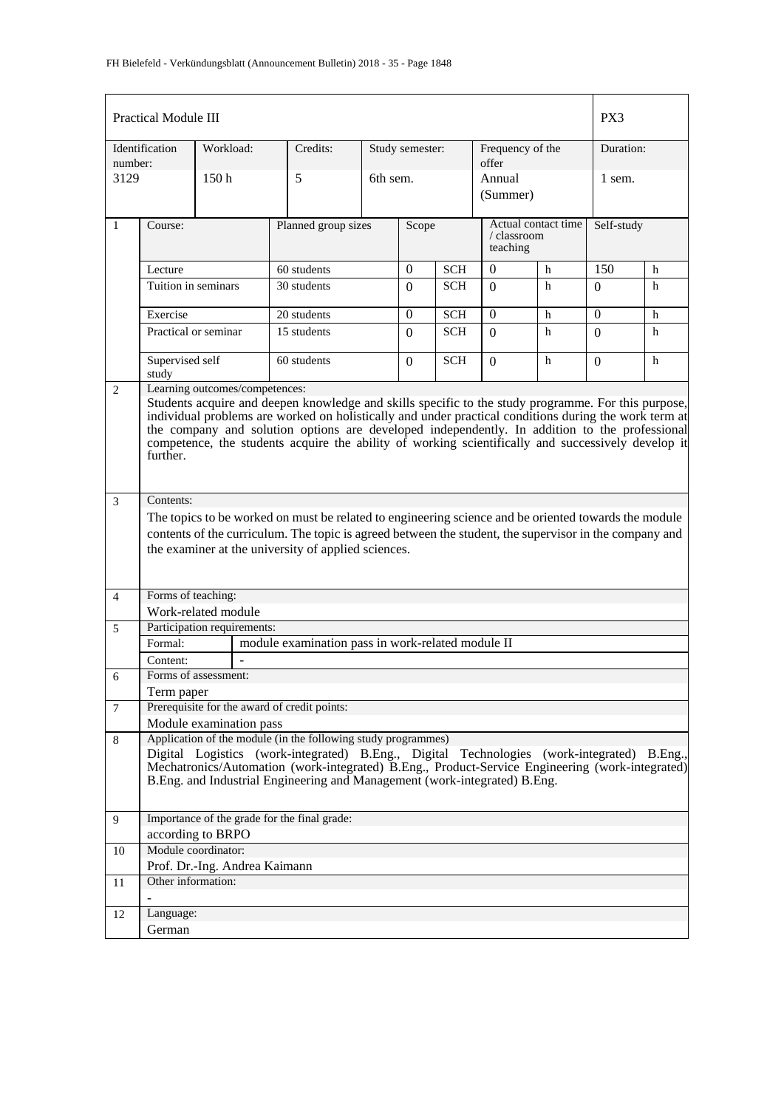|                | <b>Practical Module III</b>                                                                                                                                                                                                                                                                                                                                                                                                                                       |                               |                                                                                                                                                                                                                                                                                                                                             |                              |                 |            |                                                |   | PX3            |   |
|----------------|-------------------------------------------------------------------------------------------------------------------------------------------------------------------------------------------------------------------------------------------------------------------------------------------------------------------------------------------------------------------------------------------------------------------------------------------------------------------|-------------------------------|---------------------------------------------------------------------------------------------------------------------------------------------------------------------------------------------------------------------------------------------------------------------------------------------------------------------------------------------|------------------------------|-----------------|------------|------------------------------------------------|---|----------------|---|
| number:        | Identification                                                                                                                                                                                                                                                                                                                                                                                                                                                    | Workload:                     | Credits:                                                                                                                                                                                                                                                                                                                                    |                              | Study semester: |            | Frequency of the<br>offer                      |   | Duration:      |   |
| 3129           |                                                                                                                                                                                                                                                                                                                                                                                                                                                                   | 150 <sub>h</sub>              | 5                                                                                                                                                                                                                                                                                                                                           |                              | 6th sem.        |            | Annual<br>(Summer)                             |   | 1 sem.         |   |
| $\mathbf{1}$   | Course:                                                                                                                                                                                                                                                                                                                                                                                                                                                           |                               |                                                                                                                                                                                                                                                                                                                                             | Planned group sizes<br>Scope |                 |            | Actual contact time<br>/ classroom<br>teaching |   | Self-study     |   |
|                | $\boldsymbol{0}$<br>60 students<br>Lecture                                                                                                                                                                                                                                                                                                                                                                                                                        |                               |                                                                                                                                                                                                                                                                                                                                             |                              |                 | <b>SCH</b> | $\theta$                                       | h | 150            | h |
|                | Tuition in seminars                                                                                                                                                                                                                                                                                                                                                                                                                                               |                               | 30 students                                                                                                                                                                                                                                                                                                                                 |                              | $\Omega$        | <b>SCH</b> | $\Omega$                                       | h | $\Omega$       | h |
|                | Exercise                                                                                                                                                                                                                                                                                                                                                                                                                                                          |                               | 20 students                                                                                                                                                                                                                                                                                                                                 |                              | $\overline{0}$  | <b>SCH</b> | $\theta$                                       | h | $\overline{0}$ | h |
|                | Practical or seminar                                                                                                                                                                                                                                                                                                                                                                                                                                              |                               | 15 students                                                                                                                                                                                                                                                                                                                                 |                              | $\Omega$        | <b>SCH</b> | $\Omega$                                       | h | 0              | h |
|                | Supervised self<br>study                                                                                                                                                                                                                                                                                                                                                                                                                                          |                               | 60 students                                                                                                                                                                                                                                                                                                                                 |                              | $\mathbf{0}$    | <b>SCH</b> | $\Omega$                                       | h | $\Omega$       | h |
| 2              | Learning outcomes/competences:<br>Students acquire and deepen knowledge and skills specific to the study programme. For this purpose,<br>individual problems are worked on holistically and under practical conditions during the work term at<br>the company and solution options are developed independently. In addition to the professional<br>competence, the students acquire the ability of working scientifically and successively develop it<br>further. |                               |                                                                                                                                                                                                                                                                                                                                             |                              |                 |            |                                                |   |                |   |
| 3              | Contents:                                                                                                                                                                                                                                                                                                                                                                                                                                                         |                               |                                                                                                                                                                                                                                                                                                                                             |                              |                 |            |                                                |   |                |   |
|                |                                                                                                                                                                                                                                                                                                                                                                                                                                                                   |                               | The topics to be worked on must be related to engineering science and be oriented towards the module                                                                                                                                                                                                                                        |                              |                 |            |                                                |   |                |   |
|                |                                                                                                                                                                                                                                                                                                                                                                                                                                                                   |                               | contents of the curriculum. The topic is agreed between the student, the supervisor in the company and                                                                                                                                                                                                                                      |                              |                 |            |                                                |   |                |   |
|                |                                                                                                                                                                                                                                                                                                                                                                                                                                                                   |                               | the examiner at the university of applied sciences.                                                                                                                                                                                                                                                                                         |                              |                 |            |                                                |   |                |   |
| $\overline{4}$ | Forms of teaching:                                                                                                                                                                                                                                                                                                                                                                                                                                                |                               |                                                                                                                                                                                                                                                                                                                                             |                              |                 |            |                                                |   |                |   |
|                |                                                                                                                                                                                                                                                                                                                                                                                                                                                                   | Work-related module           |                                                                                                                                                                                                                                                                                                                                             |                              |                 |            |                                                |   |                |   |
| 5              |                                                                                                                                                                                                                                                                                                                                                                                                                                                                   | Participation requirements:   |                                                                                                                                                                                                                                                                                                                                             |                              |                 |            |                                                |   |                |   |
|                | Formal:                                                                                                                                                                                                                                                                                                                                                                                                                                                           |                               | module examination pass in work-related module II                                                                                                                                                                                                                                                                                           |                              |                 |            |                                                |   |                |   |
|                | Content:                                                                                                                                                                                                                                                                                                                                                                                                                                                          |                               |                                                                                                                                                                                                                                                                                                                                             |                              |                 |            |                                                |   |                |   |
| 6              |                                                                                                                                                                                                                                                                                                                                                                                                                                                                   | Forms of assessment:          |                                                                                                                                                                                                                                                                                                                                             |                              |                 |            |                                                |   |                |   |
|                | Term paper                                                                                                                                                                                                                                                                                                                                                                                                                                                        |                               |                                                                                                                                                                                                                                                                                                                                             |                              |                 |            |                                                |   |                |   |
| $\overline{7}$ |                                                                                                                                                                                                                                                                                                                                                                                                                                                                   |                               | Prerequisite for the award of credit points:                                                                                                                                                                                                                                                                                                |                              |                 |            |                                                |   |                |   |
|                |                                                                                                                                                                                                                                                                                                                                                                                                                                                                   | Module examination pass       |                                                                                                                                                                                                                                                                                                                                             |                              |                 |            |                                                |   |                |   |
| 8              |                                                                                                                                                                                                                                                                                                                                                                                                                                                                   |                               | Application of the module (in the following study programmes)<br>Digital Logistics (work-integrated) B.Eng., Digital Technologies (work-integrated) B.Eng.,<br>Mechatronics/Automation (work-integrated) B.Eng., Product-Service Engineering (work-integrated)<br>B.Eng. and Industrial Engineering and Management (work-integrated) B.Eng. |                              |                 |            |                                                |   |                |   |
| 9              |                                                                                                                                                                                                                                                                                                                                                                                                                                                                   | according to BRPO             | Importance of the grade for the final grade:                                                                                                                                                                                                                                                                                                |                              |                 |            |                                                |   |                |   |
| 10             |                                                                                                                                                                                                                                                                                                                                                                                                                                                                   | Module coordinator:           |                                                                                                                                                                                                                                                                                                                                             |                              |                 |            |                                                |   |                |   |
|                |                                                                                                                                                                                                                                                                                                                                                                                                                                                                   | Prof. Dr.-Ing. Andrea Kaimann |                                                                                                                                                                                                                                                                                                                                             |                              |                 |            |                                                |   |                |   |
| 11             | Other information:                                                                                                                                                                                                                                                                                                                                                                                                                                                |                               |                                                                                                                                                                                                                                                                                                                                             |                              |                 |            |                                                |   |                |   |
| 12             | Language:                                                                                                                                                                                                                                                                                                                                                                                                                                                         |                               |                                                                                                                                                                                                                                                                                                                                             |                              |                 |            |                                                |   |                |   |
|                | German                                                                                                                                                                                                                                                                                                                                                                                                                                                            |                               |                                                                                                                                                                                                                                                                                                                                             |                              |                 |            |                                                |   |                |   |
|                |                                                                                                                                                                                                                                                                                                                                                                                                                                                                   |                               |                                                                                                                                                                                                                                                                                                                                             |                              |                 |            |                                                |   |                |   |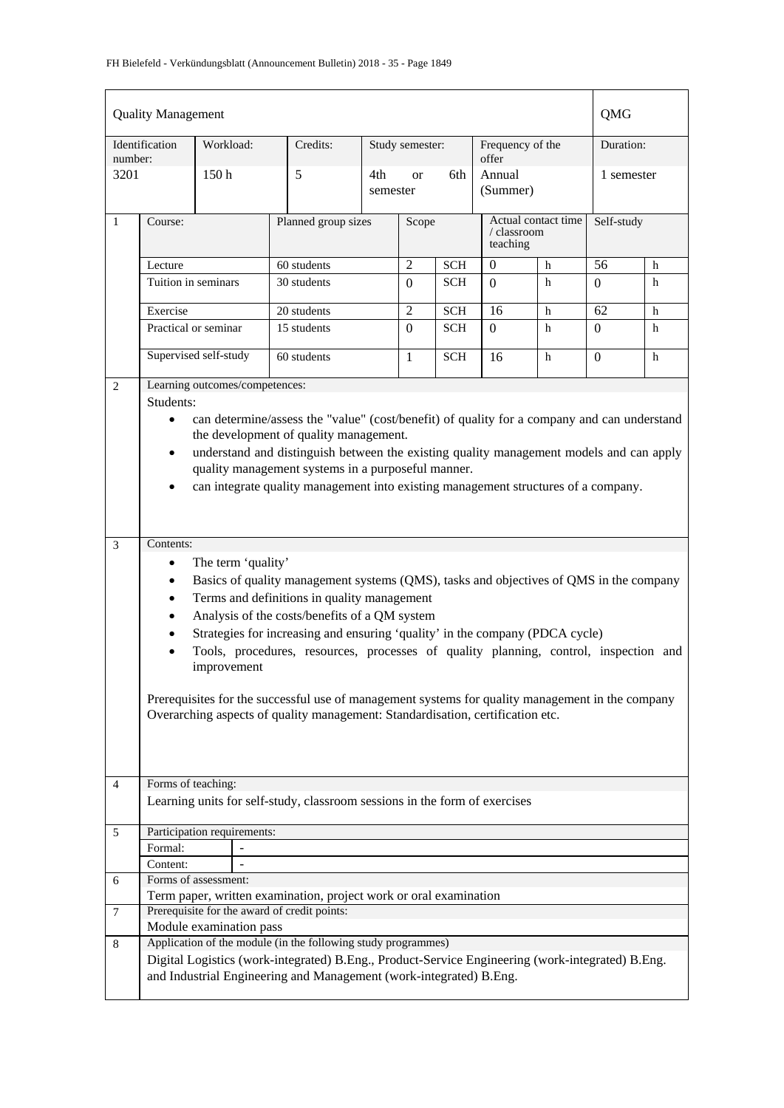|                | <b>Quality Management</b>           |                                   |                                                                                                                                                                                                                                                                                                                                                                                                                                                                                                                                                      |     |                              |            |                                                |   | QMG              |   |
|----------------|-------------------------------------|-----------------------------------|------------------------------------------------------------------------------------------------------------------------------------------------------------------------------------------------------------------------------------------------------------------------------------------------------------------------------------------------------------------------------------------------------------------------------------------------------------------------------------------------------------------------------------------------------|-----|------------------------------|------------|------------------------------------------------|---|------------------|---|
| number:        | Identification                      | Workload:                         | Credits:                                                                                                                                                                                                                                                                                                                                                                                                                                                                                                                                             |     | Study semester:              |            | Frequency of the<br>offer                      |   | Duration:        |   |
| 3201           |                                     | 150 <sub>h</sub>                  | 5                                                                                                                                                                                                                                                                                                                                                                                                                                                                                                                                                    | 4th | 6th<br><b>or</b><br>semester |            | Annual<br>(Summer)                             |   | 1 semester       |   |
| $\mathbf{1}$   | Course:                             |                                   | Planned group sizes                                                                                                                                                                                                                                                                                                                                                                                                                                                                                                                                  |     | Scope                        |            | Actual contact time<br>/ classroom<br>teaching |   | Self-study       |   |
|                | Lecture                             |                                   | 60 students                                                                                                                                                                                                                                                                                                                                                                                                                                                                                                                                          |     | $\overline{2}$               | <b>SCH</b> | $\mathbf{0}$                                   | h | 56               | h |
|                | Tuition in seminars                 |                                   | 30 students                                                                                                                                                                                                                                                                                                                                                                                                                                                                                                                                          |     | $\Omega$                     | <b>SCH</b> | $\Omega$                                       | h | $\Omega$         | h |
|                | Exercise                            |                                   | 20 students                                                                                                                                                                                                                                                                                                                                                                                                                                                                                                                                          |     | 2                            | <b>SCH</b> | 16                                             | h | 62               | h |
|                | Practical or seminar                |                                   | 15 students                                                                                                                                                                                                                                                                                                                                                                                                                                                                                                                                          |     | $\Omega$                     | <b>SCH</b> | $\Omega$                                       | h | $\Omega$         | h |
|                |                                     | Supervised self-study             | 60 students                                                                                                                                                                                                                                                                                                                                                                                                                                                                                                                                          |     | $\mathbf{1}$                 | <b>SCH</b> | 16                                             | h | $\boldsymbol{0}$ | h |
| 2              |                                     | Learning outcomes/competences:    |                                                                                                                                                                                                                                                                                                                                                                                                                                                                                                                                                      |     |                              |            |                                                |   |                  |   |
|                | Students:                           |                                   |                                                                                                                                                                                                                                                                                                                                                                                                                                                                                                                                                      |     |                              |            |                                                |   |                  |   |
|                | $\bullet$<br>$\bullet$<br>$\bullet$ |                                   | can determine/assess the "value" (cost/benefit) of quality for a company and can understand<br>the development of quality management.<br>understand and distinguish between the existing quality management models and can apply<br>quality management systems in a purposeful manner.<br>can integrate quality management into existing management structures of a company.                                                                                                                                                                         |     |                              |            |                                                |   |                  |   |
| 3              | Contents:                           |                                   |                                                                                                                                                                                                                                                                                                                                                                                                                                                                                                                                                      |     |                              |            |                                                |   |                  |   |
|                | $\bullet$<br>٠<br>$\bullet$<br>٠    | The term 'quality'<br>improvement | Basics of quality management systems (QMS), tasks and objectives of QMS in the company<br>Terms and definitions in quality management<br>Analysis of the costs/benefits of a QM system<br>Strategies for increasing and ensuring 'quality' in the company (PDCA cycle)<br>Tools, procedures, resources, processes of quality planning, control, inspection and<br>Prerequisites for the successful use of management systems for quality management in the company<br>Overarching aspects of quality management: Standardisation, certification etc. |     |                              |            |                                                |   |                  |   |
| $\overline{4}$ | Forms of teaching:                  |                                   |                                                                                                                                                                                                                                                                                                                                                                                                                                                                                                                                                      |     |                              |            |                                                |   |                  |   |
|                |                                     |                                   | Learning units for self-study, classroom sessions in the form of exercises                                                                                                                                                                                                                                                                                                                                                                                                                                                                           |     |                              |            |                                                |   |                  |   |
| 5              |                                     | Participation requirements:       |                                                                                                                                                                                                                                                                                                                                                                                                                                                                                                                                                      |     |                              |            |                                                |   |                  |   |
|                | Formal:                             |                                   |                                                                                                                                                                                                                                                                                                                                                                                                                                                                                                                                                      |     |                              |            |                                                |   |                  |   |
|                | Content:                            |                                   |                                                                                                                                                                                                                                                                                                                                                                                                                                                                                                                                                      |     |                              |            |                                                |   |                  |   |
| 6              |                                     | Forms of assessment:              |                                                                                                                                                                                                                                                                                                                                                                                                                                                                                                                                                      |     |                              |            |                                                |   |                  |   |
|                |                                     |                                   | Term paper, written examination, project work or oral examination                                                                                                                                                                                                                                                                                                                                                                                                                                                                                    |     |                              |            |                                                |   |                  |   |
| 7              |                                     |                                   | Prerequisite for the award of credit points:                                                                                                                                                                                                                                                                                                                                                                                                                                                                                                         |     |                              |            |                                                |   |                  |   |
|                |                                     | Module examination pass           |                                                                                                                                                                                                                                                                                                                                                                                                                                                                                                                                                      |     |                              |            |                                                |   |                  |   |
| 8              |                                     |                                   | Application of the module (in the following study programmes)<br>Digital Logistics (work-integrated) B.Eng., Product-Service Engineering (work-integrated) B.Eng.<br>and Industrial Engineering and Management (work-integrated) B.Eng.                                                                                                                                                                                                                                                                                                              |     |                              |            |                                                |   |                  |   |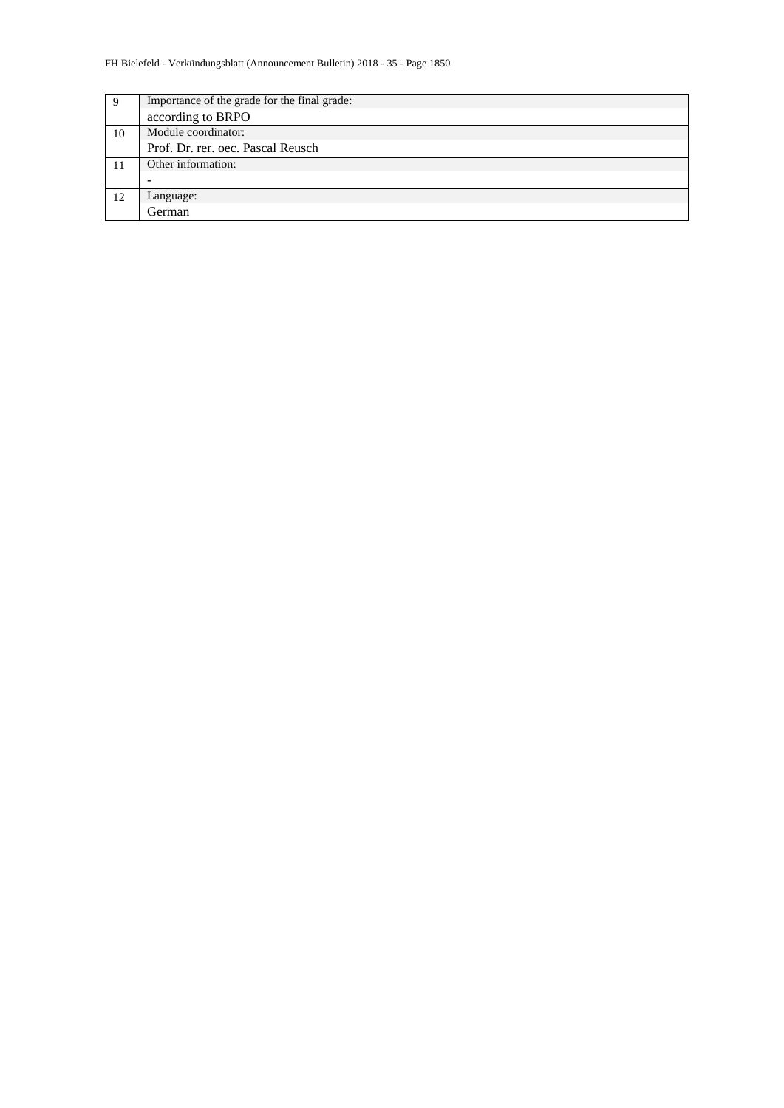| 9  | Importance of the grade for the final grade: |
|----|----------------------------------------------|
|    | according to BRPO                            |
| 10 | Module coordinator:                          |
|    | Prof. Dr. rer. oec. Pascal Reusch            |
|    | Other information:                           |
|    |                                              |
| 12 | Language:                                    |
|    | <b>German</b>                                |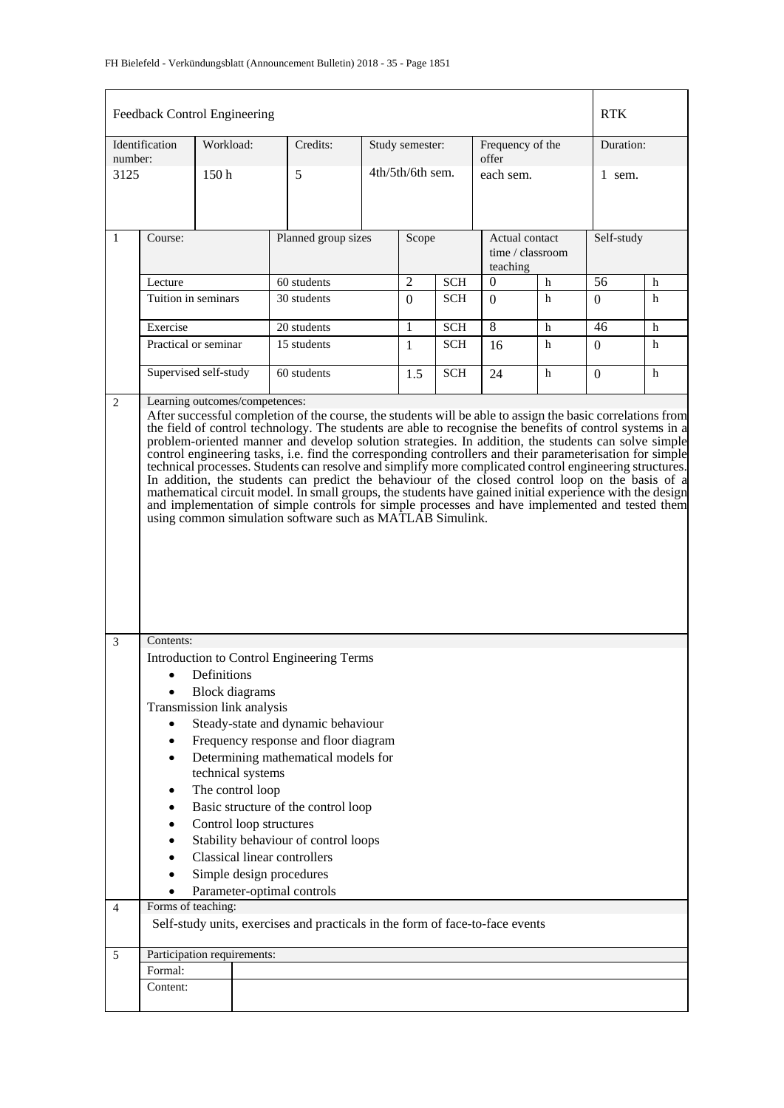|                                                                                                                                                                                                                                                                                                                                                                                                                                                                                                                                                                                                                                                       |                                                                                                                                                                                                                                                                                                                                                                                                                                                                                                                                                                                                                                                                                                                                                                                                                                                                                                                                      | Feedback Control Engineering |                     |  |                              |            |                                                |   | <b>RTK</b>       |           |  |
|-------------------------------------------------------------------------------------------------------------------------------------------------------------------------------------------------------------------------------------------------------------------------------------------------------------------------------------------------------------------------------------------------------------------------------------------------------------------------------------------------------------------------------------------------------------------------------------------------------------------------------------------------------|--------------------------------------------------------------------------------------------------------------------------------------------------------------------------------------------------------------------------------------------------------------------------------------------------------------------------------------------------------------------------------------------------------------------------------------------------------------------------------------------------------------------------------------------------------------------------------------------------------------------------------------------------------------------------------------------------------------------------------------------------------------------------------------------------------------------------------------------------------------------------------------------------------------------------------------|------------------------------|---------------------|--|------------------------------|------------|------------------------------------------------|---|------------------|-----------|--|
| number:                                                                                                                                                                                                                                                                                                                                                                                                                                                                                                                                                                                                                                               | Identification                                                                                                                                                                                                                                                                                                                                                                                                                                                                                                                                                                                                                                                                                                                                                                                                                                                                                                                       | Workload:                    | Credits:            |  | Study semester:              |            | Frequency of the<br>offer                      |   |                  | Duration: |  |
| 3125                                                                                                                                                                                                                                                                                                                                                                                                                                                                                                                                                                                                                                                  |                                                                                                                                                                                                                                                                                                                                                                                                                                                                                                                                                                                                                                                                                                                                                                                                                                                                                                                                      | 150h                         | 5                   |  | 4th/5th/6th sem.             |            | each sem.                                      |   | 1 sem.           |           |  |
| 1                                                                                                                                                                                                                                                                                                                                                                                                                                                                                                                                                                                                                                                     | Course:                                                                                                                                                                                                                                                                                                                                                                                                                                                                                                                                                                                                                                                                                                                                                                                                                                                                                                                              |                              | Planned group sizes |  | Scope                        |            | Actual contact<br>time / classroom<br>teaching |   | Self-study       |           |  |
|                                                                                                                                                                                                                                                                                                                                                                                                                                                                                                                                                                                                                                                       | Lecture                                                                                                                                                                                                                                                                                                                                                                                                                                                                                                                                                                                                                                                                                                                                                                                                                                                                                                                              |                              | 60 students         |  | $\overline{2}$<br><b>SCH</b> |            | $\theta$                                       | h | 56               | h         |  |
|                                                                                                                                                                                                                                                                                                                                                                                                                                                                                                                                                                                                                                                       | Tuition in seminars                                                                                                                                                                                                                                                                                                                                                                                                                                                                                                                                                                                                                                                                                                                                                                                                                                                                                                                  |                              | 30 students         |  | $\Omega$                     | <b>SCH</b> | $\Omega$                                       | h | $\Omega$         | h         |  |
|                                                                                                                                                                                                                                                                                                                                                                                                                                                                                                                                                                                                                                                       | Exercise                                                                                                                                                                                                                                                                                                                                                                                                                                                                                                                                                                                                                                                                                                                                                                                                                                                                                                                             |                              | 20 students         |  | 1                            | <b>SCH</b> | 8                                              | h | 46               | h         |  |
|                                                                                                                                                                                                                                                                                                                                                                                                                                                                                                                                                                                                                                                       |                                                                                                                                                                                                                                                                                                                                                                                                                                                                                                                                                                                                                                                                                                                                                                                                                                                                                                                                      | Practical or seminar         | 15 students         |  | $\mathbf{1}$                 | <b>SCH</b> | 16                                             | h | $\Omega$         | h         |  |
|                                                                                                                                                                                                                                                                                                                                                                                                                                                                                                                                                                                                                                                       |                                                                                                                                                                                                                                                                                                                                                                                                                                                                                                                                                                                                                                                                                                                                                                                                                                                                                                                                      | Supervised self-study        | 60 students         |  | 1.5                          | <b>SCH</b> | 24                                             | h | $\boldsymbol{0}$ | h         |  |
|                                                                                                                                                                                                                                                                                                                                                                                                                                                                                                                                                                                                                                                       | After successful completion of the course, the students will be able to assign the basic correlations from<br>the field of control technology. The students are able to recognise the benefits of control systems in a<br>problem-oriented manner and develop solution strategies. In addition, the students can solve simple<br>control engineering tasks, i.e. find the corresponding controllers and their parameterisation for simple<br>technical processes. Students can resolve and simplify more complicated control engineering structures.<br>In addition, the students can predict the behaviour of the closed control loop on the basis of a<br>mathematical circuit model. In small groups, the students have gained initial experience with the design<br>and implementation of simple controls for simple processes and have implemented and tested them<br>using common simulation software such as MATLAB Simulink. |                              |                     |  |                              |            |                                                |   |                  |           |  |
| Contents:<br>3<br>Introduction to Control Engineering Terms<br>Definitions<br><b>Block</b> diagrams<br>Transmission link analysis<br>Steady-state and dynamic behaviour<br>$\bullet$<br>Frequency response and floor diagram<br>٠<br>Determining mathematical models for<br>$\bullet$<br>technical systems<br>The control loop<br>Basic structure of the control loop<br>Control loop structures<br>Stability behaviour of control loops<br><b>Classical linear controllers</b><br>Simple design procedures<br>Parameter-optimal controls<br>Forms of teaching:<br>4<br>Self-study units, exercises and practicals in the form of face-to-face events |                                                                                                                                                                                                                                                                                                                                                                                                                                                                                                                                                                                                                                                                                                                                                                                                                                                                                                                                      |                              |                     |  |                              |            |                                                |   |                  |           |  |
| 5                                                                                                                                                                                                                                                                                                                                                                                                                                                                                                                                                                                                                                                     |                                                                                                                                                                                                                                                                                                                                                                                                                                                                                                                                                                                                                                                                                                                                                                                                                                                                                                                                      | Participation requirements:  |                     |  |                              |            |                                                |   |                  |           |  |
|                                                                                                                                                                                                                                                                                                                                                                                                                                                                                                                                                                                                                                                       | Formal:                                                                                                                                                                                                                                                                                                                                                                                                                                                                                                                                                                                                                                                                                                                                                                                                                                                                                                                              |                              |                     |  |                              |            |                                                |   |                  |           |  |
|                                                                                                                                                                                                                                                                                                                                                                                                                                                                                                                                                                                                                                                       | Content:                                                                                                                                                                                                                                                                                                                                                                                                                                                                                                                                                                                                                                                                                                                                                                                                                                                                                                                             |                              |                     |  |                              |            |                                                |   |                  |           |  |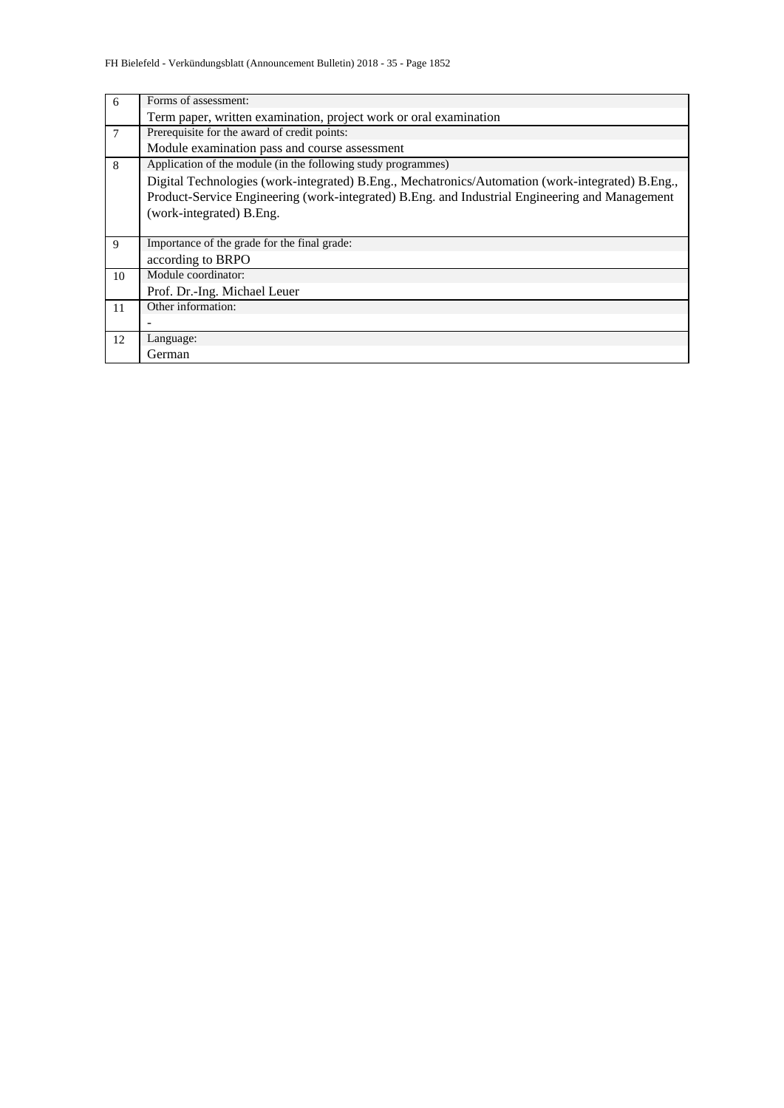| 6  | Forms of assessment:                                                                             |
|----|--------------------------------------------------------------------------------------------------|
|    | Term paper, written examination, project work or oral examination                                |
| 7  | Prerequisite for the award of credit points:                                                     |
|    | Module examination pass and course assessment                                                    |
| 8  | Application of the module (in the following study programmes)                                    |
|    | Digital Technologies (work-integrated) B.Eng., Mechatronics/Automation (work-integrated) B.Eng., |
|    | Product-Service Engineering (work-integrated) B.Eng. and Industrial Engineering and Management   |
|    | (work-integrated) B.Eng.                                                                         |
|    |                                                                                                  |
| 9  | Importance of the grade for the final grade:                                                     |
|    | according to BRPO                                                                                |
| 10 | Module coordinator:                                                                              |
|    | Prof. Dr.-Ing. Michael Leuer                                                                     |
| 11 | Other information:                                                                               |
|    |                                                                                                  |
| 12 | Language:                                                                                        |
|    | German                                                                                           |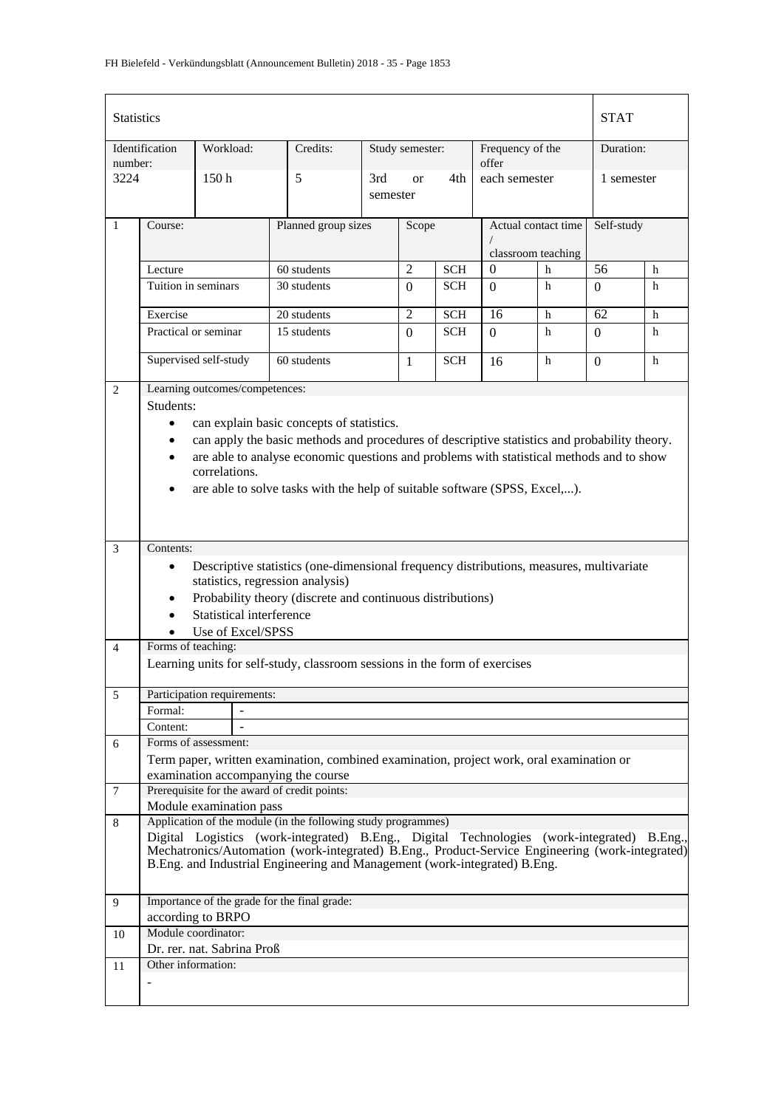| <b>Statistics</b> |                     |                                |                                                                                                                                 |                                     |                |            |                           |                    | <b>STAT</b>      |   |
|-------------------|---------------------|--------------------------------|---------------------------------------------------------------------------------------------------------------------------------|-------------------------------------|----------------|------------|---------------------------|--------------------|------------------|---|
| number:           | Identification      | Workload:                      | Credits:                                                                                                                        | Study semester:                     |                |            | Frequency of the<br>offer |                    | Duration:        |   |
|                   | 3224<br>150h        |                                | 5                                                                                                                               | 3rd<br>4th<br><b>or</b><br>semester |                |            | each semester             |                    | 1 semester       |   |
| $\mathbf{1}$      | Course:             |                                | Planned group sizes                                                                                                             |                                     | Scope          |            | Actual contact time       |                    | Self-study       |   |
|                   |                     |                                |                                                                                                                                 |                                     |                |            |                           | classroom teaching |                  |   |
|                   | Lecture             |                                | 60 students                                                                                                                     |                                     | $\overline{c}$ | <b>SCH</b> | $\Omega$                  | h                  | 56               | h |
|                   | Tuition in seminars |                                | 30 students                                                                                                                     |                                     | $\Omega$       | <b>SCH</b> | $\Omega$                  | h                  | $\Omega$         | h |
|                   | Exercise            |                                | 20 students                                                                                                                     |                                     | $\overline{2}$ | <b>SCH</b> | 16                        | h                  | 62               | h |
|                   |                     | Practical or seminar           | 15 students                                                                                                                     |                                     | $\Omega$       | <b>SCH</b> | $\Omega$                  | h                  | $\boldsymbol{0}$ | h |
|                   |                     | Supervised self-study          | 60 students                                                                                                                     |                                     | 1              | <b>SCH</b> | 16                        | h                  | $\Omega$         | h |
| $\overline{2}$    |                     | Learning outcomes/competences: |                                                                                                                                 |                                     |                |            |                           |                    |                  |   |
|                   | Students:           |                                |                                                                                                                                 |                                     |                |            |                           |                    |                  |   |
|                   | $\bullet$           |                                | can explain basic concepts of statistics.                                                                                       |                                     |                |            |                           |                    |                  |   |
|                   | ٠                   |                                | can apply the basic methods and procedures of descriptive statistics and probability theory.                                    |                                     |                |            |                           |                    |                  |   |
|                   | $\bullet$           |                                | are able to analyse economic questions and problems with statistical methods and to show                                        |                                     |                |            |                           |                    |                  |   |
|                   |                     | correlations.                  |                                                                                                                                 |                                     |                |            |                           |                    |                  |   |
|                   | $\bullet$           |                                | are able to solve tasks with the help of suitable software (SPSS, Excel,).                                                      |                                     |                |            |                           |                    |                  |   |
|                   |                     |                                |                                                                                                                                 |                                     |                |            |                           |                    |                  |   |
|                   |                     |                                |                                                                                                                                 |                                     |                |            |                           |                    |                  |   |
| 3                 | Contents:           |                                |                                                                                                                                 |                                     |                |            |                           |                    |                  |   |
|                   |                     |                                |                                                                                                                                 |                                     |                |            |                           |                    |                  |   |
|                   | $\bullet$           |                                | Descriptive statistics (one-dimensional frequency distributions, measures, multivariate<br>statistics, regression analysis)     |                                     |                |            |                           |                    |                  |   |
|                   | $\bullet$           |                                | Probability theory (discrete and continuous distributions)                                                                      |                                     |                |            |                           |                    |                  |   |
|                   |                     | Statistical interference       |                                                                                                                                 |                                     |                |            |                           |                    |                  |   |
|                   |                     | Use of Excel/SPSS              |                                                                                                                                 |                                     |                |            |                           |                    |                  |   |
| $\overline{4}$    | Forms of teaching:  |                                |                                                                                                                                 |                                     |                |            |                           |                    |                  |   |
|                   |                     |                                | Learning units for self-study, classroom sessions in the form of exercises                                                      |                                     |                |            |                           |                    |                  |   |
|                   |                     |                                |                                                                                                                                 |                                     |                |            |                           |                    |                  |   |
| 5                 |                     | Participation requirements:    |                                                                                                                                 |                                     |                |            |                           |                    |                  |   |
|                   | Formal:             |                                |                                                                                                                                 |                                     |                |            |                           |                    |                  |   |
|                   | Content:            | Forms of assessment:           |                                                                                                                                 |                                     |                |            |                           |                    |                  |   |
| 6                 |                     |                                |                                                                                                                                 |                                     |                |            |                           |                    |                  |   |
|                   |                     |                                | Term paper, written examination, combined examination, project work, oral examination or<br>examination accompanying the course |                                     |                |            |                           |                    |                  |   |
| 7                 |                     |                                | Prerequisite for the award of credit points:                                                                                    |                                     |                |            |                           |                    |                  |   |
|                   |                     | Module examination pass        |                                                                                                                                 |                                     |                |            |                           |                    |                  |   |
| 8                 |                     |                                | Application of the module (in the following study programmes)                                                                   |                                     |                |            |                           |                    |                  |   |
|                   |                     |                                | Digital Logistics (work-integrated) B.Eng., Digital Technologies (work-integrated) B.Eng.,                                      |                                     |                |            |                           |                    |                  |   |
|                   |                     |                                | Mechatronics/Automation (work-integrated) B.Eng., Product-Service Engineering (work-integrated)                                 |                                     |                |            |                           |                    |                  |   |
|                   |                     |                                | B.Eng. and Industrial Engineering and Management (work-integrated) B.Eng.                                                       |                                     |                |            |                           |                    |                  |   |
| 9                 |                     |                                | Importance of the grade for the final grade:                                                                                    |                                     |                |            |                           |                    |                  |   |
|                   |                     | according to BRPO              |                                                                                                                                 |                                     |                |            |                           |                    |                  |   |
| 10                |                     | Module coordinator:            |                                                                                                                                 |                                     |                |            |                           |                    |                  |   |
|                   |                     | Dr. rer. nat. Sabrina Proß     |                                                                                                                                 |                                     |                |            |                           |                    |                  |   |
| 11                | Other information:  |                                |                                                                                                                                 |                                     |                |            |                           |                    |                  |   |
|                   |                     |                                |                                                                                                                                 |                                     |                |            |                           |                    |                  |   |
|                   |                     |                                |                                                                                                                                 |                                     |                |            |                           |                    |                  |   |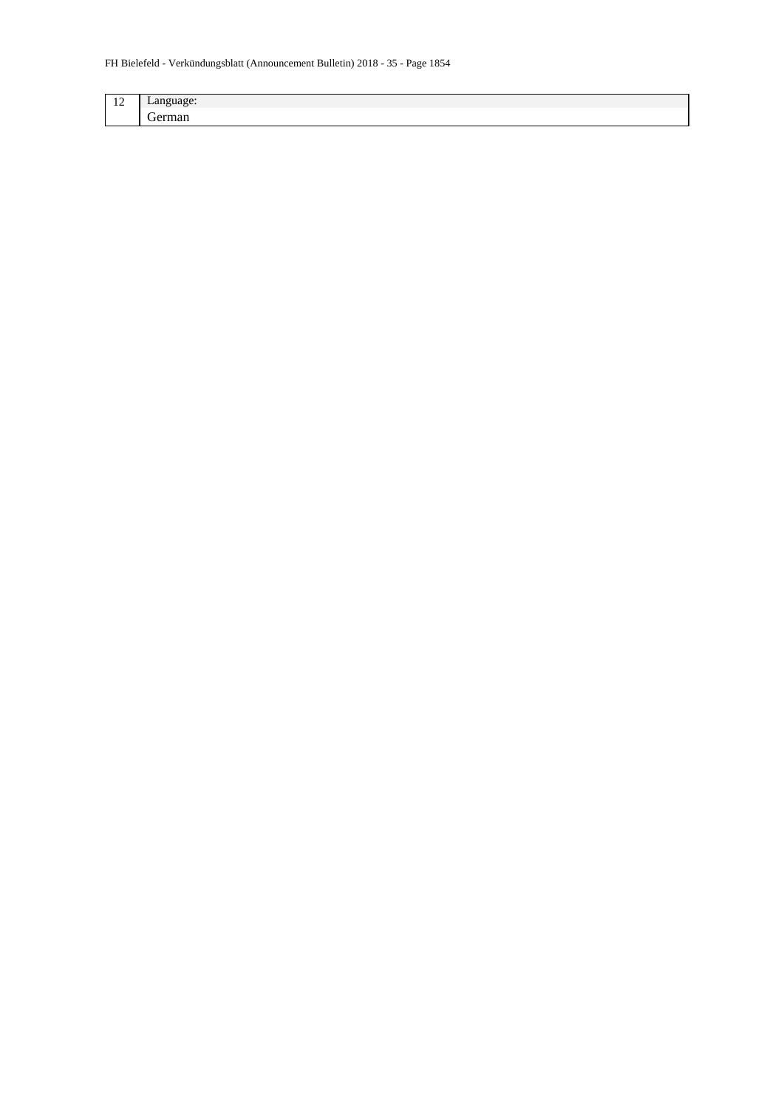| $\overline{\phantom{a}}$<br>-4<br>--<br>-- | $-$  |
|--------------------------------------------|------|
|                                            | $ -$ |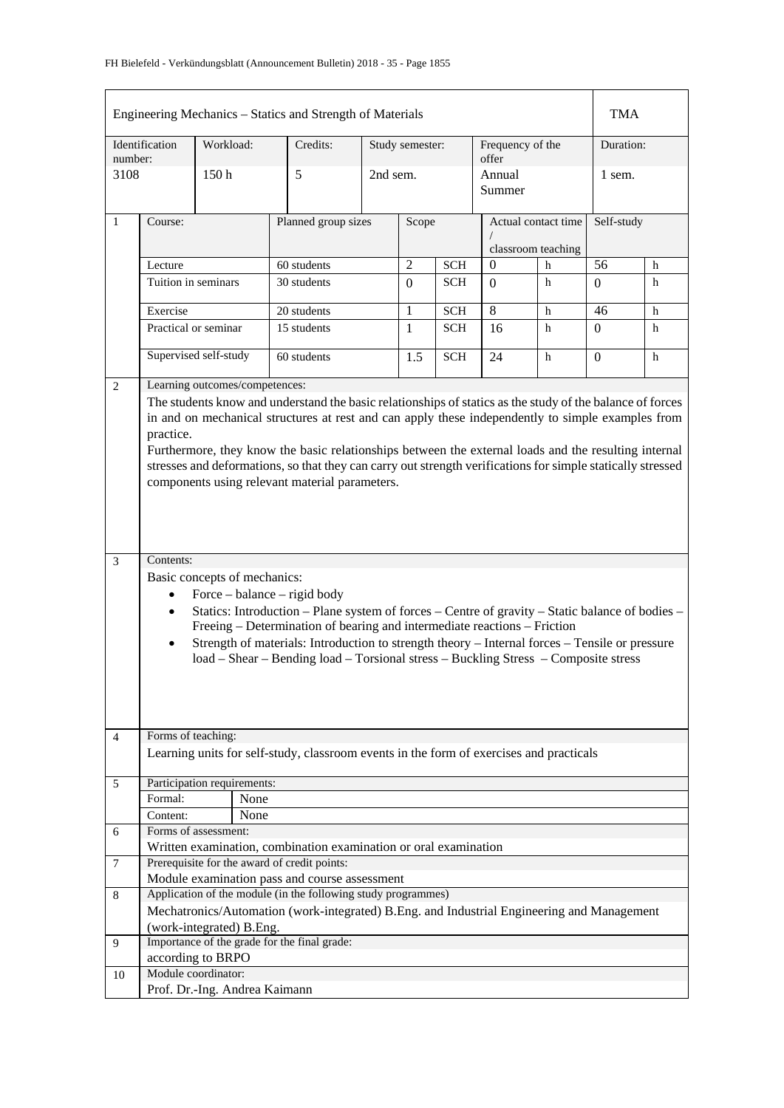|         | Engineering Mechanics – Statics and Strength of Materials |           |                                |                                                                                                             |          |                 |            |                           |                     | <b>TMA</b>   |             |
|---------|-----------------------------------------------------------|-----------|--------------------------------|-------------------------------------------------------------------------------------------------------------|----------|-----------------|------------|---------------------------|---------------------|--------------|-------------|
| number: | Identification                                            | Workload: |                                | Credits:                                                                                                    |          | Study semester: |            | Frequency of the<br>offer |                     | Duration:    |             |
| 3108    |                                                           | 150h      |                                | 5                                                                                                           | 2nd sem. |                 |            | Annual<br>Summer          |                     | 1 sem.       |             |
| 1       | Course:                                                   |           |                                | Planned group sizes                                                                                         |          | Scope           |            |                           | Actual contact time | Self-study   |             |
|         |                                                           |           |                                |                                                                                                             |          |                 |            |                           | classroom teaching  |              |             |
|         | Lecture                                                   |           |                                | 60 students                                                                                                 |          | $\overline{c}$  | <b>SCH</b> | $\overline{0}$            | h                   | 56           | h           |
|         | Tuition in seminars                                       |           |                                | 30 students                                                                                                 |          | $\Omega$        | <b>SCH</b> | $\Omega$                  | h                   | $\Omega$     | h           |
|         | Exercise                                                  |           |                                | 20 students                                                                                                 |          | 1               | <b>SCH</b> | 8                         | h                   | 46           | $\mathbf h$ |
|         | Practical or seminar                                      |           |                                | 15 students                                                                                                 |          | 1               | <b>SCH</b> | 16                        | h                   | $\mathbf{0}$ | h           |
|         | Supervised self-study                                     |           |                                | 60 students                                                                                                 |          | 1.5             | <b>SCH</b> | 24                        | h                   | $\Omega$     | h           |
| 2       |                                                           |           | Learning outcomes/competences: |                                                                                                             |          |                 |            |                           |                     |              |             |
|         |                                                           |           |                                | The students know and understand the basic relationships of statics as the study of the balance of forces   |          |                 |            |                           |                     |              |             |
|         |                                                           |           |                                | in and on mechanical structures at rest and can apply these independently to simple examples from           |          |                 |            |                           |                     |              |             |
|         | practice.                                                 |           |                                |                                                                                                             |          |                 |            |                           |                     |              |             |
|         |                                                           |           |                                | Furthermore, they know the basic relationships between the external loads and the resulting internal        |          |                 |            |                           |                     |              |             |
|         |                                                           |           |                                | stresses and deformations, so that they can carry out strength verifications for simple statically stressed |          |                 |            |                           |                     |              |             |
|         |                                                           |           |                                | components using relevant material parameters.                                                              |          |                 |            |                           |                     |              |             |
|         |                                                           |           |                                |                                                                                                             |          |                 |            |                           |                     |              |             |
|         |                                                           |           |                                |                                                                                                             |          |                 |            |                           |                     |              |             |
|         |                                                           |           |                                |                                                                                                             |          |                 |            |                           |                     |              |             |
| 3       | Contents:                                                 |           |                                |                                                                                                             |          |                 |            |                           |                     |              |             |
|         |                                                           |           | Basic concepts of mechanics:   |                                                                                                             |          |                 |            |                           |                     |              |             |
|         | $\bullet$                                                 |           |                                | Force – balance – rigid body                                                                                |          |                 |            |                           |                     |              |             |
|         | $\bullet$                                                 |           |                                | Statics: Introduction - Plane system of forces - Centre of gravity - Static balance of bodies -             |          |                 |            |                           |                     |              |             |
|         |                                                           |           |                                | Freeing – Determination of bearing and intermediate reactions – Friction                                    |          |                 |            |                           |                     |              |             |
|         | $\bullet$                                                 |           |                                | Strength of materials: Introduction to strength theory – Internal forces – Tensile or pressure              |          |                 |            |                           |                     |              |             |
|         |                                                           |           |                                | load - Shear - Bending load - Torsional stress - Buckling Stress - Composite stress                         |          |                 |            |                           |                     |              |             |
|         |                                                           |           |                                |                                                                                                             |          |                 |            |                           |                     |              |             |
|         |                                                           |           |                                |                                                                                                             |          |                 |            |                           |                     |              |             |
|         |                                                           |           |                                |                                                                                                             |          |                 |            |                           |                     |              |             |
| 4       | Forms of teaching:                                        |           |                                |                                                                                                             |          |                 |            |                           |                     |              |             |
|         |                                                           |           |                                | Learning units for self-study, classroom events in the form of exercises and practicals                     |          |                 |            |                           |                     |              |             |
|         | Participation requirements:                               |           |                                |                                                                                                             |          |                 |            |                           |                     |              |             |
| 5       | Formal:                                                   |           | None                           |                                                                                                             |          |                 |            |                           |                     |              |             |
|         | Content:                                                  |           | None                           |                                                                                                             |          |                 |            |                           |                     |              |             |
| 6       | Forms of assessment:                                      |           |                                |                                                                                                             |          |                 |            |                           |                     |              |             |
|         |                                                           |           |                                | Written examination, combination examination or oral examination                                            |          |                 |            |                           |                     |              |             |
| 7       |                                                           |           |                                | Prerequisite for the award of credit points:                                                                |          |                 |            |                           |                     |              |             |
|         |                                                           |           |                                | Module examination pass and course assessment                                                               |          |                 |            |                           |                     |              |             |
| 8       |                                                           |           |                                | Application of the module (in the following study programmes)                                               |          |                 |            |                           |                     |              |             |
|         |                                                           |           |                                | Mechatronics/Automation (work-integrated) B.Eng. and Industrial Engineering and Management                  |          |                 |            |                           |                     |              |             |
|         | (work-integrated) B.Eng.                                  |           |                                |                                                                                                             |          |                 |            |                           |                     |              |             |
| 9       |                                                           |           |                                | Importance of the grade for the final grade:                                                                |          |                 |            |                           |                     |              |             |
|         | according to BRPO<br>Module coordinator:                  |           |                                |                                                                                                             |          |                 |            |                           |                     |              |             |
| 10      |                                                           |           | Prof. Dr.-Ing. Andrea Kaimann  |                                                                                                             |          |                 |            |                           |                     |              |             |
|         |                                                           |           |                                |                                                                                                             |          |                 |            |                           |                     |              |             |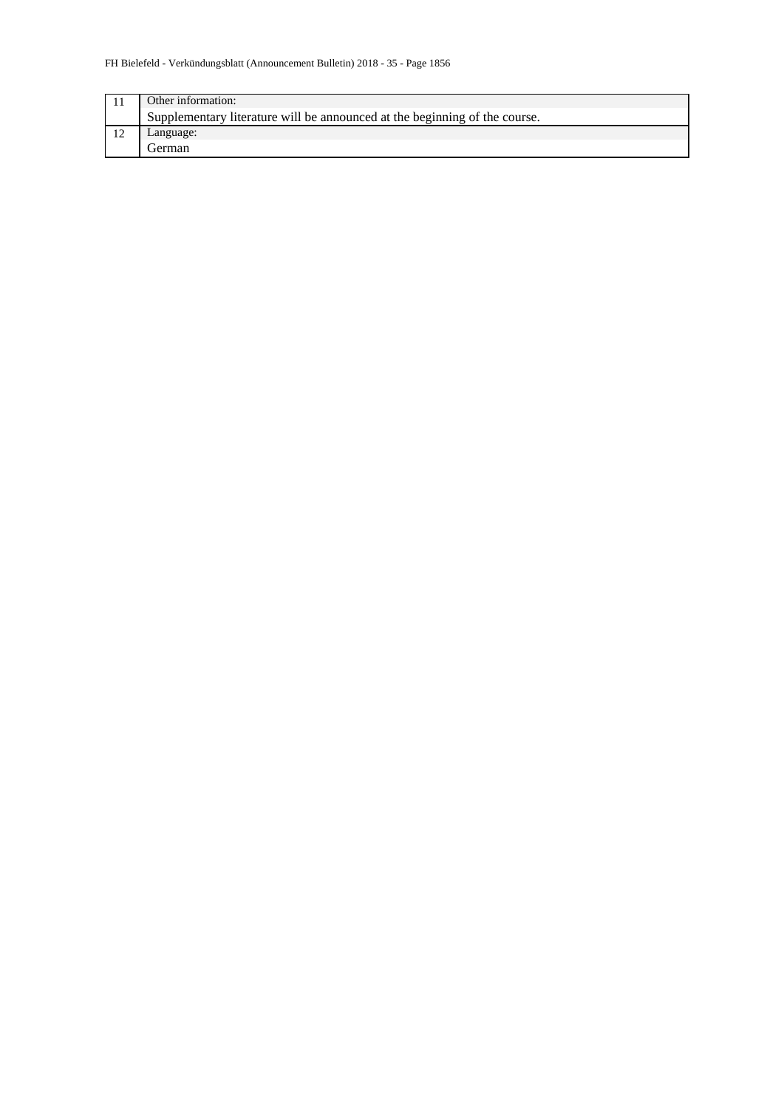| Other information:                                                         |
|----------------------------------------------------------------------------|
| Supplementary literature will be announced at the beginning of the course. |
| Language:                                                                  |
| l ierman                                                                   |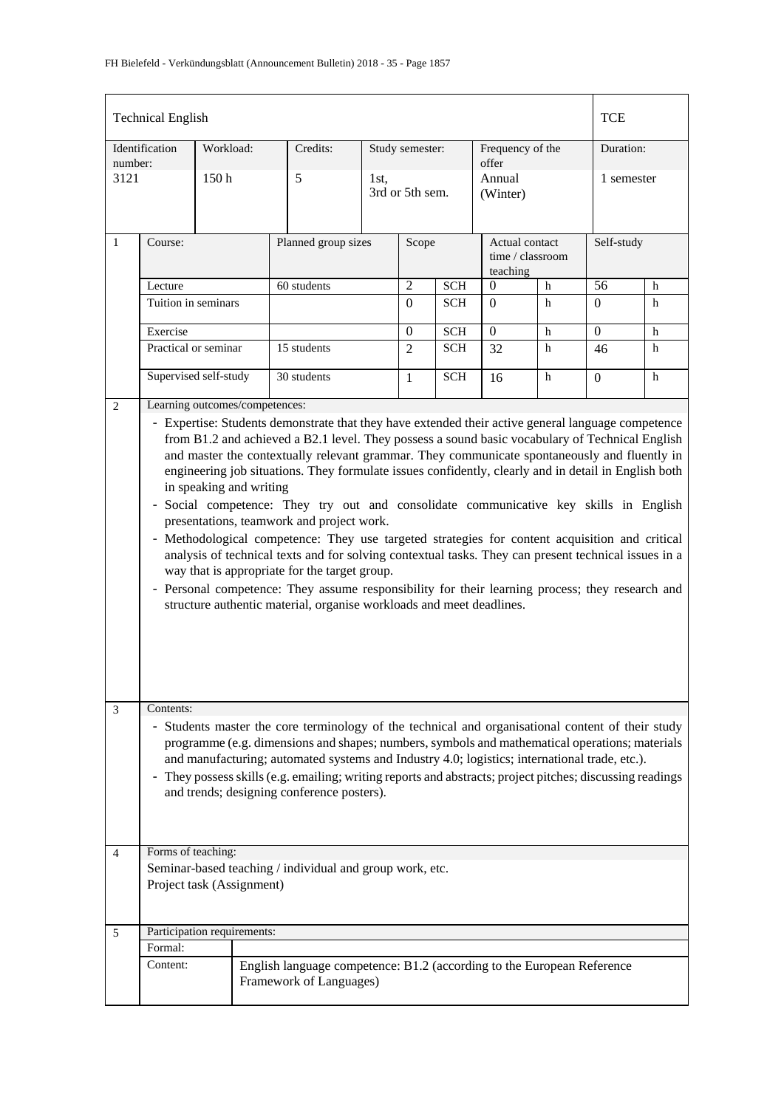|                 | <b>Technical English</b>                                                                                                                                                                                                                                                                                                                                                                                                                                                                                                                                                                                                                                                                                                                                                                                                                                                                                                                                                                                                                                                 |                             |                                                                                                   |                 |                 |                                                |                           |             |                | <b>TCE</b> |  |
|-----------------|--------------------------------------------------------------------------------------------------------------------------------------------------------------------------------------------------------------------------------------------------------------------------------------------------------------------------------------------------------------------------------------------------------------------------------------------------------------------------------------------------------------------------------------------------------------------------------------------------------------------------------------------------------------------------------------------------------------------------------------------------------------------------------------------------------------------------------------------------------------------------------------------------------------------------------------------------------------------------------------------------------------------------------------------------------------------------|-----------------------------|---------------------------------------------------------------------------------------------------|-----------------|-----------------|------------------------------------------------|---------------------------|-------------|----------------|------------|--|
|                 | Identification                                                                                                                                                                                                                                                                                                                                                                                                                                                                                                                                                                                                                                                                                                                                                                                                                                                                                                                                                                                                                                                           | Workload:                   | Credits:                                                                                          |                 | Study semester: |                                                | Frequency of the<br>offer |             | Duration:      |            |  |
| number:<br>3121 |                                                                                                                                                                                                                                                                                                                                                                                                                                                                                                                                                                                                                                                                                                                                                                                                                                                                                                                                                                                                                                                                          | 150 <sub>h</sub>            | 5                                                                                                 | 3rd or 5th sem. |                 | Annual<br>(Winter)                             |                           |             | 1 semester     |            |  |
| $\mathbf{1}$    | Course:                                                                                                                                                                                                                                                                                                                                                                                                                                                                                                                                                                                                                                                                                                                                                                                                                                                                                                                                                                                                                                                                  |                             | Planned group sizes                                                                               | Scope           |                 | Actual contact<br>time / classroom<br>teaching |                           |             | Self-study     |            |  |
|                 | Lecture                                                                                                                                                                                                                                                                                                                                                                                                                                                                                                                                                                                                                                                                                                                                                                                                                                                                                                                                                                                                                                                                  |                             | 60 students                                                                                       |                 | $\overline{c}$  | <b>SCH</b>                                     | $\Omega$                  | $\mathbf h$ | 56             | h          |  |
|                 | Tuition in seminars                                                                                                                                                                                                                                                                                                                                                                                                                                                                                                                                                                                                                                                                                                                                                                                                                                                                                                                                                                                                                                                      |                             |                                                                                                   |                 | $\Omega$        | <b>SCH</b>                                     | $\Omega$                  | h           | $\Omega$       | h          |  |
|                 | Exercise                                                                                                                                                                                                                                                                                                                                                                                                                                                                                                                                                                                                                                                                                                                                                                                                                                                                                                                                                                                                                                                                 |                             |                                                                                                   |                 | $\Omega$        | <b>SCH</b>                                     | $\overline{0}$            | h           | $\overline{0}$ | h          |  |
|                 |                                                                                                                                                                                                                                                                                                                                                                                                                                                                                                                                                                                                                                                                                                                                                                                                                                                                                                                                                                                                                                                                          | Practical or seminar        | 15 students                                                                                       |                 | $\overline{2}$  | <b>SCH</b>                                     | 32                        | h           | 46             | h          |  |
|                 |                                                                                                                                                                                                                                                                                                                                                                                                                                                                                                                                                                                                                                                                                                                                                                                                                                                                                                                                                                                                                                                                          | Supervised self-study       | 30 students                                                                                       |                 | $\mathbf{1}$    | <b>SCH</b>                                     | 16                        | h           | $\Omega$       | h          |  |
|                 | Learning outcomes/competences:<br>$\overline{2}$<br>- Expertise: Students demonstrate that they have extended their active general language competence<br>from B1.2 and achieved a B2.1 level. They possess a sound basic vocabulary of Technical English<br>and master the contextually relevant grammar. They communicate spontaneously and fluently in<br>engineering job situations. They formulate issues confidently, clearly and in detail in English both<br>in speaking and writing<br>- Social competence: They try out and consolidate communicative key skills in English<br>presentations, teamwork and project work.<br>- Methodological competence: They use targeted strategies for content acquisition and critical<br>analysis of technical texts and for solving contextual tasks. They can present technical issues in a<br>way that is appropriate for the target group.<br>- Personal competence: They assume responsibility for their learning process; they research and<br>structure authentic material, organise workloads and meet deadlines. |                             |                                                                                                   |                 |                 |                                                |                           |             |                |            |  |
| 3               | Contents:<br>- Students master the core terminology of the technical and organisational content of their study<br>programme (e.g. dimensions and shapes; numbers, symbols and mathematical operations; materials<br>and manufacturing; automated systems and Industry 4.0; logistics; international trade, etc.).<br>- They possess skills (e.g. emailing; writing reports and abstracts; project pitches; discussing readings<br>and trends; designing conference posters).                                                                                                                                                                                                                                                                                                                                                                                                                                                                                                                                                                                             |                             |                                                                                                   |                 |                 |                                                |                           |             |                |            |  |
| 4               | Forms of teaching:                                                                                                                                                                                                                                                                                                                                                                                                                                                                                                                                                                                                                                                                                                                                                                                                                                                                                                                                                                                                                                                       |                             |                                                                                                   |                 |                 |                                                |                           |             |                |            |  |
|                 |                                                                                                                                                                                                                                                                                                                                                                                                                                                                                                                                                                                                                                                                                                                                                                                                                                                                                                                                                                                                                                                                          | Project task (Assignment)   | Seminar-based teaching / individual and group work, etc.                                          |                 |                 |                                                |                           |             |                |            |  |
| 5               |                                                                                                                                                                                                                                                                                                                                                                                                                                                                                                                                                                                                                                                                                                                                                                                                                                                                                                                                                                                                                                                                          | Participation requirements: |                                                                                                   |                 |                 |                                                |                           |             |                |            |  |
|                 | Formal:                                                                                                                                                                                                                                                                                                                                                                                                                                                                                                                                                                                                                                                                                                                                                                                                                                                                                                                                                                                                                                                                  |                             |                                                                                                   |                 |                 |                                                |                           |             |                |            |  |
|                 | Content:                                                                                                                                                                                                                                                                                                                                                                                                                                                                                                                                                                                                                                                                                                                                                                                                                                                                                                                                                                                                                                                                 |                             | English language competence: B1.2 (according to the European Reference<br>Framework of Languages) |                 |                 |                                                |                           |             |                |            |  |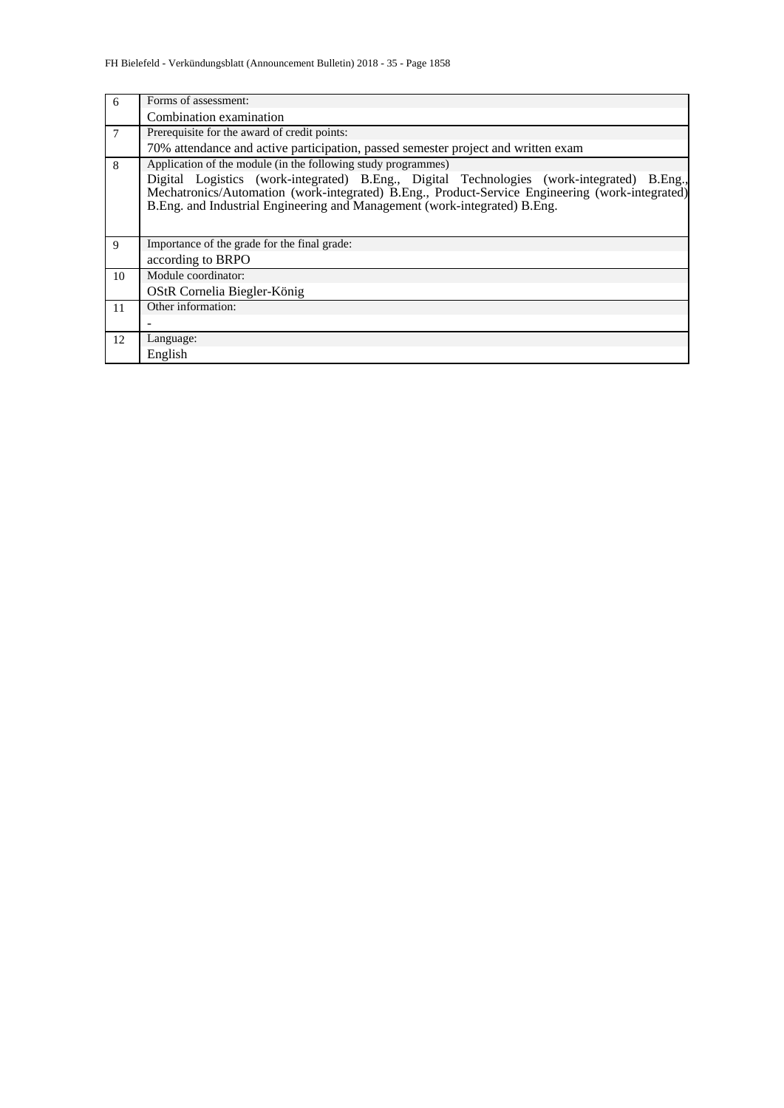| 6  | Forms of assessment:                                                                                                                                                                                                                                                       |
|----|----------------------------------------------------------------------------------------------------------------------------------------------------------------------------------------------------------------------------------------------------------------------------|
|    | Combination examination                                                                                                                                                                                                                                                    |
| 7  | Prerequisite for the award of credit points:                                                                                                                                                                                                                               |
|    | 70% attendance and active participation, passed semester project and written exam                                                                                                                                                                                          |
| 8  | Application of the module (in the following study programmes)                                                                                                                                                                                                              |
|    | Digital Logistics (work-integrated) B.Eng., Digital Technologies (work-integrated) B.Eng.,<br>Mechatronics/Automation (work-integrated) B.Eng., Product-Service Engineering (work-integrated)<br>B.Eng. and Industrial Engineering and Management (work-integrated) B.Eng. |
| 9  | Importance of the grade for the final grade:                                                                                                                                                                                                                               |
|    | according to BRPO                                                                                                                                                                                                                                                          |
| 10 | Module coordinator:                                                                                                                                                                                                                                                        |
|    | OStR Cornelia Biegler-König                                                                                                                                                                                                                                                |
| 11 | Other information:                                                                                                                                                                                                                                                         |
|    |                                                                                                                                                                                                                                                                            |
| 12 | Language:                                                                                                                                                                                                                                                                  |
|    | English                                                                                                                                                                                                                                                                    |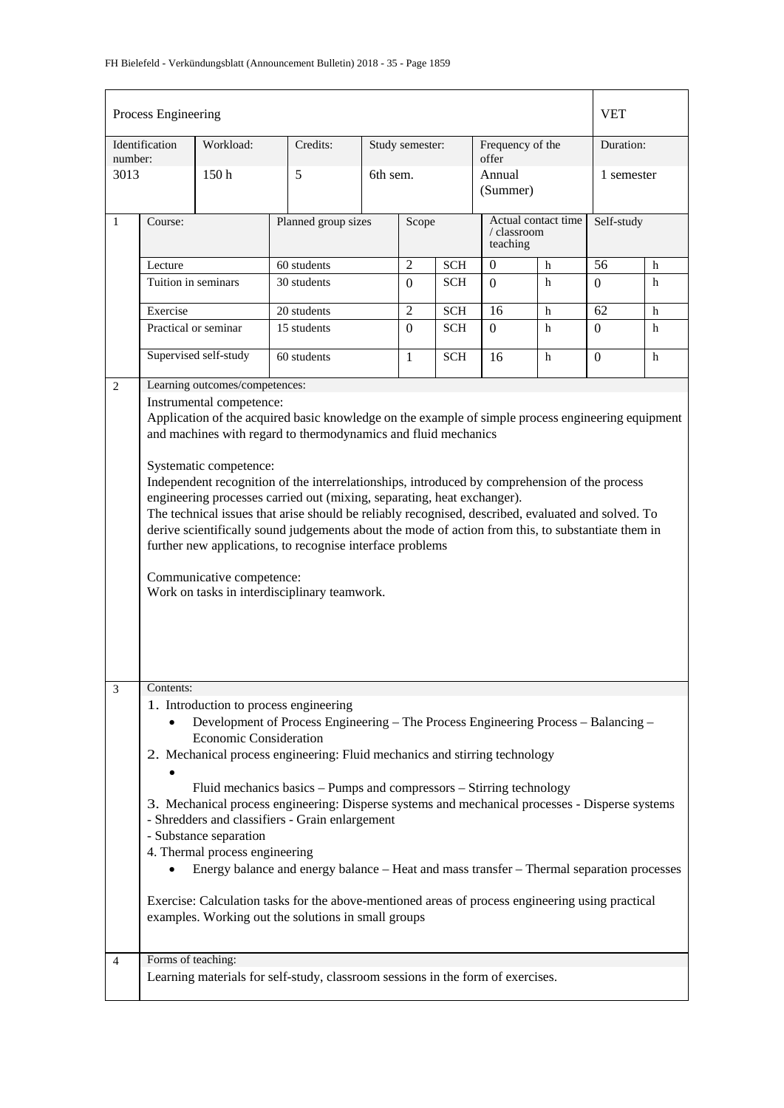| Process Engineering                                                                                                                                                                                                                                                                                                                                                                                                                                                                                                                                                                                                                                                                                                                                                                                             |                                                                                                                                                                                                                                                                                                                                                                                                                                                                                                                                                          |                                |                                                                                 |                 |                |            |                                                |   |                | <b>VET</b> |  |
|-----------------------------------------------------------------------------------------------------------------------------------------------------------------------------------------------------------------------------------------------------------------------------------------------------------------------------------------------------------------------------------------------------------------------------------------------------------------------------------------------------------------------------------------------------------------------------------------------------------------------------------------------------------------------------------------------------------------------------------------------------------------------------------------------------------------|----------------------------------------------------------------------------------------------------------------------------------------------------------------------------------------------------------------------------------------------------------------------------------------------------------------------------------------------------------------------------------------------------------------------------------------------------------------------------------------------------------------------------------------------------------|--------------------------------|---------------------------------------------------------------------------------|-----------------|----------------|------------|------------------------------------------------|---|----------------|------------|--|
| number:                                                                                                                                                                                                                                                                                                                                                                                                                                                                                                                                                                                                                                                                                                                                                                                                         | Identification                                                                                                                                                                                                                                                                                                                                                                                                                                                                                                                                           | Workload:                      | Credits:                                                                        | Study semester: |                |            | Frequency of the<br>offer                      |   |                | Duration:  |  |
| 3013                                                                                                                                                                                                                                                                                                                                                                                                                                                                                                                                                                                                                                                                                                                                                                                                            |                                                                                                                                                                                                                                                                                                                                                                                                                                                                                                                                                          | 150h                           | 5<br>6th sem.                                                                   |                 |                |            | Annual<br>(Summer)                             |   | 1 semester     |            |  |
| $\mathbf{1}$                                                                                                                                                                                                                                                                                                                                                                                                                                                                                                                                                                                                                                                                                                                                                                                                    | Course:                                                                                                                                                                                                                                                                                                                                                                                                                                                                                                                                                  |                                | Planned group sizes                                                             |                 | Scope          |            | Actual contact time<br>/ classroom<br>teaching |   | Self-study     |            |  |
|                                                                                                                                                                                                                                                                                                                                                                                                                                                                                                                                                                                                                                                                                                                                                                                                                 | Lecture                                                                                                                                                                                                                                                                                                                                                                                                                                                                                                                                                  |                                | 60 students                                                                     |                 | $\overline{2}$ | <b>SCH</b> | $\overline{0}$                                 | h | 56             | h          |  |
|                                                                                                                                                                                                                                                                                                                                                                                                                                                                                                                                                                                                                                                                                                                                                                                                                 | Tuition in seminars                                                                                                                                                                                                                                                                                                                                                                                                                                                                                                                                      |                                | 30 students                                                                     |                 | $\Omega$       | <b>SCH</b> | $\Omega$                                       | h | $\overline{0}$ | h          |  |
|                                                                                                                                                                                                                                                                                                                                                                                                                                                                                                                                                                                                                                                                                                                                                                                                                 | Exercise                                                                                                                                                                                                                                                                                                                                                                                                                                                                                                                                                 |                                | 20 students                                                                     |                 | $\overline{2}$ | <b>SCH</b> | 16                                             | h | 62             | h          |  |
|                                                                                                                                                                                                                                                                                                                                                                                                                                                                                                                                                                                                                                                                                                                                                                                                                 | Practical or seminar                                                                                                                                                                                                                                                                                                                                                                                                                                                                                                                                     |                                | 15 students                                                                     |                 | $\Omega$       | SCH        | $\Omega$                                       | h | $\Omega$       | h          |  |
|                                                                                                                                                                                                                                                                                                                                                                                                                                                                                                                                                                                                                                                                                                                                                                                                                 |                                                                                                                                                                                                                                                                                                                                                                                                                                                                                                                                                          | Supervised self-study          | 60 students                                                                     |                 | $\mathbf{1}$   | <b>SCH</b> | 16                                             | h | $\theta$       | h          |  |
| 2                                                                                                                                                                                                                                                                                                                                                                                                                                                                                                                                                                                                                                                                                                                                                                                                               |                                                                                                                                                                                                                                                                                                                                                                                                                                                                                                                                                          | Learning outcomes/competences: |                                                                                 |                 |                |            |                                                |   |                |            |  |
|                                                                                                                                                                                                                                                                                                                                                                                                                                                                                                                                                                                                                                                                                                                                                                                                                 | Instrumental competence:<br>Application of the acquired basic knowledge on the example of simple process engineering equipment<br>and machines with regard to thermodynamics and fluid mechanics                                                                                                                                                                                                                                                                                                                                                         |                                |                                                                                 |                 |                |            |                                                |   |                |            |  |
|                                                                                                                                                                                                                                                                                                                                                                                                                                                                                                                                                                                                                                                                                                                                                                                                                 | Systematic competence:<br>Independent recognition of the interrelationships, introduced by comprehension of the process<br>engineering processes carried out (mixing, separating, heat exchanger).<br>The technical issues that arise should be reliably recognised, described, evaluated and solved. To<br>derive scientifically sound judgements about the mode of action from this, to substantiate them in<br>further new applications, to recognise interface problems<br>Communicative competence:<br>Work on tasks in interdisciplinary teamwork. |                                |                                                                                 |                 |                |            |                                                |   |                |            |  |
| 3<br>Contents:<br>1. Introduction to process engineering<br>Development of Process Engineering - The Process Engineering Process - Balancing -<br><b>Economic Consideration</b><br>2. Mechanical process engineering: Fluid mechanics and stirring technology<br>Fluid mechanics basics – Pumps and compressors – Stirring technology<br>3. Mechanical process engineering: Disperse systems and mechanical processes - Disperse systems<br>- Shredders and classifiers - Grain enlargement<br>- Substance separation<br>4. Thermal process engineering<br>Energy balance and energy balance – Heat and mass transfer – Thermal separation processes<br>Exercise: Calculation tasks for the above-mentioned areas of process engineering using practical<br>examples. Working out the solutions in small groups |                                                                                                                                                                                                                                                                                                                                                                                                                                                                                                                                                          |                                |                                                                                 |                 |                |            |                                                |   |                |            |  |
| 4                                                                                                                                                                                                                                                                                                                                                                                                                                                                                                                                                                                                                                                                                                                                                                                                               | Forms of teaching:                                                                                                                                                                                                                                                                                                                                                                                                                                                                                                                                       |                                | Learning materials for self-study, classroom sessions in the form of exercises. |                 |                |            |                                                |   |                |            |  |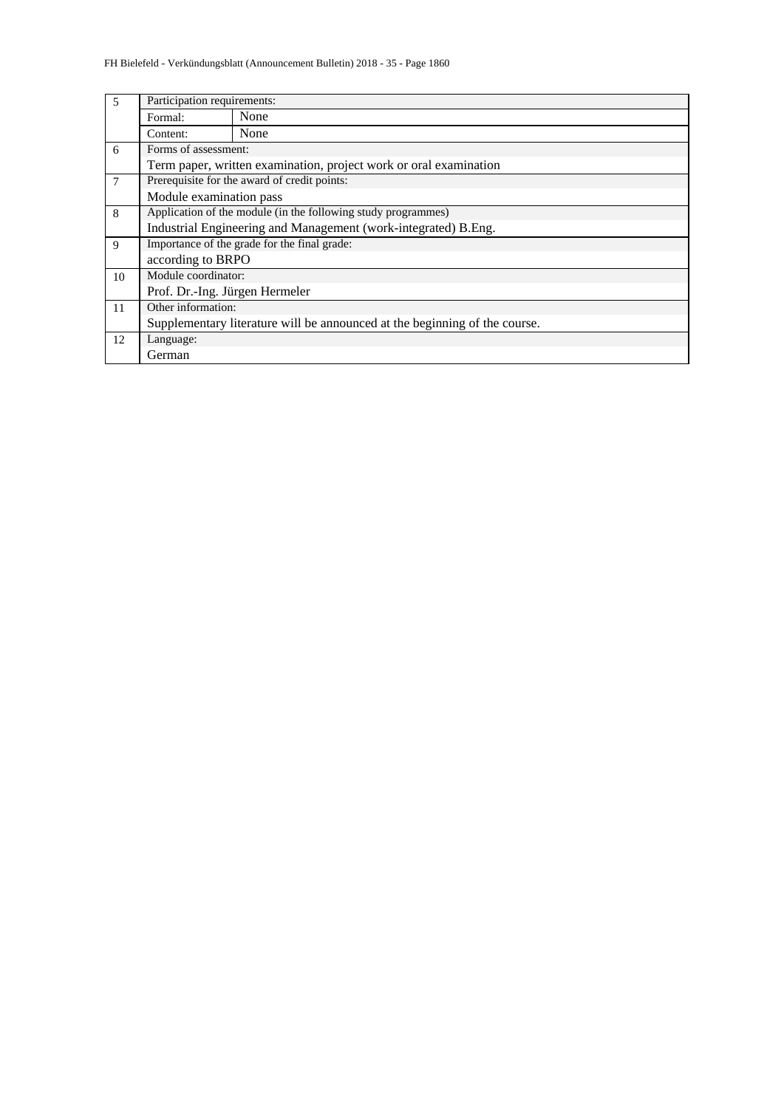| 5              |                                                               | Participation requirements:                                                |  |  |  |  |  |  |  |
|----------------|---------------------------------------------------------------|----------------------------------------------------------------------------|--|--|--|--|--|--|--|
|                | Formal:                                                       | None                                                                       |  |  |  |  |  |  |  |
|                | None<br>Content:                                              |                                                                            |  |  |  |  |  |  |  |
| 6              | Forms of assessment:                                          |                                                                            |  |  |  |  |  |  |  |
|                |                                                               | Term paper, written examination, project work or oral examination          |  |  |  |  |  |  |  |
| $\overline{7}$ |                                                               | Prerequisite for the award of credit points:                               |  |  |  |  |  |  |  |
|                | Module examination pass                                       |                                                                            |  |  |  |  |  |  |  |
| 8              | Application of the module (in the following study programmes) |                                                                            |  |  |  |  |  |  |  |
|                |                                                               | Industrial Engineering and Management (work-integrated) B.Eng.             |  |  |  |  |  |  |  |
| 9              |                                                               | Importance of the grade for the final grade:                               |  |  |  |  |  |  |  |
|                | according to BRPO                                             |                                                                            |  |  |  |  |  |  |  |
| 10             | Module coordinator:                                           |                                                                            |  |  |  |  |  |  |  |
|                | Prof. Dr.-Ing. Jürgen Hermeler                                |                                                                            |  |  |  |  |  |  |  |
| 11             | Other information:                                            |                                                                            |  |  |  |  |  |  |  |
|                |                                                               | Supplementary literature will be announced at the beginning of the course. |  |  |  |  |  |  |  |
| 12             | Language:                                                     |                                                                            |  |  |  |  |  |  |  |
|                | German                                                        |                                                                            |  |  |  |  |  |  |  |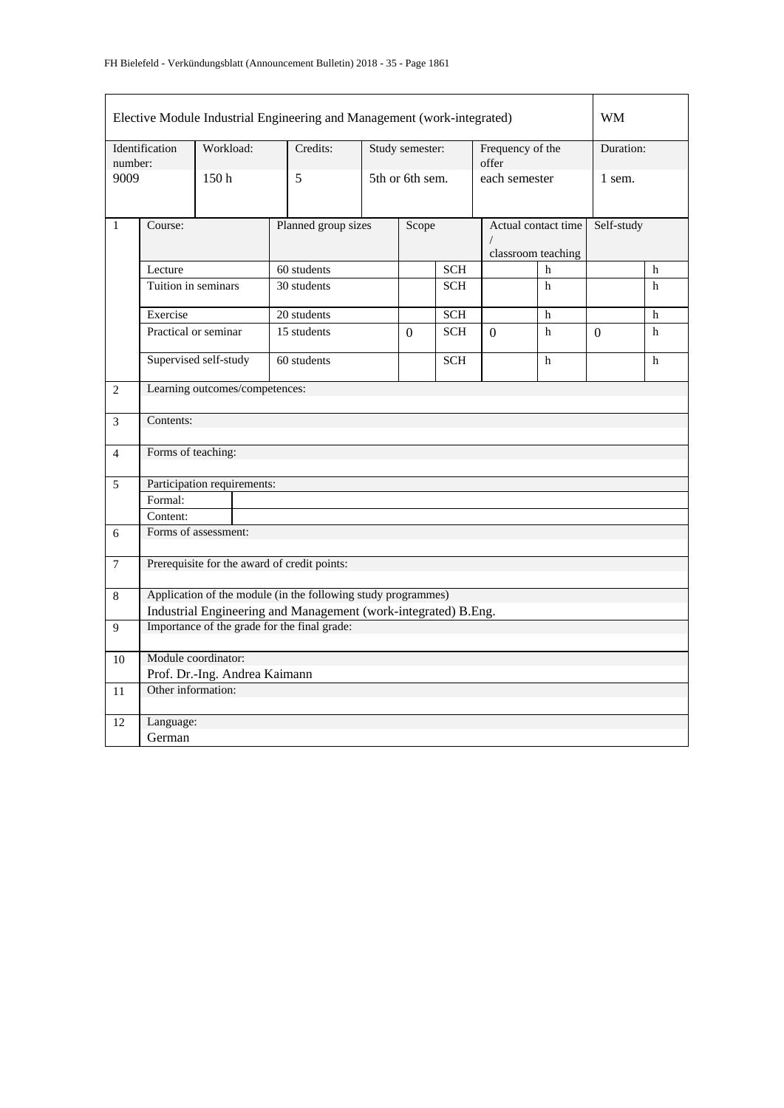| Elective Module Industrial Engineering and Management (work-integrated) |                                |                                              |  |                                                                |                 |                 |                                           |               | WM         |          |              |  |
|-------------------------------------------------------------------------|--------------------------------|----------------------------------------------|--|----------------------------------------------------------------|-----------------|-----------------|-------------------------------------------|---------------|------------|----------|--------------|--|
| number:                                                                 | Identification                 | Workload:                                    |  | Credits:                                                       | Study semester: |                 | Frequency of the<br>offer                 |               | Duration:  |          |              |  |
| 9009                                                                    |                                | 150h                                         |  | 5                                                              |                 | 5th or 6th sem. |                                           | each semester |            | 1 sem.   |              |  |
| $\mathbf{1}$                                                            | Course:                        | Planned group sizes                          |  |                                                                | Scope           |                 | Actual contact time<br>classroom teaching |               | Self-study |          |              |  |
|                                                                         | Lecture                        |                                              |  | 60 students                                                    |                 |                 | <b>SCH</b>                                |               | h          |          | h            |  |
|                                                                         | Tuition in seminars            |                                              |  | 30 students                                                    |                 |                 | <b>SCH</b>                                |               | h          |          | $\mathbf{h}$ |  |
|                                                                         | Exercise                       |                                              |  | 20 students                                                    |                 |                 | <b>SCH</b>                                |               | h          |          | h            |  |
|                                                                         |                                | Practical or seminar                         |  | 15 students                                                    |                 | $\Omega$        | <b>SCH</b>                                | $\Omega$      | h          | $\Omega$ | $\mathbf{h}$ |  |
|                                                                         |                                | Supervised self-study                        |  | 60 students                                                    |                 |                 | <b>SCH</b>                                |               | h          |          | $\mathbf h$  |  |
| 2                                                                       | Learning outcomes/competences: |                                              |  |                                                                |                 |                 |                                           |               |            |          |              |  |
| 3                                                                       | Contents:                      |                                              |  |                                                                |                 |                 |                                           |               |            |          |              |  |
| $\overline{4}$                                                          | Forms of teaching:             |                                              |  |                                                                |                 |                 |                                           |               |            |          |              |  |
| 5                                                                       |                                | Participation requirements:                  |  |                                                                |                 |                 |                                           |               |            |          |              |  |
|                                                                         | Formal:                        |                                              |  |                                                                |                 |                 |                                           |               |            |          |              |  |
|                                                                         | Content:                       |                                              |  |                                                                |                 |                 |                                           |               |            |          |              |  |
| 6                                                                       |                                | Forms of assessment:                         |  |                                                                |                 |                 |                                           |               |            |          |              |  |
| $\tau$                                                                  |                                | Prerequisite for the award of credit points: |  |                                                                |                 |                 |                                           |               |            |          |              |  |
| 8                                                                       |                                |                                              |  | Application of the module (in the following study programmes)  |                 |                 |                                           |               |            |          |              |  |
|                                                                         |                                |                                              |  | Industrial Engineering and Management (work-integrated) B.Eng. |                 |                 |                                           |               |            |          |              |  |
| 9                                                                       |                                | Importance of the grade for the final grade: |  |                                                                |                 |                 |                                           |               |            |          |              |  |
| 10                                                                      |                                | Module coordinator:                          |  |                                                                |                 |                 |                                           |               |            |          |              |  |
|                                                                         |                                | Prof. Dr.-Ing. Andrea Kaimann                |  |                                                                |                 |                 |                                           |               |            |          |              |  |
| 11                                                                      | Other information:             |                                              |  |                                                                |                 |                 |                                           |               |            |          |              |  |
| 12                                                                      | Language:                      |                                              |  |                                                                |                 |                 |                                           |               |            |          |              |  |
|                                                                         | German                         |                                              |  |                                                                |                 |                 |                                           |               |            |          |              |  |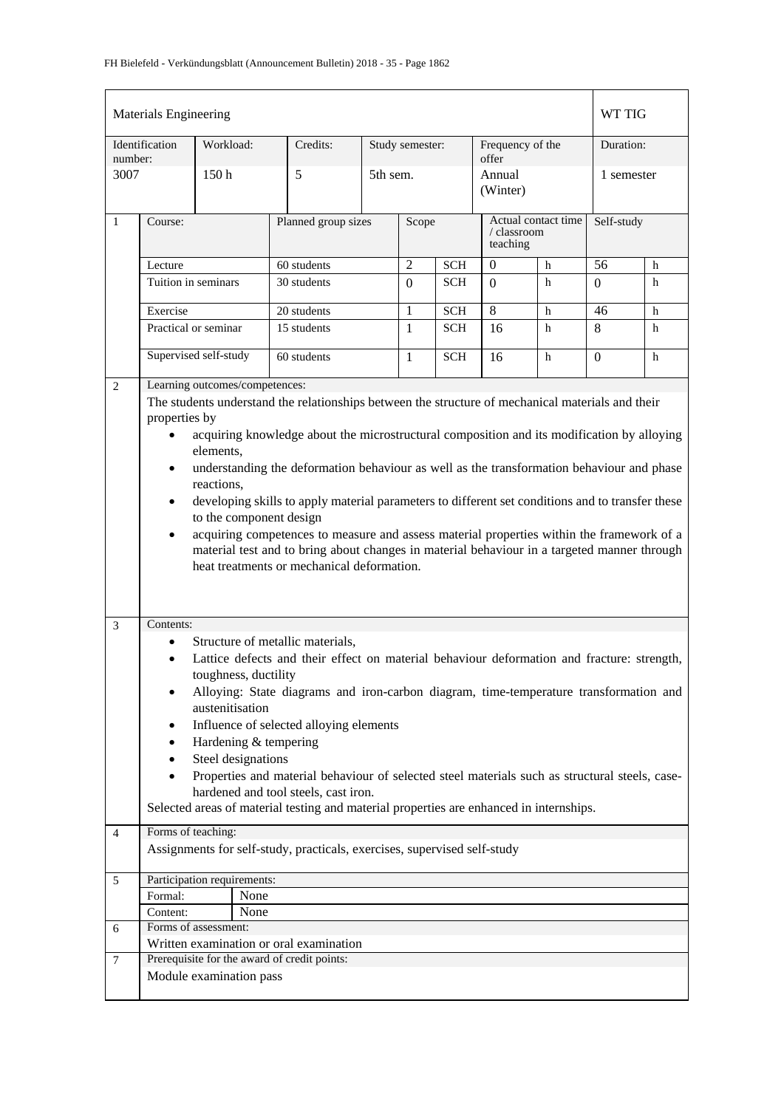| <b>Materials Engineering</b> |                                                                                                                     |                                |  |                                                                                                                                                                                                                                        |  |                 |            |  |                                                |   |            | WT TIG     |  |
|------------------------------|---------------------------------------------------------------------------------------------------------------------|--------------------------------|--|----------------------------------------------------------------------------------------------------------------------------------------------------------------------------------------------------------------------------------------|--|-----------------|------------|--|------------------------------------------------|---|------------|------------|--|
| number:                      | Identification                                                                                                      | Workload:                      |  | Credits:                                                                                                                                                                                                                               |  | Study semester: |            |  | Frequency of the<br>offer                      |   |            | Duration:  |  |
| 3007                         |                                                                                                                     | 150 <sub>h</sub>               |  | 5                                                                                                                                                                                                                                      |  | 5th sem.        |            |  | Annual<br>(Winter)                             |   | 1 semester |            |  |
| $\mathbf{1}$                 | Course:                                                                                                             |                                |  | Planned group sizes                                                                                                                                                                                                                    |  |                 | Scope      |  | Actual contact time<br>/ classroom<br>teaching |   |            | Self-study |  |
|                              | Lecture                                                                                                             |                                |  | 60 students                                                                                                                                                                                                                            |  | $\overline{2}$  | <b>SCH</b> |  | $\boldsymbol{0}$                               | h | 56         | h          |  |
|                              | Tuition in seminars                                                                                                 |                                |  | 30 students                                                                                                                                                                                                                            |  | $\Omega$        | SCH        |  | $\Omega$                                       | h | $\Omega$   | h          |  |
|                              | Exercise                                                                                                            |                                |  | 20 students                                                                                                                                                                                                                            |  | 1               | <b>SCH</b> |  | 8                                              | h | 46         | h          |  |
|                              |                                                                                                                     | Practical or seminar           |  | 15 students                                                                                                                                                                                                                            |  | $\mathbf{1}$    | <b>SCH</b> |  | 16                                             | h | 8          | h          |  |
|                              |                                                                                                                     | Supervised self-study          |  | 60 students                                                                                                                                                                                                                            |  | 1               | <b>SCH</b> |  | 16                                             | h | $\Omega$   | h          |  |
| 2                            |                                                                                                                     | Learning outcomes/competences: |  |                                                                                                                                                                                                                                        |  |                 |            |  |                                                |   |            |            |  |
|                              | properties by                                                                                                       |                                |  | The students understand the relationships between the structure of mechanical materials and their                                                                                                                                      |  |                 |            |  |                                                |   |            |            |  |
|                              | $\bullet$                                                                                                           |                                |  | acquiring knowledge about the microstructural composition and its modification by alloying                                                                                                                                             |  |                 |            |  |                                                |   |            |            |  |
|                              | elements,<br>understanding the deformation behaviour as well as the transformation behaviour and phase<br>٠         |                                |  |                                                                                                                                                                                                                                        |  |                 |            |  |                                                |   |            |            |  |
|                              | reactions,<br>developing skills to apply material parameters to different set conditions and to transfer these<br>٠ |                                |  |                                                                                                                                                                                                                                        |  |                 |            |  |                                                |   |            |            |  |
|                              |                                                                                                                     | to the component design        |  |                                                                                                                                                                                                                                        |  |                 |            |  |                                                |   |            |            |  |
|                              | $\bullet$                                                                                                           |                                |  | acquiring competences to measure and assess material properties within the framework of a<br>material test and to bring about changes in material behaviour in a targeted manner through<br>heat treatments or mechanical deformation. |  |                 |            |  |                                                |   |            |            |  |
|                              |                                                                                                                     |                                |  |                                                                                                                                                                                                                                        |  |                 |            |  |                                                |   |            |            |  |
| 3                            | Contents:                                                                                                           |                                |  |                                                                                                                                                                                                                                        |  |                 |            |  |                                                |   |            |            |  |
|                              |                                                                                                                     | toughness, ductility           |  | Structure of metallic materials,<br>Lattice defects and their effect on material behaviour deformation and fracture: strength,                                                                                                         |  |                 |            |  |                                                |   |            |            |  |
|                              | $\bullet$                                                                                                           | austenitisation                |  | Alloying: State diagrams and iron-carbon diagram, time-temperature transformation and                                                                                                                                                  |  |                 |            |  |                                                |   |            |            |  |
|                              | ٠                                                                                                                   |                                |  | Influence of selected alloying elements                                                                                                                                                                                                |  |                 |            |  |                                                |   |            |            |  |
|                              |                                                                                                                     | Hardening & tempering          |  |                                                                                                                                                                                                                                        |  |                 |            |  |                                                |   |            |            |  |
|                              | ٠<br>$\bullet$                                                                                                      | Steel designations             |  | Properties and material behaviour of selected steel materials such as structural steels, case-                                                                                                                                         |  |                 |            |  |                                                |   |            |            |  |
|                              |                                                                                                                     |                                |  | hardened and tool steels, cast iron.<br>Selected areas of material testing and material properties are enhanced in internships.                                                                                                        |  |                 |            |  |                                                |   |            |            |  |
|                              |                                                                                                                     |                                |  |                                                                                                                                                                                                                                        |  |                 |            |  |                                                |   |            |            |  |
| $\overline{4}$               | Forms of teaching:                                                                                                  |                                |  | Assignments for self-study, practicals, exercises, supervised self-study                                                                                                                                                               |  |                 |            |  |                                                |   |            |            |  |
| 5                            |                                                                                                                     | Participation requirements:    |  |                                                                                                                                                                                                                                        |  |                 |            |  |                                                |   |            |            |  |
|                              | Formal:                                                                                                             | None                           |  |                                                                                                                                                                                                                                        |  |                 |            |  |                                                |   |            |            |  |
|                              | Content:                                                                                                            | None                           |  |                                                                                                                                                                                                                                        |  |                 |            |  |                                                |   |            |            |  |
| 6                            |                                                                                                                     | Forms of assessment:           |  |                                                                                                                                                                                                                                        |  |                 |            |  |                                                |   |            |            |  |
|                              |                                                                                                                     |                                |  | Written examination or oral examination                                                                                                                                                                                                |  |                 |            |  |                                                |   |            |            |  |
| $\overline{7}$               |                                                                                                                     | Module examination pass        |  | Prerequisite for the award of credit points:                                                                                                                                                                                           |  |                 |            |  |                                                |   |            |            |  |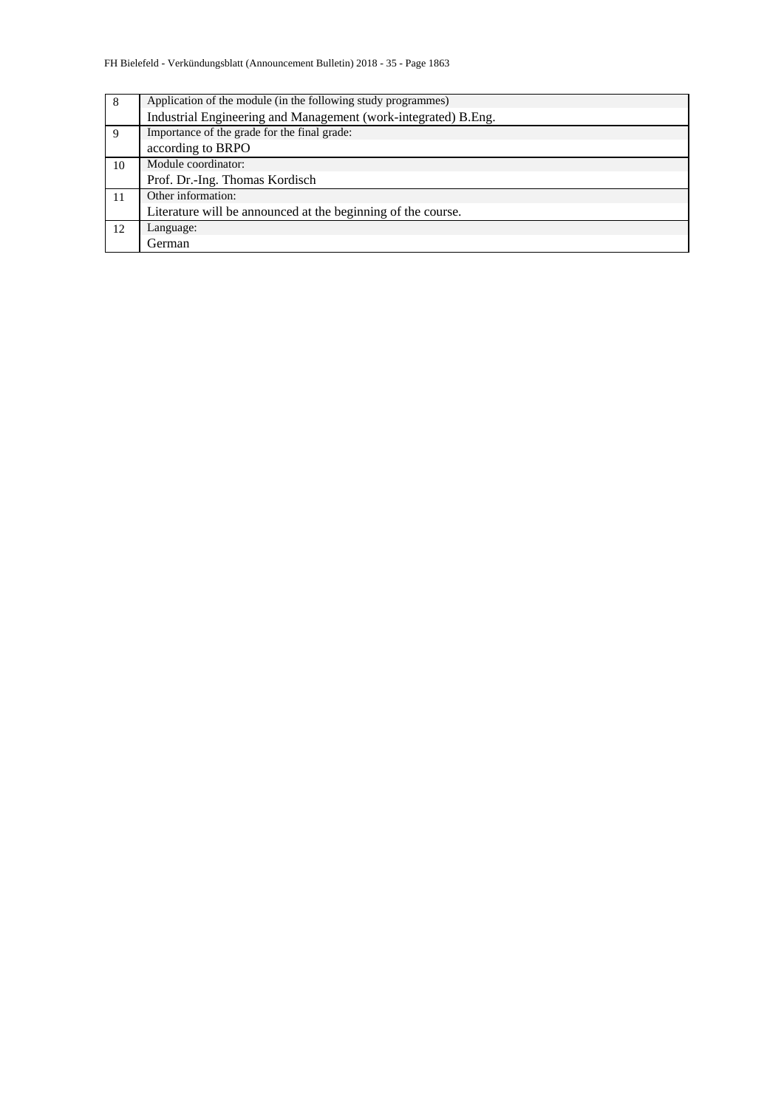| Application of the module (in the following study programmes)  |
|----------------------------------------------------------------|
| Industrial Engineering and Management (work-integrated) B.Eng. |
| Importance of the grade for the final grade:                   |
| according to BRPO                                              |
| Module coordinator:                                            |
| Prof. Dr.-Ing. Thomas Kordisch                                 |
| Other information:                                             |
| Literature will be announced at the beginning of the course.   |
| Language:                                                      |
| German                                                         |
|                                                                |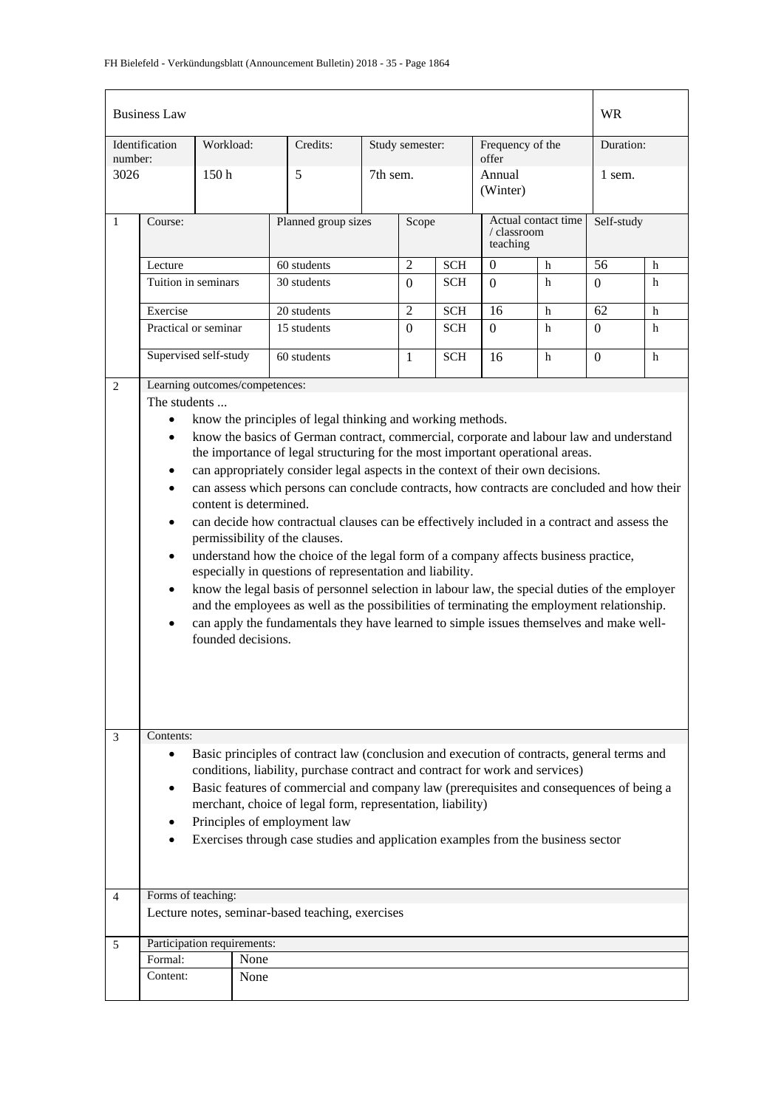| <b>Business Law</b>       |                                                                                                                                                                                                                                                                                                                                                                                                                                                                                                                                                                                                                                                                                                                                                                                                                                                                                                                                                                                                                                                                                                                                          |                      |                                |                     |                 |                |            | <b>WR</b>                                      |              |            |   |
|---------------------------|------------------------------------------------------------------------------------------------------------------------------------------------------------------------------------------------------------------------------------------------------------------------------------------------------------------------------------------------------------------------------------------------------------------------------------------------------------------------------------------------------------------------------------------------------------------------------------------------------------------------------------------------------------------------------------------------------------------------------------------------------------------------------------------------------------------------------------------------------------------------------------------------------------------------------------------------------------------------------------------------------------------------------------------------------------------------------------------------------------------------------------------|----------------------|--------------------------------|---------------------|-----------------|----------------|------------|------------------------------------------------|--------------|------------|---|
| Identification<br>number: |                                                                                                                                                                                                                                                                                                                                                                                                                                                                                                                                                                                                                                                                                                                                                                                                                                                                                                                                                                                                                                                                                                                                          | Workload:            |                                | Credits:            | Study semester: |                |            | Frequency of the<br>offer                      |              | Duration:  |   |
| 3026                      |                                                                                                                                                                                                                                                                                                                                                                                                                                                                                                                                                                                                                                                                                                                                                                                                                                                                                                                                                                                                                                                                                                                                          | 150 <sub>h</sub>     |                                | 5                   |                 | 7th sem.       |            | Annual<br>(Winter)                             |              | 1 sem.     |   |
| $\mathbf{1}$              | Course:                                                                                                                                                                                                                                                                                                                                                                                                                                                                                                                                                                                                                                                                                                                                                                                                                                                                                                                                                                                                                                                                                                                                  |                      |                                | Planned group sizes |                 | Scope          |            | Actual contact time<br>/ classroom<br>teaching |              | Self-study |   |
|                           | Lecture                                                                                                                                                                                                                                                                                                                                                                                                                                                                                                                                                                                                                                                                                                                                                                                                                                                                                                                                                                                                                                                                                                                                  |                      |                                | 60 students         |                 | $\overline{2}$ | <b>SCH</b> | $\theta$                                       | h            | 56         | h |
| Tuition in seminars       |                                                                                                                                                                                                                                                                                                                                                                                                                                                                                                                                                                                                                                                                                                                                                                                                                                                                                                                                                                                                                                                                                                                                          |                      | 30 students                    |                     |                 | $\Omega$       | <b>SCH</b> | $\Omega$                                       | $\mathbf{h}$ | $\Omega$   | h |
|                           | Exercise                                                                                                                                                                                                                                                                                                                                                                                                                                                                                                                                                                                                                                                                                                                                                                                                                                                                                                                                                                                                                                                                                                                                 |                      |                                | 20 students         |                 | $\overline{2}$ | <b>SCH</b> | 16                                             | $\mathbf h$  | 62         | h |
|                           |                                                                                                                                                                                                                                                                                                                                                                                                                                                                                                                                                                                                                                                                                                                                                                                                                                                                                                                                                                                                                                                                                                                                          | Practical or seminar |                                | 15 students         |                 | $\Omega$       | <b>SCH</b> | $\Omega$                                       | h            | $\Omega$   | h |
|                           | Supervised self-study                                                                                                                                                                                                                                                                                                                                                                                                                                                                                                                                                                                                                                                                                                                                                                                                                                                                                                                                                                                                                                                                                                                    |                      |                                | 60 students         |                 | $\mathbf{1}$   | <b>SCH</b> | 16                                             | h            | $\Omega$   | h |
| 2                         |                                                                                                                                                                                                                                                                                                                                                                                                                                                                                                                                                                                                                                                                                                                                                                                                                                                                                                                                                                                                                                                                                                                                          |                      | Learning outcomes/competences: |                     |                 |                |            |                                                |              |            |   |
|                           | The students                                                                                                                                                                                                                                                                                                                                                                                                                                                                                                                                                                                                                                                                                                                                                                                                                                                                                                                                                                                                                                                                                                                             |                      |                                |                     |                 |                |            |                                                |              |            |   |
|                           | know the principles of legal thinking and working methods.<br>$\bullet$<br>know the basics of German contract, commercial, corporate and labour law and understand<br>$\bullet$<br>the importance of legal structuring for the most important operational areas.<br>can appropriately consider legal aspects in the context of their own decisions.<br>$\bullet$<br>can assess which persons can conclude contracts, how contracts are concluded and how their<br>content is determined.<br>can decide how contractual clauses can be effectively included in a contract and assess the<br>$\bullet$<br>permissibility of the clauses.<br>understand how the choice of the legal form of a company affects business practice,<br>$\bullet$<br>especially in questions of representation and liability.<br>know the legal basis of personnel selection in labour law, the special duties of the employer<br>$\bullet$<br>and the employees as well as the possibilities of terminating the employment relationship.<br>can apply the fundamentals they have learned to simple issues themselves and make well-<br>٠<br>founded decisions. |                      |                                |                     |                 |                |            |                                                |              |            |   |
| 3<br>$\overline{4}$       | Contents:<br>Basic principles of contract law (conclusion and execution of contracts, general terms and<br>$\bullet$<br>conditions, liability, purchase contract and contract for work and services)<br>Basic features of commercial and company law (prerequisites and consequences of being a<br>merchant, choice of legal form, representation, liability)<br>Principles of employment law<br>Exercises through case studies and application examples from the business sector<br>Forms of teaching:<br>Lecture notes, seminar-based teaching, exercises                                                                                                                                                                                                                                                                                                                                                                                                                                                                                                                                                                              |                      |                                |                     |                 |                |            |                                                |              |            |   |
|                           |                                                                                                                                                                                                                                                                                                                                                                                                                                                                                                                                                                                                                                                                                                                                                                                                                                                                                                                                                                                                                                                                                                                                          |                      |                                |                     |                 |                |            |                                                |              |            |   |
| 5                         | Participation requirements:<br>Formal:<br>None                                                                                                                                                                                                                                                                                                                                                                                                                                                                                                                                                                                                                                                                                                                                                                                                                                                                                                                                                                                                                                                                                           |                      |                                |                     |                 |                |            |                                                |              |            |   |
|                           | Content:                                                                                                                                                                                                                                                                                                                                                                                                                                                                                                                                                                                                                                                                                                                                                                                                                                                                                                                                                                                                                                                                                                                                 |                      | None                           |                     |                 |                |            |                                                |              |            |   |
|                           |                                                                                                                                                                                                                                                                                                                                                                                                                                                                                                                                                                                                                                                                                                                                                                                                                                                                                                                                                                                                                                                                                                                                          |                      |                                |                     |                 |                |            |                                                |              |            |   |